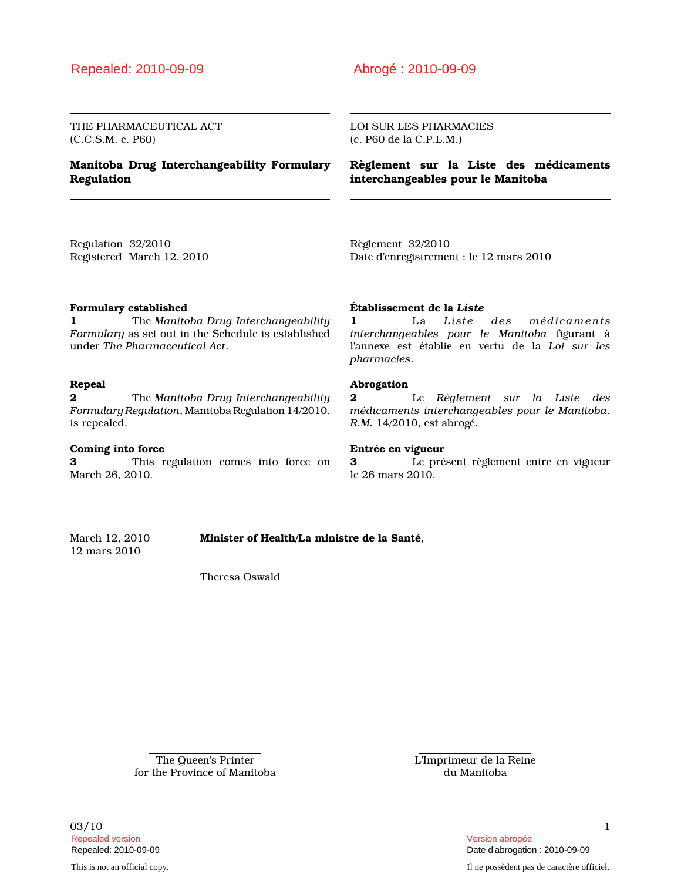## Repealed: 2010-09-09 Abrogé : 2010-09-09

THE PHARMACEUTICAL ACT (C.C.S.M. c. P60)

### Manitoba Drug Interchangeability Formulary Regulation

LOI SUR LES PHARMACIES (c. P60 de la C.P.L.M.)

Règlement sur la Liste des médicaments interchangeables pour le Manitoba

Regulation 32/2010 Registered March 12, 2010 Règlement 32/2010 Date d'enregistrement : le 12 mars 2010

### Formulary established

1 The Manitoba Drug Interchangeability Formulary as set out in the Schedule is established under The Pharmaceutical Act.

### Repeal

**2** The Manitoba Drug Interchangeability Formulary Regulation, Manitoba Regulation 14/2010, is repealed.

#### Coming into force

3 This regulation comes into force on March 26, 2010.

#### Établissement de la Liste

1 La Liste des médicaments interchangeables pour le Manitoba figurant à l'annexe est établie en vertu de la Loi sur les pharmacies.

#### Abrogation

2 Le Règlement sur la Liste des médicaments interchangeables pour le Manitoba, R.M. 14/2010, est abrogé.

#### Entrée en vigueur

3 Le présent règlement entre en vigueur le 26 mars 2010.

March 12, 2010 Minister of Health/La ministre de la Santé, 12 mars 2010

Theresa Oswald

The Queen's Printer for the Province of Manitoba L'Imprimeur de la Reine du Manitoba

 $03/10$  1 Repealed version Version abrogée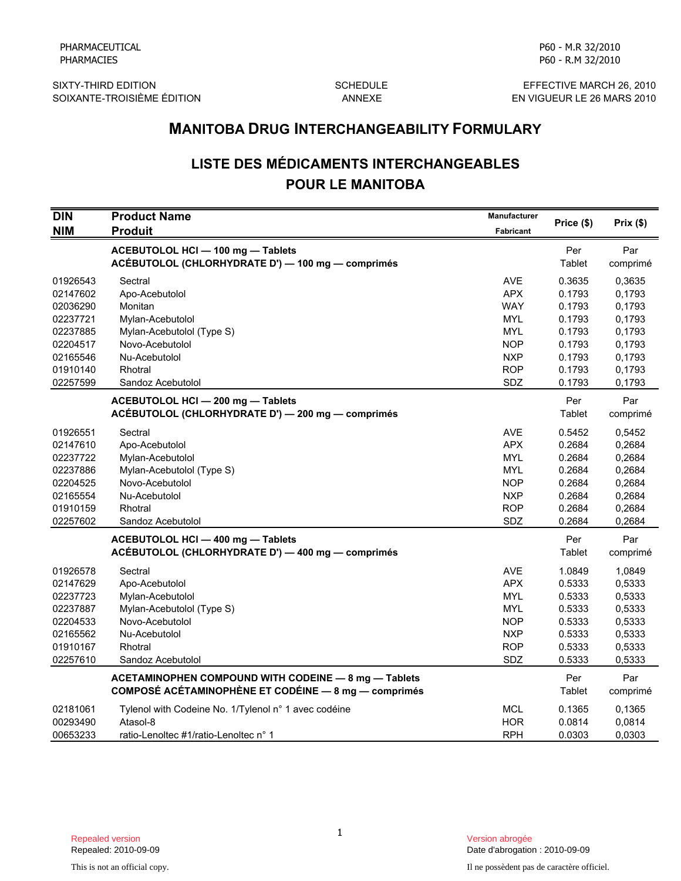SIXTY-THIRD EDITION SCHEDULE SIXTY-THIRD EDITION<br>SOIXANTE-TROISIÈME ÉDITION ANNEXE ANNEXE EN VIGUEUR LE 26 MARS 2010 SOIXANTE-TROISIÈME ÉDITION

P60 - M.R 32/2010 P60 - R.M 32/2010

# LISTE DES MÉDICAMENTS INTERCHANGEABLES POUR LE MANITOBA

|                                                                                              | <b>MANITOBA DRUG INTERCHANGEABILITY FORMULARY</b>                                                                                              |                                                                                                       |                                                                              |                                                                              |  |
|----------------------------------------------------------------------------------------------|------------------------------------------------------------------------------------------------------------------------------------------------|-------------------------------------------------------------------------------------------------------|------------------------------------------------------------------------------|------------------------------------------------------------------------------|--|
|                                                                                              | <b>LISTE DES MÉDICAMENTS INTERCHANGEABLES</b><br><b>POUR LE MANITOBA</b>                                                                       |                                                                                                       |                                                                              |                                                                              |  |
| <b>DIN</b><br><b>NIM</b>                                                                     | <b>Product Name</b><br><b>Produit</b>                                                                                                          | <b>Manufacturer</b><br>Fabricant                                                                      | Price (\$)                                                                   | Prix(\$)                                                                     |  |
|                                                                                              | ACEBUTOLOL HCI - 100 mg - Tablets<br>ACÉBUTOLOL (CHLORHYDRATE D') - 100 mg - comprimés                                                         |                                                                                                       | Per<br>Tablet                                                                | Par<br>comprimé                                                              |  |
| 01926543<br>02147602<br>02036290<br>02237721<br>02237885<br>02204517<br>02165546<br>01910140 | Sectral<br>Apo-Acebutolol<br>Monitan<br>Mylan-Acebutolol<br>Mylan-Acebutolol (Type S)<br>Novo-Acebutolol<br>Nu-Acebutolol<br>Rhotral           | <b>AVE</b><br><b>APX</b><br><b>WAY</b><br>MYL<br><b>MYL</b><br><b>NOP</b><br><b>NXP</b><br><b>ROP</b> | 0.3635<br>0.1793<br>0.1793<br>0.1793<br>0.1793<br>0.1793<br>0.1793<br>0.1793 | 0,3635<br>0,1793<br>0,1793<br>0,1793<br>0,1793<br>0,1793<br>0,1793<br>0,1793 |  |
| 02257599                                                                                     | Sandoz Acebutolol<br>ACEBUTOLOL HCI - 200 mg - Tablets<br>ACÉBUTOLOL (CHLORHYDRATE D') - 200 mg - comprimés                                    | SDZ                                                                                                   | 0.1793<br>Per<br>Tablet                                                      | 0,1793<br>Par<br>comprimé                                                    |  |
| 01926551<br>02147610<br>02237722<br>02237886<br>02204525<br>02165554<br>01910159<br>02257602 | Sectral<br>Apo-Acebutolol<br>Mylan-Acebutolol<br>Mylan-Acebutolol (Type S)<br>Novo-Acebutolol<br>Nu-Acebutolol<br>Rhotral<br>Sandoz Acebutolol | <b>AVE</b><br><b>APX</b><br><b>MYL</b><br><b>MYL</b><br><b>NOP</b><br><b>NXP</b><br><b>ROP</b><br>SDZ | 0.5452<br>0.2684<br>0.2684<br>0.2684<br>0.2684<br>0.2684<br>0.2684<br>0.2684 | 0,5452<br>0,2684<br>0,2684<br>0,2684<br>0,2684<br>0,2684<br>0,2684<br>0,2684 |  |
|                                                                                              | ACEBUTOLOL HCI - 400 mg - Tablets<br>ACÉBUTOLOL (CHLORHYDRATE D') - 400 mg - comprimés                                                         |                                                                                                       | Per<br>Tablet                                                                | Par<br>comprimé                                                              |  |
| 01926578<br>02147629<br>02237723<br>02237887<br>02204533<br>02165562<br>01910167<br>02257610 | Sectral<br>Apo-Acebutolol<br>Mylan-Acebutolol<br>Mylan-Acebutolol (Type S)<br>Novo-Acebutolol<br>Nu-Acebutolol<br>Rhotral<br>Sandoz Acebutolol | <b>AVE</b><br><b>APX</b><br><b>MYL</b><br><b>MYL</b><br><b>NOP</b><br><b>NXP</b><br><b>ROP</b><br>SDZ | 1.0849<br>0.5333<br>0.5333<br>0.5333<br>0.5333<br>0.5333<br>0.5333<br>0.5333 | 1,0849<br>0,5333<br>0,5333<br>0,5333<br>0,5333<br>0,5333<br>0,5333<br>0,5333 |  |
|                                                                                              | ACETAMINOPHEN COMPOUND WITH CODEINE - 8 mg - Tablets<br><b>COMPOSÉ ACÉTAMINOPHÈNE ET CODÉINE - 8 mg - comprimés</b>                            |                                                                                                       | Per<br>Tablet                                                                | Par<br>comprimé                                                              |  |
| 02181061<br>00293490<br>00653233                                                             | Tylenol with Codeine No. 1/Tylenol n° 1 avec codéine<br>Atasol-8<br>ratio-Lenoltec #1/ratio-Lenoltec n° 1                                      | <b>MCL</b><br><b>HOR</b><br><b>RPH</b>                                                                | 0.1365<br>0.0814<br>0.0303                                                   | 0,1365<br>0,0814<br>0,0303                                                   |  |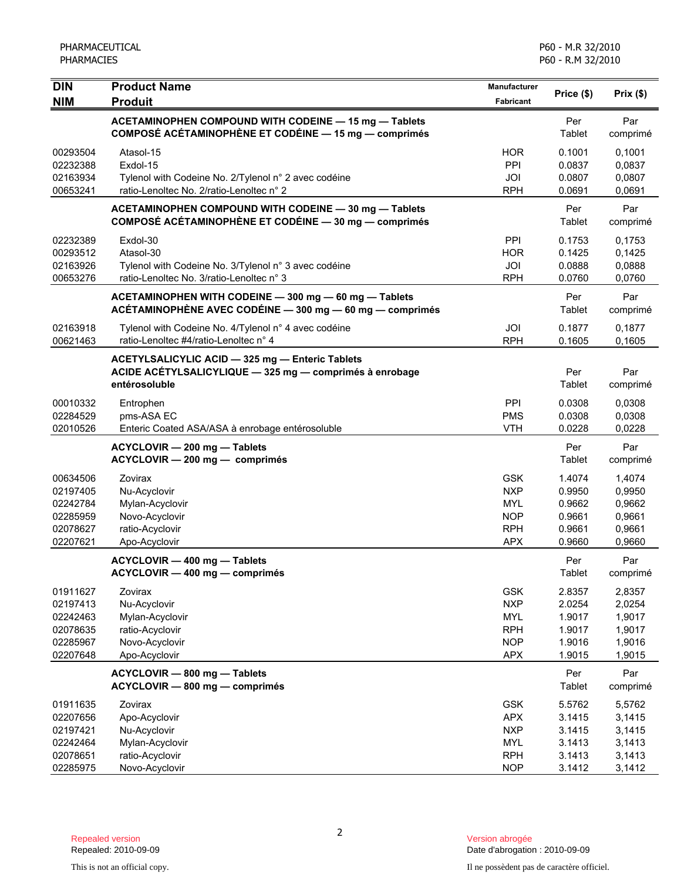| <b>DIN</b>                                                           | <b>Product Name</b>                                                                                                         | <b>Manufacturer</b>                                                              | Price (\$)<br>Prix(\$)                                   |                                                          |
|----------------------------------------------------------------------|-----------------------------------------------------------------------------------------------------------------------------|----------------------------------------------------------------------------------|----------------------------------------------------------|----------------------------------------------------------|
| <b>NIM</b>                                                           | <b>Produit</b>                                                                                                              | Fabricant                                                                        |                                                          |                                                          |
|                                                                      | ACETAMINOPHEN COMPOUND WITH CODEINE - 15 mg - Tablets<br>COMPOSÉ ACÉTAMINOPHÈNE ET CODÉINE - 15 mg - comprimés              |                                                                                  | Per<br>Tablet                                            | Par<br>comprimé                                          |
| 00293504<br>02232388<br>02163934<br>00653241                         | Atasol-15<br>Exdol-15<br>Tylenol with Codeine No. 2/Tylenol n° 2 avec codéine<br>ratio-Lenoltec No. 2/ratio-Lenoltec n° 2   | <b>HOR</b><br>PPI<br>JOI<br><b>RPH</b>                                           | 0.1001<br>0.0837<br>0.0807<br>0.0691                     | 0,1001<br>0,0837<br>0,0807<br>0,0691                     |
|                                                                      | ACETAMINOPHEN COMPOUND WITH CODEINE - 30 mg - Tablets<br>COMPOSÉ ACÉTAMINOPHÈNE ET CODÉINE - 30 mg - comprimés              |                                                                                  | Per<br>Tablet                                            | Par<br>comprimé                                          |
| 02232389<br>00293512<br>02163926<br>00653276                         | Exdol-30<br>Atasol-30<br>Tylenol with Codeine No. 3/Tylenol n° 3 avec codéine<br>ratio-Lenoltec No. 3/ratio-Lenoltec n° 3   | PPI<br><b>HOR</b><br>JOI<br><b>RPH</b>                                           | 0.1753<br>0.1425<br>0.0888<br>0.0760                     | 0,1753<br>0,1425<br>0,0888<br>0,0760                     |
|                                                                      | ACETAMINOPHEN WITH CODEINE - 300 mg - 60 mg - Tablets<br>ACÉTAMINOPHÈNE AVEC CODÉINE - 300 mg - 60 mg - comprimés           |                                                                                  | Per<br>Tablet                                            | Par<br>comprimé                                          |
| 02163918<br>00621463                                                 | Tylenol with Codeine No. 4/Tylenol n° 4 avec codéine<br>ratio-Lenoltec #4/ratio-Lenoltec n° 4                               | JOI<br><b>RPH</b>                                                                | 0.1877<br>0.1605                                         | 0,1877<br>0,1605                                         |
|                                                                      | ACETYLSALICYLIC ACID - 325 mg - Enteric Tablets<br>ACIDE ACÉTYLSALICYLIQUE - 325 mg - comprimés à enrobage<br>entérosoluble |                                                                                  | Per<br>Tablet                                            | Par<br>comprimé                                          |
| 00010332<br>02284529<br>02010526                                     | Entrophen<br>pms-ASA EC<br>Enteric Coated ASA/ASA à enrobage entérosoluble                                                  | PPI<br><b>PMS</b><br><b>VTH</b>                                                  | 0.0308<br>0.0308<br>0.0228                               | 0,0308<br>0,0308<br>0,0228                               |
|                                                                      | ACYCLOVIR - 200 mg - Tablets<br>ACYCLOVIR - 200 mg - comprimés                                                              |                                                                                  | Per<br>Tablet                                            | Par<br>comprimé                                          |
| 00634506<br>02197405<br>02242784<br>02285959<br>02078627<br>02207621 | Zovirax<br>Nu-Acyclovir<br>Mylan-Acyclovir<br>Novo-Acyclovir<br>ratio-Acyclovir<br>Apo-Acyclovir                            | <b>GSK</b><br><b>NXP</b><br><b>MYL</b><br><b>NOP</b><br><b>RPH</b><br><b>APX</b> | 1.4074<br>0.9950<br>0.9662<br>0.9661<br>0.9661<br>0.9660 | 1,4074<br>0,9950<br>0,9662<br>0,9661<br>0,9661<br>0,9660 |
|                                                                      | ACYCLOVIR - 400 mg - Tablets<br>ACYCLOVIR - 400 mg - comprimés                                                              |                                                                                  | Per<br>Tablet                                            | Par<br>comprimé                                          |
| 01911627<br>02197413<br>02242463<br>02078635<br>02285967<br>02207648 | Zovirax<br>Nu-Acyclovir<br>Mylan-Acyclovir<br>ratio-Acyclovir<br>Novo-Acyclovir<br>Apo-Acyclovir                            | <b>GSK</b><br><b>NXP</b><br><b>MYL</b><br><b>RPH</b><br><b>NOP</b><br><b>APX</b> | 2.8357<br>2.0254<br>1.9017<br>1.9017<br>1.9016<br>1.9015 | 2,8357<br>2,0254<br>1,9017<br>1,9017<br>1,9016<br>1,9015 |
|                                                                      | ACYCLOVIR - 800 mg - Tablets<br>ACYCLOVIR - 800 mg - comprimés                                                              |                                                                                  | Per<br>Tablet                                            | Par<br>comprimé                                          |
| 01911635<br>02207656<br>02197421<br>02242464<br>02078651<br>02285975 | Zovirax<br>Apo-Acyclovir<br>Nu-Acyclovir<br>Mylan-Acyclovir<br>ratio-Acyclovir<br>Novo-Acyclovir                            | <b>GSK</b><br><b>APX</b><br><b>NXP</b><br><b>MYL</b><br><b>RPH</b><br><b>NOP</b> | 5.5762<br>3.1415<br>3.1415<br>3.1413<br>3.1413<br>3.1412 | 5,5762<br>3,1415<br>3,1415<br>3,1413<br>3,1413<br>3,1412 |

Date d'abrogation : 2010-09-09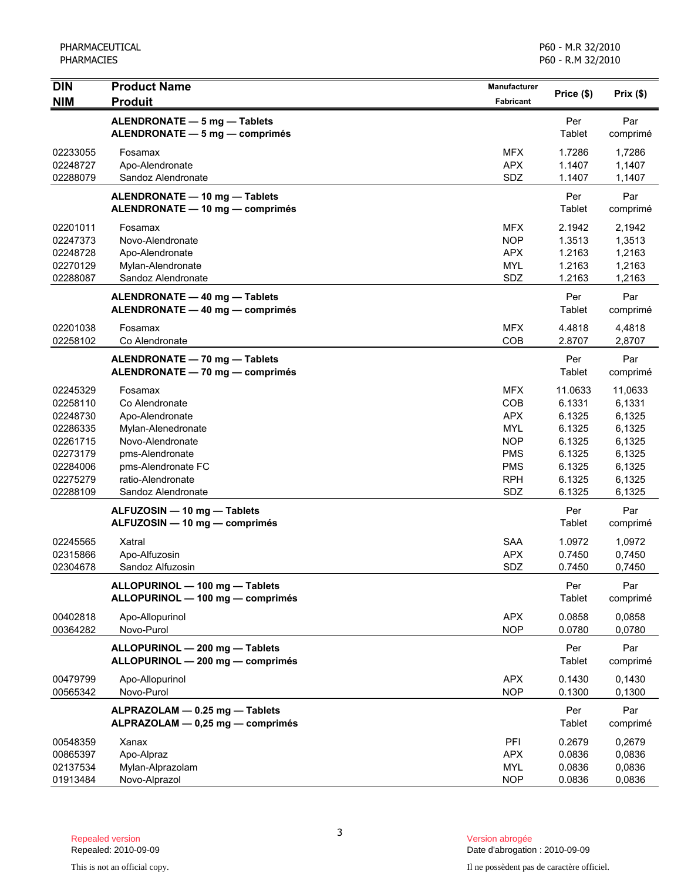| <b>DIN</b><br><b>NIM</b>                                                                                 | <b>Product Name</b><br><b>Produit</b>                                                                                                                                      | Manufacturer<br>Fabricant                                                                                    | Price (\$)                                                                              | Prix(\$)                                                                                |
|----------------------------------------------------------------------------------------------------------|----------------------------------------------------------------------------------------------------------------------------------------------------------------------------|--------------------------------------------------------------------------------------------------------------|-----------------------------------------------------------------------------------------|-----------------------------------------------------------------------------------------|
|                                                                                                          | ALENDRONATE - 5 mg - Tablets<br>ALENDRONATE - 5 mg - comprimés                                                                                                             |                                                                                                              | Per<br>Tablet                                                                           | Par<br>comprimé                                                                         |
| 02233055<br>02248727<br>02288079                                                                         | Fosamax<br>Apo-Alendronate<br>Sandoz Alendronate                                                                                                                           | <b>MFX</b><br><b>APX</b><br>SDZ                                                                              | 1.7286<br>1.1407<br>1.1407                                                              | 1,7286<br>1,1407<br>1,1407                                                              |
|                                                                                                          | ALENDRONATE - 10 mg - Tablets<br>ALENDRONATE - 10 mg - comprimés                                                                                                           |                                                                                                              | Per<br>Tablet                                                                           | Par<br>comprimé                                                                         |
| 02201011<br>02247373<br>02248728<br>02270129<br>02288087                                                 | Fosamax<br>Novo-Alendronate<br>Apo-Alendronate<br>Mylan-Alendronate<br>Sandoz Alendronate                                                                                  | <b>MFX</b><br><b>NOP</b><br><b>APX</b><br><b>MYL</b><br>SDZ                                                  | 2.1942<br>1.3513<br>1.2163<br>1.2163<br>1.2163                                          | 2,1942<br>1,3513<br>1,2163<br>1,2163<br>1,2163                                          |
|                                                                                                          | ALENDRONATE - 40 mg - Tablets<br>ALENDRONATE - 40 mg - comprimés                                                                                                           |                                                                                                              | Per<br>Tablet                                                                           | Par<br>comprimé                                                                         |
| 02201038<br>02258102                                                                                     | Fosamax<br>Co Alendronate                                                                                                                                                  | <b>MFX</b><br>COB                                                                                            | 4.4818<br>2.8707                                                                        | 4,4818<br>2,8707                                                                        |
|                                                                                                          | ALENDRONATE - 70 mg - Tablets<br>ALENDRONATE - 70 mg - comprimés                                                                                                           |                                                                                                              | Per<br>Tablet                                                                           | Par<br>comprimé                                                                         |
| 02245329<br>02258110<br>02248730<br>02286335<br>02261715<br>02273179<br>02284006<br>02275279<br>02288109 | Fosamax<br>Co Alendronate<br>Apo-Alendronate<br>Mylan-Alenedronate<br>Novo-Alendronate<br>pms-Alendronate<br>pms-Alendronate FC<br>ratio-Alendronate<br>Sandoz Alendronate | <b>MFX</b><br>COB<br><b>APX</b><br><b>MYL</b><br><b>NOP</b><br><b>PMS</b><br><b>PMS</b><br><b>RPH</b><br>SDZ | 11.0633<br>6.1331<br>6.1325<br>6.1325<br>6.1325<br>6.1325<br>6.1325<br>6.1325<br>6.1325 | 11,0633<br>6,1331<br>6,1325<br>6,1325<br>6,1325<br>6,1325<br>6,1325<br>6,1325<br>6,1325 |
|                                                                                                          | ALFUZOSIN - 10 mg - Tablets<br>ALFUZOSIN - 10 mg - comprimés                                                                                                               |                                                                                                              | Per<br>Tablet                                                                           | Par<br>comprimé                                                                         |
| 02245565<br>02315866<br>02304678                                                                         | Xatral<br>Apo-Alfuzosin<br>Sandoz Alfuzosin                                                                                                                                | <b>SAA</b><br><b>APX</b><br>SDZ                                                                              | 1.0972<br>0.7450<br>0.7450                                                              | 1,0972<br>0,7450<br>0,7450                                                              |
|                                                                                                          | ALLOPURINOL - 100 mg - Tablets<br>ALLOPURINOL - 100 mg - comprimés                                                                                                         |                                                                                                              | Per<br>Tablet                                                                           | Par<br>comprimé                                                                         |
| 00402818<br>00364282                                                                                     | Apo-Allopurinol<br>Novo-Purol                                                                                                                                              | <b>APX</b><br><b>NOP</b>                                                                                     | 0.0858<br>0.0780                                                                        | 0,0858<br>0,0780                                                                        |
|                                                                                                          | ALLOPURINOL - 200 mg - Tablets<br>ALLOPURINOL - 200 mg - comprimés                                                                                                         |                                                                                                              | Per<br>Tablet                                                                           | Par<br>comprimé                                                                         |
| 00479799<br>00565342                                                                                     | Apo-Allopurinol<br>Novo-Purol                                                                                                                                              | <b>APX</b><br><b>NOP</b>                                                                                     | 0.1430<br>0.1300                                                                        | 0,1430<br>0,1300                                                                        |
|                                                                                                          | ALPRAZOLAM - 0.25 mg - Tablets<br>ALPRAZOLAM - 0,25 mg - comprimés                                                                                                         |                                                                                                              | Per<br>Tablet                                                                           | Par<br>comprimé                                                                         |
| 00548359<br>00865397<br>02137534<br>01913484                                                             | Xanax<br>Apo-Alpraz<br>Mylan-Alprazolam<br>Novo-Alprazol                                                                                                                   | PFI<br><b>APX</b><br><b>MYL</b><br><b>NOP</b>                                                                | 0.2679<br>0.0836<br>0.0836<br>0.0836                                                    | 0,2679<br>0,0836<br>0,0836<br>0,0836                                                    |

Date d'abrogation : 2010-09-09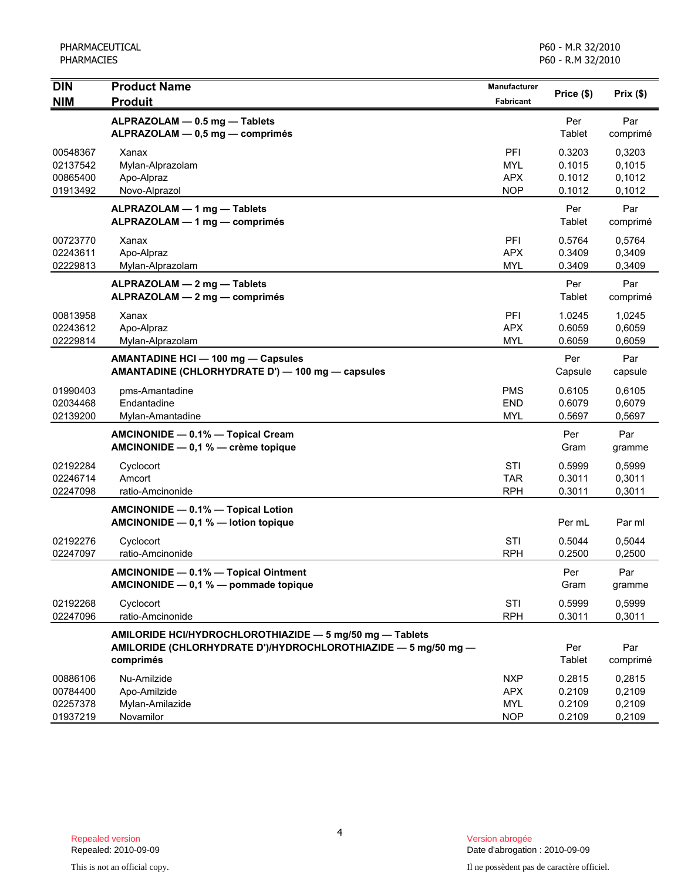| <b>DIN</b><br><b>NIM</b>                     | <b>Product Name</b><br><b>Produit</b>                                                                                                   | Manufacturer<br>Fabricant                            | Price (\$)                           | Prix(\$)                             |
|----------------------------------------------|-----------------------------------------------------------------------------------------------------------------------------------------|------------------------------------------------------|--------------------------------------|--------------------------------------|
|                                              | ALPRAZOLAM - 0.5 mg - Tablets<br>ALPRAZOLAM - 0,5 mg - comprimés                                                                        |                                                      | Per<br>Tablet                        | Par<br>comprimé                      |
| 00548367<br>02137542<br>00865400<br>01913492 | Xanax<br>Mylan-Alprazolam<br>Apo-Alpraz<br>Novo-Alprazol                                                                                | PFI<br><b>MYL</b><br><b>APX</b><br><b>NOP</b>        | 0.3203<br>0.1015<br>0.1012<br>0.1012 | 0,3203<br>0,1015<br>0,1012<br>0,1012 |
|                                              | ALPRAZOLAM - 1 mg - Tablets<br>ALPRAZOLAM - 1 mg - comprimés                                                                            |                                                      | Per<br>Tablet                        | Par<br>comprimé                      |
| 00723770<br>02243611<br>02229813             | Xanax<br>Apo-Alpraz<br>Mylan-Alprazolam                                                                                                 | PFI<br><b>APX</b><br><b>MYL</b>                      | 0.5764<br>0.3409<br>0.3409           | 0,5764<br>0,3409<br>0,3409           |
|                                              | ALPRAZOLAM - 2 mg - Tablets<br>ALPRAZOLAM - 2 mg - comprimés                                                                            |                                                      | Per<br>Tablet                        | Par<br>comprimé                      |
| 00813958<br>02243612<br>02229814             | Xanax<br>Apo-Alpraz<br>Mylan-Alprazolam                                                                                                 | PFI<br><b>APX</b><br><b>MYL</b>                      | 1.0245<br>0.6059<br>0.6059           | 1,0245<br>0,6059<br>0,6059           |
|                                              | AMANTADINE HCI - 100 mg - Capsules<br>AMANTADINE (CHLORHYDRATE D') - 100 mg - capsules                                                  |                                                      | Per<br>Capsule                       | Par<br>capsule                       |
| 01990403<br>02034468<br>02139200             | pms-Amantadine<br>Endantadine<br>Mylan-Amantadine                                                                                       | <b>PMS</b><br><b>END</b><br><b>MYL</b>               | 0.6105<br>0.6079<br>0.5697           | 0.6105<br>0,6079<br>0,5697           |
|                                              | AMCINONIDE - 0.1% - Topical Cream<br>AMCINONIDE - 0,1 % - crème topique                                                                 |                                                      | Per<br>Gram                          | Par<br>gramme                        |
| 02192284<br>02246714<br>02247098             | Cyclocort<br>Amcort<br>ratio-Amcinonide                                                                                                 | <b>STI</b><br><b>TAR</b><br><b>RPH</b>               | 0.5999<br>0.3011<br>0.3011           | 0,5999<br>0,3011<br>0,3011           |
|                                              | AMCINONIDE - 0.1% - Topical Lotion<br>AMCINONIDE - 0,1 % - lotion topique                                                               |                                                      | Per mL                               | Par ml                               |
| 02192276<br>02247097                         | Cyclocort<br>ratio-Amcinonide                                                                                                           | <b>STI</b><br><b>RPH</b>                             | 0.5044<br>0.2500                     | 0,5044<br>0,2500                     |
|                                              | AMCINONIDE - 0.1% - Topical Ointment<br>AMCINONIDE $-$ 0,1 % $-$ pommade topique                                                        |                                                      | Per<br>Gram                          | Par<br>gramme                        |
| 02192268<br>02247096                         | Cyclocort<br>ratio-Amcinonide                                                                                                           | STI<br><b>RPH</b>                                    | 0.5999<br>0.3011                     | 0,5999<br>0,3011                     |
|                                              | AMILORIDE HCI/HYDROCHLOROTHIAZIDE - 5 mg/50 mg - Tablets<br>AMILORIDE (CHLORHYDRATE D')/HYDROCHLOROTHIAZIDE - 5 mg/50 mg -<br>comprimés |                                                      | Per<br>Tablet                        | Par<br>comprimé                      |
| 00886106<br>00784400<br>02257378<br>01937219 | Nu-Amilzide<br>Apo-Amilzide<br>Mylan-Amilazide<br>Novamilor                                                                             | <b>NXP</b><br><b>APX</b><br><b>MYL</b><br><b>NOP</b> | 0.2815<br>0.2109<br>0.2109<br>0.2109 | 0,2815<br>0,2109<br>0,2109<br>0,2109 |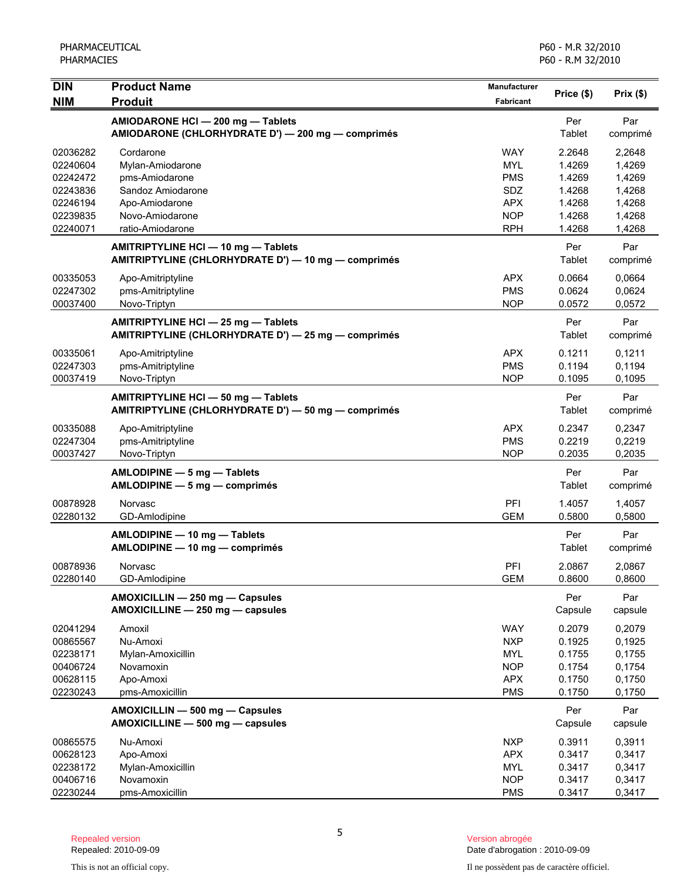| <b>DIN</b>           | <b>Product Name</b>                                                                        | <b>Manufacturer</b> |                  |                  |
|----------------------|--------------------------------------------------------------------------------------------|---------------------|------------------|------------------|
| <b>NIM</b>           | <b>Produit</b>                                                                             | <b>Fabricant</b>    | Price (\$)       | Prix(\$)         |
|                      | AMIODARONE HCI - 200 mg - Tablets<br>AMIODARONE (CHLORHYDRATE D') — 200 mg — comprimés     |                     | Per<br>Tablet    | Par<br>comprimé  |
| 02036282             | Cordarone                                                                                  | <b>WAY</b>          | 2.2648           | 2,2648           |
| 02240604             | Mylan-Amiodarone                                                                           | <b>MYL</b>          | 1.4269           | 1,4269           |
| 02242472             | pms-Amiodarone                                                                             | <b>PMS</b>          | 1.4269           | 1,4269           |
| 02243836             | Sandoz Amiodarone                                                                          | SDZ                 | 1.4268           | 1,4268           |
| 02246194             | Apo-Amiodarone                                                                             | <b>APX</b>          | 1.4268           | 1,4268           |
| 02239835             | Novo-Amiodarone                                                                            | <b>NOP</b>          | 1.4268           | 1,4268           |
| 02240071             | ratio-Amiodarone                                                                           | <b>RPH</b>          | 1.4268           | 1,4268           |
|                      | AMITRIPTYLINE HCI - 10 mg - Tablets<br>AMITRIPTYLINE (CHLORHYDRATE D') - 10 mg - comprimés |                     | Per<br>Tablet    | Par<br>comprimé  |
| 00335053             | Apo-Amitriptyline                                                                          | <b>APX</b>          | 0.0664           | 0,0664           |
| 02247302             | pms-Amitriptyline                                                                          | <b>PMS</b>          | 0.0624           | 0,0624           |
| 00037400             | Novo-Triptyn                                                                               | <b>NOP</b>          | 0.0572           | 0,0572           |
|                      | AMITRIPTYLINE HCI - 25 mg - Tablets<br>AMITRIPTYLINE (CHLORHYDRATE D') - 25 mg - comprimés |                     | Per<br>Tablet    | Par<br>comprimé  |
| 00335061             | Apo-Amitriptyline                                                                          | <b>APX</b>          | 0.1211           | 0,1211           |
| 02247303             | pms-Amitriptyline                                                                          | <b>PMS</b>          | 0.1194           | 0,1194           |
| 00037419             | Novo-Triptyn                                                                               | <b>NOP</b>          | 0.1095           | 0,1095           |
|                      | AMITRIPTYLINE HCI - 50 mg - Tablets<br>AMITRIPTYLINE (CHLORHYDRATE D') - 50 mg - comprimés |                     | Per<br>Tablet    | Par<br>comprimé  |
| 00335088             | Apo-Amitriptyline                                                                          | <b>APX</b>          | 0.2347           | 0,2347           |
| 02247304             | pms-Amitriptyline                                                                          | <b>PMS</b>          | 0.2219           | 0,2219           |
| 00037427             | Novo-Triptyn                                                                               | <b>NOP</b>          | 0.2035           | 0,2035           |
|                      | $AMLODIPINE - 5 mg - Tables$<br>AMLODIPINE - 5 mg - comprimés                              |                     | Per<br>Tablet    | Par<br>comprimé  |
| 00878928<br>02280132 | Norvasc<br>GD-Amlodipine                                                                   | PFI<br><b>GEM</b>   | 1.4057<br>0.5800 | 1,4057<br>0,5800 |
|                      |                                                                                            |                     |                  |                  |
|                      | AMLODIPINE - 10 mg - Tablets<br>AMLODIPINE - 10 mg - comprimés                             |                     | Per<br>Tablet    | Par<br>comprimé  |
| 00878936             | Norvasc                                                                                    | <b>PFI</b>          | 2.0867           | 2,0867           |
| 02280140             | GD-Amlodipine                                                                              | <b>GEM</b>          | 0.8600           | 0,8600           |
|                      | AMOXICILLIN - 250 mg - Capsules<br>AMOXICILLINE - 250 mg - capsules                        |                     | Per<br>Capsule   | Par<br>capsule   |
| 02041294             | Amoxil                                                                                     | <b>WAY</b>          | 0.2079           | 0,2079           |
| 00865567             | Nu-Amoxi                                                                                   | <b>NXP</b>          | 0.1925           | 0,1925           |
| 02238171             | Mylan-Amoxicillin                                                                          | <b>MYL</b>          | 0.1755           | 0,1755           |
| 00406724             | Novamoxin                                                                                  | <b>NOP</b>          | 0.1754           | 0,1754           |
| 00628115             | Apo-Amoxi                                                                                  | <b>APX</b>          | 0.1750           | 0,1750           |
| 02230243             | pms-Amoxicillin                                                                            | <b>PMS</b>          | 0.1750           | 0,1750           |
|                      | AMOXICILLIN - 500 mg - Capsules<br>AMOXICILLINE - 500 mg - capsules                        |                     | Per<br>Capsule   | Par<br>capsule   |
| 00865575             | Nu-Amoxi                                                                                   | <b>NXP</b>          | 0.3911           | 0,3911           |
| 00628123             | Apo-Amoxi                                                                                  | <b>APX</b>          | 0.3417           | 0,3417           |
| 02238172             | Mylan-Amoxicillin                                                                          | <b>MYL</b>          | 0.3417           | 0,3417           |
| 00406716             | Novamoxin                                                                                  | <b>NOP</b>          | 0.3417           | 0,3417           |
| 02230244             | pms-Amoxicillin                                                                            | <b>PMS</b>          | 0.3417           | 0,3417           |

5

Date d'abrogation : 2010-09-09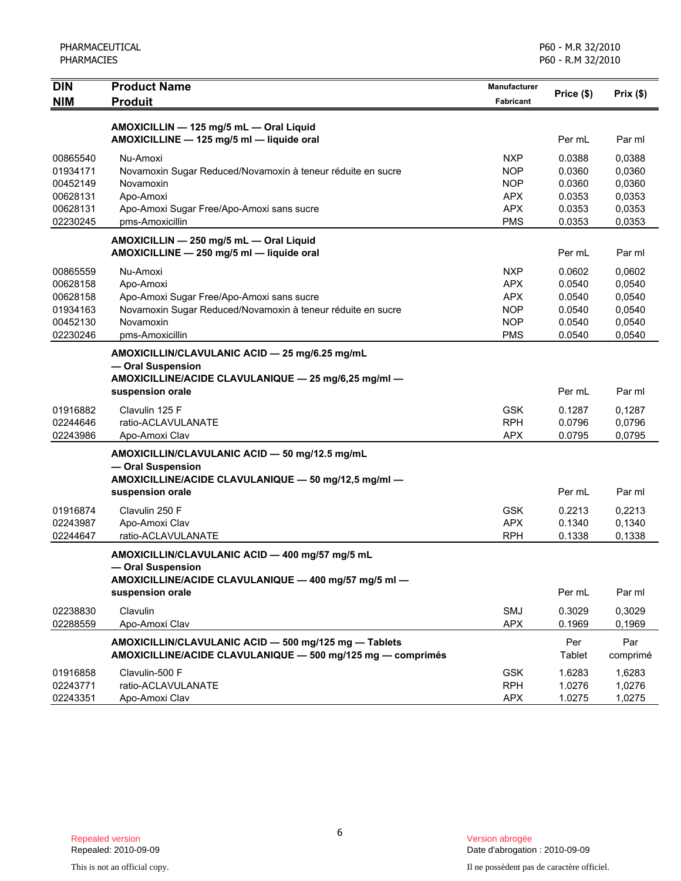| <b>DIN</b> | <b>Product Name</b>                                         | Manufacturer<br>Fabricant | Price (\$) | Prix(\$) |
|------------|-------------------------------------------------------------|---------------------------|------------|----------|
| <b>NIM</b> | <b>Produit</b>                                              |                           |            |          |
|            | AMOXICILLIN - 125 mg/5 mL - Oral Liquid                     |                           |            |          |
|            | AMOXICILLINE - 125 mg/5 ml - liquide oral                   |                           | Per mL     | Par ml   |
| 00865540   | Nu-Amoxi                                                    | <b>NXP</b>                | 0.0388     | 0,0388   |
| 01934171   | Novamoxin Sugar Reduced/Novamoxin à teneur réduite en sucre | <b>NOP</b>                | 0.0360     | 0,0360   |
| 00452149   | Novamoxin                                                   | <b>NOP</b>                | 0.0360     | 0,0360   |
| 00628131   | Apo-Amoxi                                                   | <b>APX</b>                | 0.0353     | 0,0353   |
| 00628131   | Apo-Amoxi Sugar Free/Apo-Amoxi sans sucre                   | <b>APX</b>                | 0.0353     | 0,0353   |
| 02230245   | pms-Amoxicillin                                             | <b>PMS</b>                | 0.0353     | 0,0353   |
|            | AMOXICILLIN - 250 mg/5 mL - Oral Liquid                     |                           |            |          |
|            | AMOXICILLINE - 250 mg/5 ml - liquide oral                   |                           | Per mL     | Par ml   |
| 00865559   | Nu-Amoxi                                                    | <b>NXP</b>                | 0.0602     | 0,0602   |
| 00628158   | Apo-Amoxi                                                   | <b>APX</b>                | 0.0540     | 0,0540   |
| 00628158   | Apo-Amoxi Sugar Free/Apo-Amoxi sans sucre                   | <b>APX</b>                | 0.0540     | 0,0540   |
| 01934163   | Novamoxin Sugar Reduced/Novamoxin à teneur réduite en sucre | <b>NOP</b>                | 0.0540     | 0,0540   |
| 00452130   | Novamoxin                                                   | <b>NOP</b>                | 0.0540     | 0,0540   |
| 02230246   | pms-Amoxicillin                                             | <b>PMS</b>                | 0.0540     | 0,0540   |
|            | AMOXICILLIN/CLAVULANIC ACID - 25 mg/6.25 mg/mL              |                           |            |          |
|            | - Oral Suspension                                           |                           |            |          |
|            | AMOXICILLINE/ACIDE CLAVULANIQUE - 25 mg/6,25 mg/ml -        |                           |            |          |
|            | suspension orale                                            |                           | Per mL     | Par ml   |
| 01916882   | Clavulin 125 F                                              | <b>GSK</b>                | 0.1287     | 0,1287   |
| 02244646   | ratio-ACLAVULANATE                                          | <b>RPH</b>                | 0.0796     | 0,0796   |
| 02243986   | Apo-Amoxi Clav                                              | <b>APX</b>                | 0.0795     | 0,0795   |
|            | AMOXICILLIN/CLAVULANIC ACID - 50 mg/12.5 mg/mL              |                           |            |          |
|            | - Oral Suspension                                           |                           |            |          |
|            | AMOXICILLINE/ACIDE CLAVULANIQUE - 50 mg/12,5 mg/ml -        |                           |            |          |
|            | suspension orale                                            |                           | Per mL     | Par ml   |
| 01916874   | Clavulin 250 F                                              | <b>GSK</b>                | 0.2213     | 0,2213   |
| 02243987   | Apo-Amoxi Clav                                              | <b>APX</b>                | 0.1340     | 0,1340   |
| 02244647   | ratio-ACLAVULANATE                                          | <b>RPH</b>                | 0.1338     | 0,1338   |
|            | AMOXICILLIN/CLAVULANIC ACID - 400 mg/57 mg/5 mL             |                           |            |          |
|            | - Oral Suspension                                           |                           |            |          |
|            | AMOXICILLINE/ACIDE CLAVULANIQUE - 400 mg/57 mg/5 ml -       |                           |            |          |
|            | suspension orale                                            |                           | Per mL     | Par ml   |
| 02238830   | Clavulin                                                    | SMJ                       | 0.3029     | 0,3029   |
| 02288559   | Apo-Amoxi Clav                                              | <b>APX</b>                | 0.1969     | 0,1969   |
|            | AMOXICILLIN/CLAVULANIC ACID - 500 mg/125 mg - Tablets       |                           | Per        | Par      |
|            | AMOXICILLINE/ACIDE CLAVULANIQUE - 500 mg/125 mg - comprimés |                           | Tablet     | comprimé |
| 01916858   | Clavulin-500 F                                              | <b>GSK</b>                | 1.6283     | 1,6283   |
| 02243771   | ratio-ACLAVULANATE                                          | <b>RPH</b>                | 1.0276     | 1,0276   |
| 02243351   | Apo-Amoxi Clav                                              | <b>APX</b>                | 1.0275     | 1,0275   |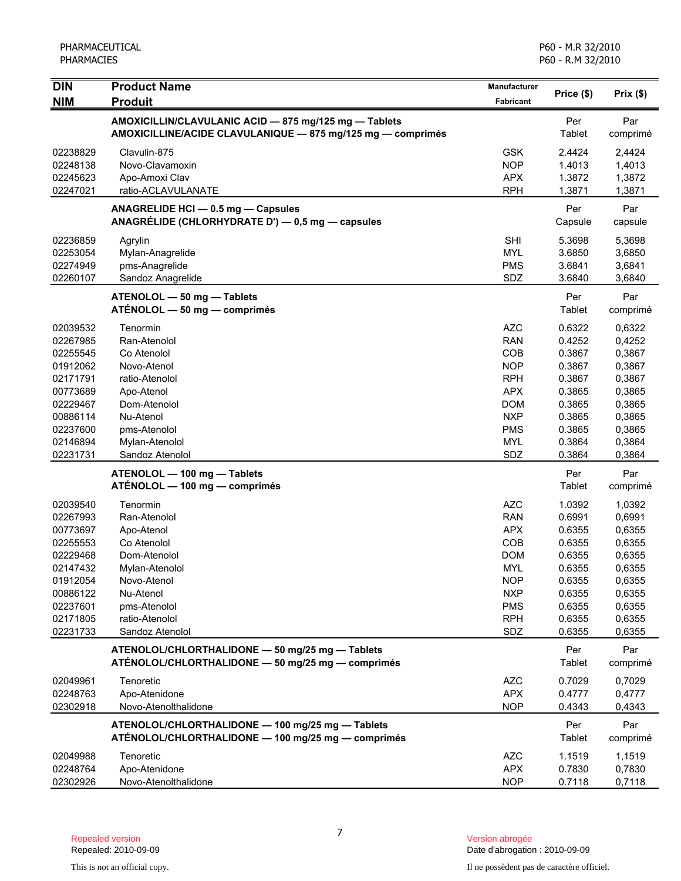| <b>DIN</b> | <b>Product Name</b>                                                                                  | <b>Manufacturer</b> | Price (\$)     | Prix(\$)         |
|------------|------------------------------------------------------------------------------------------------------|---------------------|----------------|------------------|
| <b>NIM</b> | <b>Produit</b>                                                                                       | Fabricant           |                |                  |
|            | AMOXICILLIN/CLAVULANIC ACID - 875 mg/125 mg - Tablets                                                |                     | Per            | Par              |
|            | AMOXICILLINE/ACIDE CLAVULANIQUE - 875 mg/125 mg - comprimés                                          |                     | Tablet         | comprimé         |
| 02238829   | Clavulin-875                                                                                         | <b>GSK</b>          | 2.4424         | 2,4424           |
| 02248138   | Novo-Clavamoxin                                                                                      | <b>NOP</b>          | 1.4013         | 1,4013           |
| 02245623   | Apo-Amoxi Clav                                                                                       | <b>APX</b>          | 1.3872         | 1,3872           |
| 02247021   | ratio-ACLAVULANATE                                                                                   | <b>RPH</b>          | 1.3871         | 1,3871           |
|            | ANAGRELIDE HCI - 0.5 mg - Capsules<br>ANAGRÉLIDE (CHLORHYDRATE D') — 0,5 mg — capsules               |                     | Per<br>Capsule | Par<br>capsule   |
| 02236859   | Agrylin                                                                                              | <b>SHI</b>          | 5.3698         | 5,3698           |
| 02253054   | Mylan-Anagrelide                                                                                     | <b>MYL</b>          | 3.6850         | 3,6850           |
| 02274949   | pms-Anagrelide                                                                                       | <b>PMS</b>          | 3.6841         | 3,6841           |
| 02260107   | Sandoz Anagrelide                                                                                    | SDZ                 | 3.6840         | 3,6840           |
|            | ATENOLOL - 50 mg - Tablets                                                                           |                     | Per            | Par              |
|            | $ATÉNOLOL - 50 mg - comprimés$                                                                       |                     | Tablet         | comprimé         |
| 02039532   | Tenormin                                                                                             | <b>AZC</b>          | 0.6322         | 0,6322           |
| 02267985   | Ran-Atenolol                                                                                         | <b>RAN</b>          | 0.4252         | 0,4252           |
| 02255545   | Co Atenolol                                                                                          | COB                 | 0.3867         | 0,3867           |
| 01912062   | Novo-Atenol                                                                                          | <b>NOP</b>          | 0.3867         | 0,3867           |
| 02171791   | ratio-Atenolol                                                                                       | <b>RPH</b>          | 0.3867         | 0,3867           |
| 00773689   | Apo-Atenol                                                                                           | <b>APX</b>          | 0.3865         | 0,3865           |
| 02229467   | Dom-Atenolol                                                                                         | <b>DOM</b>          | 0.3865         | 0,3865           |
| 00886114   | Nu-Atenol                                                                                            | <b>NXP</b>          | 0.3865         | 0,3865           |
| 02237600   | pms-Atenolol                                                                                         | <b>PMS</b>          | 0.3865         | 0,3865           |
| 02146894   | Mylan-Atenolol                                                                                       | <b>MYL</b>          | 0.3864         | 0,3864           |
| 02231731   | Sandoz Atenolol                                                                                      | SDZ                 | 0.3864         | 0,3864           |
|            | ATENOLOL - 100 mg - Tablets                                                                          |                     | Per            | Par              |
|            | ATÉNOLOL - 100 mg - comprimés                                                                        |                     | Tablet         | comprimé         |
| 02039540   | Tenormin                                                                                             | <b>AZC</b>          | 1.0392         | 1,0392           |
| 02267993   | Ran-Atenolol                                                                                         | <b>RAN</b>          | 0.6991         | 0,6991           |
| 00773697   | Apo-Atenol                                                                                           | <b>APX</b>          | 0.6355         | 0,6355           |
| 02255553   | Co Atenolol                                                                                          | COB                 | 0.6355         | 0,6355           |
| 02229468   | Dom-Atenolol                                                                                         | <b>DOM</b>          | 0.6355         | 0,6355           |
| 02147432   | Mylan-Atenolol                                                                                       | <b>MYL</b>          | 0.6355         | 0,6355           |
| 01912054   | Novo-Atenol                                                                                          | <b>NOP</b>          | 0.6355         | 0,6355           |
| 00886122   | Nu-Atenol                                                                                            | <b>NXP</b>          | 0.6355         | 0,6355           |
| 02237601   | pms-Atenolol                                                                                         | <b>PMS</b>          | 0.6355         | 0,6355           |
| 02171805   | ratio-Atenolol                                                                                       | <b>RPH</b>          | 0.6355         | 0,6355<br>0,6355 |
| 02231733   | Sandoz Atenolol                                                                                      | SDZ                 | 0.6355         |                  |
|            | ATENOLOL/CHLORTHALIDONE - 50 mg/25 mg - Tablets<br>ATÉNOLOL/CHLORTHALIDONE - 50 mg/25 mg - comprimés |                     | Per<br>Tablet  | Par<br>comprimé  |
| 02049961   | Tenoretic                                                                                            | <b>AZC</b>          | 0.7029         | 0,7029           |
| 02248763   | Apo-Atenidone                                                                                        | <b>APX</b>          | 0.4777         | 0,4777           |
| 02302918   | Novo-Atenolthalidone                                                                                 | <b>NOP</b>          | 0.4343         | 0,4343           |
|            | ATENOLOL/CHLORTHALIDONE - 100 mg/25 mg - Tablets                                                     |                     | Per            | Par              |
|            | ATÉNOLOL/CHLORTHALIDONE - 100 mg/25 mg - comprimés                                                   |                     | Tablet         | comprimé         |
| 02049988   | Tenoretic                                                                                            | <b>AZC</b>          | 1.1519         | 1,1519           |
| 02248764   | Apo-Atenidone                                                                                        | <b>APX</b>          | 0.7830         | 0,7830           |
| 02302926   | Novo-Atenolthalidone                                                                                 | <b>NOP</b>          | 0.7118         | 0,7118           |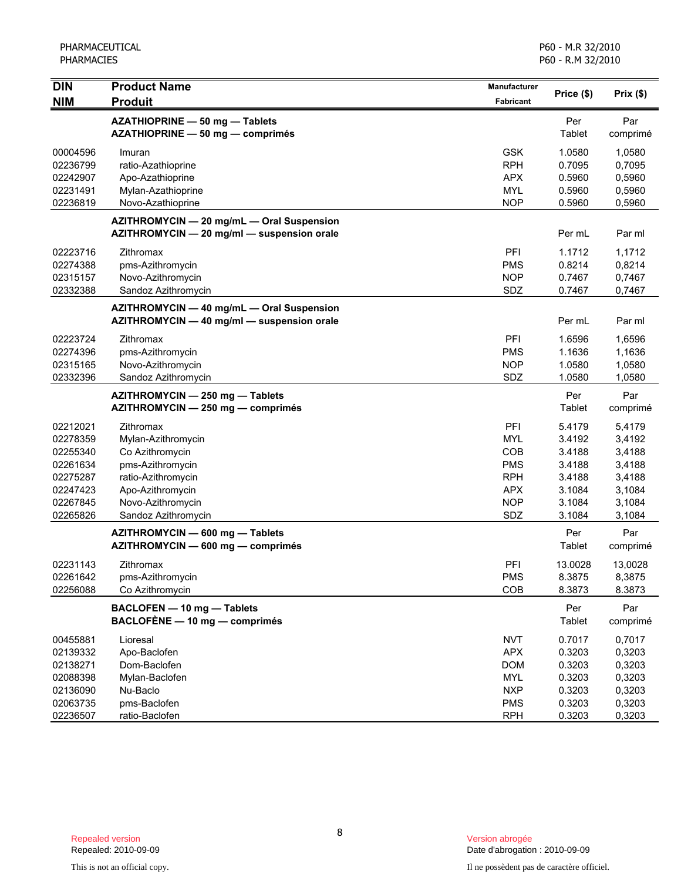| $\overline{D}$       | <b>Product Name</b>                                                                     | Manufacturer             | Price (\$)       | Prix(\$)         |
|----------------------|-----------------------------------------------------------------------------------------|--------------------------|------------------|------------------|
| <b>NIM</b>           | <b>Produit</b>                                                                          | <b>Fabricant</b>         |                  |                  |
|                      | AZATHIOPRINE - 50 mg - Tablets<br>AZATHIOPRINE - 50 mg - comprimés                      |                          | Per<br>Tablet    | Par<br>comprimé  |
|                      |                                                                                         |                          |                  |                  |
| 00004596             | Imuran                                                                                  | <b>GSK</b>               | 1.0580           | 1,0580           |
| 02236799<br>02242907 | ratio-Azathioprine<br>Apo-Azathioprine                                                  | <b>RPH</b><br><b>APX</b> | 0.7095<br>0.5960 | 0,7095<br>0,5960 |
| 02231491             | Mylan-Azathioprine                                                                      | <b>MYL</b>               | 0.5960           | 0,5960           |
| 02236819             | Novo-Azathioprine                                                                       | <b>NOP</b>               | 0.5960           | 0,5960           |
|                      | AZITHROMYCIN - 20 mg/mL - Oral Suspension<br>AZITHROMYCIN - 20 mg/ml - suspension orale |                          | Per mL           | Par ml           |
| 02223716             | Zithromax                                                                               | PFI                      | 1.1712           | 1,1712           |
| 02274388             | pms-Azithromycin                                                                        | <b>PMS</b>               | 0.8214           | 0,8214           |
| 02315157             | Novo-Azithromycin                                                                       | <b>NOP</b>               | 0.7467           | 0,7467           |
| 02332388             | Sandoz Azithromycin                                                                     | SDZ                      | 0.7467           | 0,7467           |
|                      | AZITHROMYCIN - 40 mg/mL - Oral Suspension                                               |                          |                  |                  |
|                      | AZITHROMYCIN - 40 mg/ml - suspension orale                                              |                          | Per mL           | Par ml           |
| 02223724             | Zithromax                                                                               | PFI                      | 1.6596           | 1,6596           |
| 02274396             | pms-Azithromycin                                                                        | <b>PMS</b>               | 1.1636           | 1,1636           |
| 02315165             | Novo-Azithromycin                                                                       | <b>NOP</b>               | 1.0580           | 1,0580           |
| 02332396             | Sandoz Azithromycin                                                                     | SDZ                      | 1.0580           | 1,0580           |
|                      | AZITHROMYCIN - 250 mg - Tablets<br>AZITHROMYCIN - 250 mg - comprimés                    |                          | Per<br>Tablet    | Par<br>comprimé  |
| 02212021             | Zithromax                                                                               | PFI                      | 5.4179           | 5,4179           |
| 02278359             | Mylan-Azithromycin                                                                      | <b>MYL</b>               | 3.4192           | 3,4192           |
| 02255340             | Co Azithromycin                                                                         | <b>COB</b>               | 3.4188           | 3,4188           |
| 02261634             | pms-Azithromycin                                                                        | <b>PMS</b>               | 3.4188           | 3,4188           |
| 02275287             | ratio-Azithromycin                                                                      | <b>RPH</b>               | 3.4188           | 3,4188           |
| 02247423             | Apo-Azithromycin                                                                        | <b>APX</b>               | 3.1084           | 3,1084           |
| 02267845             | Novo-Azithromycin                                                                       | <b>NOP</b>               | 3.1084           | 3,1084           |
| 02265826             | Sandoz Azithromycin                                                                     | SDZ                      | 3.1084           | 3,1084           |
|                      | AZITHROMYCIN - 600 mg - Tablets<br>AZITHROMYCIN - 600 mg - comprimés                    |                          | Per<br>Tablet    | Par<br>comprimé  |
| 02231143             | Zithromax                                                                               | PFI                      | 13.0028          | 13,0028          |
| 02261642             | pms-Azithromycin                                                                        | <b>PMS</b>               | 8.3875           | 8,3875           |
| 02256088             | Co Azithromycin                                                                         | COB                      | 8.3873           | 8.3873           |
|                      | BACLOFEN - 10 mg - Tablets                                                              |                          | Per              | Par              |
|                      | BACLOFÈNE - 10 mg - comprimés                                                           |                          | Tablet           | comprimé         |
| 00455881             | Lioresal                                                                                | <b>NVT</b>               | 0.7017           | 0,7017           |
| 02139332             | Apo-Baclofen                                                                            | <b>APX</b>               | 0.3203           | 0,3203           |
| 02138271             | Dom-Baclofen                                                                            | <b>DOM</b>               | 0.3203           | 0,3203           |
| 02088398             | Mylan-Baclofen                                                                          | <b>MYL</b>               | 0.3203           | 0,3203           |
| 02136090             | Nu-Baclo                                                                                | <b>NXP</b>               | 0.3203           | 0,3203           |
| 02063735             | pms-Baclofen                                                                            | <b>PMS</b>               | 0.3203           | 0,3203           |
| 02236507             | ratio-Baclofen                                                                          | <b>RPH</b>               | 0.3203           | 0,3203           |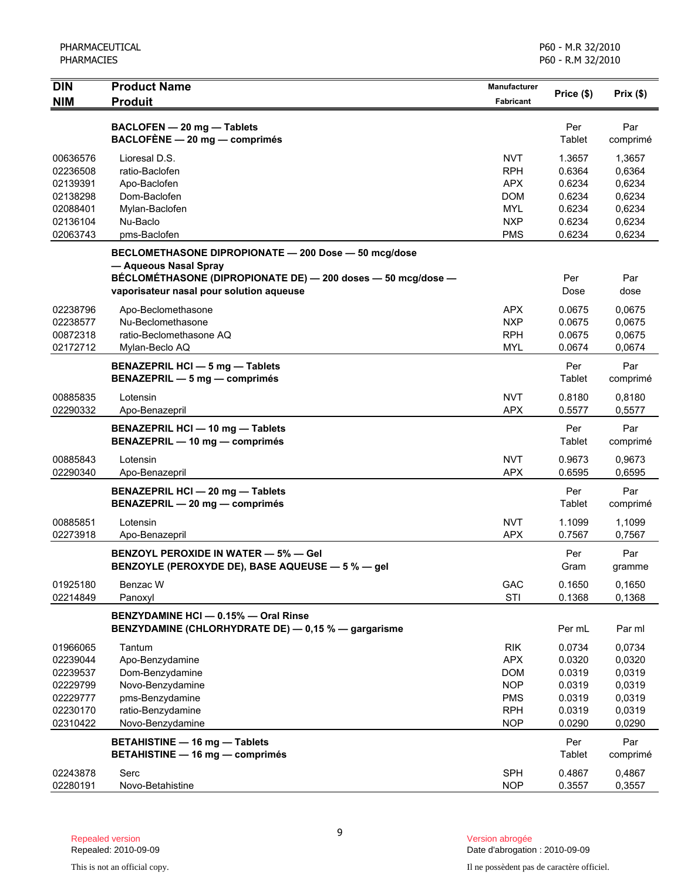| <b>DIN</b>           | <b>Product Name</b>                                          | <b>Manufacturer</b>      | Price (\$)       | Prix(\$)         |
|----------------------|--------------------------------------------------------------|--------------------------|------------------|------------------|
| <b>NIM</b>           | <b>Produit</b>                                               | <b>Fabricant</b>         |                  |                  |
|                      | BACLOFEN - 20 mg - Tablets                                   |                          | Per              | Par              |
|                      | $BACLOFÈNE$ - 20 mg - comprimés                              |                          | Tablet           | comprimé         |
|                      |                                                              |                          |                  |                  |
| 00636576<br>02236508 | Lioresal D.S.<br>ratio-Baclofen                              | <b>NVT</b><br><b>RPH</b> | 1.3657<br>0.6364 | 1,3657<br>0,6364 |
| 02139391             | Apo-Baclofen                                                 | <b>APX</b>               | 0.6234           | 0,6234           |
| 02138298             | Dom-Baclofen                                                 | DOM                      | 0.6234           | 0,6234           |
| 02088401             | Mylan-Baclofen                                               | <b>MYL</b>               | 0.6234           | 0.6234           |
| 02136104             | Nu-Baclo                                                     | <b>NXP</b>               | 0.6234           | 0,6234           |
| 02063743             | pms-Baclofen                                                 | <b>PMS</b>               | 0.6234           | 0,6234           |
|                      | BECLOMETHASONE DIPROPIONATE - 200 Dose - 50 mcg/dose         |                          |                  |                  |
|                      | - Aqueous Nasal Spray                                        |                          |                  |                  |
|                      | BÉCLOMÉTHASONE (DIPROPIONATE DE) - 200 doses - 50 mcg/dose - |                          | Per              | Par              |
|                      | vaporisateur nasal pour solution aqueuse                     |                          | Dose             | dose             |
| 02238796             |                                                              | <b>APX</b>               | 0.0675           | 0.0675           |
| 02238577             | Apo-Beclomethasone<br>Nu-Beclomethasone                      | <b>NXP</b>               | 0.0675           | 0,0675           |
| 00872318             | ratio-Beclomethasone AQ                                      | <b>RPH</b>               | 0.0675           | 0,0675           |
| 02172712             | Mylan-Beclo AQ                                               | <b>MYL</b>               | 0.0674           | 0,0674           |
|                      |                                                              |                          |                  |                  |
|                      | <b>BENAZEPRIL HCI - 5 mg - Tablets</b>                       |                          | Per<br>Tablet    | Par              |
|                      | BENAZEPRIL - 5 mg - comprimés                                |                          |                  | comprimé         |
| 00885835             | Lotensin                                                     | <b>NVT</b>               | 0.8180           | 0.8180           |
| 02290332             | Apo-Benazepril                                               | <b>APX</b>               | 0.5577           | 0,5577           |
|                      | <b>BENAZEPRIL HCI - 10 mg - Tablets</b>                      |                          | Per              | Par              |
|                      | BENAZEPRIL - 10 mg - comprimés                               |                          | Tablet           | comprimé         |
| 00885843             | Lotensin                                                     | <b>NVT</b>               | 0.9673           | 0.9673           |
| 02290340             | Apo-Benazepril                                               | <b>APX</b>               | 0.6595           | 0,6595           |
|                      | <b>BENAZEPRIL HCI - 20 mg - Tablets</b>                      |                          | Per              | Par              |
|                      | BENAZEPRIL - 20 mg - comprimés                               |                          | Tablet           | comprimé         |
| 00885851             | Lotensin                                                     | <b>NVT</b>               | 1.1099           | 1,1099           |
| 02273918             | Apo-Benazepril                                               | <b>APX</b>               | 0.7567           | 0,7567           |
|                      |                                                              |                          |                  |                  |
|                      | <b>BENZOYL PEROXIDE IN WATER - 5% - Gel</b>                  |                          | Per              | Par              |
|                      | BENZOYLE (PEROXYDE DE), BASE AQUEUSE - 5 % - gel             |                          | Gram             | gramme           |
| 01925180             | Benzac W                                                     | GAC                      | 0.1650           | 0,1650           |
| 02214849             | Panoxyl                                                      | STI                      | 0.1368           | 0,1368           |
|                      | BENZYDAMINE HCI - 0.15% - Oral Rinse                         |                          |                  |                  |
|                      | BENZYDAMINE (CHLORHYDRATE DE) - 0,15 % - gargarisme          |                          | Per mL           | Par ml           |
| 01966065             | Tantum                                                       | <b>RIK</b>               | 0.0734           | 0,0734           |
| 02239044             | Apo-Benzydamine                                              | <b>APX</b>               | 0.0320           | 0,0320           |
| 02239537             | Dom-Benzydamine                                              | <b>DOM</b>               | 0.0319           | 0,0319           |
| 02229799             | Novo-Benzydamine                                             | <b>NOP</b>               | 0.0319           | 0,0319           |
| 02229777             | pms-Benzydamine                                              | <b>PMS</b>               | 0.0319           | 0,0319           |
| 02230170             | ratio-Benzydamine                                            | <b>RPH</b>               | 0.0319           | 0,0319           |
| 02310422             | Novo-Benzydamine                                             | <b>NOP</b>               | 0.0290           | 0,0290           |
|                      | <b>BETAHISTINE - 16 mg - Tablets</b>                         |                          | Per              | Par              |
|                      | <b>BETAHISTINE - 16 mg - comprimés</b>                       |                          | Tablet           | comprimé         |
| 02243878             | Serc                                                         | <b>SPH</b>               | 0.4867           | 0,4867           |
| 02280191             | Novo-Betahistine                                             | <b>NOP</b>               | 0.3557           | 0,3557           |
|                      |                                                              |                          |                  |                  |

9

Date d'abrogation : 2010-09-09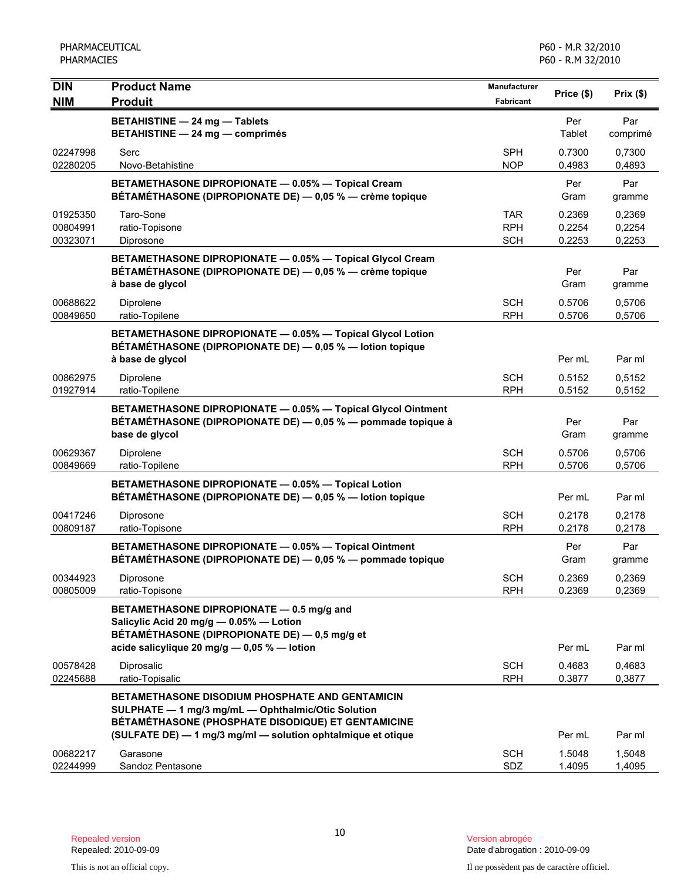| <b>DIN</b>                       | <b>Product Name</b>                                                                                                                                                                                                         | <b>Manufacturer</b>             | Price (\$)                 | Prix(\$)                   |
|----------------------------------|-----------------------------------------------------------------------------------------------------------------------------------------------------------------------------------------------------------------------------|---------------------------------|----------------------------|----------------------------|
| <b>NIM</b>                       | <b>Produit</b>                                                                                                                                                                                                              | <b>Fabricant</b>                |                            |                            |
|                                  | <b>BETAHISTINE - 24 mg - Tablets</b><br><b>BETAHISTINE - 24 mg - comprimés</b>                                                                                                                                              |                                 | Per<br>Tablet              | Par<br>comprimé            |
| 02247998<br>02280205             | Serc<br>Novo-Betahistine                                                                                                                                                                                                    | <b>SPH</b><br><b>NOP</b>        | 0.7300<br>0.4983           | 0,7300<br>0,4893           |
|                                  | BETAMETHASONE DIPROPIONATE - 0.05% - Topical Cream<br>BÉTAMÉTHASONE (DIPROPIONATE DE) - 0,05 % - crème topique                                                                                                              |                                 | Per<br>Gram                | Par<br>gramme              |
| 01925350<br>00804991<br>00323071 | Taro-Sone<br>ratio-Topisone<br>Diprosone                                                                                                                                                                                    | TAR<br><b>RPH</b><br><b>SCH</b> | 0.2369<br>0.2254<br>0.2253 | 0,2369<br>0,2254<br>0,2253 |
|                                  | BETAMETHASONE DIPROPIONATE - 0.05% - Topical Glycol Cream<br>BÉTAMÉTHASONE (DIPROPIONATE DE) — 0,05 % — crème topique<br>à base de glycol                                                                                   |                                 | Per<br>Gram                | Par<br>gramme              |
| 00688622<br>00849650             | Diprolene<br>ratio-Topilene                                                                                                                                                                                                 | <b>SCH</b><br><b>RPH</b>        | 0.5706<br>0.5706           | 0,5706<br>0,5706           |
|                                  | BETAMETHASONE DIPROPIONATE - 0.05% - Topical Glycol Lotion<br>BÉTAMÉTHASONE (DIPROPIONATE DE) - 0,05 % - lotion topique<br>à base de glycol                                                                                 |                                 | Per mL                     | Par ml                     |
| 00862975<br>01927914             | Diprolene<br>ratio-Topilene                                                                                                                                                                                                 | <b>SCH</b><br><b>RPH</b>        | 0.5152<br>0.5152           | 0,5152<br>0,5152           |
|                                  | BETAMETHASONE DIPROPIONATE - 0.05% - Topical Glycol Ointment<br>BÉTAMÉTHASONE (DIPROPIONATE DE) — 0,05 % — pommade topique à<br>base de glycol                                                                              |                                 | Per<br>Gram                | Par<br>gramme              |
| 00629367<br>00849669             | Diprolene<br>ratio-Topilene                                                                                                                                                                                                 | <b>SCH</b><br><b>RPH</b>        | 0.5706<br>0.5706           | 0,5706<br>0,5706           |
|                                  | BETAMETHASONE DIPROPIONATE - 0.05% - Topical Lotion<br>BÉTAMÉTHASONE (DIPROPIONATE DE) - 0,05 % - lotion topique                                                                                                            |                                 | Per mL                     | Par ml                     |
| 00417246<br>00809187             | Diprosone<br>ratio-Topisone                                                                                                                                                                                                 | SCH<br><b>RPH</b>               | 0.2178<br>0.2178           | 0,2178<br>0,2178           |
|                                  | BETAMETHASONE DIPROPIONATE - 0.05% - Topical Ointment<br>BÉTAMÉTHASONE (DIPROPIONATE DE) - 0,05 % - pommade topique                                                                                                         |                                 | Per<br>Gram                | Par<br>gramme              |
| 00344923<br>00805009             | Diprosone<br>ratio-Topisone                                                                                                                                                                                                 | <b>SCH</b><br><b>RPH</b>        | 0.2369<br>0.2369           | 0,2369<br>0,2369           |
|                                  | BETAMETHASONE DIPROPIONATE - 0.5 mg/g and<br>Salicylic Acid 20 mg/g $-$ 0.05% $-$ Lotion<br>BÉTAMÉTHASONE (DIPROPIONATE DE) — 0,5 mg/g et<br>acide salicylique 20 mg/g $-$ 0,05 % $-$ lotion                                |                                 | Per mL                     | Par ml                     |
| 00578428<br>02245688             | Diprosalic<br>ratio-Topisalic                                                                                                                                                                                               | SCH<br><b>RPH</b>               | 0.4683<br>0.3877           | 0,4683<br>0,3877           |
|                                  | BETAMETHASONE DISODIUM PHOSPHATE AND GENTAMICIN<br>SULPHATE - 1 mg/3 mg/mL - Ophthalmic/Otic Solution<br>BÉTAMÉTHASONE (PHOSPHATE DISODIQUE) ET GENTAMICINE<br>(SULFATE DE) - 1 mg/3 mg/ml - solution ophtalmique et otique |                                 | Per mL                     | Par ml                     |
| 00682217<br>02244999             | Garasone<br>Sandoz Pentasone                                                                                                                                                                                                | <b>SCH</b><br>SDZ               | 1.5048<br>1.4095           | 1,5048<br>1,4095           |

Date d'abrogation : 2010-09-09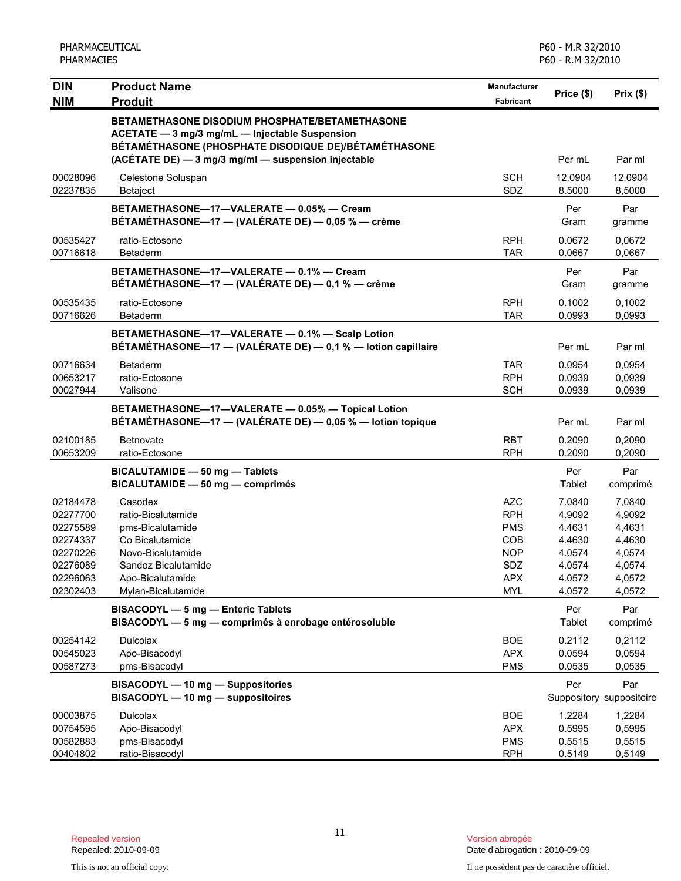| <b>DIN</b>                                                                                   | <b>Product Name</b>                                                                                                                                                                                                    |                                                                                                              |                                                                              |                                                                              |
|----------------------------------------------------------------------------------------------|------------------------------------------------------------------------------------------------------------------------------------------------------------------------------------------------------------------------|--------------------------------------------------------------------------------------------------------------|------------------------------------------------------------------------------|------------------------------------------------------------------------------|
| <b>NIM</b>                                                                                   | <b>Produit</b>                                                                                                                                                                                                         | <b>Fabricant</b>                                                                                             | Price (\$)                                                                   | Prix(\$)                                                                     |
|                                                                                              | <b>BETAMETHASONE DISODIUM PHOSPHATE/BETAMETHASONE</b><br>ACETATE - 3 mg/3 mg/mL - Injectable Suspension<br>BÉTAMÉTHASONE (PHOSPHATE DISODIQUE DE)/BÉTAMÉTHASONE<br>(ACÉTATE DE) - 3 mg/3 mg/ml - suspension injectable |                                                                                                              | Per mL                                                                       | Par ml                                                                       |
| 00028096<br>02237835                                                                         | Celestone Soluspan<br>Betaject                                                                                                                                                                                         | <b>SCH</b><br>SDZ                                                                                            | 12.0904<br>8.5000                                                            | 12,0904<br>8,5000                                                            |
|                                                                                              | BETAMETHASONE-17-VALERATE - 0.05% - Cream<br>BÉTAMÉTHASONE-17 - (VALÉRATE DE) - 0,05 % - crème                                                                                                                         |                                                                                                              | Per<br>Gram                                                                  | Par<br>gramme                                                                |
| 00535427<br>00716618                                                                         | ratio-Ectosone<br>Betaderm                                                                                                                                                                                             | <b>RPH</b><br><b>TAR</b>                                                                                     | 0.0672<br>0.0667                                                             | 0,0672<br>0,0667                                                             |
|                                                                                              | BETAMETHASONE-17-VALERATE - 0.1% - Cream<br>BÉTAMÉTHASONE-17 - (VALÉRATE DE) - 0,1 % - crème                                                                                                                           |                                                                                                              | Per<br>Gram                                                                  | Par<br>gramme                                                                |
| 00535435<br>00716626                                                                         | ratio-Ectosone<br>Betaderm                                                                                                                                                                                             | <b>RPH</b><br><b>TAR</b>                                                                                     | 0.1002<br>0.0993                                                             | 0,1002<br>0,0993                                                             |
|                                                                                              | BETAMETHASONE-17-VALERATE - 0.1% - Scalp Lotion<br>BÉTAMÉTHASONE-17 - (VALÉRATE DE) - 0,1 % - lotion capillaire                                                                                                        |                                                                                                              | Per mL                                                                       | Par ml                                                                       |
| 00716634<br>00653217<br>00027944                                                             | Betaderm<br>ratio-Ectosone<br>Valisone                                                                                                                                                                                 | <b>TAR</b><br><b>RPH</b><br><b>SCH</b>                                                                       | 0.0954<br>0.0939<br>0.0939                                                   | 0,0954<br>0,0939<br>0,0939                                                   |
|                                                                                              | BETAMETHASONE-17-VALERATE - 0.05% - Topical Lotion<br>BÉTAMÉTHASONE-17 - (VALÉRATE DE) - 0,05 % - lotion topique                                                                                                       |                                                                                                              | Per mL                                                                       | Par ml                                                                       |
| 02100185<br>00653209                                                                         | <b>Betnovate</b><br>ratio-Ectosone                                                                                                                                                                                     | <b>RBT</b><br><b>RPH</b>                                                                                     | 0.2090<br>0.2090                                                             | 0,2090<br>0,2090                                                             |
|                                                                                              | BICALUTAMIDE - 50 mg - Tablets<br>BICALUTAMIDE - 50 mg - comprimés                                                                                                                                                     |                                                                                                              | Per<br>Tablet                                                                | Par<br>comprimé                                                              |
| 02184478<br>02277700<br>02275589<br>02274337<br>02270226<br>02276089<br>02296063<br>02302403 | Casodex<br>ratio-Bicalutamide<br>pms-Bicalutamide<br>Co Bicalutamide<br>Novo-Bicalutamide<br>Sandoz Bicalutamide<br>Apo-Bicalutamide<br>Mylan-Bicalutamide                                                             | <b>AZC</b><br><b>RPH</b><br><b>PMS</b><br><b>COB</b><br><b>NOP</b><br><b>SDZ</b><br><b>APX</b><br><b>MYL</b> | 7.0840<br>4.9092<br>4.4631<br>4.4630<br>4.0574<br>4.0574<br>4.0572<br>4.0572 | 7,0840<br>4,9092<br>4,4631<br>4,4630<br>4,0574<br>4,0574<br>4,0572<br>4,0572 |
|                                                                                              | BISACODYL - 5 mg - Enteric Tablets<br>BISACODYL - 5 mg - comprimés à enrobage entérosoluble                                                                                                                            |                                                                                                              | Per<br>Tablet                                                                | Par<br>comprimé                                                              |
| 00254142<br>00545023<br>00587273                                                             | <b>Dulcolax</b><br>Apo-Bisacodyl<br>pms-Bisacodyl                                                                                                                                                                      | <b>BOE</b><br><b>APX</b><br><b>PMS</b>                                                                       | 0.2112<br>0.0594<br>0.0535                                                   | 0,2112<br>0,0594<br>0,0535                                                   |
|                                                                                              | BISACODYL - 10 mg - Suppositories<br>BISACODYL - 10 mg - suppositoires                                                                                                                                                 |                                                                                                              | Per                                                                          | Par<br>Suppository suppositoire                                              |
| 00003875<br>00754595<br>00582883<br>00404802                                                 | <b>Dulcolax</b><br>Apo-Bisacodyl<br>pms-Bisacodyl<br>ratio-Bisacodyl                                                                                                                                                   | <b>BOE</b><br><b>APX</b><br><b>PMS</b><br><b>RPH</b>                                                         | 1.2284<br>0.5995<br>0.5515<br>0.5149                                         | 1,2284<br>0,5995<br>0,5515<br>0,5149                                         |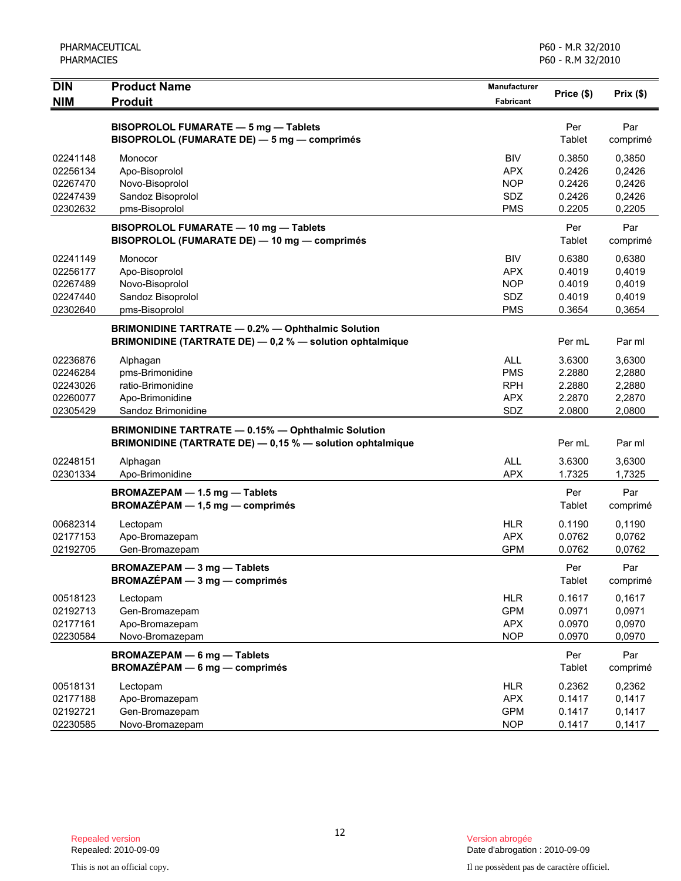| Per<br>Par<br>BISOPROLOL FUMARATE - 5 mg - Tablets<br>BISOPROLOL (FUMARATE DE) - 5 mg - comprimés<br>Tablet<br>comprimé<br><b>BIV</b><br>0.3850<br>02241148<br>0,3850<br>Monocor<br>02256134<br>Apo-Bisoprolol<br><b>APX</b><br>0.2426<br>0,2426<br><b>NOP</b><br>0.2426<br>0,2426<br>02267470<br>Novo-Bisoprolol<br>Sandoz Bisoprolol<br>SDZ<br>02247439<br>0.2426<br>0,2426<br><b>PMS</b><br>02302632<br>pms-Bisoprolol<br>0.2205<br>0,2205<br>BISOPROLOL FUMARATE - 10 mg - Tablets<br>Per<br>Par<br>BISOPROLOL (FUMARATE DE) - 10 mg - comprimés<br>Tablet<br>comprimé<br><b>BIV</b><br>0.6380<br>02241149<br>Monocor<br>0,6380<br><b>APX</b><br>0.4019<br>0,4019<br>02256177<br>Apo-Bisoprolol<br><b>NOP</b><br>0.4019<br>02267489<br>Novo-Bisoprolol<br>0,4019<br>Sandoz Bisoprolol<br>SDZ<br>0.4019<br>0,4019<br>02247440<br>02302640<br>pms-Bisoprolol<br><b>PMS</b><br>0.3654<br>0,3654<br><b>BRIMONIDINE TARTRATE - 0.2% - Ophthalmic Solution</b><br>BRIMONIDINE (TARTRATE DE) - 0,2 % - solution ophtalmique<br>Per mL<br>Par ml<br><b>ALL</b><br>3.6300<br>02236876<br>3,6300<br>Alphagan<br>pms-Brimonidine<br><b>PMS</b><br>02246284<br>2.2880<br>2,2880<br><b>RPH</b><br>2.2880<br>02243026<br>ratio-Brimonidine<br>2,2880<br>Apo-Brimonidine<br><b>APX</b><br>2.2870<br>2,2870<br>02260077<br>SDZ<br>02305429<br>Sandoz Brimonidine<br>2.0800<br>2,0800<br><b>BRIMONIDINE TARTRATE - 0.15% - Ophthalmic Solution</b><br>BRIMONIDINE (TARTRATE DE) - 0,15 % - solution ophtalmique<br>Per mL<br>Par ml<br><b>ALL</b><br>3.6300<br>02248151<br>Alphagan<br>3,6300<br><b>APX</b><br>1.7325<br>02301334<br>Apo-Brimonidine<br>1,7325<br>BROMAZEPAM - 1.5 mg - Tablets<br>Per<br>Par<br>$BROMAZÉPAM - 1,5 mg - comprimés$<br>Tablet<br>comprimé<br>00682314<br><b>HLR</b><br>0.1190<br>0,1190<br>Lectopam<br>02177153<br><b>APX</b><br>0.0762<br>0,0762<br>Apo-Bromazepam<br><b>GPM</b><br>02192705<br>Gen-Bromazepam<br>0.0762<br>0,0762<br><b>BROMAZEPAM - 3 mg - Tablets</b><br>Per<br>Par<br>$BROMAZÉPAM - 3 mg - comprimés$<br>Tablet<br>comprimé<br><b>HLR</b><br>0.1617<br>0,1617<br>00518123<br>Lectopam<br><b>GPM</b><br>0.0971<br>0,0971<br>02192713<br>Gen-Bromazepam<br>02177161<br><b>APX</b><br>0.0970<br>0,0970<br>Apo-Bromazepam<br>Novo-Bromazepam<br><b>NOP</b><br>0.0970<br>0,0970<br>02230584<br><b>BROMAZEPAM - 6 mg - Tablets</b><br>Per<br>Par<br><b>BROMAZÉPAM - 6 mg - comprimés</b><br>Tablet<br>comprimé<br><b>HLR</b><br>0.2362<br>0,2362<br>00518131<br>Lectopam<br><b>APX</b><br>0.1417<br>0,1417<br>02177188<br>Apo-Bromazepam<br>Gen-Bromazepam<br><b>GPM</b><br>0.1417<br>0,1417<br>02192721<br><b>NOP</b><br>02230585<br>Novo-Bromazepam<br>0.1417<br>0,1417 | <b>DIN</b><br><b>NIM</b> | <b>Product Name</b> | <b>Manufacturer</b> | Price (\$) | Prix(\$) |
|------------------------------------------------------------------------------------------------------------------------------------------------------------------------------------------------------------------------------------------------------------------------------------------------------------------------------------------------------------------------------------------------------------------------------------------------------------------------------------------------------------------------------------------------------------------------------------------------------------------------------------------------------------------------------------------------------------------------------------------------------------------------------------------------------------------------------------------------------------------------------------------------------------------------------------------------------------------------------------------------------------------------------------------------------------------------------------------------------------------------------------------------------------------------------------------------------------------------------------------------------------------------------------------------------------------------------------------------------------------------------------------------------------------------------------------------------------------------------------------------------------------------------------------------------------------------------------------------------------------------------------------------------------------------------------------------------------------------------------------------------------------------------------------------------------------------------------------------------------------------------------------------------------------------------------------------------------------------------------------------------------------------------------------------------------------------------------------------------------------------------------------------------------------------------------------------------------------------------------------------------------------------------------------------------------------------------------------------------------------------------------------------------------------------------------------------------------------------------------------------------------------------------------------------------------------------------------------------------------------------------------------------------------------------------------------------------------|--------------------------|---------------------|---------------------|------------|----------|
|                                                                                                                                                                                                                                                                                                                                                                                                                                                                                                                                                                                                                                                                                                                                                                                                                                                                                                                                                                                                                                                                                                                                                                                                                                                                                                                                                                                                                                                                                                                                                                                                                                                                                                                                                                                                                                                                                                                                                                                                                                                                                                                                                                                                                                                                                                                                                                                                                                                                                                                                                                                                                                                                                                            |                          | <b>Produit</b>      | Fabricant           |            |          |
|                                                                                                                                                                                                                                                                                                                                                                                                                                                                                                                                                                                                                                                                                                                                                                                                                                                                                                                                                                                                                                                                                                                                                                                                                                                                                                                                                                                                                                                                                                                                                                                                                                                                                                                                                                                                                                                                                                                                                                                                                                                                                                                                                                                                                                                                                                                                                                                                                                                                                                                                                                                                                                                                                                            |                          |                     |                     |            |          |
|                                                                                                                                                                                                                                                                                                                                                                                                                                                                                                                                                                                                                                                                                                                                                                                                                                                                                                                                                                                                                                                                                                                                                                                                                                                                                                                                                                                                                                                                                                                                                                                                                                                                                                                                                                                                                                                                                                                                                                                                                                                                                                                                                                                                                                                                                                                                                                                                                                                                                                                                                                                                                                                                                                            |                          |                     |                     |            |          |
|                                                                                                                                                                                                                                                                                                                                                                                                                                                                                                                                                                                                                                                                                                                                                                                                                                                                                                                                                                                                                                                                                                                                                                                                                                                                                                                                                                                                                                                                                                                                                                                                                                                                                                                                                                                                                                                                                                                                                                                                                                                                                                                                                                                                                                                                                                                                                                                                                                                                                                                                                                                                                                                                                                            |                          |                     |                     |            |          |
|                                                                                                                                                                                                                                                                                                                                                                                                                                                                                                                                                                                                                                                                                                                                                                                                                                                                                                                                                                                                                                                                                                                                                                                                                                                                                                                                                                                                                                                                                                                                                                                                                                                                                                                                                                                                                                                                                                                                                                                                                                                                                                                                                                                                                                                                                                                                                                                                                                                                                                                                                                                                                                                                                                            |                          |                     |                     |            |          |
|                                                                                                                                                                                                                                                                                                                                                                                                                                                                                                                                                                                                                                                                                                                                                                                                                                                                                                                                                                                                                                                                                                                                                                                                                                                                                                                                                                                                                                                                                                                                                                                                                                                                                                                                                                                                                                                                                                                                                                                                                                                                                                                                                                                                                                                                                                                                                                                                                                                                                                                                                                                                                                                                                                            |                          |                     |                     |            |          |
|                                                                                                                                                                                                                                                                                                                                                                                                                                                                                                                                                                                                                                                                                                                                                                                                                                                                                                                                                                                                                                                                                                                                                                                                                                                                                                                                                                                                                                                                                                                                                                                                                                                                                                                                                                                                                                                                                                                                                                                                                                                                                                                                                                                                                                                                                                                                                                                                                                                                                                                                                                                                                                                                                                            |                          |                     |                     |            |          |
|                                                                                                                                                                                                                                                                                                                                                                                                                                                                                                                                                                                                                                                                                                                                                                                                                                                                                                                                                                                                                                                                                                                                                                                                                                                                                                                                                                                                                                                                                                                                                                                                                                                                                                                                                                                                                                                                                                                                                                                                                                                                                                                                                                                                                                                                                                                                                                                                                                                                                                                                                                                                                                                                                                            |                          |                     |                     |            |          |
|                                                                                                                                                                                                                                                                                                                                                                                                                                                                                                                                                                                                                                                                                                                                                                                                                                                                                                                                                                                                                                                                                                                                                                                                                                                                                                                                                                                                                                                                                                                                                                                                                                                                                                                                                                                                                                                                                                                                                                                                                                                                                                                                                                                                                                                                                                                                                                                                                                                                                                                                                                                                                                                                                                            |                          |                     |                     |            |          |
|                                                                                                                                                                                                                                                                                                                                                                                                                                                                                                                                                                                                                                                                                                                                                                                                                                                                                                                                                                                                                                                                                                                                                                                                                                                                                                                                                                                                                                                                                                                                                                                                                                                                                                                                                                                                                                                                                                                                                                                                                                                                                                                                                                                                                                                                                                                                                                                                                                                                                                                                                                                                                                                                                                            |                          |                     |                     |            |          |
|                                                                                                                                                                                                                                                                                                                                                                                                                                                                                                                                                                                                                                                                                                                                                                                                                                                                                                                                                                                                                                                                                                                                                                                                                                                                                                                                                                                                                                                                                                                                                                                                                                                                                                                                                                                                                                                                                                                                                                                                                                                                                                                                                                                                                                                                                                                                                                                                                                                                                                                                                                                                                                                                                                            |                          |                     |                     |            |          |
|                                                                                                                                                                                                                                                                                                                                                                                                                                                                                                                                                                                                                                                                                                                                                                                                                                                                                                                                                                                                                                                                                                                                                                                                                                                                                                                                                                                                                                                                                                                                                                                                                                                                                                                                                                                                                                                                                                                                                                                                                                                                                                                                                                                                                                                                                                                                                                                                                                                                                                                                                                                                                                                                                                            |                          |                     |                     |            |          |
|                                                                                                                                                                                                                                                                                                                                                                                                                                                                                                                                                                                                                                                                                                                                                                                                                                                                                                                                                                                                                                                                                                                                                                                                                                                                                                                                                                                                                                                                                                                                                                                                                                                                                                                                                                                                                                                                                                                                                                                                                                                                                                                                                                                                                                                                                                                                                                                                                                                                                                                                                                                                                                                                                                            |                          |                     |                     |            |          |
|                                                                                                                                                                                                                                                                                                                                                                                                                                                                                                                                                                                                                                                                                                                                                                                                                                                                                                                                                                                                                                                                                                                                                                                                                                                                                                                                                                                                                                                                                                                                                                                                                                                                                                                                                                                                                                                                                                                                                                                                                                                                                                                                                                                                                                                                                                                                                                                                                                                                                                                                                                                                                                                                                                            |                          |                     |                     |            |          |
|                                                                                                                                                                                                                                                                                                                                                                                                                                                                                                                                                                                                                                                                                                                                                                                                                                                                                                                                                                                                                                                                                                                                                                                                                                                                                                                                                                                                                                                                                                                                                                                                                                                                                                                                                                                                                                                                                                                                                                                                                                                                                                                                                                                                                                                                                                                                                                                                                                                                                                                                                                                                                                                                                                            |                          |                     |                     |            |          |
|                                                                                                                                                                                                                                                                                                                                                                                                                                                                                                                                                                                                                                                                                                                                                                                                                                                                                                                                                                                                                                                                                                                                                                                                                                                                                                                                                                                                                                                                                                                                                                                                                                                                                                                                                                                                                                                                                                                                                                                                                                                                                                                                                                                                                                                                                                                                                                                                                                                                                                                                                                                                                                                                                                            |                          |                     |                     |            |          |
|                                                                                                                                                                                                                                                                                                                                                                                                                                                                                                                                                                                                                                                                                                                                                                                                                                                                                                                                                                                                                                                                                                                                                                                                                                                                                                                                                                                                                                                                                                                                                                                                                                                                                                                                                                                                                                                                                                                                                                                                                                                                                                                                                                                                                                                                                                                                                                                                                                                                                                                                                                                                                                                                                                            |                          |                     |                     |            |          |
|                                                                                                                                                                                                                                                                                                                                                                                                                                                                                                                                                                                                                                                                                                                                                                                                                                                                                                                                                                                                                                                                                                                                                                                                                                                                                                                                                                                                                                                                                                                                                                                                                                                                                                                                                                                                                                                                                                                                                                                                                                                                                                                                                                                                                                                                                                                                                                                                                                                                                                                                                                                                                                                                                                            |                          |                     |                     |            |          |
|                                                                                                                                                                                                                                                                                                                                                                                                                                                                                                                                                                                                                                                                                                                                                                                                                                                                                                                                                                                                                                                                                                                                                                                                                                                                                                                                                                                                                                                                                                                                                                                                                                                                                                                                                                                                                                                                                                                                                                                                                                                                                                                                                                                                                                                                                                                                                                                                                                                                                                                                                                                                                                                                                                            |                          |                     |                     |            |          |
|                                                                                                                                                                                                                                                                                                                                                                                                                                                                                                                                                                                                                                                                                                                                                                                                                                                                                                                                                                                                                                                                                                                                                                                                                                                                                                                                                                                                                                                                                                                                                                                                                                                                                                                                                                                                                                                                                                                                                                                                                                                                                                                                                                                                                                                                                                                                                                                                                                                                                                                                                                                                                                                                                                            |                          |                     |                     |            |          |
|                                                                                                                                                                                                                                                                                                                                                                                                                                                                                                                                                                                                                                                                                                                                                                                                                                                                                                                                                                                                                                                                                                                                                                                                                                                                                                                                                                                                                                                                                                                                                                                                                                                                                                                                                                                                                                                                                                                                                                                                                                                                                                                                                                                                                                                                                                                                                                                                                                                                                                                                                                                                                                                                                                            |                          |                     |                     |            |          |
|                                                                                                                                                                                                                                                                                                                                                                                                                                                                                                                                                                                                                                                                                                                                                                                                                                                                                                                                                                                                                                                                                                                                                                                                                                                                                                                                                                                                                                                                                                                                                                                                                                                                                                                                                                                                                                                                                                                                                                                                                                                                                                                                                                                                                                                                                                                                                                                                                                                                                                                                                                                                                                                                                                            |                          |                     |                     |            |          |
|                                                                                                                                                                                                                                                                                                                                                                                                                                                                                                                                                                                                                                                                                                                                                                                                                                                                                                                                                                                                                                                                                                                                                                                                                                                                                                                                                                                                                                                                                                                                                                                                                                                                                                                                                                                                                                                                                                                                                                                                                                                                                                                                                                                                                                                                                                                                                                                                                                                                                                                                                                                                                                                                                                            |                          |                     |                     |            |          |
|                                                                                                                                                                                                                                                                                                                                                                                                                                                                                                                                                                                                                                                                                                                                                                                                                                                                                                                                                                                                                                                                                                                                                                                                                                                                                                                                                                                                                                                                                                                                                                                                                                                                                                                                                                                                                                                                                                                                                                                                                                                                                                                                                                                                                                                                                                                                                                                                                                                                                                                                                                                                                                                                                                            |                          |                     |                     |            |          |
|                                                                                                                                                                                                                                                                                                                                                                                                                                                                                                                                                                                                                                                                                                                                                                                                                                                                                                                                                                                                                                                                                                                                                                                                                                                                                                                                                                                                                                                                                                                                                                                                                                                                                                                                                                                                                                                                                                                                                                                                                                                                                                                                                                                                                                                                                                                                                                                                                                                                                                                                                                                                                                                                                                            |                          |                     |                     |            |          |
|                                                                                                                                                                                                                                                                                                                                                                                                                                                                                                                                                                                                                                                                                                                                                                                                                                                                                                                                                                                                                                                                                                                                                                                                                                                                                                                                                                                                                                                                                                                                                                                                                                                                                                                                                                                                                                                                                                                                                                                                                                                                                                                                                                                                                                                                                                                                                                                                                                                                                                                                                                                                                                                                                                            |                          |                     |                     |            |          |
|                                                                                                                                                                                                                                                                                                                                                                                                                                                                                                                                                                                                                                                                                                                                                                                                                                                                                                                                                                                                                                                                                                                                                                                                                                                                                                                                                                                                                                                                                                                                                                                                                                                                                                                                                                                                                                                                                                                                                                                                                                                                                                                                                                                                                                                                                                                                                                                                                                                                                                                                                                                                                                                                                                            |                          |                     |                     |            |          |
|                                                                                                                                                                                                                                                                                                                                                                                                                                                                                                                                                                                                                                                                                                                                                                                                                                                                                                                                                                                                                                                                                                                                                                                                                                                                                                                                                                                                                                                                                                                                                                                                                                                                                                                                                                                                                                                                                                                                                                                                                                                                                                                                                                                                                                                                                                                                                                                                                                                                                                                                                                                                                                                                                                            |                          |                     |                     |            |          |
|                                                                                                                                                                                                                                                                                                                                                                                                                                                                                                                                                                                                                                                                                                                                                                                                                                                                                                                                                                                                                                                                                                                                                                                                                                                                                                                                                                                                                                                                                                                                                                                                                                                                                                                                                                                                                                                                                                                                                                                                                                                                                                                                                                                                                                                                                                                                                                                                                                                                                                                                                                                                                                                                                                            |                          |                     |                     |            |          |
|                                                                                                                                                                                                                                                                                                                                                                                                                                                                                                                                                                                                                                                                                                                                                                                                                                                                                                                                                                                                                                                                                                                                                                                                                                                                                                                                                                                                                                                                                                                                                                                                                                                                                                                                                                                                                                                                                                                                                                                                                                                                                                                                                                                                                                                                                                                                                                                                                                                                                                                                                                                                                                                                                                            |                          |                     |                     |            |          |
|                                                                                                                                                                                                                                                                                                                                                                                                                                                                                                                                                                                                                                                                                                                                                                                                                                                                                                                                                                                                                                                                                                                                                                                                                                                                                                                                                                                                                                                                                                                                                                                                                                                                                                                                                                                                                                                                                                                                                                                                                                                                                                                                                                                                                                                                                                                                                                                                                                                                                                                                                                                                                                                                                                            |                          |                     |                     |            |          |
|                                                                                                                                                                                                                                                                                                                                                                                                                                                                                                                                                                                                                                                                                                                                                                                                                                                                                                                                                                                                                                                                                                                                                                                                                                                                                                                                                                                                                                                                                                                                                                                                                                                                                                                                                                                                                                                                                                                                                                                                                                                                                                                                                                                                                                                                                                                                                                                                                                                                                                                                                                                                                                                                                                            |                          |                     |                     |            |          |
|                                                                                                                                                                                                                                                                                                                                                                                                                                                                                                                                                                                                                                                                                                                                                                                                                                                                                                                                                                                                                                                                                                                                                                                                                                                                                                                                                                                                                                                                                                                                                                                                                                                                                                                                                                                                                                                                                                                                                                                                                                                                                                                                                                                                                                                                                                                                                                                                                                                                                                                                                                                                                                                                                                            |                          |                     |                     |            |          |
|                                                                                                                                                                                                                                                                                                                                                                                                                                                                                                                                                                                                                                                                                                                                                                                                                                                                                                                                                                                                                                                                                                                                                                                                                                                                                                                                                                                                                                                                                                                                                                                                                                                                                                                                                                                                                                                                                                                                                                                                                                                                                                                                                                                                                                                                                                                                                                                                                                                                                                                                                                                                                                                                                                            |                          |                     |                     |            |          |
|                                                                                                                                                                                                                                                                                                                                                                                                                                                                                                                                                                                                                                                                                                                                                                                                                                                                                                                                                                                                                                                                                                                                                                                                                                                                                                                                                                                                                                                                                                                                                                                                                                                                                                                                                                                                                                                                                                                                                                                                                                                                                                                                                                                                                                                                                                                                                                                                                                                                                                                                                                                                                                                                                                            |                          |                     |                     |            |          |
|                                                                                                                                                                                                                                                                                                                                                                                                                                                                                                                                                                                                                                                                                                                                                                                                                                                                                                                                                                                                                                                                                                                                                                                                                                                                                                                                                                                                                                                                                                                                                                                                                                                                                                                                                                                                                                                                                                                                                                                                                                                                                                                                                                                                                                                                                                                                                                                                                                                                                                                                                                                                                                                                                                            |                          |                     |                     |            |          |
|                                                                                                                                                                                                                                                                                                                                                                                                                                                                                                                                                                                                                                                                                                                                                                                                                                                                                                                                                                                                                                                                                                                                                                                                                                                                                                                                                                                                                                                                                                                                                                                                                                                                                                                                                                                                                                                                                                                                                                                                                                                                                                                                                                                                                                                                                                                                                                                                                                                                                                                                                                                                                                                                                                            |                          |                     |                     |            |          |
|                                                                                                                                                                                                                                                                                                                                                                                                                                                                                                                                                                                                                                                                                                                                                                                                                                                                                                                                                                                                                                                                                                                                                                                                                                                                                                                                                                                                                                                                                                                                                                                                                                                                                                                                                                                                                                                                                                                                                                                                                                                                                                                                                                                                                                                                                                                                                                                                                                                                                                                                                                                                                                                                                                            |                          |                     |                     |            |          |
|                                                                                                                                                                                                                                                                                                                                                                                                                                                                                                                                                                                                                                                                                                                                                                                                                                                                                                                                                                                                                                                                                                                                                                                                                                                                                                                                                                                                                                                                                                                                                                                                                                                                                                                                                                                                                                                                                                                                                                                                                                                                                                                                                                                                                                                                                                                                                                                                                                                                                                                                                                                                                                                                                                            |                          |                     |                     |            |          |
|                                                                                                                                                                                                                                                                                                                                                                                                                                                                                                                                                                                                                                                                                                                                                                                                                                                                                                                                                                                                                                                                                                                                                                                                                                                                                                                                                                                                                                                                                                                                                                                                                                                                                                                                                                                                                                                                                                                                                                                                                                                                                                                                                                                                                                                                                                                                                                                                                                                                                                                                                                                                                                                                                                            |                          |                     |                     |            |          |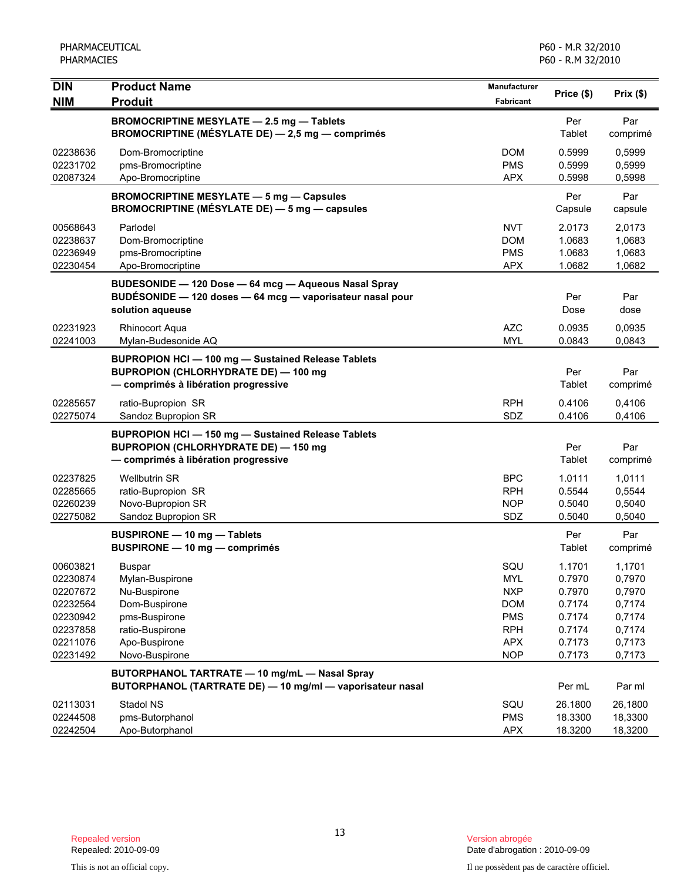| <b>DIN</b><br><b>NIM</b>                                                                     | <b>Product Name</b><br><b>Produit</b>                                                                                                        | Manufacturer<br>Fabricant                                                                             | Price (\$)                                                                   | Prix(\$)                                                                     |
|----------------------------------------------------------------------------------------------|----------------------------------------------------------------------------------------------------------------------------------------------|-------------------------------------------------------------------------------------------------------|------------------------------------------------------------------------------|------------------------------------------------------------------------------|
|                                                                                              | <b>BROMOCRIPTINE MESYLATE - 2.5 mg - Tablets</b><br>BROMOCRIPTINE (MÉSYLATE DE) - 2,5 mg - comprimés                                         |                                                                                                       | Per<br>Tablet                                                                | Par<br>comprimé                                                              |
| 02238636<br>02231702<br>02087324                                                             | Dom-Bromocriptine<br>pms-Bromocriptine<br>Apo-Bromocriptine                                                                                  | <b>DOM</b><br><b>PMS</b><br><b>APX</b>                                                                | 0.5999<br>0.5999<br>0.5998                                                   | 0,5999<br>0,5999<br>0,5998                                                   |
|                                                                                              | <b>BROMOCRIPTINE MESYLATE - 5 mg - Capsules</b><br><b>BROMOCRIPTINE (MÉSYLATE DE) — 5 mg — capsules</b>                                      |                                                                                                       | Per<br>Capsule                                                               | Par<br>capsule                                                               |
| 00568643<br>02238637<br>02236949<br>02230454                                                 | Parlodel<br>Dom-Bromocriptine<br>pms-Bromocriptine<br>Apo-Bromocriptine                                                                      | NVT<br><b>DOM</b><br><b>PMS</b><br><b>APX</b>                                                         | 2.0173<br>1.0683<br>1.0683<br>1.0682                                         | 2,0173<br>1,0683<br>1,0683<br>1,0682                                         |
|                                                                                              | BUDESONIDE - 120 Dose - 64 mcg - Aqueous Nasal Spray<br>BUDÉSONIDE - 120 doses - 64 mcg - vaporisateur nasal pour<br>solution aqueuse        |                                                                                                       | Per<br>Dose                                                                  | Par<br>dose                                                                  |
| 02231923<br>02241003                                                                         | <b>Rhinocort Aqua</b><br>Mylan-Budesonide AQ                                                                                                 | <b>AZC</b><br><b>MYL</b>                                                                              | 0.0935<br>0.0843                                                             | 0,0935<br>0,0843                                                             |
|                                                                                              | <b>BUPROPION HCI-100 mg-Sustained Release Tablets</b><br><b>BUPROPION (CHLORHYDRATE DE) - 100 mg</b><br>- comprimés à libération progressive |                                                                                                       | Per<br>Tablet                                                                | Par<br>comprimé                                                              |
| 02285657<br>02275074                                                                         | ratio-Bupropion SR<br>Sandoz Bupropion SR                                                                                                    | <b>RPH</b><br>SDZ                                                                                     | 0.4106<br>0.4106                                                             | 0,4106<br>0,4106                                                             |
|                                                                                              | <b>BUPROPION HCI-150 mg-Sustained Release Tablets</b><br><b>BUPROPION (CHLORHYDRATE DE) - 150 mg</b><br>- comprimés à libération progressive |                                                                                                       | Per<br>Tablet                                                                | Par<br>comprimé                                                              |
| 02237825<br>02285665<br>02260239<br>02275082                                                 | <b>Wellbutrin SR</b><br>ratio-Bupropion SR<br>Novo-Bupropion SR<br>Sandoz Bupropion SR                                                       | <b>BPC</b><br>RPH<br><b>NOP</b><br>SDZ                                                                | 1.0111<br>0.5544<br>0.5040<br>0.5040                                         | 1,0111<br>0,5544<br>0,5040<br>0,5040                                         |
|                                                                                              | <b>BUSPIRONE - 10 mg - Tablets</b><br>BUSPIRONE - 10 mg - comprimés                                                                          |                                                                                                       | Per<br>Tablet                                                                | Par<br>comprimé                                                              |
| 00603821<br>02230874<br>02207672<br>02232564<br>02230942<br>02237858<br>02211076<br>02231492 | <b>Buspar</b><br>Mylan-Buspirone<br>Nu-Buspirone<br>Dom-Buspirone<br>pms-Buspirone<br>ratio-Buspirone<br>Apo-Buspirone<br>Novo-Buspirone     | SQU<br><b>MYL</b><br><b>NXP</b><br><b>DOM</b><br><b>PMS</b><br><b>RPH</b><br><b>APX</b><br><b>NOP</b> | 1.1701<br>0.7970<br>0.7970<br>0.7174<br>0.7174<br>0.7174<br>0.7173<br>0.7173 | 1,1701<br>0,7970<br>0,7970<br>0,7174<br>0,7174<br>0,7174<br>0,7173<br>0,7173 |
|                                                                                              | BUTORPHANOL TARTRATE - 10 mg/mL - Nasal Spray<br>BUTORPHANOL (TARTRATE DE) - 10 mg/ml - vaporisateur nasal                                   |                                                                                                       | Per mL                                                                       | Par ml                                                                       |
| 02113031<br>02244508<br>02242504                                                             | Stadol NS<br>pms-Butorphanol<br>Apo-Butorphanol                                                                                              | SQU<br><b>PMS</b><br><b>APX</b>                                                                       | 26.1800<br>18.3300<br>18.3200                                                | 26,1800<br>18,3300<br>18,3200                                                |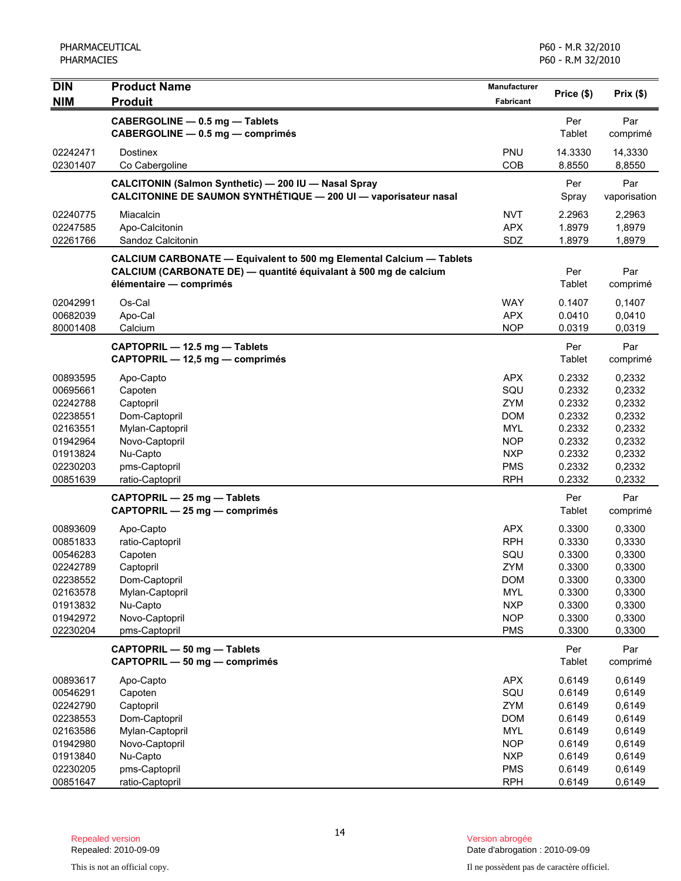| <b>DIN</b>           | <b>Product Name</b>                                                                                                                                                        | Manufacturer             |                   |                     |
|----------------------|----------------------------------------------------------------------------------------------------------------------------------------------------------------------------|--------------------------|-------------------|---------------------|
| <b>NIM</b>           | <b>Produit</b>                                                                                                                                                             | Fabricant                | Price (\$)        | Prix(\$)            |
|                      | CABERGOLINE - 0.5 mg - Tablets<br>CABERGOLINE - 0.5 mg - comprimés                                                                                                         |                          | Per<br>Tablet     | Par<br>comprimé     |
| 02242471<br>02301407 | <b>Dostinex</b><br>Co Cabergoline                                                                                                                                          | PNU<br>COB               | 14.3330<br>8.8550 | 14,3330<br>8,8550   |
|                      | CALCITONIN (Salmon Synthetic) - 200 IU - Nasal Spray<br>CALCITONINE DE SAUMON SYNTHÉTIQUE - 200 UI - vaporisateur nasal                                                    |                          | Per<br>Spray      | Par<br>vaporisation |
| 02240775             | Miacalcin                                                                                                                                                                  | <b>NVT</b>               | 2.2963            | 2,2963              |
| 02247585             | Apo-Calcitonin                                                                                                                                                             | <b>APX</b>               | 1.8979            | 1,8979              |
| 02261766             | Sandoz Calcitonin                                                                                                                                                          | SDZ                      | 1.8979            | 1,8979              |
|                      | <b>CALCIUM CARBONATE - Equivalent to 500 mg Elemental Calcium - Tablets</b><br>CALCIUM (CARBONATE DE) — quantité équivalant à 500 mg de calcium<br>élémentaire - comprimés |                          | Per<br>Tablet     | Par<br>comprimé     |
| 02042991             | Os-Cal                                                                                                                                                                     | <b>WAY</b>               | 0.1407            | 0,1407              |
| 00682039             | Apo-Cal                                                                                                                                                                    | <b>APX</b>               | 0.0410            | 0,0410              |
| 80001408             | Calcium                                                                                                                                                                    | <b>NOP</b>               | 0.0319            | 0,0319              |
|                      | CAPTOPRIL - 12.5 mg - Tablets<br>CAPTOPRIL - 12,5 mg - comprimés                                                                                                           |                          | Per<br>Tablet     | Par<br>comprimé     |
| 00893595             | Apo-Capto                                                                                                                                                                  | <b>APX</b>               | 0.2332            | 0,2332              |
| 00695661             | Capoten                                                                                                                                                                    | SQU                      | 0.2332            | 0,2332              |
| 02242788             | Captopril                                                                                                                                                                  | <b>ZYM</b>               | 0.2332            | 0,2332              |
| 02238551             | Dom-Captopril                                                                                                                                                              | <b>DOM</b>               | 0.2332            | 0,2332              |
| 02163551             | Mylan-Captopril                                                                                                                                                            | <b>MYL</b>               | 0.2332            | 0,2332              |
| 01942964             | Novo-Captopril                                                                                                                                                             | <b>NOP</b>               | 0.2332            | 0,2332              |
| 01913824<br>02230203 | Nu-Capto<br>pms-Captopril                                                                                                                                                  | <b>NXP</b><br><b>PMS</b> | 0.2332<br>0.2332  | 0,2332<br>0,2332    |
| 00851639             | ratio-Captopril                                                                                                                                                            | <b>RPH</b>               | 0.2332            | 0,2332              |
|                      | CAPTOPRIL - 25 mg - Tablets                                                                                                                                                |                          | Per               | Par                 |
|                      | CAPTOPRIL - 25 mg - comprimés                                                                                                                                              |                          | Tablet            | comprimé            |
| 00893609             | Apo-Capto                                                                                                                                                                  | <b>APX</b>               | 0.3300            | 0,3300              |
| 00851833             | ratio-Captopril                                                                                                                                                            | <b>RPH</b>               | 0.3330            | 0,3330              |
| 00546283<br>02242789 | Capoten                                                                                                                                                                    | SQU                      | 0.3300            | 0,3300              |
| 02238552             | Captopril<br>Dom-Captopril                                                                                                                                                 | <b>ZYM</b><br><b>DOM</b> | 0.3300<br>0.3300  | 0,3300<br>0,3300    |
| 02163578             | Mylan-Captopril                                                                                                                                                            | <b>MYL</b>               | 0.3300            | 0,3300              |
| 01913832             | Nu-Capto                                                                                                                                                                   | <b>NXP</b>               | 0.3300            | 0,3300              |
| 01942972             | Novo-Captopril                                                                                                                                                             | <b>NOP</b>               | 0.3300            | 0,3300              |
| 02230204             | pms-Captopril                                                                                                                                                              | <b>PMS</b>               | 0.3300            | 0,3300              |
|                      | CAPTOPRIL - 50 mg - Tablets<br>CAPTOPRIL - 50 mg - comprimés                                                                                                               |                          | Per<br>Tablet     | Par<br>comprimé     |
| 00893617             | Apo-Capto                                                                                                                                                                  | <b>APX</b>               | 0.6149            | 0,6149              |
| 00546291             | Capoten                                                                                                                                                                    | SQU                      | 0.6149            | 0,6149              |
| 02242790             | Captopril                                                                                                                                                                  | ZYM                      | 0.6149            | 0,6149              |
| 02238553             | Dom-Captopril                                                                                                                                                              | <b>DOM</b>               | 0.6149            | 0,6149              |
| 02163586             | Mylan-Captopril                                                                                                                                                            | <b>MYL</b>               | 0.6149            | 0,6149              |
| 01942980             | Novo-Captopril                                                                                                                                                             | <b>NOP</b>               | 0.6149            | 0,6149              |
| 01913840<br>02230205 | Nu-Capto<br>pms-Captopril                                                                                                                                                  | <b>NXP</b><br><b>PMS</b> | 0.6149<br>0.6149  | 0,6149<br>0,6149    |
| 00851647             | ratio-Captopril                                                                                                                                                            | <b>RPH</b>               | 0.6149            | 0,6149              |

Date d'abrogation : 2010-09-09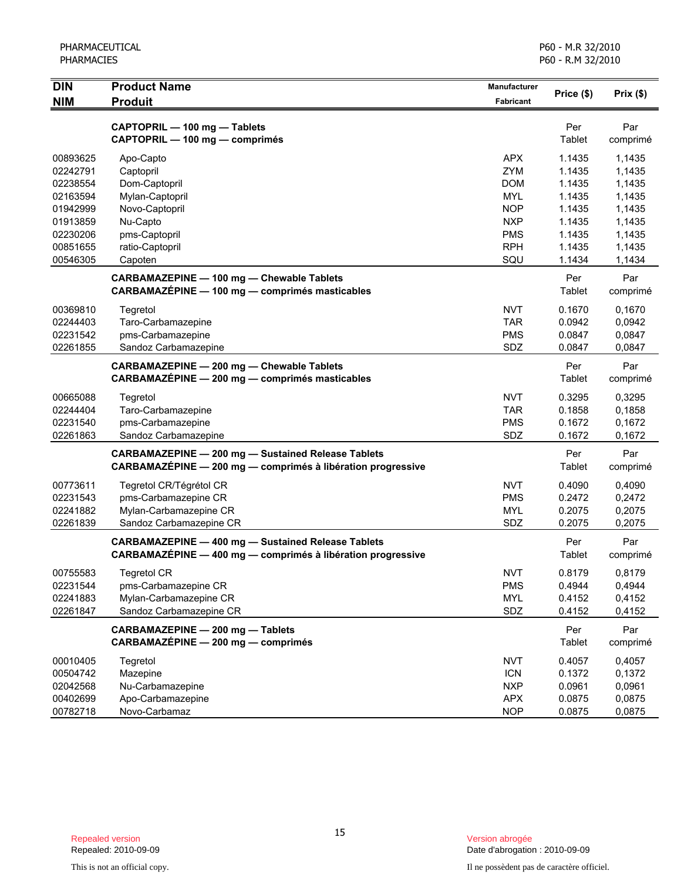| DIN                                          | <b>Product Name</b>                                                                                                      | Manufacturer                                         | Price (\$)                           | Prix(\$)                             |
|----------------------------------------------|--------------------------------------------------------------------------------------------------------------------------|------------------------------------------------------|--------------------------------------|--------------------------------------|
| <b>NIM</b>                                   | <b>Produit</b>                                                                                                           | <b>Fabricant</b>                                     |                                      |                                      |
|                                              | CAPTOPRIL - 100 mg - Tablets<br>CAPTOPRIL - 100 mg - comprimés                                                           |                                                      | Per<br>Tablet                        | Par<br>comprimé                      |
| 00893625<br>02242791<br>02238554<br>02163594 | Apo-Capto<br>Captopril<br>Dom-Captopril<br>Mylan-Captopril                                                               | <b>APX</b><br>ZYM<br><b>DOM</b><br><b>MYL</b>        | 1.1435<br>1.1435<br>1.1435<br>1.1435 | 1,1435<br>1,1435<br>1,1435<br>1,1435 |
| 01942999<br>01913859<br>02230206             | Novo-Captopril<br>Nu-Capto<br>pms-Captopril                                                                              | <b>NOP</b><br><b>NXP</b><br><b>PMS</b>               | 1.1435<br>1.1435<br>1.1435           | 1,1435<br>1,1435<br>1,1435           |
| 00851655<br>00546305                         | ratio-Captopril<br>Capoten                                                                                               | <b>RPH</b><br>SQU                                    | 1.1435<br>1.1434                     | 1,1435<br>1,1434                     |
|                                              | <b>CARBAMAZEPINE - 100 mg - Chewable Tablets</b><br>CARBAMAZEPINE - 100 mg - comprimés masticables                       |                                                      | Per<br>Tablet                        | Par<br>comprimé                      |
| 00369810<br>02244403<br>02231542<br>02261855 | Tegretol<br>Taro-Carbamazepine<br>pms-Carbamazepine<br>Sandoz Carbamazepine                                              | <b>NVT</b><br><b>TAR</b><br><b>PMS</b><br>SDZ        | 0.1670<br>0.0942<br>0.0847<br>0.0847 | 0,1670<br>0,0942<br>0,0847<br>0.0847 |
|                                              | CARBAMAZEPINE - 200 mg - Chewable Tablets<br>CARBAMAZÉPINE - 200 mg - comprimés masticables                              |                                                      | Per<br>Tablet                        | Par<br>comprimé                      |
| 00665088<br>02244404<br>02231540<br>02261863 | Tegretol<br>Taro-Carbamazepine<br>pms-Carbamazepine<br>Sandoz Carbamazepine                                              | <b>NVT</b><br><b>TAR</b><br><b>PMS</b><br>SDZ        | 0.3295<br>0.1858<br>0.1672<br>0.1672 | 0,3295<br>0,1858<br>0,1672<br>0,1672 |
|                                              | <b>CARBAMAZEPINE - 200 mg - Sustained Release Tablets</b><br>CARBAMAZÉPINE - 200 mg - comprimés à libération progressive |                                                      | Per<br>Tablet                        | Par<br>comprimé                      |
| 00773611<br>02231543<br>02241882<br>02261839 | Tegretol CR/Tégrétol CR<br>pms-Carbamazepine CR<br>Mylan-Carbamazepine CR<br>Sandoz Carbamazepine CR                     | <b>NVT</b><br><b>PMS</b><br><b>MYL</b><br>SDZ        | 0.4090<br>0.2472<br>0.2075<br>0.2075 | 0,4090<br>0,2472<br>0,2075<br>0,2075 |
|                                              | <b>CARBAMAZEPINE - 400 mg - Sustained Release Tablets</b><br>CARBAMAZÉPINE - 400 mg - comprimés à libération progressive |                                                      | Per<br>Tablet                        | Par<br>comprimé                      |
| 00755583<br>02231544<br>02241883<br>02261847 | <b>Tegretol CR</b><br>pms-Carbamazepine CR<br>Mylan-Carbamazepine CR<br>Sandoz Carbamazepine CR                          | <b>NVT</b><br><b>PMS</b><br><b>MYL</b><br>SDZ        | 0.8179<br>0.4944<br>0.4152<br>0.4152 | 0,8179<br>0,4944<br>0,4152<br>0,4152 |
|                                              | CARBAMAZEPINE - 200 mg - Tablets<br>CARBAMAZÉPINE - 200 mg - comprimés                                                   |                                                      | Per<br>Tablet                        | Par<br>comprimé                      |
| 00010405<br>00504742<br>02042568<br>00402699 | Tegretol<br>Mazepine<br>Nu-Carbamazepine<br>Apo-Carbamazepine                                                            | <b>NVT</b><br><b>ICN</b><br><b>NXP</b><br><b>APX</b> | 0.4057<br>0.1372<br>0.0961<br>0.0875 | 0,4057<br>0,1372<br>0,0961<br>0,0875 |
| 00782718                                     | Novo-Carbamaz                                                                                                            | <b>NOP</b>                                           | 0.0875                               | 0,0875                               |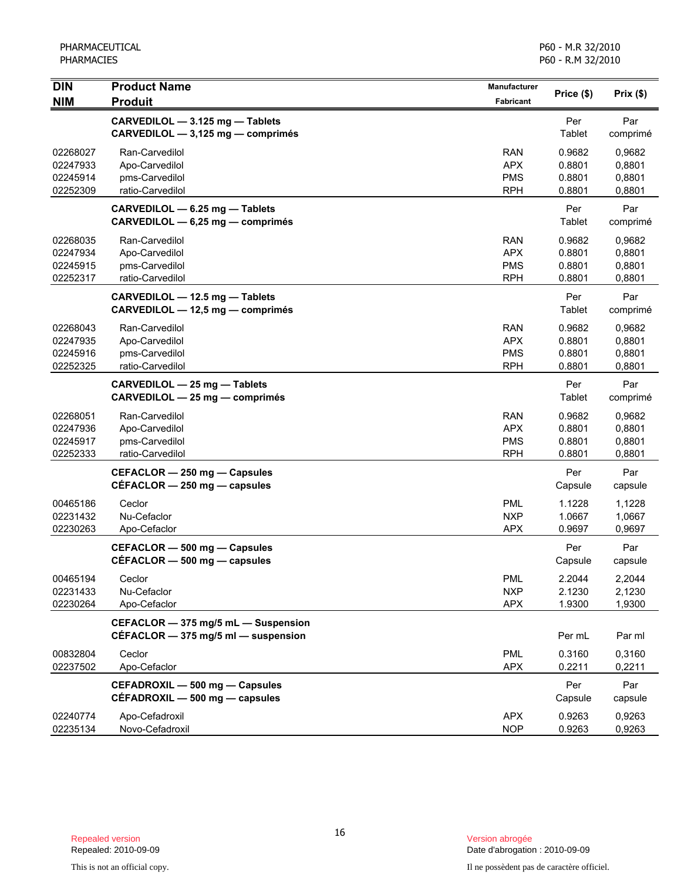| <b>DIN</b>                                   | <b>Product Name</b>                                                            | Manufacturer                                         | Price (\$)                           | Prix $(\$)$                          |
|----------------------------------------------|--------------------------------------------------------------------------------|------------------------------------------------------|--------------------------------------|--------------------------------------|
| <b>NIM</b>                                   | <b>Produit</b>                                                                 | <b>Fabricant</b>                                     |                                      |                                      |
|                                              | CARVEDILOL - 3.125 mg - Tablets<br>CARVEDILOL - 3,125 mg - comprimés           |                                                      | Per<br>Tablet                        | Par<br>comprimé                      |
| 02268027<br>02247933<br>02245914<br>02252309 | Ran-Carvedilol<br>Apo-Carvedilol<br>pms-Carvedilol<br>ratio-Carvedilol         | <b>RAN</b><br><b>APX</b><br><b>PMS</b><br><b>RPH</b> | 0.9682<br>0.8801<br>0.8801<br>0.8801 | 0,9682<br>0,8801<br>0,8801<br>0,8801 |
|                                              | CARVEDILOL - 6.25 mg - Tablets<br>CARVEDILOL - 6,25 mg - comprimés             |                                                      | Per<br>Tablet                        | Par<br>comprimé                      |
| 02268035<br>02247934<br>02245915<br>02252317 | Ran-Carvedilol<br>Apo-Carvedilol<br>pms-Carvedilol<br>ratio-Carvedilol         | <b>RAN</b><br><b>APX</b><br><b>PMS</b><br><b>RPH</b> | 0.9682<br>0.8801<br>0.8801<br>0.8801 | 0,9682<br>0,8801<br>0,8801<br>0,8801 |
|                                              | CARVEDILOL - 12.5 mg - Tablets<br>CARVEDILOL - 12,5 mg - comprimés             |                                                      | Per<br>Tablet                        | Par<br>comprimé                      |
| 02268043<br>02247935<br>02245916<br>02252325 | Ran-Carvedilol<br>Apo-Carvedilol<br>pms-Carvedilol<br>ratio-Carvedilol         | <b>RAN</b><br><b>APX</b><br><b>PMS</b><br><b>RPH</b> | 0.9682<br>0.8801<br>0.8801<br>0.8801 | 0,9682<br>0,8801<br>0,8801<br>0,8801 |
|                                              | CARVEDILOL - 25 mg - Tablets<br>CARVEDILOL - 25 mg - comprimés                 |                                                      | Per<br>Tablet                        | Par<br>comprimé                      |
| 02268051<br>02247936<br>02245917<br>02252333 | Ran-Carvedilol<br>Apo-Carvedilol<br>pms-Carvedilol<br>ratio-Carvedilol         | <b>RAN</b><br><b>APX</b><br><b>PMS</b><br><b>RPH</b> | 0.9682<br>0.8801<br>0.8801<br>0.8801 | 0,9682<br>0,8801<br>0,8801<br>0,8801 |
|                                              | CEFACLOR - 250 mg - Capsules<br>$CEFACLOR - 250$ mg $-$ capsules               |                                                      | Per<br>Capsule                       | Par<br>capsule                       |
| 00465186<br>02231432<br>02230263             | Ceclor<br>Nu-Cefaclor<br>Apo-Cefaclor                                          | <b>PML</b><br><b>NXP</b><br><b>APX</b>               | 1.1228<br>1.0667<br>0.9697           | 1,1228<br>1,0667<br>0,9697           |
|                                              | CEFACLOR - 500 mg - Capsules<br>$CEFACLOR - 500$ mg $-$ capsules               |                                                      | Per<br>Capsule                       | Par<br>capsule                       |
| 00465194<br>02231433<br>02230264             | Ceclor<br>Nu-Cefaclor<br>Apo-Cefaclor                                          | <b>PML</b><br><b>NXP</b><br><b>APX</b>               | 2.2044<br>2.1230<br>1.9300           | 2,2044<br>2,1230<br>1,9300           |
|                                              | CEFACLOR - 375 mg/5 mL - Suspension<br>CÉFACLOR $-$ 375 mg/5 ml $-$ suspension |                                                      | Per mL                               | Par ml                               |
| 00832804<br>02237502                         | Ceclor<br>Apo-Cefaclor                                                         | <b>PML</b><br><b>APX</b>                             | 0.3160<br>0.2211                     | 0,3160<br>0,2211                     |
|                                              | CEFADROXIL - 500 mg - Capsules<br>CÉFADROXIL - 500 mg - capsules               |                                                      | Per<br>Capsule                       | Par<br>capsule                       |
| 02240774<br>02235134                         | Apo-Cefadroxil<br>Novo-Cefadroxil                                              | <b>APX</b><br><b>NOP</b>                             | 0.9263<br>0.9263                     | 0,9263<br>0,9263                     |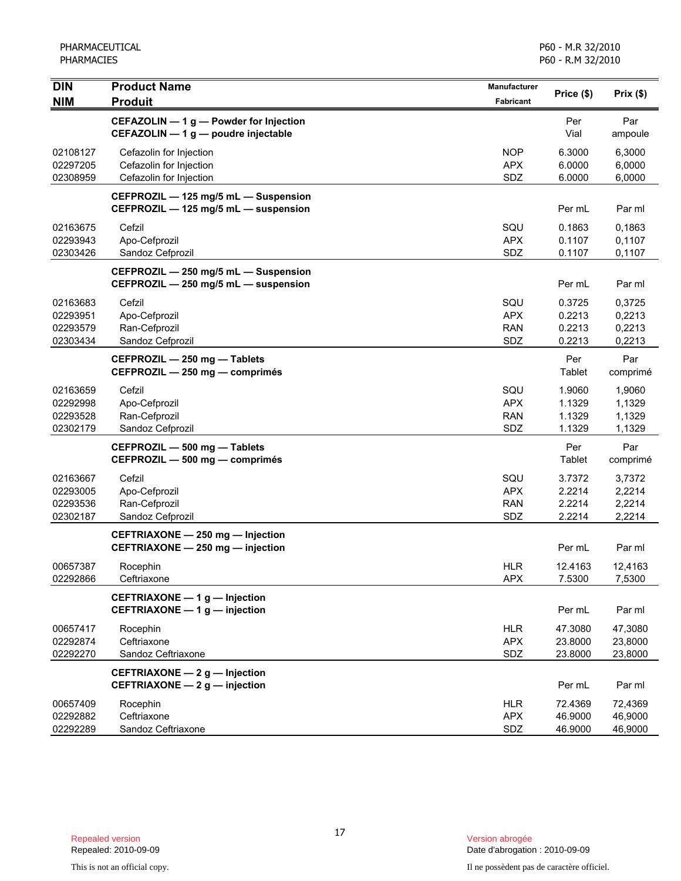| <b>DIN</b>                                   | <b>Product Name</b>                                                           | Manufacturer                           | Price (\$)                           | Prix(\$)                             |
|----------------------------------------------|-------------------------------------------------------------------------------|----------------------------------------|--------------------------------------|--------------------------------------|
| <b>NIM</b>                                   | <b>Produit</b>                                                                | Fabricant                              |                                      |                                      |
|                                              | CEFAZOLIN - 1 g - Powder for Injection<br>CEFAZOLIN - 1 g - poudre injectable |                                        | Per<br>Vial                          | Par<br>ampoule                       |
| 02108127<br>02297205<br>02308959             | Cefazolin for Injection<br>Cefazolin for Injection<br>Cefazolin for Injection | <b>NOP</b><br><b>APX</b><br>SDZ        | 6.3000<br>6.0000<br>6.0000           | 6,3000<br>6,0000<br>6,0000           |
|                                              | CEFPROZIL - 125 mg/5 mL - Suspension<br>CEFPROZIL - 125 mg/5 mL - suspension  |                                        | Per mL                               | Par ml                               |
| 02163675<br>02293943<br>02303426             | Cefzil<br>Apo-Cefprozil<br>Sandoz Cefprozil                                   | SQU<br><b>APX</b><br>SDZ               | 0.1863<br>0.1107<br>0.1107           | 0,1863<br>0,1107<br>0,1107           |
|                                              | CEFPROZIL - 250 mg/5 mL - Suspension<br>CEFPROZIL - 250 mg/5 mL - suspension  |                                        | Per mL                               | Par ml                               |
| 02163683<br>02293951<br>02293579<br>02303434 | Cefzil<br>Apo-Cefprozil<br>Ran-Cefprozil<br>Sandoz Cefprozil                  | SQU<br><b>APX</b><br><b>RAN</b><br>SDZ | 0.3725<br>0.2213<br>0.2213<br>0.2213 | 0,3725<br>0,2213<br>0,2213<br>0,2213 |
|                                              | CEFPROZIL - 250 mg - Tablets<br>CEFPROZIL - 250 mg - comprimés                |                                        | Per<br>Tablet                        | Par<br>comprimé                      |
| 02163659<br>02292998<br>02293528<br>02302179 | Cefzil<br>Apo-Cefprozil<br>Ran-Cefprozil<br>Sandoz Cefprozil                  | SQU<br><b>APX</b><br><b>RAN</b><br>SDZ | 1.9060<br>1.1329<br>1.1329<br>1.1329 | 1,9060<br>1,1329<br>1,1329<br>1,1329 |
|                                              | CEFPROZIL - 500 mg - Tablets<br>CEFPROZIL - 500 mg - comprimés                |                                        | Per<br>Tablet                        | Par<br>comprimé                      |
| 02163667<br>02293005<br>02293536<br>02302187 | Cefzil<br>Apo-Cefprozil<br>Ran-Cefprozil<br>Sandoz Cefprozil                  | SQU<br><b>APX</b><br><b>RAN</b><br>SDZ | 3.7372<br>2.2214<br>2.2214<br>2.2214 | 3,7372<br>2,2214<br>2,2214<br>2,2214 |
|                                              | CEFTRIAXONE - 250 mg - Injection<br>CEFTRIAXONE - 250 mg - injection          |                                        | Per mL                               | Par ml                               |
| 00657387<br>02292866                         | Rocephin<br>Ceftriaxone                                                       | <b>HLR</b><br><b>APX</b>               | 12.4163<br>7.5300                    | 12,4163<br>7,5300                    |
|                                              | CEFTRIAXONE - 1 g - Injection<br>CEFTRIAXONE - 1 g - injection                |                                        | Per mL                               | Par ml                               |
| 00657417<br>02292874<br>02292270             | Rocephin<br>Ceftriaxone<br>Sandoz Ceftriaxone                                 | <b>HLR</b><br><b>APX</b><br>SDZ        | 47.3080<br>23.8000<br>23.8000        | 47,3080<br>23,8000<br>23,8000        |
|                                              | CEFTRIAXONE - 2 g - Injection<br>CEFTRIAXONE - 2 g - injection                |                                        | Per mL                               | Par ml                               |
| 00657409<br>02292882<br>02292289             | Rocephin<br>Ceftriaxone<br>Sandoz Ceftriaxone                                 | <b>HLR</b><br><b>APX</b><br>SDZ        | 72.4369<br>46.9000<br>46.9000        | 72,4369<br>46,9000<br>46,9000        |

Date d'abrogation : 2010-09-09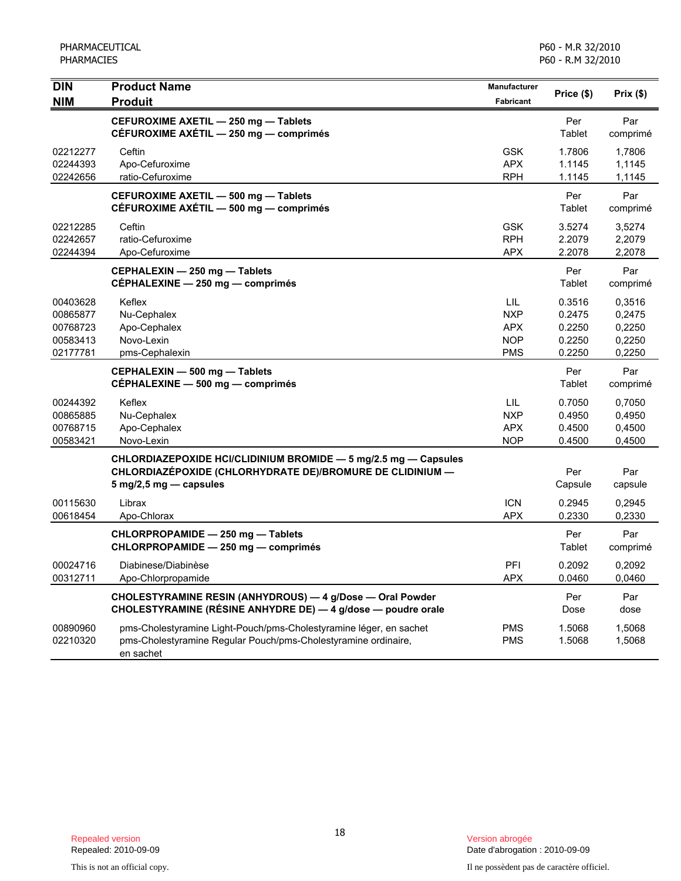| <b>DIN</b> | <b>Product Name</b>                                                | Manufacturer     | Price (\$) | Prix(\$) |
|------------|--------------------------------------------------------------------|------------------|------------|----------|
| <b>NIM</b> | <b>Produit</b>                                                     | <b>Fabricant</b> |            |          |
|            | CEFUROXIME AXETIL - 250 mg - Tablets                               |                  | Per        | Par      |
|            | CÉFUROXIME AXÉTIL - 250 mg - comprimés                             |                  | Tablet     | comprimé |
| 02212277   | Ceftin                                                             | GSK              | 1.7806     | 1,7806   |
| 02244393   | Apo-Cefuroxime                                                     | <b>APX</b>       | 1.1145     | 1,1145   |
| 02242656   | ratio-Cefuroxime                                                   | RPH              | 1.1145     | 1,1145   |
|            | CEFUROXIME AXETIL - 500 mg - Tablets                               |                  | Per        | Par      |
|            | CÉFUROXIME AXÉTIL - 500 mg - comprimés                             |                  | Tablet     | comprimé |
| 02212285   | Ceftin                                                             | <b>GSK</b>       | 3.5274     | 3,5274   |
| 02242657   | ratio-Cefuroxime                                                   | <b>RPH</b>       | 2.2079     | 2,2079   |
| 02244394   | Apo-Cefuroxime                                                     | <b>APX</b>       | 2.2078     | 2,2078   |
|            | CEPHALEXIN - 250 mg - Tablets                                      |                  | Per        | Par      |
|            | CÉPHALEXINE - 250 mg - comprimés                                   |                  | Tablet     | comprimé |
| 00403628   | Keflex                                                             | LIL              | 0.3516     | 0,3516   |
| 00865877   | Nu-Cephalex                                                        | <b>NXP</b>       | 0.2475     | 0,2475   |
| 00768723   | Apo-Cephalex                                                       | <b>APX</b>       | 0.2250     | 0,2250   |
| 00583413   | Novo-Lexin                                                         | <b>NOP</b>       | 0.2250     | 0,2250   |
| 02177781   | pms-Cephalexin                                                     | <b>PMS</b>       | 0.2250     | 0,2250   |
|            | CEPHALEXIN - 500 mg - Tablets                                      |                  | Per        | Par      |
|            | CEPHALEXINE - 500 mg - comprimés                                   |                  | Tablet     | comprimé |
| 00244392   | Keflex                                                             | LIL              | 0.7050     | 0,7050   |
| 00865885   | Nu-Cephalex                                                        | <b>NXP</b>       | 0.4950     | 0,4950   |
| 00768715   | Apo-Cephalex                                                       | <b>APX</b>       | 0.4500     | 0,4500   |
| 00583421   | Novo-Lexin                                                         | <b>NOP</b>       | 0.4500     | 0,4500   |
|            | CHLORDIAZEPOXIDE HCI/CLIDINIUM BROMIDE - 5 mg/2.5 mg - Capsules    |                  |            |          |
|            | CHLORDIAZEPOXIDE (CHLORHYDRATE DE)/BROMURE DE CLIDINIUM —          |                  | Per        | Par      |
|            | $5 \text{ mg}/2, 5 \text{ mg}$ - capsules                          |                  | Capsule    | capsule  |
| 00115630   | Librax                                                             | <b>ICN</b>       | 0.2945     | 0,2945   |
| 00618454   | Apo-Chlorax                                                        | <b>APX</b>       | 0.2330     | 0,2330   |
|            | CHLORPROPAMIDE - 250 mg - Tablets                                  |                  | Per        | Par      |
|            | CHLORPROPAMIDE - 250 mg - comprimés                                |                  | Tablet     | comprimé |
| 00024716   | Diabinese/Diabinèse                                                | PFI              | 0.2092     | 0,2092   |
| 00312711   | Apo-Chlorpropamide                                                 | <b>APX</b>       | 0.0460     | 0,0460   |
|            | CHOLESTYRAMINE RESIN (ANHYDROUS) - 4 g/Dose - Oral Powder          |                  | Per        | Par      |
|            | CHOLESTYRAMINE (RÉSINE ANHYDRE DE) - 4 g/dose - poudre orale       |                  | Dose       | dose     |
| 00890960   | pms-Cholestyramine Light-Pouch/pms-Cholestyramine léger, en sachet | <b>PMS</b>       | 1.5068     | 1,5068   |
| 02210320   | pms-Cholestyramine Regular Pouch/pms-Cholestyramine ordinaire,     | <b>PMS</b>       | 1.5068     | 1,5068   |
|            | en sachet                                                          |                  |            |          |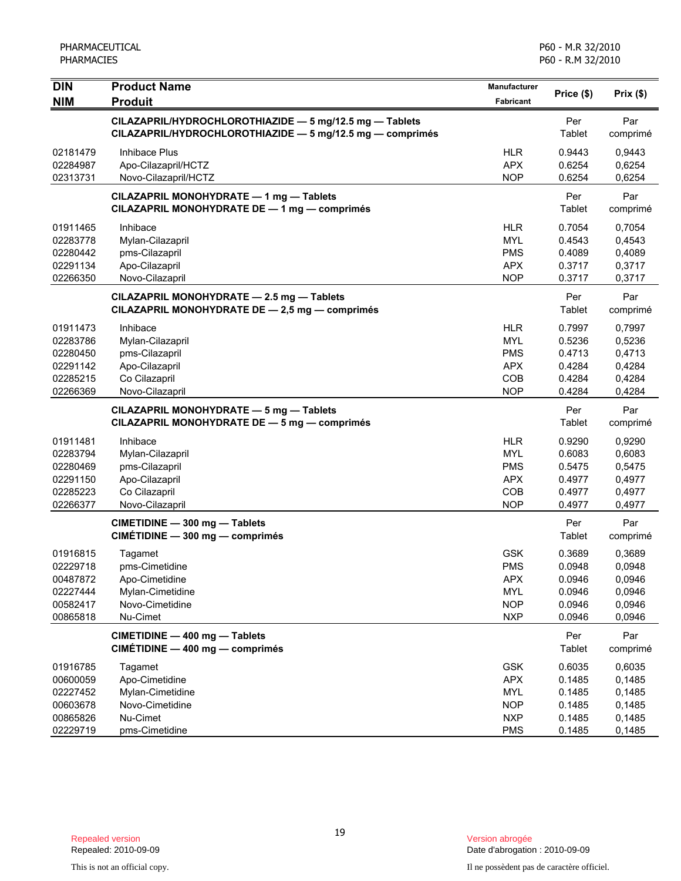| <b>DIN</b><br><b>NIM</b>                                             | <b>Product Name</b><br><b>Produit</b>                                                                                | Manufacturer<br>Fabricant                                                        | Price (\$)                                               | Prix(\$)                                                 |
|----------------------------------------------------------------------|----------------------------------------------------------------------------------------------------------------------|----------------------------------------------------------------------------------|----------------------------------------------------------|----------------------------------------------------------|
|                                                                      | CILAZAPRIL/HYDROCHLOROTHIAZIDE - 5 mg/12.5 mg - Tablets<br>CILAZAPRIL/HYDROCHLOROTHIAZIDE - 5 mg/12.5 mg - comprimés |                                                                                  | Per<br>Tablet                                            | Par<br>comprimé                                          |
| 02181479<br>02284987<br>02313731                                     | <b>Inhibace Plus</b><br>Apo-Cilazapril/HCTZ<br>Novo-Cilazapril/HCTZ                                                  | <b>HLR</b><br><b>APX</b><br><b>NOP</b>                                           | 0.9443<br>0.6254<br>0.6254                               | 0,9443<br>0,6254<br>0,6254                               |
|                                                                      | CILAZAPRIL MONOHYDRATE - 1 mg - Tablets<br>CILAZAPRIL MONOHYDRATE DE - 1 mg - comprimés                              |                                                                                  | Per<br>Tablet                                            | Par<br>comprimé                                          |
| 01911465<br>02283778<br>02280442<br>02291134<br>02266350             | Inhibace<br>Mylan-Cilazapril<br>pms-Cilazapril<br>Apo-Cilazapril<br>Novo-Cilazapril                                  | <b>HLR</b><br><b>MYL</b><br><b>PMS</b><br><b>APX</b><br><b>NOP</b>               | 0.7054<br>0.4543<br>0.4089<br>0.3717<br>0.3717           | 0,7054<br>0,4543<br>0,4089<br>0,3717<br>0,3717           |
|                                                                      | CILAZAPRIL MONOHYDRATE - 2.5 mg - Tablets<br>CILAZAPRIL MONOHYDRATE DE - 2,5 mg - comprimés                          |                                                                                  | Per<br>Tablet                                            | Par<br>comprimé                                          |
| 01911473<br>02283786<br>02280450<br>02291142<br>02285215<br>02266369 | Inhibace<br>Mylan-Cilazapril<br>pms-Cilazapril<br>Apo-Cilazapril<br>Co Cilazapril<br>Novo-Cilazapril                 | <b>HLR</b><br><b>MYL</b><br><b>PMS</b><br><b>APX</b><br>COB<br><b>NOP</b>        | 0.7997<br>0.5236<br>0.4713<br>0.4284<br>0.4284<br>0.4284 | 0,7997<br>0,5236<br>0,4713<br>0,4284<br>0,4284<br>0,4284 |
|                                                                      | CILAZAPRIL MONOHYDRATE - 5 mg - Tablets<br>CILAZAPRIL MONOHYDRATE DE - 5 mg - comprimés                              |                                                                                  | Per<br>Tablet                                            | Par<br>comprimé                                          |
| 01911481<br>02283794<br>02280469<br>02291150<br>02285223<br>02266377 | Inhibace<br>Mylan-Cilazapril<br>pms-Cilazapril<br>Apo-Cilazapril<br>Co Cilazapril<br>Novo-Cilazapril                 | <b>HLR</b><br><b>MYL</b><br><b>PMS</b><br><b>APX</b><br>COB<br><b>NOP</b>        | 0.9290<br>0.6083<br>0.5475<br>0.4977<br>0.4977<br>0.4977 | 0,9290<br>0,6083<br>0,5475<br>0,4977<br>0,4977<br>0,4977 |
|                                                                      | CIMETIDINE - 300 mg - Tablets<br>CIMÉTIDINE - 300 mg - comprimés                                                     |                                                                                  | Per<br>Tablet                                            | Par<br>comprimé                                          |
| 01916815<br>02229718<br>00487872<br>02227444<br>00582417<br>00865818 | Tagamet<br>pms-Cimetidine<br>Apo-Cimetidine<br>Mylan-Cimetidine<br>Novo-Cimetidine<br>Nu-Cimet                       | <b>GSK</b><br><b>PMS</b><br><b>APX</b><br>MYL<br><b>NOP</b><br><b>NXP</b>        | 0.3689<br>0.0948<br>0.0946<br>0.0946<br>0.0946<br>0.0946 | 0,3689<br>0,0948<br>0,0946<br>0,0946<br>0,0946<br>0,0946 |
|                                                                      | CIMETIDINE - 400 mg - Tablets<br>CIMÉTIDINE - 400 mg - comprimés                                                     |                                                                                  | Per<br>Tablet                                            | Par<br>comprimé                                          |
| 01916785<br>00600059<br>02227452<br>00603678<br>00865826<br>02229719 | Tagamet<br>Apo-Cimetidine<br>Mylan-Cimetidine<br>Novo-Cimetidine<br>Nu-Cimet<br>pms-Cimetidine                       | <b>GSK</b><br><b>APX</b><br><b>MYL</b><br><b>NOP</b><br><b>NXP</b><br><b>PMS</b> | 0.6035<br>0.1485<br>0.1485<br>0.1485<br>0.1485<br>0.1485 | 0,6035<br>0,1485<br>0,1485<br>0,1485<br>0,1485<br>0,1485 |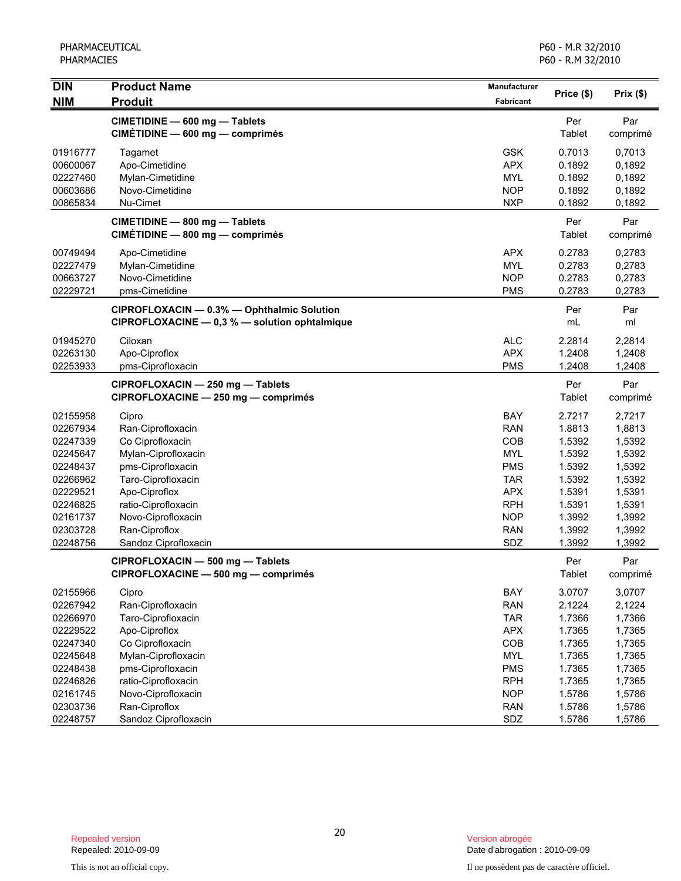| <b>DIN</b><br><b>NIM</b> | <b>Product Name</b><br><b>Produit</b>                                                       | Manufacturer<br>Fabricant | Price (\$)           | Prix(\$)        |
|--------------------------|---------------------------------------------------------------------------------------------|---------------------------|----------------------|-----------------|
|                          |                                                                                             |                           |                      |                 |
|                          | CIMETIDINE - 600 mg - Tablets<br>CIMÉTIDINE - 600 mg - comprimés                            |                           | Per<br>Tablet        | Par<br>comprimé |
| 01916777                 | Tagamet                                                                                     | <b>GSK</b>                | 0.7013               | 0,7013          |
| 00600067                 | Apo-Cimetidine                                                                              | <b>APX</b>                | 0.1892               | 0,1892          |
| 02227460                 | Mylan-Cimetidine                                                                            | <b>MYL</b>                | 0.1892               | 0,1892          |
| 00603686                 | Novo-Cimetidine                                                                             | <b>NOP</b>                | 0.1892               | 0,1892          |
| 00865834                 | Nu-Cimet                                                                                    | <b>NXP</b>                | 0.1892               | 0,1892          |
|                          | CIMETIDINE - 800 mg - Tablets<br>CIMÉTIDINE - 800 mg - comprimés                            |                           | Per<br>Tablet        | Par<br>comprimé |
| 00749494                 | Apo-Cimetidine                                                                              | <b>APX</b>                | 0.2783               | 0,2783          |
| 02227479                 | Mylan-Cimetidine                                                                            | <b>MYL</b>                | 0.2783               | 0,2783          |
| 00663727                 | Novo-Cimetidine                                                                             | <b>NOP</b>                | 0.2783               | 0,2783          |
| 02229721                 | pms-Cimetidine                                                                              | <b>PMS</b>                | 0.2783               | 0,2783          |
|                          | CIPROFLOXACIN - 0.3% - Ophthalmic Solution<br>CIPROFLOXACINE - 0,3 % - solution ophtalmique |                           | Per<br>mL            | Par<br>ml       |
| 01945270                 | Ciloxan                                                                                     | <b>ALC</b>                | 2.2814               | 2,2814          |
| 02263130                 | Apo-Ciproflox                                                                               | <b>APX</b>                | 1.2408               | 1,2408          |
| 02253933                 | pms-Ciprofloxacin                                                                           | <b>PMS</b>                | 1.2408               | 1,2408          |
|                          | CIPROFLOXACIN - 250 mg - Tablets<br>CIPROFLOXACINE - 250 mg - comprimés                     |                           | Per<br><b>Tablet</b> | Par<br>comprimé |
| 02155958                 | Cipro                                                                                       | BAY                       | 2.7217               | 2,7217          |
| 02267934                 | Ran-Ciprofloxacin                                                                           | <b>RAN</b>                | 1.8813               | 1,8813          |
| 02247339                 | Co Ciprofloxacin                                                                            | COB                       | 1.5392               | 1,5392          |
| 02245647                 | Mylan-Ciprofloxacin                                                                         | <b>MYL</b>                | 1.5392               | 1,5392          |
| 02248437                 | pms-Ciprofloxacin                                                                           | <b>PMS</b>                | 1.5392               | 1,5392          |
| 02266962                 | Taro-Ciprofloxacin                                                                          | <b>TAR</b>                | 1.5392               | 1,5392          |
| 02229521                 | Apo-Ciproflox                                                                               | <b>APX</b>                | 1.5391               | 1,5391          |
| 02246825                 | ratio-Ciprofloxacin                                                                         | <b>RPH</b>                | 1.5391               | 1,5391          |
| 02161737                 | Novo-Ciprofloxacin                                                                          | <b>NOP</b>                | 1.3992               | 1,3992          |
| 02303728                 | Ran-Ciproflox                                                                               | <b>RAN</b>                | 1.3992               | 1,3992          |
| 02248756                 | Sandoz Ciprofloxacin                                                                        | SDZ                       | 1.3992               | 1,3992          |
|                          | CIPROFLOXACIN - 500 mg - Tablets<br>CIPROFLOXACINE — 500 mg — comprimés                     |                           | Per<br>Tablet        | Par<br>comprimé |
| 02155966                 | Cipro                                                                                       | BAY                       | 3.0707               | 3,0707          |
| 02267942                 | Ran-Ciprofloxacin                                                                           | <b>RAN</b>                | 2.1224               | 2,1224          |
| 02266970                 | Taro-Ciprofloxacin                                                                          | <b>TAR</b>                | 1.7366               | 1,7366          |
| 02229522                 | Apo-Ciproflox                                                                               | <b>APX</b>                | 1.7365               | 1,7365          |
| 02247340                 | Co Ciprofloxacin                                                                            | COB                       | 1.7365               | 1,7365          |
| 02245648                 | Mylan-Ciprofloxacin                                                                         | <b>MYL</b>                | 1.7365               | 1,7365          |
| 02248438                 | pms-Ciprofloxacin                                                                           | <b>PMS</b>                | 1.7365               | 1,7365          |
| 02246826                 | ratio-Ciprofloxacin                                                                         | <b>RPH</b>                | 1.7365               | 1,7365          |
| 02161745                 | Novo-Ciprofloxacin                                                                          | <b>NOP</b>                | 1.5786               | 1,5786          |
| 02303736                 | Ran-Ciproflox                                                                               | <b>RAN</b>                | 1.5786               | 1,5786          |
| 02248757                 | Sandoz Ciprofloxacin                                                                        | SDZ                       | 1.5786               | 1,5786          |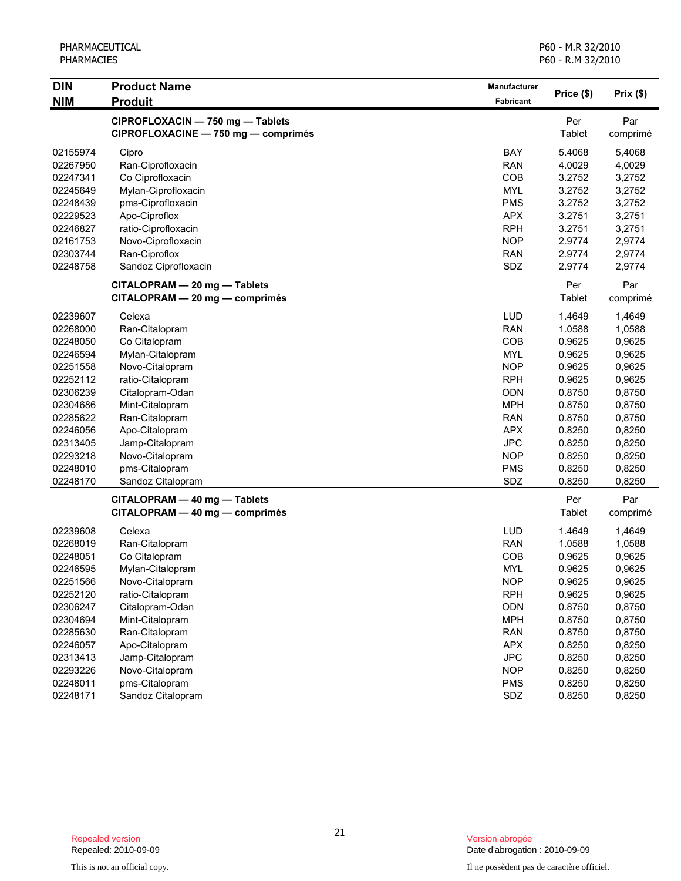| <b>DIN</b> | <b>Product Name</b>                                                     | Manufacturer     | Price (\$)    |                 |
|------------|-------------------------------------------------------------------------|------------------|---------------|-----------------|
| <b>NIM</b> | <b>Produit</b>                                                          | <b>Fabricant</b> |               | Prix(\$)        |
|            | CIPROFLOXACIN - 750 mg - Tablets<br>CIPROFLOXACINE - 750 mg - comprimés |                  | Per<br>Tablet | Par<br>comprimé |
| 02155974   | Cipro                                                                   | BAY              | 5.4068        | 5,4068          |
| 02267950   | Ran-Ciprofloxacin                                                       | <b>RAN</b>       | 4.0029        | 4,0029          |
| 02247341   | Co Ciprofloxacin                                                        | COB              | 3.2752        | 3,2752          |
| 02245649   | Mylan-Ciprofloxacin                                                     | <b>MYL</b>       | 3.2752        | 3,2752          |
| 02248439   | pms-Ciprofloxacin                                                       | <b>PMS</b>       | 3.2752        | 3,2752          |
| 02229523   | Apo-Ciproflox                                                           | <b>APX</b>       | 3.2751        | 3,2751          |
| 02246827   | ratio-Ciprofloxacin                                                     | <b>RPH</b>       | 3.2751        | 3,2751          |
| 02161753   | Novo-Ciprofloxacin                                                      | <b>NOP</b>       | 2.9774        | 2,9774          |
| 02303744   | Ran-Ciproflox                                                           | <b>RAN</b>       | 2.9774        | 2,9774          |
| 02248758   | Sandoz Ciprofloxacin                                                    | SDZ              | 2.9774        | 2,9774          |
|            | CITALOPRAM - 20 mg - Tablets                                            |                  | Per           | Par             |
|            | CITALOPRAM - 20 mg - comprimés                                          |                  | Tablet        | comprimé        |
| 02239607   | Celexa                                                                  | <b>LUD</b>       | 1.4649        | 1,4649          |
| 02268000   | Ran-Citalopram                                                          | <b>RAN</b>       | 1.0588        | 1,0588          |
| 02248050   | Co Citalopram                                                           | COB              | 0.9625        | 0,9625          |
| 02246594   | Mylan-Citalopram                                                        | <b>MYL</b>       | 0.9625        | 0,9625          |
| 02251558   | Novo-Citalopram                                                         | <b>NOP</b>       | 0.9625        | 0,9625          |
| 02252112   | ratio-Citalopram                                                        | <b>RPH</b>       | 0.9625        | 0,9625          |
| 02306239   | Citalopram-Odan                                                         | <b>ODN</b>       | 0.8750        | 0,8750          |
| 02304686   | Mint-Citalopram                                                         | <b>MPH</b>       | 0.8750        | 0,8750          |
| 02285622   | Ran-Citalopram                                                          | <b>RAN</b>       | 0.8750        | 0,8750          |
| 02246056   | Apo-Citalopram                                                          | <b>APX</b>       | 0.8250        | 0,8250          |
| 02313405   | Jamp-Citalopram                                                         | <b>JPC</b>       | 0.8250        | 0,8250          |
| 02293218   | Novo-Citalopram                                                         | <b>NOP</b>       | 0.8250        | 0,8250          |
| 02248010   | pms-Citalopram                                                          | <b>PMS</b>       | 0.8250        | 0,8250          |
| 02248170   | Sandoz Citalopram                                                       | SDZ              | 0.8250        | 0,8250          |
|            | CITALOPRAM - 40 mg - Tablets                                            |                  | Per           | Par             |
|            | CITALOPRAM - 40 mg - comprimés                                          |                  | Tablet        | comprimé        |
| 02239608   | Celexa                                                                  | <b>LUD</b>       | 1.4649        | 1,4649          |
| 02268019   | Ran-Citalopram                                                          | <b>RAN</b>       | 1.0588        | 1,0588          |
| 02248051   | Co Citalopram                                                           | COB              | 0.9625        | 0,9625          |
| 02246595   | Mylan-Citalopram                                                        | <b>MYL</b>       | 0.9625        | 0,9625          |
| 02251566   | Novo-Citalopram                                                         | <b>NOP</b>       | 0.9625        | 0,9625          |
| 02252120   | ratio-Citalopram                                                        | <b>RPH</b>       | 0.9625        | 0,9625          |
| 02306247   | Citalopram-Odan                                                         | ODN              | 0.8750        | 0,8750          |
| 02304694   | Mint-Citalopram                                                         | <b>MPH</b>       | 0.8750        | 0,8750          |
| 02285630   | Ran-Citalopram                                                          | <b>RAN</b>       | 0.8750        | 0,8750          |
| 02246057   | Apo-Citalopram                                                          | <b>APX</b>       | 0.8250        | 0,8250          |
| 02313413   | Jamp-Citalopram                                                         | <b>JPC</b>       | 0.8250        | 0,8250          |
| 02293226   | Novo-Citalopram                                                         | <b>NOP</b>       | 0.8250        | 0,8250          |
| 02248011   | pms-Citalopram                                                          | <b>PMS</b>       | 0.8250        | 0,8250          |
| 02248171   | Sandoz Citalopram                                                       | SDZ              | 0.8250        | 0,8250          |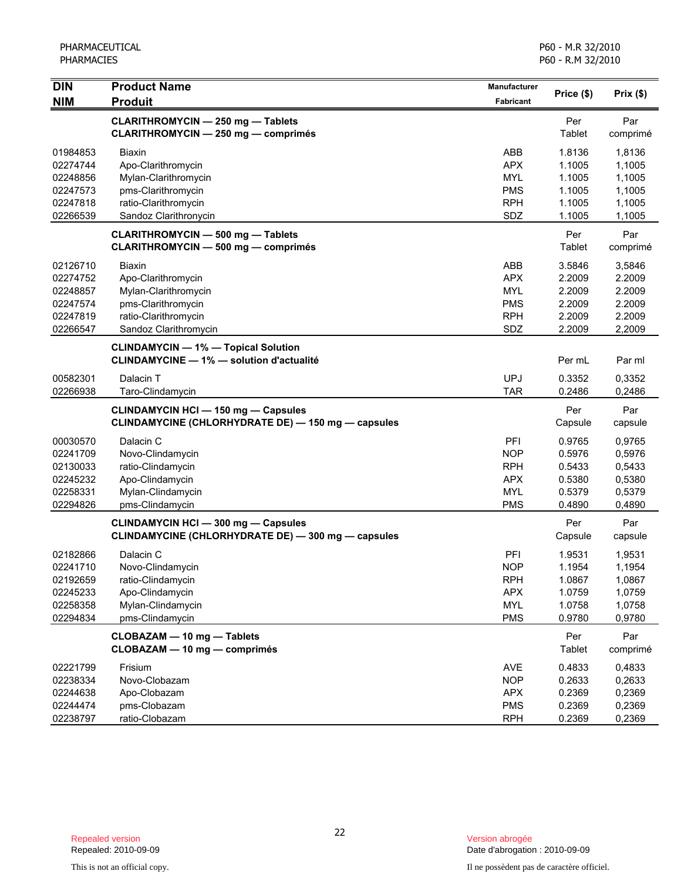| <b>DIN</b><br><b>NIM</b>                                             | <b>Product Name</b><br><b>Produit</b>                                                                                       | Manufacturer<br>Fabricant                                                 | Price (\$)                                               | Prix(\$)                                                 |
|----------------------------------------------------------------------|-----------------------------------------------------------------------------------------------------------------------------|---------------------------------------------------------------------------|----------------------------------------------------------|----------------------------------------------------------|
|                                                                      | CLARITHROMYCIN - 250 mg - Tablets<br><b>CLARITHROMYCIN - 250 mg - comprimés</b>                                             |                                                                           | Per<br>Tablet                                            | Par<br>comprimé                                          |
| 01984853<br>02274744<br>02248856<br>02247573<br>02247818             | <b>Biaxin</b><br>Apo-Clarithromycin<br>Mylan-Clarithromycin<br>pms-Clarithromycin<br>ratio-Clarithromycin                   | ABB<br><b>APX</b><br><b>MYL</b><br><b>PMS</b><br><b>RPH</b>               | 1.8136<br>1.1005<br>1.1005<br>1.1005<br>1.1005           | 1,8136<br>1,1005<br>1,1005<br>1,1005<br>1,1005           |
| 02266539                                                             | Sandoz Clarithronycin<br><b>CLARITHROMYCIN - 500 mg - Tablets</b>                                                           | SDZ                                                                       | 1.1005<br>Per                                            | 1,1005<br>Par                                            |
|                                                                      | <b>CLARITHROMYCIN - 500 mg - comprimés</b>                                                                                  |                                                                           | Tablet                                                   | comprimé                                                 |
| 02126710<br>02274752<br>02248857<br>02247574<br>02247819<br>02266547 | Biaxin<br>Apo-Clarithromycin<br>Mylan-Clarithromycin<br>pms-Clarithromycin<br>ratio-Clarithromycin<br>Sandoz Clarithromycin | ABB<br><b>APX</b><br><b>MYL</b><br><b>PMS</b><br><b>RPH</b><br>SDZ        | 3.5846<br>2.2009<br>2.2009<br>2.2009<br>2.2009<br>2.2009 | 3,5846<br>2.2009<br>2.2009<br>2.2009<br>2.2009<br>2,2009 |
|                                                                      | <b>CLINDAMYCIN - 1% - Topical Solution</b><br><b>CLINDAMYCINE - 1% - solution d'actualité</b>                               |                                                                           | Per mL                                                   | Par ml                                                   |
| 00582301<br>02266938                                                 | Dalacin T<br>Taro-Clindamycin                                                                                               | <b>UPJ</b><br><b>TAR</b>                                                  | 0.3352<br>0.2486                                         | 0,3352<br>0,2486                                         |
|                                                                      | <b>CLINDAMYCIN HCI - 150 mg - Capsules</b><br>CLINDAMYCINE (CHLORHYDRATE DE) - 150 mg - capsules                            |                                                                           | Per<br>Capsule                                           | Par<br>capsule                                           |
| 00030570<br>02241709<br>02130033<br>02245232<br>02258331<br>02294826 | Dalacin C<br>Novo-Clindamycin<br>ratio-Clindamycin<br>Apo-Clindamycin<br>Mylan-Clindamycin<br>pms-Clindamycin               | PFI<br><b>NOP</b><br><b>RPH</b><br><b>APX</b><br><b>MYL</b><br><b>PMS</b> | 0.9765<br>0.5976<br>0.5433<br>0.5380<br>0.5379<br>0.4890 | 0,9765<br>0,5976<br>0,5433<br>0,5380<br>0,5379<br>0,4890 |
|                                                                      | <b>CLINDAMYCIN HCI - 300 mg - Capsules</b><br>CLINDAMYCINE (CHLORHYDRATE DE) - 300 mg - capsules                            |                                                                           | Per<br>Capsule                                           | Par<br>capsule                                           |
| 02182866<br>02241710<br>02192659<br>02245233<br>02258358<br>02294834 | Dalacin C<br>Novo-Clindamycin<br>ratio-Clindamycin<br>Apo-Clindamycin<br>Mylan-Clindamycin<br>pms-Clindamycin               | PFI<br><b>NOP</b><br><b>RPH</b><br><b>APX</b><br><b>MYL</b><br><b>PMS</b> | 1.9531<br>1.1954<br>1.0867<br>1.0759<br>1.0758<br>0.9780 | 1,9531<br>1,1954<br>1,0867<br>1,0759<br>1,0758<br>0,9780 |
|                                                                      | CLOBAZAM - 10 mg - Tablets<br>CLOBAZAM - 10 mg - comprimés                                                                  |                                                                           | Per<br>Tablet                                            | Par<br>comprimé                                          |
| 02221799<br>02238334<br>02244638<br>02244474<br>02238797             | Frisium<br>Novo-Clobazam<br>Apo-Clobazam<br>pms-Clobazam<br>ratio-Clobazam                                                  | <b>AVE</b><br><b>NOP</b><br><b>APX</b><br><b>PMS</b><br><b>RPH</b>        | 0.4833<br>0.2633<br>0.2369<br>0.2369<br>0.2369           | 0,4833<br>0,2633<br>0,2369<br>0,2369<br>0,2369           |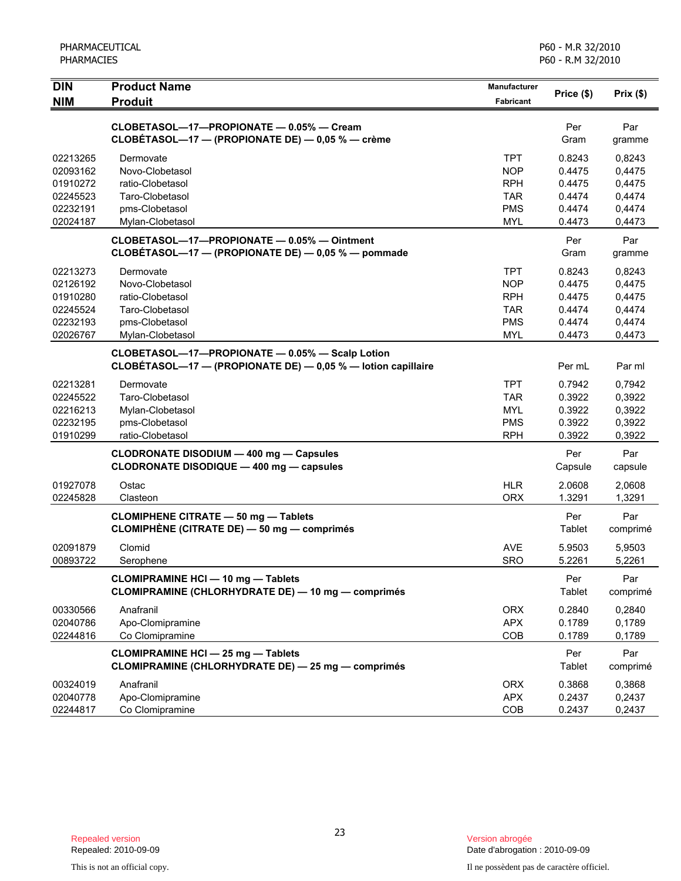| PHARMACEUTICAL |
|----------------|
| PHARMACIES     |

| <b>DIN</b><br><b>NIM</b> | <b>Product Name</b><br><b>Produit</b>                                                                           | Manufacturer<br><b>Fabricant</b> | Price (\$)       | Prix(\$)         |
|--------------------------|-----------------------------------------------------------------------------------------------------------------|----------------------------------|------------------|------------------|
|                          |                                                                                                                 |                                  |                  |                  |
|                          | CLOBETASOL-17-PROPIONATE - 0.05% - Cream<br>CLOBÉTASOL-17 - (PROPIONATE DE) - 0,05 % - crème                    |                                  | Per<br>Gram      | Par<br>gramme    |
| 02213265                 | Dermovate                                                                                                       | <b>TPT</b>                       | 0.8243           | 0,8243           |
| 02093162                 | Novo-Clobetasol                                                                                                 | <b>NOP</b>                       | 0.4475           | 0,4475           |
| 01910272                 | ratio-Clobetasol                                                                                                | <b>RPH</b>                       | 0.4475           | 0,4475           |
| 02245523                 | Taro-Clobetasol                                                                                                 | TAR.                             | 0.4474           | 0,4474           |
| 02232191<br>02024187     | pms-Clobetasol                                                                                                  | <b>PMS</b>                       | 0.4474<br>0.4473 | 0,4474           |
|                          | Mylan-Clobetasol                                                                                                | <b>MYL</b>                       |                  | 0,4473           |
|                          | CLOBETASOL-17-PROPIONATE - 0.05% - Ointment<br>CLOBÉTASOL-17 - (PROPIONATE DE) - 0,05 % - pommade               |                                  | Per<br>Gram      | Par<br>gramme    |
| 02213273                 | Dermovate                                                                                                       | <b>TPT</b>                       | 0.8243           | 0,8243           |
| 02126192                 | Novo-Clobetasol                                                                                                 | <b>NOP</b>                       | 0.4475           | 0,4475           |
| 01910280                 | ratio-Clobetasol                                                                                                | <b>RPH</b>                       | 0.4475           | 0,4475           |
| 02245524                 | Taro-Clobetasol                                                                                                 | <b>TAR</b>                       | 0.4474           | 0,4474           |
| 02232193                 | pms-Clobetasol                                                                                                  | <b>PMS</b>                       | 0.4474           | 0,4474           |
| 02026767                 | Mylan-Clobetasol                                                                                                | <b>MYL</b>                       | 0.4473           | 0,4473           |
|                          | CLOBETASOL-17-PROPIONATE - 0.05% - Scalp Lotion<br>CLOBÉTASOL-17 - (PROPIONATE DE) - 0,05 % - lotion capillaire |                                  | Per mL           | Par ml           |
|                          |                                                                                                                 | <b>TPT</b>                       |                  |                  |
| 02213281<br>02245522     | Dermovate<br>Taro-Clobetasol                                                                                    | TAR                              | 0.7942<br>0.3922 | 0,7942<br>0,3922 |
| 02216213                 | Mylan-Clobetasol                                                                                                | <b>MYL</b>                       | 0.3922           | 0,3922           |
| 02232195                 | pms-Clobetasol                                                                                                  | <b>PMS</b>                       | 0.3922           | 0,3922           |
| 01910299                 | ratio-Clobetasol                                                                                                | <b>RPH</b>                       | 0.3922           | 0,3922           |
|                          | CLODRONATE DISODIUM - 400 mg - Capsules                                                                         |                                  | Per              | Par              |
|                          | CLODRONATE DISODIQUE - 400 mg - capsules                                                                        |                                  | Capsule          | capsule          |
| 01927078                 | Ostac                                                                                                           | <b>HLR</b>                       | 2.0608           | 2,0608           |
| 02245828                 | Clasteon                                                                                                        | <b>ORX</b>                       | 1.3291           | 1,3291           |
|                          | <b>CLOMIPHENE CITRATE - 50 mg - Tablets</b>                                                                     |                                  | Per              | Par              |
|                          | <b>CLOMIPHENE (CITRATE DE) — 50 mg — comprimés</b>                                                              |                                  | Tablet           | comprimé         |
| 02091879                 | Clomid                                                                                                          | <b>AVE</b>                       | 5.9503           | 5,9503           |
| 00893722                 | Serophene                                                                                                       | <b>SRO</b>                       | 5.2261           | 5,2261           |
|                          | <b>CLOMIPRAMINE HCI - 10 mg - Tablets</b>                                                                       |                                  | Per              | Par              |
|                          | CLOMIPRAMINE (CHLORHYDRATE DE) - 10 mg - comprimés                                                              |                                  | Tablet           | comprimé         |
| 00330566                 | Anafranil                                                                                                       | <b>ORX</b>                       | 0.2840           | 0,2840           |
| 02040786                 | Apo-Clomipramine                                                                                                | <b>APX</b>                       | 0.1789           | 0,1789           |
| 02244816                 | Co Clomipramine                                                                                                 | COB                              | 0.1789           | 0,1789           |
|                          | <b>CLOMIPRAMINE HCI - 25 mg - Tablets</b>                                                                       |                                  | Per              | Par              |
|                          | CLOMIPRAMINE (CHLORHYDRATE DE) - 25 mg - comprimés                                                              |                                  | Tablet           | comprimé         |
| 00324019                 | Anafranil                                                                                                       | <b>ORX</b>                       | 0.3868           | 0,3868           |
| 02040778                 | Apo-Clomipramine                                                                                                | <b>APX</b>                       | 0.2437           | 0,2437           |
| 02244817                 | Co Clomipramine                                                                                                 | COB                              | 0.2437           | 0,2437           |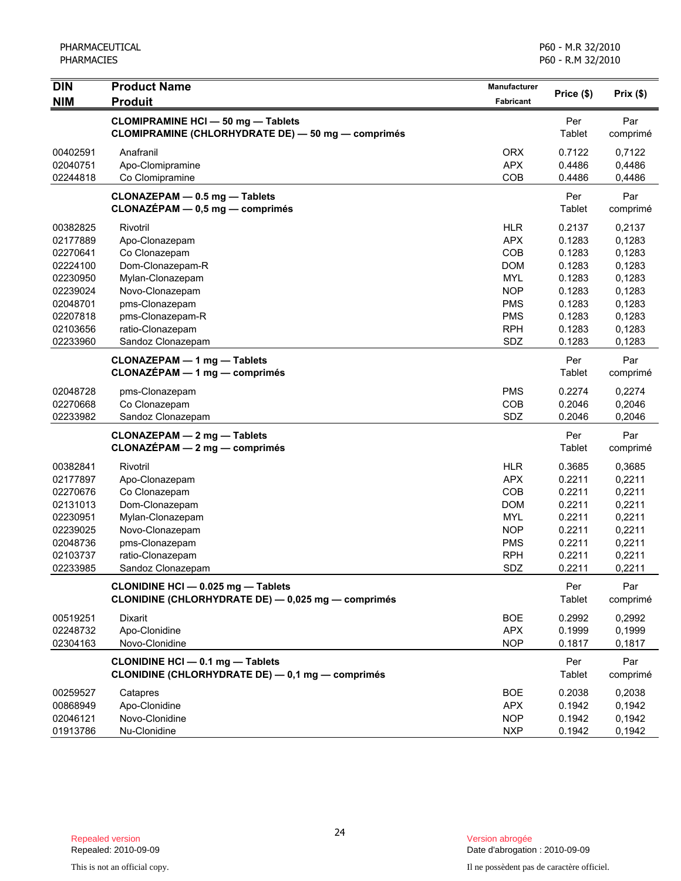| <b>DIN</b>                                                                                                           | <b>Product Name</b>                                                                                                                                                                   | <b>Manufacturer</b>                                                                                                        | Price (\$)                                                                                       | Prix(\$)                                                                                         |
|----------------------------------------------------------------------------------------------------------------------|---------------------------------------------------------------------------------------------------------------------------------------------------------------------------------------|----------------------------------------------------------------------------------------------------------------------------|--------------------------------------------------------------------------------------------------|--------------------------------------------------------------------------------------------------|
| <b>NIM</b>                                                                                                           | <b>Produit</b>                                                                                                                                                                        | <b>Fabricant</b>                                                                                                           |                                                                                                  |                                                                                                  |
|                                                                                                                      | <b>CLOMIPRAMINE HCI - 50 mg - Tablets</b><br>CLOMIPRAMINE (CHLORHYDRATE DE) - 50 mg - comprimés                                                                                       |                                                                                                                            | Per<br>Tablet                                                                                    | Par<br>comprimé                                                                                  |
| 00402591<br>02040751<br>02244818                                                                                     | Anafranil<br>Apo-Clomipramine<br>Co Clomipramine                                                                                                                                      | <b>ORX</b><br><b>APX</b><br>COB                                                                                            | 0.7122<br>0.4486<br>0.4486                                                                       | 0.7122<br>0,4486<br>0,4486                                                                       |
|                                                                                                                      | CLONAZEPAM - 0.5 mg - Tablets<br>CLONAZÉPAM - 0,5 mg - comprimés                                                                                                                      |                                                                                                                            | Per<br>Tablet                                                                                    | Par<br>comprimé                                                                                  |
| 00382825<br>02177889<br>02270641<br>02224100<br>02230950<br>02239024<br>02048701<br>02207818<br>02103656<br>02233960 | Rivotril<br>Apo-Clonazepam<br>Co Clonazepam<br>Dom-Clonazepam-R<br>Mylan-Clonazepam<br>Novo-Clonazepam<br>pms-Clonazepam<br>pms-Clonazepam-R<br>ratio-Clonazepam<br>Sandoz Clonazepam | <b>HLR</b><br><b>APX</b><br>COB<br><b>DOM</b><br><b>MYL</b><br><b>NOP</b><br><b>PMS</b><br><b>PMS</b><br><b>RPH</b><br>SDZ | 0.2137<br>0.1283<br>0.1283<br>0.1283<br>0.1283<br>0.1283<br>0.1283<br>0.1283<br>0.1283<br>0.1283 | 0,2137<br>0,1283<br>0,1283<br>0,1283<br>0,1283<br>0,1283<br>0,1283<br>0,1283<br>0,1283<br>0,1283 |
|                                                                                                                      | <b>CLONAZEPAM - 1 mg - Tablets</b><br><b>CLONAZÉPAM - 1 mg - comprimés</b>                                                                                                            |                                                                                                                            | Per<br>Tablet                                                                                    | Par<br>comprimé                                                                                  |
| 02048728<br>02270668<br>02233982                                                                                     | pms-Clonazepam<br>Co Clonazepam<br>Sandoz Clonazepam                                                                                                                                  | <b>PMS</b><br>COB<br>SDZ                                                                                                   | 0.2274<br>0.2046<br>0.2046                                                                       | 0,2274<br>0,2046<br>0,2046                                                                       |
|                                                                                                                      | CLONAZEPAM - 2 mg - Tablets<br>$CLONAZÉPAM - 2 mg - comprimés$                                                                                                                        |                                                                                                                            | Per<br>Tablet                                                                                    | Par<br>comprimé                                                                                  |
| 00382841<br>02177897<br>02270676<br>02131013<br>02230951<br>02239025<br>02048736<br>02103737<br>02233985             | Rivotril<br>Apo-Clonazepam<br>Co Clonazepam<br>Dom-Clonazepam<br>Mylan-Clonazepam<br>Novo-Clonazepam<br>pms-Clonazepam<br>ratio-Clonazepam<br>Sandoz Clonazepam                       | <b>HLR</b><br><b>APX</b><br>COB<br><b>DOM</b><br><b>MYL</b><br><b>NOP</b><br><b>PMS</b><br><b>RPH</b><br>SDZ               | 0.3685<br>0.2211<br>0.2211<br>0.2211<br>0.2211<br>0.2211<br>0.2211<br>0.2211<br>0.2211           | 0,3685<br>0,2211<br>0,2211<br>0,2211<br>0,2211<br>0,2211<br>0,2211<br>0,2211<br>0,2211           |
|                                                                                                                      | CLONIDINE HCI - 0.025 mg - Tablets<br>CLONIDINE (CHLORHYDRATE DE) - 0,025 mg - comprimés                                                                                              |                                                                                                                            | Per<br>Tablet                                                                                    | Par<br>comprimé                                                                                  |
| 00519251<br>02248732<br>02304163                                                                                     | Dixarit<br>Apo-Clonidine<br>Novo-Clonidine                                                                                                                                            | <b>BOE</b><br><b>APX</b><br><b>NOP</b>                                                                                     | 0.2992<br>0.1999<br>0.1817                                                                       | 0,2992<br>0,1999<br>0,1817                                                                       |
|                                                                                                                      | CLONIDINE HCI - 0.1 mg - Tablets<br>CLONIDINE (CHLORHYDRATE DE) - 0,1 mg - comprimés                                                                                                  |                                                                                                                            | Per<br>Tablet                                                                                    | Par<br>comprimé                                                                                  |
| 00259527<br>00868949<br>02046121<br>01913786                                                                         | Catapres<br>Apo-Clonidine<br>Novo-Clonidine<br>Nu-Clonidine                                                                                                                           | <b>BOE</b><br><b>APX</b><br><b>NOP</b><br><b>NXP</b>                                                                       | 0.2038<br>0.1942<br>0.1942<br>0.1942                                                             | 0,2038<br>0,1942<br>0,1942<br>0,1942                                                             |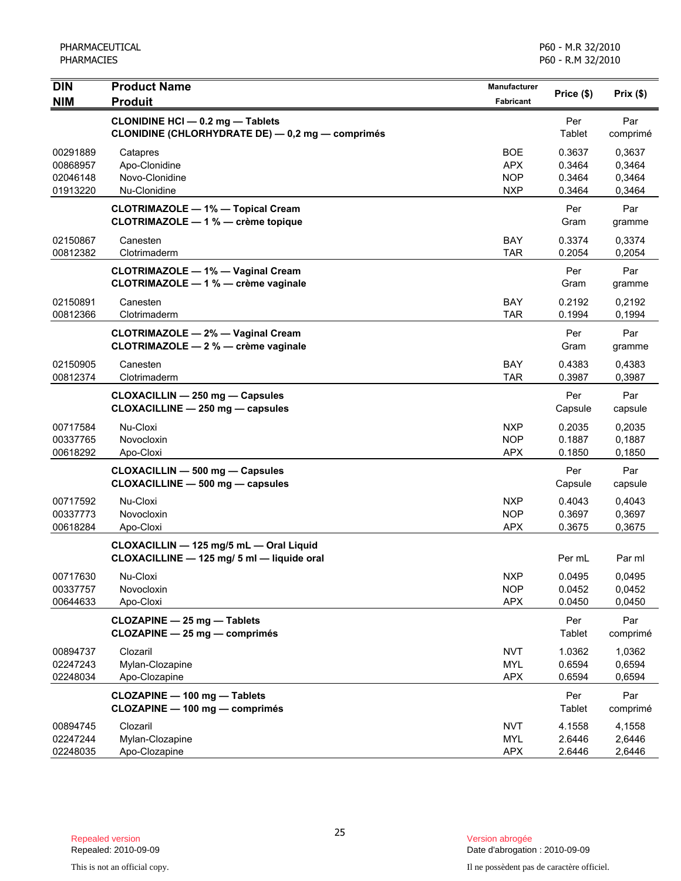| <b>DIN</b>           | <b>Product Name</b>                                                                         | Manufacturer             | Price (\$)       | Prix(\$)         |
|----------------------|---------------------------------------------------------------------------------------------|--------------------------|------------------|------------------|
| <b>NIM</b>           | <b>Produit</b>                                                                              | <b>Fabricant</b>         |                  |                  |
|                      | <b>CLONIDINE HCI - 0.2 mg - Tablets</b><br>CLONIDINE (CHLORHYDRATE DE) - 0,2 mg - comprimés |                          | Per<br>Tablet    | Par<br>comprimé  |
| 00291889             | Catapres                                                                                    | <b>BOE</b>               | 0.3637           | 0,3637           |
| 00868957             | Apo-Clonidine                                                                               | <b>APX</b>               | 0.3464           | 0,3464           |
| 02046148             | Novo-Clonidine                                                                              | <b>NOP</b>               | 0.3464           | 0,3464           |
| 01913220             | Nu-Clonidine                                                                                | <b>NXP</b>               | 0.3464           | 0,3464           |
|                      | <b>CLOTRIMAZOLE - 1% - Topical Cream</b><br>CLOTRIMAZOLE - 1 % - crème topique              |                          | Per<br>Gram      | Par<br>gramme    |
| 02150867<br>00812382 | Canesten<br>Clotrimaderm                                                                    | <b>BAY</b><br><b>TAR</b> | 0.3374<br>0.2054 | 0,3374<br>0,2054 |
|                      | <b>CLOTRIMAZOLE - 1% - Vaginal Cream</b><br>CLOTRIMAZOLE - 1 % - crème vaginale             |                          | Per<br>Gram      | Par<br>gramme    |
|                      |                                                                                             |                          |                  |                  |
| 02150891<br>00812366 | Canesten<br>Clotrimaderm                                                                    | BAY<br><b>TAR</b>        | 0.2192<br>0.1994 | 0,2192<br>0,1994 |
|                      |                                                                                             |                          |                  |                  |
|                      | <b>CLOTRIMAZOLE - 2% - Vaginal Cream</b>                                                    |                          | Per              | Par              |
|                      | CLOTRIMAZOLE - 2 % - crème vaginale                                                         |                          | Gram             | gramme           |
| 02150905             | Canesten                                                                                    | <b>BAY</b>               | 0.4383           | 0,4383           |
| 00812374             | Clotrimaderm                                                                                | <b>TAR</b>               | 0.3987           | 0,3987           |
|                      | CLOXACILLIN - 250 mg - Capsules                                                             |                          | Per              | Par              |
|                      | CLOXACILLINE - 250 mg - capsules                                                            |                          | Capsule          | capsule          |
| 00717584             | Nu-Cloxi                                                                                    | <b>NXP</b>               | 0.2035           | 0,2035           |
| 00337765             | Novocloxin                                                                                  | <b>NOP</b>               | 0.1887           | 0,1887           |
| 00618292             | Apo-Cloxi                                                                                   | <b>APX</b>               | 0.1850           | 0,1850           |
|                      | <b>CLOXACILLIN - 500 mg - Capsules</b>                                                      |                          | Per              | Par              |
|                      | CLOXACILLINE - 500 mg - capsules                                                            |                          | Capsule          | capsule          |
|                      | Nu-Cloxi                                                                                    | <b>NXP</b>               |                  |                  |
| 00717592<br>00337773 | Novocloxin                                                                                  | <b>NOP</b>               | 0.4043<br>0.3697 | 0,4043<br>0,3697 |
| 00618284             | Apo-Cloxi                                                                                   | <b>APX</b>               | 0.3675           | 0,3675           |
|                      |                                                                                             |                          |                  |                  |
|                      | CLOXACILLIN - 125 mg/5 mL - Oral Liquid<br>CLOXACILLINE - 125 mg/ 5 ml - liquide oral       |                          | Per mL           | Par ml           |
| 00717630             | Nu-Cloxi                                                                                    | <b>NXP</b>               | 0.0495           | 0,0495           |
| 00337757             | Novocloxin                                                                                  | <b>NOP</b>               | 0.0452           | 0,0452           |
| 00644633             | Apo-Cloxi                                                                                   | <b>APX</b>               | 0.0450           | 0,0450           |
|                      | CLOZAPINE - 25 mg - Tablets<br>CLOZAPINE - 25 mg - comprimés                                |                          | Per<br>Tablet    | Par<br>comprimé  |
| 00894737             | Clozaril                                                                                    | <b>NVT</b>               | 1.0362           | 1,0362           |
| 02247243             | Mylan-Clozapine                                                                             | <b>MYL</b>               | 0.6594           | 0,6594           |
| 02248034             | Apo-Clozapine                                                                               | <b>APX</b>               | 0.6594           | 0,6594           |
|                      | CLOZAPINE - 100 mg - Tablets                                                                |                          | Per              | Par              |
|                      | CLOZAPINE - 100 mg - comprimés                                                              |                          | Tablet           | comprimé         |
| 00894745             | Clozaril                                                                                    | <b>NVT</b>               | 4.1558           |                  |
| 02247244             | Mylan-Clozapine                                                                             | <b>MYL</b>               | 2.6446           | 4,1558<br>2,6446 |
| 02248035             | Apo-Clozapine                                                                               | <b>APX</b>               | 2.6446           | 2,6446           |

Date d'abrogation : 2010-09-09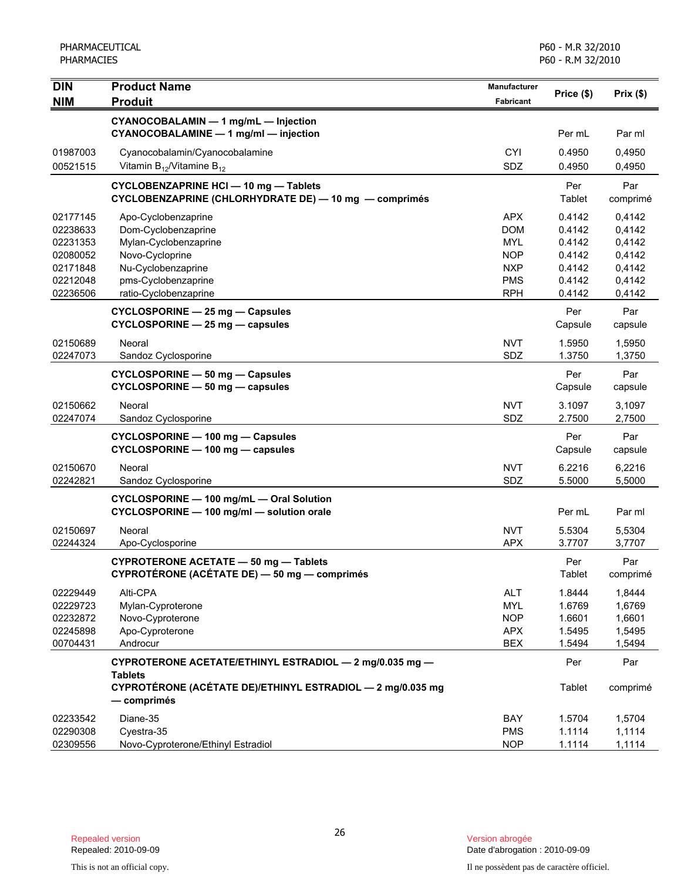| <b>DIN</b> | <b>Product Name</b>                                                                                   | <b>Manufacturer</b> |                | Prix(\$)        |
|------------|-------------------------------------------------------------------------------------------------------|---------------------|----------------|-----------------|
| <b>NIM</b> | <b>Produit</b>                                                                                        | Fabricant           | Price (\$)     |                 |
|            | CYANOCOBALAMIN - 1 mg/mL - Injection<br>CYANOCOBALAMINE - 1 mg/ml - injection                         |                     | Per mL         | Par ml          |
| 01987003   | Cyanocobalamin/Cyanocobalamine                                                                        | <b>CYI</b>          | 0.4950         | 0,4950          |
| 00521515   | Vitamin $B_{12}$ /Vitamine $B_{12}$                                                                   | SDZ                 | 0.4950         | 0,4950          |
|            | <b>CYCLOBENZAPRINE HCI - 10 mg - Tablets</b><br>CYCLOBENZAPRINE (CHLORHYDRATE DE) - 10 mg - comprimés |                     | Per<br>Tablet  | Par<br>comprimé |
| 02177145   | Apo-Cyclobenzaprine                                                                                   | <b>APX</b>          | 0.4142         | 0,4142          |
| 02238633   | Dom-Cyclobenzaprine                                                                                   | <b>DOM</b>          | 0.4142         | 0,4142          |
| 02231353   | Mylan-Cyclobenzaprine                                                                                 | <b>MYL</b>          | 0.4142         | 0,4142          |
| 02080052   | Novo-Cycloprine                                                                                       | <b>NOP</b>          | 0.4142         | 0,4142          |
| 02171848   | Nu-Cyclobenzaprine                                                                                    | <b>NXP</b>          | 0.4142         | 0,4142          |
| 02212048   | pms-Cyclobenzaprine                                                                                   | <b>PMS</b>          | 0.4142         | 0,4142          |
| 02236506   | ratio-Cyclobenzaprine                                                                                 | <b>RPH</b>          | 0.4142         | 0,4142          |
|            | CYCLOSPORINE - 25 mg - Capsules<br>CYCLOSPORINE - 25 mg - capsules                                    |                     | Per<br>Capsule | Par<br>capsule  |
| 02150689   | Neoral                                                                                                | <b>NVT</b>          | 1.5950         | 1,5950          |
| 02247073   | Sandoz Cyclosporine                                                                                   | SDZ                 | 1.3750         | 1,3750          |
|            | CYCLOSPORINE - 50 mg - Capsules<br>CYCLOSPORINE - 50 mg - capsules                                    |                     | Per<br>Capsule | Par<br>capsule  |
| 02150662   | Neoral                                                                                                | <b>NVT</b>          | 3.1097         | 3,1097          |
| 02247074   | Sandoz Cyclosporine                                                                                   | SDZ                 | 2.7500         | 2,7500          |
|            | CYCLOSPORINE - 100 mg - Capsules<br>CYCLOSPORINE - 100 mg - capsules                                  |                     | Per<br>Capsule | Par<br>capsule  |
| 02150670   | Neoral                                                                                                | <b>NVT</b>          | 6.2216         | 6,2216          |
| 02242821   | Sandoz Cyclosporine                                                                                   | SDZ                 | 5.5000         | 5,5000          |
|            | CYCLOSPORINE - 100 mg/mL - Oral Solution<br>CYCLOSPORINE - 100 mg/ml - solution orale                 |                     | Per mL         | Par ml          |
| 02150697   | Neoral                                                                                                | <b>NVT</b>          | 5.5304         | 5,5304          |
| 02244324   | Apo-Cyclosporine                                                                                      | <b>APX</b>          | 3.7707         | 3,7707          |
|            | <b>CYPROTERONE ACETATE - 50 mg - Tablets</b><br>CYPROTÉRONE (ACÉTATE DE) — 50 mg — comprimés          |                     | Per<br>Tablet  | Par<br>comprimé |
| 02229449   | Alti-CPA                                                                                              | <b>ALT</b>          | 1.8444         | 1,8444          |
| 02229723   | Mylan-Cyproterone                                                                                     | <b>MYL</b>          | 1.6769         | 1,6769          |
| 02232872   | Novo-Cyproterone                                                                                      | <b>NOP</b>          | 1.6601         | 1,6601          |
| 02245898   | Apo-Cyproterone                                                                                       | <b>APX</b>          | 1.5495         | 1,5495          |
| 00704431   | Androcur                                                                                              | <b>BEX</b>          | 1.5494         | 1,5494          |
|            | CYPROTERONE ACETATE/ETHINYL ESTRADIOL - 2 mg/0.035 mg -<br><b>Tablets</b>                             |                     | Per            | Par             |
|            | CYPROTÉRONE (ACÉTATE DE)/ETHINYL ESTRADIOL - 2 mg/0.035 mg<br>— comprimés                             |                     | Tablet         | comprimé        |
| 02233542   | Diane-35                                                                                              | BAY                 | 1.5704         | 1,5704          |
| 02290308   | Cyestra-35                                                                                            | <b>PMS</b>          | 1.1114         | 1,1114          |
| 02309556   | Novo-Cyproterone/Ethinyl Estradiol                                                                    | <b>NOP</b>          | 1.1114         | 1,1114          |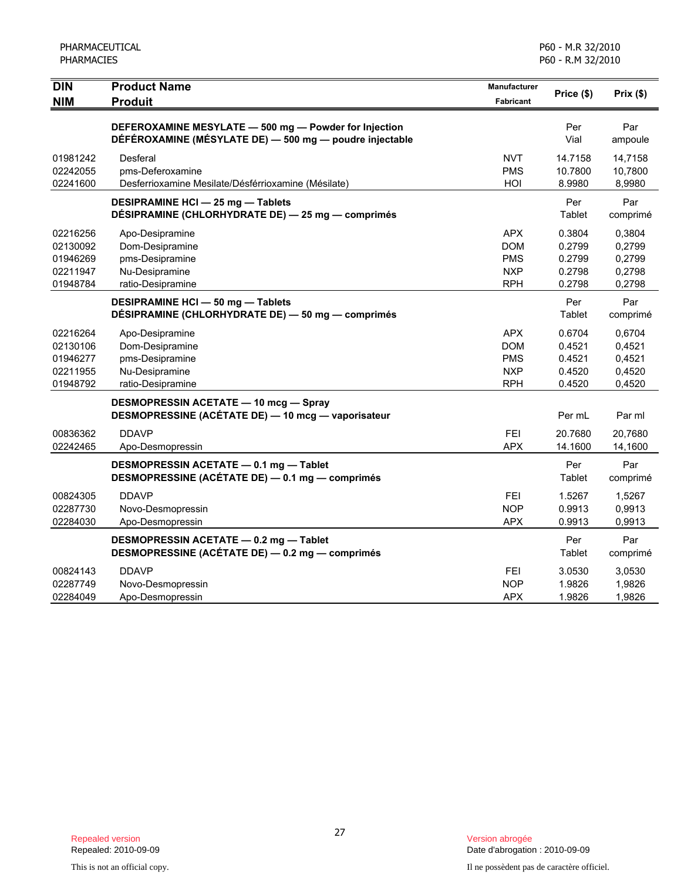| <b>DIN</b>                                               | <b>Product Name</b>                                                                                              | Manufacturer                                                       | Price (\$)                                     | Prix(\$)                                       |
|----------------------------------------------------------|------------------------------------------------------------------------------------------------------------------|--------------------------------------------------------------------|------------------------------------------------|------------------------------------------------|
| <b>NIM</b>                                               | <b>Produit</b>                                                                                                   | <b>Fabricant</b>                                                   |                                                |                                                |
|                                                          | DEFEROXAMINE MESYLATE - 500 mg - Powder for Injection<br>DÉFÉROXAMINE (MÉSYLATE DE) - 500 mg - poudre injectable |                                                                    | Per<br>Vial                                    | Par<br>ampoule                                 |
| 01981242<br>02242055<br>02241600                         | Desferal<br>pms-Deferoxamine<br>Desferrioxamine Mesilate/Désférrioxamine (Mésilate)                              | <b>NVT</b><br><b>PMS</b><br>HOI                                    | 14.7158<br>10.7800<br>8.9980                   | 14,7158<br>10,7800<br>8,9980                   |
|                                                          | <b>DESIPRAMINE HCI - 25 mg - Tablets</b><br>DÉSIPRAMINE (CHLORHYDRATE DE) - 25 mg - comprimés                    |                                                                    | Per<br>Tablet                                  | Par<br>comprimé                                |
| 02216256<br>02130092<br>01946269<br>02211947<br>01948784 | Apo-Desipramine<br>Dom-Desipramine<br>pms-Desipramine<br>Nu-Desipramine<br>ratio-Desipramine                     | <b>APX</b><br><b>DOM</b><br><b>PMS</b><br><b>NXP</b><br><b>RPH</b> | 0.3804<br>0.2799<br>0.2799<br>0.2798<br>0.2798 | 0,3804<br>0,2799<br>0,2799<br>0,2798<br>0,2798 |
|                                                          | <b>DESIPRAMINE HCI - 50 mg - Tablets</b><br>DÉSIPRAMINE (CHLORHYDRATE DE) - 50 mg - comprimés                    |                                                                    | Per<br>Tablet                                  | Par<br>comprimé                                |
| 02216264<br>02130106<br>01946277<br>02211955<br>01948792 | Apo-Desipramine<br>Dom-Desipramine<br>pms-Desipramine<br>Nu-Desipramine<br>ratio-Desipramine                     | <b>APX</b><br><b>DOM</b><br><b>PMS</b><br><b>NXP</b><br><b>RPH</b> | 0.6704<br>0.4521<br>0.4521<br>0.4520<br>0.4520 | 0,6704<br>0,4521<br>0,4521<br>0,4520<br>0,4520 |
|                                                          | <b>DESMOPRESSIN ACETATE - 10 mcg - Spray</b><br>DESMOPRESSINE (ACÉTATE DE) - 10 mcg - vaporisateur               |                                                                    | Per mL                                         | Par ml                                         |
| 00836362<br>02242465                                     | <b>DDAVP</b><br>Apo-Desmopressin                                                                                 | <b>FEI</b><br><b>APX</b>                                           | 20.7680<br>14.1600                             | 20,7680<br>14,1600                             |
|                                                          | DESMOPRESSIN ACETATE - 0.1 mg - Tablet<br>DESMOPRESSINE (ACÉTATE DE) - 0.1 mg - comprimés                        |                                                                    | Per<br>Tablet                                  | Par<br>comprimé                                |
| 00824305<br>02287730<br>02284030                         | <b>DDAVP</b><br>Novo-Desmopressin<br>Apo-Desmopressin                                                            | FEI<br><b>NOP</b><br><b>APX</b>                                    | 1.5267<br>0.9913<br>0.9913                     | 1,5267<br>0,9913<br>0,9913                     |
|                                                          | DESMOPRESSIN ACETATE - 0.2 mg - Tablet<br>DESMOPRESSINE (ACÉTATE DE) - 0.2 mg - comprimés                        |                                                                    | Per<br>Tablet                                  | Par<br>comprimé                                |
| 00824143<br>02287749<br>02284049                         | <b>DDAVP</b><br>Novo-Desmopressin<br>Apo-Desmopressin                                                            | FEI<br><b>NOP</b><br><b>APX</b>                                    | 3.0530<br>1.9826<br>1.9826                     | 3,0530<br>1,9826<br>1,9826                     |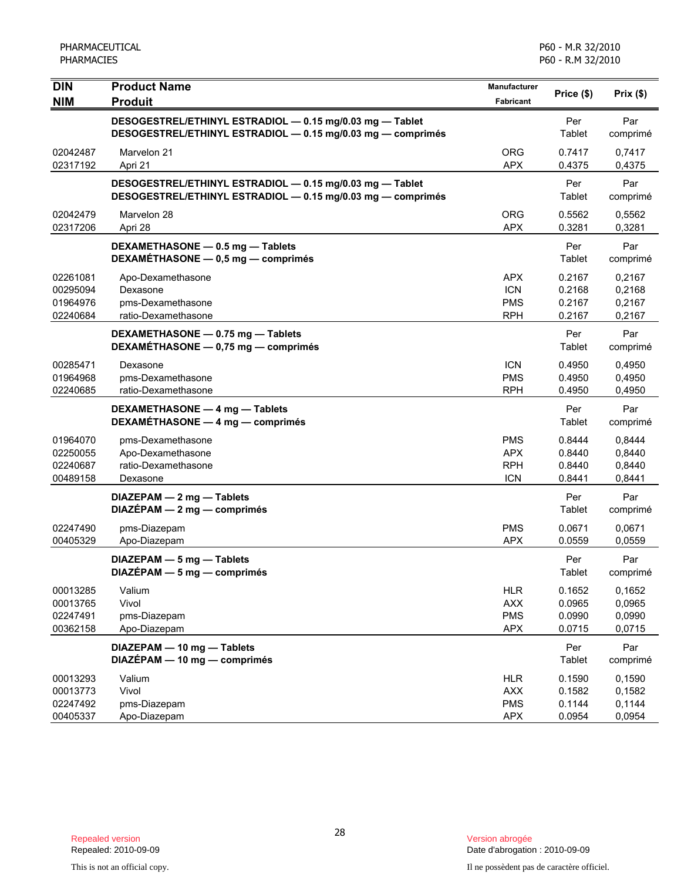| <b>DIN</b>                                   | <b>Product Name</b>                                                                                                     | <b>Manufacturer</b>                                  | Price (\$)                           | Prix(\$)                             |
|----------------------------------------------|-------------------------------------------------------------------------------------------------------------------------|------------------------------------------------------|--------------------------------------|--------------------------------------|
| <b>NIM</b>                                   | <b>Produit</b>                                                                                                          | Fabricant                                            |                                      |                                      |
|                                              | DESOGESTREL/ETHINYL ESTRADIOL - 0.15 mg/0.03 mg - Tablet<br>DESOGESTREL/ETHINYL ESTRADIOL - 0.15 mg/0.03 mg - comprimés |                                                      | Per<br>Tablet                        | Par<br>comprimé                      |
| 02042487<br>02317192                         | Marvelon 21<br>Apri 21                                                                                                  | <b>ORG</b><br><b>APX</b>                             | 0.7417<br>0.4375                     | 0,7417<br>0,4375                     |
|                                              | DESOGESTREL/ETHINYL ESTRADIOL - 0.15 mg/0.03 mg - Tablet<br>DESOGESTREL/ETHINYL ESTRADIOL - 0.15 mg/0.03 mg - comprimés |                                                      | Per<br>Tablet                        | Par<br>comprimé                      |
| 02042479<br>02317206                         | Marvelon 28<br>Apri 28                                                                                                  | <b>ORG</b><br><b>APX</b>                             | 0.5562<br>0.3281                     | 0,5562<br>0,3281                     |
|                                              | DEXAMETHASONE - 0.5 mg - Tablets<br>DEXAMÉTHASONE - 0,5 mg - comprimés                                                  |                                                      | Per<br>Tablet                        | Par<br>comprimé                      |
| 02261081<br>00295094<br>01964976<br>02240684 | Apo-Dexamethasone<br>Dexasone<br>pms-Dexamethasone<br>ratio-Dexamethasone                                               | <b>APX</b><br><b>ICN</b><br><b>PMS</b><br><b>RPH</b> | 0.2167<br>0.2168<br>0.2167<br>0.2167 | 0,2167<br>0,2168<br>0,2167<br>0,2167 |
|                                              | DEXAMETHASONE - 0.75 mg - Tablets<br>DEXAMÉTHASONE - 0,75 mg - comprimés                                                |                                                      | Per<br>Tablet                        | Par<br>comprimé                      |
| 00285471<br>01964968<br>02240685             | Dexasone<br>pms-Dexamethasone<br>ratio-Dexamethasone                                                                    | <b>ICN</b><br><b>PMS</b><br><b>RPH</b>               | 0.4950<br>0.4950<br>0.4950           | 0,4950<br>0,4950<br>0,4950           |
|                                              | DEXAMETHASONE - 4 mg - Tablets<br>DEXAMETHASONE - 4 mg - comprimés                                                      |                                                      | Per<br>Tablet                        | Par<br>comprimé                      |
| 01964070<br>02250055<br>02240687<br>00489158 | pms-Dexamethasone<br>Apo-Dexamethasone<br>ratio-Dexamethasone<br>Dexasone                                               | <b>PMS</b><br><b>APX</b><br><b>RPH</b><br><b>ICN</b> | 0.8444<br>0.8440<br>0.8440<br>0.8441 | 0,8444<br>0,8440<br>0,8440<br>0,8441 |
|                                              | DIAZEPAM - 2 mg - Tablets<br>$DIAZÉPAM - 2 mg - comprimés$                                                              |                                                      | Per<br>Tablet                        | Par<br>comprimé                      |
| 02247490<br>00405329                         | pms-Diazepam<br>Apo-Diazepam                                                                                            | <b>PMS</b><br><b>APX</b>                             | 0.0671<br>0.0559                     | 0.0671<br>0,0559                     |
|                                              | DIAZEPAM - 5 mg - Tablets<br>$DIAZÉPAM - 5 mg - comprimés$                                                              |                                                      | Per<br>Tablet                        | Par<br>comprimé                      |
| 00013285<br>00013765<br>02247491<br>00362158 | Valium<br>Vivol<br>pms-Diazepam<br>Apo-Diazepam                                                                         | <b>HLR</b><br><b>AXX</b><br><b>PMS</b><br><b>APX</b> | 0.1652<br>0.0965<br>0.0990<br>0.0715 | 0,1652<br>0,0965<br>0,0990<br>0,0715 |
|                                              | DIAZEPAM - 10 mg - Tablets<br>$DIAZÉPAM - 10 mg - comprimés$                                                            |                                                      | Per<br>Tablet                        | Par<br>comprimé                      |
| 00013293<br>00013773<br>02247492<br>00405337 | Valium<br>Vivol<br>pms-Diazepam<br>Apo-Diazepam                                                                         | <b>HLR</b><br><b>AXX</b><br><b>PMS</b><br><b>APX</b> | 0.1590<br>0.1582<br>0.1144<br>0.0954 | 0,1590<br>0,1582<br>0,1144<br>0,0954 |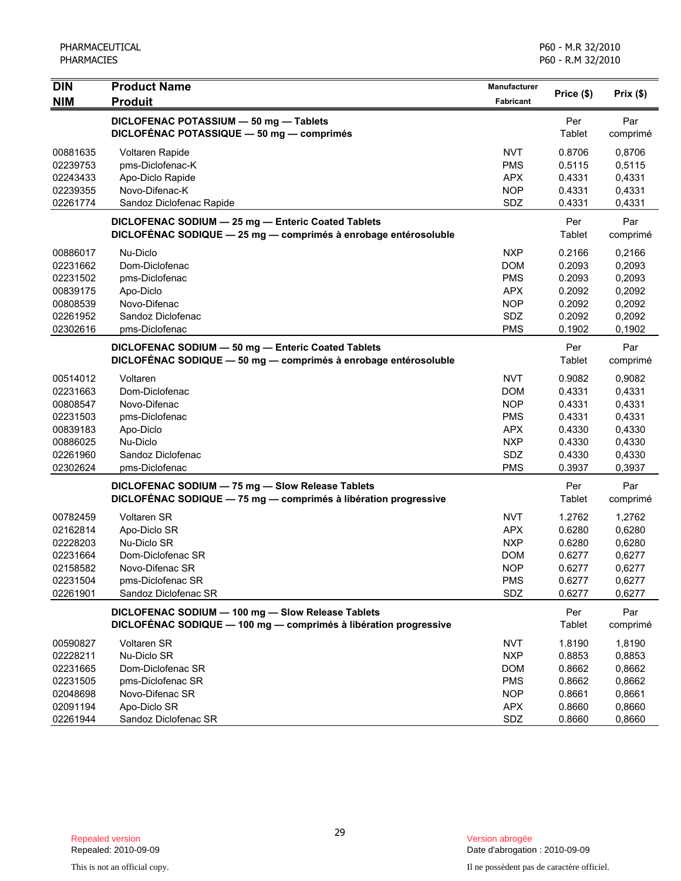| <b>DIN</b><br><b>NIM</b>                                                                     | <b>Product Name</b><br><b>Produit</b>                                                                                                  | Manufacturer<br>Fabricant                                                                             | Price (\$)                                                                   | Prix(\$)                                                                     |
|----------------------------------------------------------------------------------------------|----------------------------------------------------------------------------------------------------------------------------------------|-------------------------------------------------------------------------------------------------------|------------------------------------------------------------------------------|------------------------------------------------------------------------------|
|                                                                                              | DICLOFENAC POTASSIUM - 50 mg - Tablets<br>DICLOFÉNAC POTASSIQUE - 50 mg - comprimés                                                    |                                                                                                       | Per<br>Tablet                                                                | Par<br>comprimé                                                              |
| 00881635<br>02239753<br>02243433<br>02239355<br>02261774                                     | Voltaren Rapide<br>pms-Diclofenac-K<br>Apo-Diclo Rapide<br>Novo-Difenac-K<br>Sandoz Diclofenac Rapide                                  | <b>NVT</b><br><b>PMS</b><br><b>APX</b><br><b>NOP</b><br><b>SDZ</b>                                    | 0.8706<br>0.5115<br>0.4331<br>0.4331<br>0.4331                               | 0,8706<br>0,5115<br>0,4331<br>0,4331<br>0,4331                               |
|                                                                                              | DICLOFENAC SODIUM - 25 mg - Enteric Coated Tablets<br>DICLOFÉNAC SODIQUE - 25 mg - comprimés à enrobage entérosoluble                  |                                                                                                       | Per<br>Tablet                                                                | Par<br>comprimé                                                              |
| 00886017<br>02231662<br>02231502<br>00839175<br>00808539<br>02261952<br>02302616             | Nu-Diclo<br>Dom-Diclofenac<br>pms-Diclofenac<br>Apo-Diclo<br>Novo-Difenac<br>Sandoz Diclofenac<br>pms-Diclofenac                       | <b>NXP</b><br><b>DOM</b><br><b>PMS</b><br><b>APX</b><br><b>NOP</b><br>SDZ<br><b>PMS</b>               | 0.2166<br>0.2093<br>0.2093<br>0.2092<br>0.2092<br>0.2092<br>0.1902           | 0,2166<br>0,2093<br>0,2093<br>0,2092<br>0,2092<br>0,2092<br>0,1902           |
|                                                                                              | DICLOFENAC SODIUM - 50 mg - Enteric Coated Tablets<br>DICLOFÉNAC SODIQUE - 50 mg - comprimés à enrobage entérosoluble                  |                                                                                                       | Per<br>Tablet                                                                | Par<br>comprimé                                                              |
| 00514012<br>02231663<br>00808547<br>02231503<br>00839183<br>00886025<br>02261960<br>02302624 | Voltaren<br>Dom-Diclofenac<br>Novo-Difenac<br>pms-Diclofenac<br>Apo-Diclo<br>Nu-Diclo<br>Sandoz Diclofenac<br>pms-Diclofenac           | <b>NVT</b><br><b>DOM</b><br><b>NOP</b><br><b>PMS</b><br><b>APX</b><br><b>NXP</b><br>SDZ<br><b>PMS</b> | 0.9082<br>0.4331<br>0.4331<br>0.4331<br>0.4330<br>0.4330<br>0.4330<br>0.3937 | 0,9082<br>0,4331<br>0,4331<br>0,4331<br>0,4330<br>0,4330<br>0,4330<br>0,3937 |
|                                                                                              | DICLOFENAC SODIUM - 75 mg - Slow Release Tablets<br>DICLOFENAC SODIQUE - 75 mg - comprimés à libération progressive                    |                                                                                                       | Per<br>Tablet                                                                | Par<br>comprimé                                                              |
| 00782459<br>02162814<br>02228203<br>02231664<br>02158582<br>02231504<br>02261901             | <b>Voltaren SR</b><br>Apo-Diclo SR<br>Nu-Diclo SR<br>Dom-Diclofenac SR<br>Novo-Difenac SR<br>pms-Diclofenac SR<br>Sandoz Diclofenac SR | <b>NVT</b><br><b>APX</b><br><b>NXP</b><br><b>DOM</b><br><b>NOP</b><br><b>PMS</b><br>SDZ               | 1.2762<br>0.6280<br>0.6280<br>0.6277<br>0.6277<br>0.6277<br>0.6277           | 1,2762<br>0,6280<br>0,6280<br>0,6277<br>0,6277<br>0,6277<br>0,6277           |
|                                                                                              | DICLOFENAC SODIUM - 100 mg - Slow Release Tablets<br>DICLOFÉNAC SODIQUE - 100 mg - comprimés à libération progressive                  |                                                                                                       | Per<br>Tablet                                                                | Par<br>comprimé                                                              |
| 00590827<br>02228211<br>02231665<br>02231505<br>02048698<br>02091194<br>02261944             | Voltaren SR<br>Nu-Diclo SR<br>Dom-Diclofenac SR<br>pms-Diclofenac SR<br>Novo-Difenac SR<br>Apo-Diclo SR<br>Sandoz Diclofenac SR        | <b>NVT</b><br><b>NXP</b><br><b>DOM</b><br><b>PMS</b><br><b>NOP</b><br><b>APX</b><br>SDZ               | 1.8190<br>0.8853<br>0.8662<br>0.8662<br>0.8661<br>0.8660<br>0.8660           | 1,8190<br>0,8853<br>0,8662<br>0,8662<br>0,8661<br>0,8660<br>0,8660           |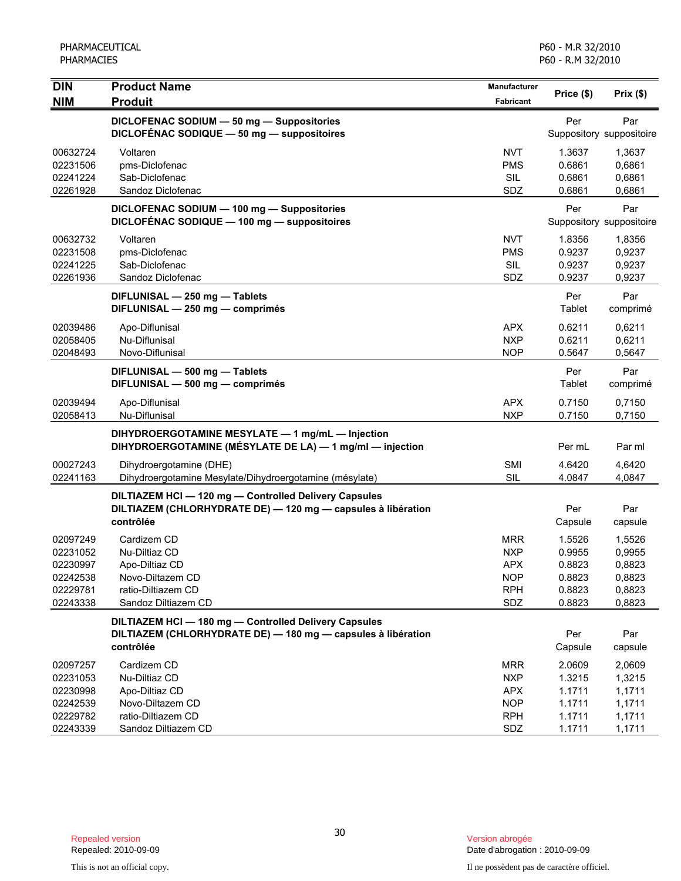| <b>DIN</b><br><b>NIM</b>                                             | <b>Product Name</b><br><b>Produit</b>                                                                                          | Manufacturer<br><b>Fabricant</b>                                          | Price (\$)                                               | Prix $($ \$)                                             |
|----------------------------------------------------------------------|--------------------------------------------------------------------------------------------------------------------------------|---------------------------------------------------------------------------|----------------------------------------------------------|----------------------------------------------------------|
|                                                                      | DICLOFENAC SODIUM - 50 mg - Suppositories<br>DICLOFÉNAC SODIQUE - 50 mg - suppositoires                                        |                                                                           | Per                                                      | Par<br>Suppository suppositoire                          |
| 00632724<br>02231506<br>02241224<br>02261928                         | Voltaren<br>pms-Diclofenac<br>Sab-Diclofenac<br>Sandoz Diclofenac                                                              | <b>NVT</b><br><b>PMS</b><br><b>SIL</b><br>SDZ                             | 1.3637<br>0.6861<br>0.6861<br>0.6861                     | 1,3637<br>0,6861<br>0,6861<br>0,6861                     |
|                                                                      | DICLOFENAC SODIUM - 100 mg - Suppositories<br>DICLOFENAC SODIQUE - 100 mg - suppositoires                                      |                                                                           | Per                                                      | Par<br>Suppository suppositoire                          |
| 00632732<br>02231508<br>02241225<br>02261936                         | Voltaren<br>pms-Diclofenac<br>Sab-Diclofenac<br>Sandoz Diclofenac                                                              | <b>NVT</b><br><b>PMS</b><br>SIL<br>SDZ                                    | 1.8356<br>0.9237<br>0.9237<br>0.9237                     | 1,8356<br>0,9237<br>0,9237<br>0,9237                     |
|                                                                      | DIFLUNISAL - 250 mg - Tablets<br>DIFLUNISAL - 250 mg - comprimés                                                               |                                                                           | Per<br>Tablet                                            | Par<br>comprimé                                          |
| 02039486<br>02058405<br>02048493                                     | Apo-Diflunisal<br>Nu-Diflunisal<br>Novo-Diflunisal                                                                             | <b>APX</b><br><b>NXP</b><br><b>NOP</b>                                    | 0.6211<br>0.6211<br>0.5647                               | 0,6211<br>0.6211<br>0,5647                               |
|                                                                      | DIFLUNISAL - 500 mg - Tablets<br>DIFLUNISAL - 500 mg - comprimés                                                               |                                                                           | Per<br>Tablet                                            | Par<br>comprimé                                          |
| 02039494<br>02058413                                                 | Apo-Diflunisal<br>Nu-Diflunisal                                                                                                | <b>APX</b><br><b>NXP</b>                                                  | 0.7150<br>0.7150                                         | 0,7150<br>0,7150                                         |
|                                                                      | DIHYDROERGOTAMINE MESYLATE - 1 mg/mL - Injection<br>DIHYDROERGOTAMINE (MÉSYLATE DE LA) - 1 mg/ml - injection                   |                                                                           | Per mL                                                   | Par ml                                                   |
| 00027243<br>02241163                                                 | Dihydroergotamine (DHE)<br>Dihydroergotamine Mesylate/Dihydroergotamine (mésylate)                                             | <b>SMI</b><br><b>SIL</b>                                                  | 4.6420<br>4.0847                                         | 4,6420<br>4,0847                                         |
|                                                                      | DILTIAZEM HCI-120 mg-Controlled Delivery Capsules<br>DILTIAZEM (CHLORHYDRATE DE) - 120 mg - capsules à libération<br>contrôlée |                                                                           | Per<br>Capsule                                           | Par<br>capsule                                           |
| 02097249<br>02231052<br>02230997<br>02242538<br>02229781<br>02243338 | Cardizem CD<br>Nu-Diltiaz CD<br>Apo-Diltiaz CD<br>Novo-Diltazem CD<br>ratio-Diltiazem CD<br>Sandoz Diltiazem CD                | <b>MRR</b><br><b>NXP</b><br><b>APX</b><br><b>NOP</b><br><b>RPH</b><br>SDZ | 1.5526<br>0.9955<br>0.8823<br>0.8823<br>0.8823<br>0.8823 | 1,5526<br>0,9955<br>0,8823<br>0,8823<br>0,8823<br>0,8823 |
|                                                                      | DILTIAZEM HCI-180 mg-Controlled Delivery Capsules<br>DILTIAZEM (CHLORHYDRATE DE) - 180 mg - capsules à libération<br>contrôlée |                                                                           | Per<br>Capsule                                           | Par<br>capsule                                           |
| 02097257<br>02231053<br>02230998<br>02242539<br>02229782<br>02243339 | Cardizem CD<br>Nu-Diltiaz CD<br>Apo-Diltiaz CD<br>Novo-Diltazem CD<br>ratio-Diltiazem CD<br>Sandoz Diltiazem CD                | <b>MRR</b><br><b>NXP</b><br><b>APX</b><br><b>NOP</b><br><b>RPH</b><br>SDZ | 2.0609<br>1.3215<br>1.1711<br>1.1711<br>1.1711<br>1.1711 | 2,0609<br>1,3215<br>1,1711<br>1,1711<br>1,1711<br>1,1711 |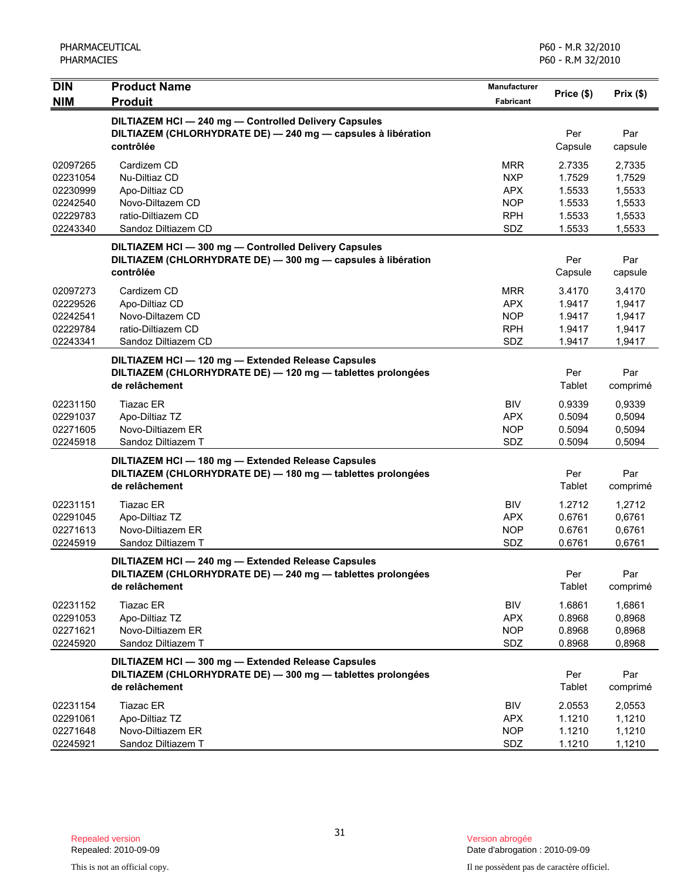| <b>DIN</b><br><b>NIM</b>                                             | <b>Product Name</b><br><b>Produit</b>                                                                                               | <b>Manufacturer</b><br>Fabricant                                          | Price (\$)                                               | Prix(\$)                                                 |
|----------------------------------------------------------------------|-------------------------------------------------------------------------------------------------------------------------------------|---------------------------------------------------------------------------|----------------------------------------------------------|----------------------------------------------------------|
|                                                                      | DILTIAZEM HCI-240 mg-Controlled Delivery Capsules<br>DILTIAZEM (CHLORHYDRATE DE) - 240 mg - capsules à libération<br>contrôlée      |                                                                           | Per<br>Capsule                                           | Par<br>capsule                                           |
| 02097265<br>02231054<br>02230999<br>02242540<br>02229783<br>02243340 | Cardizem CD<br>Nu-Diltiaz CD<br>Apo-Diltiaz CD<br>Novo-Diltazem CD<br>ratio-Diltiazem CD<br>Sandoz Diltiazem CD                     | <b>MRR</b><br><b>NXP</b><br><b>APX</b><br><b>NOP</b><br><b>RPH</b><br>SDZ | 2.7335<br>1.7529<br>1.5533<br>1.5533<br>1.5533<br>1.5533 | 2,7335<br>1,7529<br>1,5533<br>1,5533<br>1,5533<br>1,5533 |
|                                                                      | DILTIAZEM HCI - 300 mg - Controlled Delivery Capsules<br>DILTIAZEM (CHLORHYDRATE DE) - 300 mg - capsules à libération<br>contrôlée  |                                                                           | Per<br>Capsule                                           | Par<br>capsule                                           |
| 02097273<br>02229526<br>02242541<br>02229784<br>02243341             | Cardizem CD<br>Apo-Diltiaz CD<br>Novo-Diltazem CD<br>ratio-Diltiazem CD<br>Sandoz Diltiazem CD                                      | <b>MRR</b><br>APX.<br><b>NOP</b><br><b>RPH</b><br>SDZ                     | 3.4170<br>1.9417<br>1.9417<br>1.9417<br>1.9417           | 3,4170<br>1,9417<br>1,9417<br>1,9417<br>1,9417           |
|                                                                      | DILTIAZEM HCI - 120 mg - Extended Release Capsules<br>DILTIAZEM (CHLORHYDRATE DE) - 120 mg - tablettes prolongées<br>de relâchement |                                                                           | Per<br>Tablet                                            | Par<br>comprimé                                          |
| 02231150<br>02291037<br>02271605<br>02245918                         | Tiazac ER<br>Apo-Diltiaz TZ<br>Novo-Diltiazem ER<br>Sandoz Diltiazem T                                                              | <b>BIV</b><br><b>APX</b><br><b>NOP</b><br>SDZ                             | 0.9339<br>0.5094<br>0.5094<br>0.5094                     | 0,9339<br>0,5094<br>0,5094<br>0,5094                     |
|                                                                      | DILTIAZEM HCI - 180 mg - Extended Release Capsules<br>DILTIAZEM (CHLORHYDRATE DE) - 180 mg - tablettes prolongées<br>de relâchement |                                                                           | Per<br>Tablet                                            | Par<br>comprimé                                          |
| 02231151<br>02291045<br>02271613<br>02245919                         | Tiazac ER<br>Apo-Diltiaz TZ<br>Novo-Diltiazem ER<br>Sandoz Diltiazem T                                                              | <b>BIV</b><br><b>APX</b><br><b>NOP</b><br><b>SDZ</b>                      | 1.2712<br>0.6761<br>0.6761<br>0.6761                     | 1,2712<br>0,6761<br>0,6761<br>0,6761                     |
|                                                                      | DILTIAZEM HCI-240 mg-Extended Release Capsules<br>DILTIAZEM (CHLORHYDRATE DE) - 240 mg - tablettes prolongées<br>de relâchement     |                                                                           | Per<br>Tablet                                            | Par<br>comprimé                                          |
| 02231152<br>02291053<br>02271621<br>02245920                         | Tiazac ER<br>Apo-Diltiaz TZ<br>Novo-Diltiazem ER<br>Sandoz Diltiazem T                                                              | <b>BIV</b><br><b>APX</b><br><b>NOP</b><br>SDZ                             | 1.6861<br>0.8968<br>0.8968<br>0.8968                     | 1,6861<br>0,8968<br>0,8968<br>0,8968                     |
|                                                                      | DILTIAZEM HCI-300 mg-Extended Release Capsules<br>DILTIAZEM (CHLORHYDRATE DE) - 300 mg - tablettes prolongées<br>de relâchement     |                                                                           | Per<br>Tablet                                            | Par<br>comprimé                                          |
| 02231154<br>02291061<br>02271648<br>02245921                         | Tiazac ER<br>Apo-Diltiaz TZ<br>Novo-Diltiazem ER<br>Sandoz Diltiazem T                                                              | BIV<br><b>APX</b><br><b>NOP</b><br>SDZ                                    | 2.0553<br>1.1210<br>1.1210<br>1.1210                     | 2,0553<br>1,1210<br>1,1210<br>1,1210                     |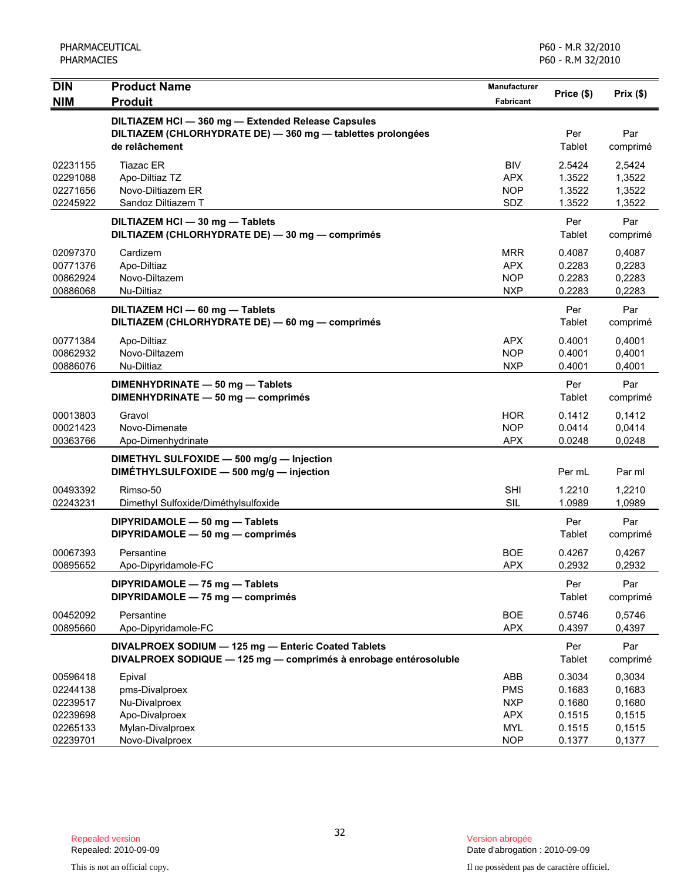| <b>DIN</b>                                                           | <b>Product Name</b>                                                                                                                 | <b>Manufacturer</b>                                                       | Price (\$)                                               | Prix(\$)                                                 |
|----------------------------------------------------------------------|-------------------------------------------------------------------------------------------------------------------------------------|---------------------------------------------------------------------------|----------------------------------------------------------|----------------------------------------------------------|
| <b>NIM</b>                                                           | <b>Produit</b>                                                                                                                      | Fabricant                                                                 |                                                          |                                                          |
|                                                                      | DILTIAZEM HCI - 360 mg - Extended Release Capsules<br>DILTIAZEM (CHLORHYDRATE DE) - 360 mg - tablettes prolongées<br>de relâchement |                                                                           | Per<br>Tablet                                            | Par<br>comprimé                                          |
| 02231155<br>02291088<br>02271656<br>02245922                         | <b>Tiazac ER</b><br>Apo-Diltiaz TZ<br>Novo-Diltiazem ER<br>Sandoz Diltiazem T                                                       | <b>BIV</b><br><b>APX</b><br><b>NOP</b><br>SDZ                             | 2.5424<br>1.3522<br>1.3522<br>1.3522                     | 2,5424<br>1,3522<br>1,3522<br>1,3522                     |
|                                                                      | DILTIAZEM HCI - 30 mg - Tablets<br>DILTIAZEM (CHLORHYDRATE DE) - 30 mg - comprimés                                                  |                                                                           | Per<br>Tablet                                            | Par<br>comprimé                                          |
| 02097370<br>00771376<br>00862924<br>00886068                         | Cardizem<br>Apo-Diltiaz<br>Novo-Diltazem<br>Nu-Diltiaz                                                                              | <b>MRR</b><br><b>APX</b><br><b>NOP</b><br><b>NXP</b>                      | 0.4087<br>0.2283<br>0.2283<br>0.2283                     | 0,4087<br>0,2283<br>0,2283<br>0,2283                     |
|                                                                      | DILTIAZEM HCI - 60 mg - Tablets<br>DILTIAZEM (CHLORHYDRATE DE) - 60 mg - comprimés                                                  |                                                                           | Per<br>Tablet                                            | Par<br>comprimé                                          |
| 00771384<br>00862932<br>00886076                                     | Apo-Diltiaz<br>Novo-Diltazem<br>Nu-Diltiaz                                                                                          | <b>APX</b><br><b>NOP</b><br><b>NXP</b>                                    | 0.4001<br>0.4001<br>0.4001                               | 0,4001<br>0,4001<br>0,4001                               |
|                                                                      | DIMENHYDRINATE - 50 mg - Tablets<br>DIMENHYDRINATE - 50 mg - comprimés                                                              |                                                                           | Per<br>Tablet                                            | Par<br>comprimé                                          |
| 00013803<br>00021423<br>00363766                                     | Gravol<br>Novo-Dimenate<br>Apo-Dimenhydrinate                                                                                       | <b>HOR</b><br><b>NOP</b><br><b>APX</b>                                    | 0.1412<br>0.0414<br>0.0248                               | 0.1412<br>0,0414<br>0,0248                               |
|                                                                      | DIMETHYL SULFOXIDE - 500 mg/g - Injection<br>DIMÉTHYLSULFOXIDE - 500 mg/g - injection                                               |                                                                           | Per mL                                                   | Par ml                                                   |
| 00493392<br>02243231                                                 | Rimso-50<br>Dimethyl Sulfoxide/Diméthylsulfoxide                                                                                    | <b>SHI</b><br>SIL                                                         | 1.2210<br>1.0989                                         | 1,2210<br>1,0989                                         |
|                                                                      | DIPYRIDAMOLE - 50 mg - Tablets<br>DIPYRIDAMOLE - 50 mg - comprimés                                                                  |                                                                           | Per<br>Tablet                                            | Par<br>comprimé                                          |
| 00067393<br>00895652                                                 | Persantine<br>Apo-Dipyridamole-FC                                                                                                   | <b>BOE</b><br><b>APX</b>                                                  | 0.4267<br>0.2932                                         | 0,4267<br>0,2932                                         |
|                                                                      | DIPYRIDAMOLE - 75 mg - Tablets<br>DIPYRIDAMOLE - 75 mg - comprimés                                                                  |                                                                           | Per<br><b>Tablet</b>                                     | Par<br>comprimé                                          |
| 00452092<br>00895660                                                 | Persantine<br>Apo-Dipyridamole-FC                                                                                                   | <b>BOE</b><br><b>APX</b>                                                  | 0.5746<br>0.4397                                         | 0,5746<br>0,4397                                         |
|                                                                      | DIVALPROEX SODIUM - 125 mg - Enteric Coated Tablets<br>DIVALPROEX SODIQUE - 125 mg - comprimés à enrobage entérosoluble             |                                                                           | Per<br>Tablet                                            | Par<br>comprimé                                          |
| 00596418<br>02244138<br>02239517<br>02239698<br>02265133<br>02239701 | Epival<br>pms-Divalproex<br>Nu-Divalproex<br>Apo-Divalproex<br>Mylan-Divalproex<br>Novo-Divalproex                                  | ABB<br><b>PMS</b><br><b>NXP</b><br><b>APX</b><br><b>MYL</b><br><b>NOP</b> | 0.3034<br>0.1683<br>0.1680<br>0.1515<br>0.1515<br>0.1377 | 0,3034<br>0,1683<br>0,1680<br>0,1515<br>0,1515<br>0,1377 |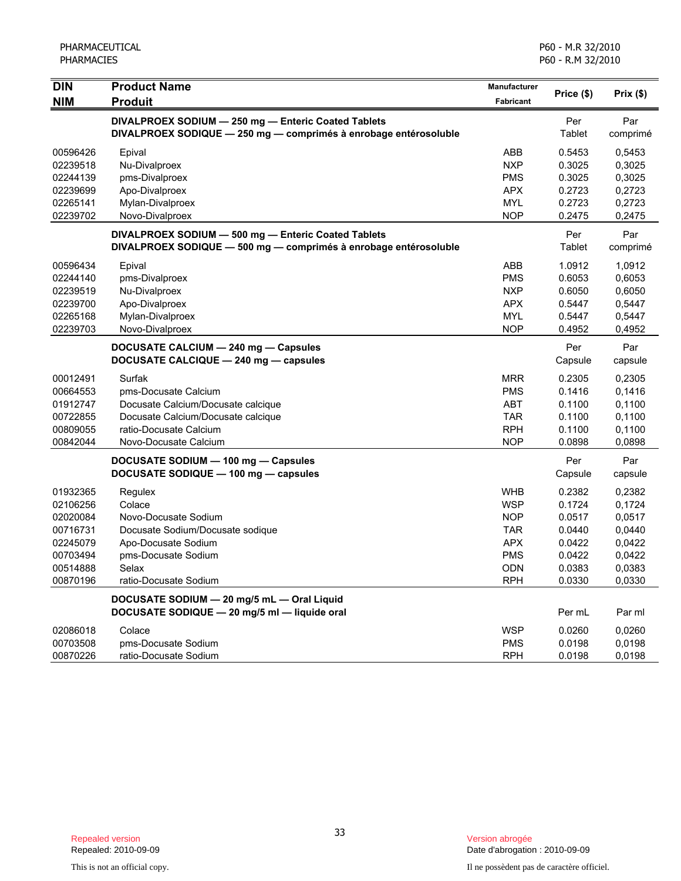| <b>DIN</b> | <b>Product Name</b>                                              | <b>Manufacturer</b> | Price (\$) | Prix(\$) |
|------------|------------------------------------------------------------------|---------------------|------------|----------|
| <b>NIM</b> | <b>Produit</b>                                                   | Fabricant           |            |          |
|            | DIVALPROEX SODIUM - 250 mg - Enteric Coated Tablets              |                     | Per        | Par      |
|            | DIVALPROEX SODIQUE - 250 mg - comprimés à enrobage entérosoluble |                     | Tablet     | comprimé |
| 00596426   | Epival                                                           | ABB                 | 0.5453     | 0,5453   |
| 02239518   | Nu-Divalproex                                                    | <b>NXP</b>          | 0.3025     | 0,3025   |
| 02244139   | pms-Divalproex                                                   | <b>PMS</b>          | 0.3025     | 0,3025   |
| 02239699   | Apo-Divalproex                                                   | <b>APX</b>          | 0.2723     | 0,2723   |
| 02265141   | Mylan-Divalproex                                                 | <b>MYL</b>          | 0.2723     | 0,2723   |
| 02239702   | Novo-Divalproex                                                  | <b>NOP</b>          | 0.2475     | 0,2475   |
|            | DIVALPROEX SODIUM - 500 mg - Enteric Coated Tablets              |                     | Per        | Par      |
|            | DIVALPROEX SODIQUE - 500 mg - comprimés à enrobage entérosoluble |                     | Tablet     | comprimé |
| 00596434   | Epival                                                           | ABB                 | 1.0912     | 1,0912   |
| 02244140   | pms-Divalproex                                                   | <b>PMS</b>          | 0.6053     | 0,6053   |
| 02239519   | Nu-Divalproex                                                    | <b>NXP</b>          | 0.6050     | 0,6050   |
| 02239700   | Apo-Divalproex                                                   | <b>APX</b>          | 0.5447     | 0,5447   |
| 02265168   | Mylan-Divalproex                                                 | <b>MYL</b>          | 0.5447     | 0,5447   |
| 02239703   | Novo-Divalproex                                                  | <b>NOP</b>          | 0.4952     | 0,4952   |
|            | DOCUSATE CALCIUM - 240 mg - Capsules                             |                     | Per        | Par      |
|            | DOCUSATE CALCIQUE - 240 mg - capsules                            |                     | Capsule    | capsule  |
| 00012491   | Surfak                                                           | <b>MRR</b>          | 0.2305     | 0,2305   |
| 00664553   | pms-Docusate Calcium                                             | <b>PMS</b>          | 0.1416     | 0,1416   |
| 01912747   | Docusate Calcium/Docusate calcique                               | <b>ABT</b>          | 0.1100     | 0,1100   |
| 00722855   | Docusate Calcium/Docusate calcique                               | <b>TAR</b>          | 0.1100     | 0,1100   |
| 00809055   | ratio-Docusate Calcium                                           | <b>RPH</b>          | 0.1100     | 0,1100   |
| 00842044   | Novo-Docusate Calcium                                            | <b>NOP</b>          | 0.0898     | 0,0898   |
|            | DOCUSATE SODIUM - 100 mg - Capsules                              |                     | Per        | Par      |
|            | DOCUSATE SODIQUE - 100 mg - capsules                             |                     | Capsule    | capsule  |
| 01932365   | Regulex                                                          | <b>WHB</b>          | 0.2382     | 0,2382   |
| 02106256   | Colace                                                           | <b>WSP</b>          | 0.1724     | 0,1724   |
| 02020084   | Novo-Docusate Sodium                                             | <b>NOP</b>          | 0.0517     | 0,0517   |
| 00716731   | Docusate Sodium/Docusate sodique                                 | <b>TAR</b>          | 0.0440     | 0,0440   |
| 02245079   | Apo-Docusate Sodium                                              | <b>APX</b>          | 0.0422     | 0,0422   |
| 00703494   | pms-Docusate Sodium                                              | <b>PMS</b>          | 0.0422     | 0,0422   |
| 00514888   | Selax                                                            | <b>ODN</b>          | 0.0383     | 0,0383   |
| 00870196   | ratio-Docusate Sodium                                            | <b>RPH</b>          | 0.0330     | 0,0330   |
|            | DOCUSATE SODIUM - 20 mg/5 mL - Oral Liquid                       |                     |            |          |
|            | DOCUSATE SODIQUE - 20 mg/5 ml - liquide oral                     |                     | Per mL     | Par ml   |
| 02086018   | Colace                                                           | <b>WSP</b>          | 0.0260     | 0,0260   |
| 00703508   | pms-Docusate Sodium                                              | <b>PMS</b>          | 0.0198     | 0,0198   |
| 00870226   | ratio-Docusate Sodium                                            | <b>RPH</b>          | 0.0198     | 0,0198   |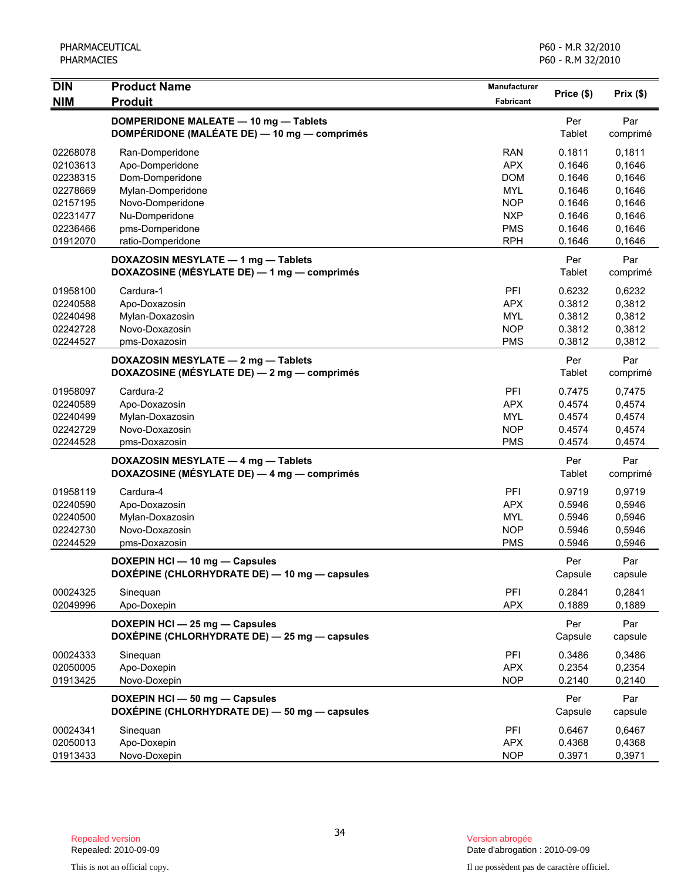| DIN                                                      | <b>Product Name</b>                                                                   | Manufacturer                                                | Price (\$)                                     | Prix(\$)                                       |
|----------------------------------------------------------|---------------------------------------------------------------------------------------|-------------------------------------------------------------|------------------------------------------------|------------------------------------------------|
| <b>NIM</b>                                               | <b>Produit</b>                                                                        | <b>Fabricant</b>                                            |                                                |                                                |
|                                                          | DOMPERIDONE MALEATE - 10 mg - Tablets<br>DOMPÉRIDONE (MALÉATE DE) - 10 mg - comprimés |                                                             | Per<br>Tablet                                  | Par<br>comprimé                                |
| 02268078<br>02103613<br>02238315                         | Ran-Domperidone<br>Apo-Domperidone<br>Dom-Domperidone                                 | <b>RAN</b><br><b>APX</b><br><b>DOM</b>                      | 0.1811<br>0.1646<br>0.1646                     | 0,1811<br>0,1646<br>0,1646                     |
| 02278669<br>02157195<br>02231477<br>02236466             | Mylan-Domperidone<br>Novo-Domperidone<br>Nu-Domperidone<br>pms-Domperidone            | <b>MYL</b><br><b>NOP</b><br><b>NXP</b><br><b>PMS</b>        | 0.1646<br>0.1646<br>0.1646<br>0.1646           | 0,1646<br>0,1646<br>0,1646<br>0,1646           |
| 01912070                                                 | ratio-Domperidone                                                                     | <b>RPH</b>                                                  | 0.1646                                         | 0,1646                                         |
|                                                          | DOXAZOSIN MESYLATE - 1 mg - Tablets<br>DOXAZOSINE (MÉSYLATE DE) - 1 mg - comprimés    |                                                             | Per<br>Tablet                                  | Par<br>comprimé                                |
| 01958100<br>02240588<br>02240498<br>02242728<br>02244527 | Cardura-1<br>Apo-Doxazosin<br>Mylan-Doxazosin<br>Novo-Doxazosin<br>pms-Doxazosin      | PFI<br><b>APX</b><br><b>MYL</b><br><b>NOP</b><br><b>PMS</b> | 0.6232<br>0.3812<br>0.3812<br>0.3812<br>0.3812 | 0,6232<br>0,3812<br>0,3812<br>0,3812<br>0,3812 |
|                                                          | DOXAZOSIN MESYLATE - 2 mg - Tablets<br>DOXAZOSINE (MÉSYLATE DE) - 2 mg - comprimés    |                                                             | Per<br>Tablet                                  | Par<br>comprimé                                |
| 01958097<br>02240589<br>02240499<br>02242729<br>02244528 | Cardura-2<br>Apo-Doxazosin<br>Mylan-Doxazosin<br>Novo-Doxazosin<br>pms-Doxazosin      | PFI<br><b>APX</b><br><b>MYL</b><br><b>NOP</b><br><b>PMS</b> | 0.7475<br>0.4574<br>0.4574<br>0.4574<br>0.4574 | 0,7475<br>0,4574<br>0,4574<br>0,4574<br>0,4574 |
|                                                          | DOXAZOSIN MESYLATE - 4 mg - Tablets<br>DOXAZOSINE (MÉSYLATE DE) — 4 mg — comprimés    |                                                             | Per<br>Tablet                                  | Par<br>comprimé                                |
| 01958119<br>02240590<br>02240500<br>02242730<br>02244529 | Cardura-4<br>Apo-Doxazosin<br>Mylan-Doxazosin<br>Novo-Doxazosin<br>pms-Doxazosin      | PFI<br><b>APX</b><br><b>MYL</b><br><b>NOP</b><br><b>PMS</b> | 0.9719<br>0.5946<br>0.5946<br>0.5946<br>0.5946 | 0,9719<br>0,5946<br>0,5946<br>0,5946<br>0,5946 |
|                                                          | DOXEPIN HCI - 10 mg - Capsules<br>DOXEPINE (CHLORHYDRATE DE) - 10 mg - capsules       |                                                             | Per<br>Capsule                                 | Par<br>capsule                                 |
| 00024325<br>02049996                                     | Sinequan<br>Apo-Doxepin                                                               | PFI<br><b>APX</b>                                           | 0.2841<br>0.1889                               | 0,2841<br>0,1889                               |
|                                                          | DOXEPIN HCI - 25 mg - Capsules<br>DOXÉPINE (CHLORHYDRATE DE) - 25 mg - capsules       |                                                             | Per<br>Capsule                                 | Par<br>capsule                                 |
| 00024333<br>02050005<br>01913425                         | Sinequan<br>Apo-Doxepin<br>Novo-Doxepin                                               | PFI<br><b>APX</b><br><b>NOP</b>                             | 0.3486<br>0.2354<br>0.2140                     | 0,3486<br>0,2354<br>0,2140                     |
|                                                          | DOXEPIN HCI - 50 mg - Capsules<br>DOXÉPINE (CHLORHYDRATE DE) - 50 mg - capsules       |                                                             | Per<br>Capsule                                 | Par<br>capsule                                 |
| 00024341<br>02050013<br>01913433                         | Sinequan<br>Apo-Doxepin<br>Novo-Doxepin                                               | PFI<br><b>APX</b><br><b>NOP</b>                             | 0.6467<br>0.4368<br>0.3971                     | 0,6467<br>0,4368<br>0,3971                     |

Date d'abrogation : 2010-09-09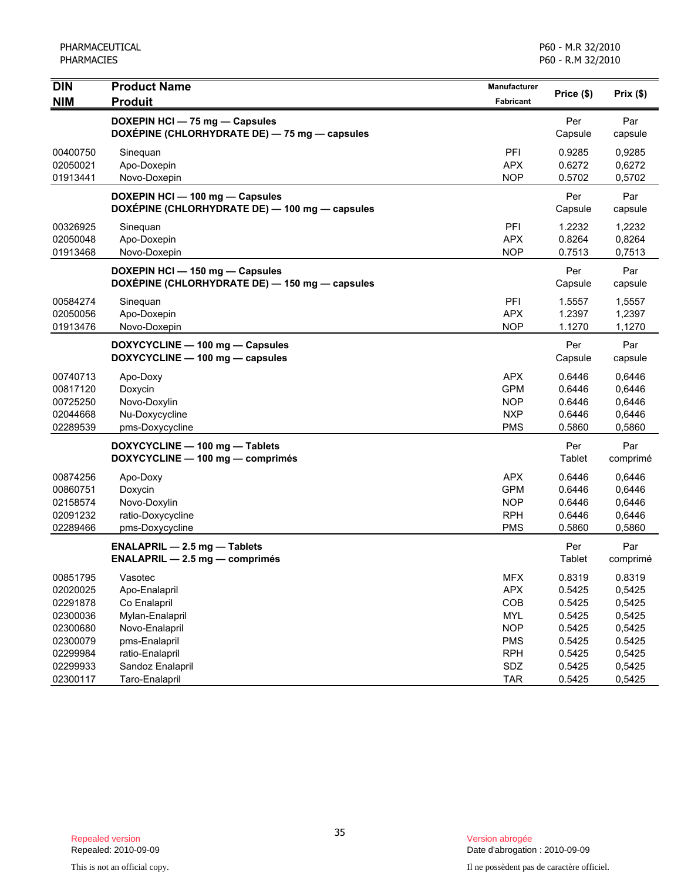| <b>DIN</b><br><b>NIM</b> | <b>Product Name</b><br><b>Produit</b>                                             | Manufacturer<br>Fabricant | Price (\$)       | Prix(\$)         |
|--------------------------|-----------------------------------------------------------------------------------|---------------------------|------------------|------------------|
|                          | DOXEPIN HCI - 75 mg - Capsules                                                    |                           | Per              | Par              |
|                          | DOXÉPINE (CHLORHYDRATE DE) - 75 mg - capsules                                     |                           | Capsule          | capsule          |
| 00400750                 | Sinequan                                                                          | PFI                       | 0.9285           | 0,9285           |
| 02050021<br>01913441     | Apo-Doxepin<br>Novo-Doxepin                                                       | <b>APX</b><br><b>NOP</b>  | 0.6272<br>0.5702 | 0,6272<br>0,5702 |
|                          | DOXEPIN HCI - 100 mg - Capsules                                                   |                           | Per              | Par              |
|                          | DOXÉPINE (CHLORHYDRATE DE) - 100 mg - capsules                                    |                           | Capsule          | capsule          |
| 00326925                 | Sinequan                                                                          | PFI                       | 1.2232           | 1,2232           |
| 02050048                 | Apo-Doxepin                                                                       | <b>APX</b>                | 0.8264           | 0,8264           |
| 01913468                 | Novo-Doxepin                                                                      | <b>NOP</b>                | 0.7513           | 0,7513           |
|                          | DOXEPIN HCI - 150 mg - Capsules<br>DOXÉPINE (CHLORHYDRATE DE) - 150 mg - capsules |                           | Per<br>Capsule   | Par<br>capsule   |
| 00584274                 | Sineguan                                                                          | PFI                       | 1.5557           | 1,5557           |
| 02050056                 | Apo-Doxepin                                                                       | <b>APX</b>                | 1.2397           | 1,2397           |
| 01913476                 | Novo-Doxepin                                                                      | <b>NOP</b>                | 1.1270           | 1,1270           |
|                          | DOXYCYCLINE - 100 mg - Capsules                                                   |                           | Per              | Par              |
|                          | DOXYCYCLINE - 100 mg - capsules                                                   |                           | Capsule          | capsule          |
| 00740713                 | Apo-Doxy                                                                          | <b>APX</b>                | 0.6446           | 0,6446           |
| 00817120                 | Doxycin                                                                           | <b>GPM</b>                | 0.6446           | 0,6446           |
| 00725250                 | Novo-Doxylin                                                                      | <b>NOP</b>                | 0.6446           | 0,6446           |
| 02044668                 | Nu-Doxycycline                                                                    | <b>NXP</b>                | 0.6446           | 0,6446           |
| 02289539                 | pms-Doxycycline                                                                   | <b>PMS</b>                | 0.5860           | 0,5860           |
|                          | DOXYCYCLINE - 100 mg - Tablets                                                    |                           | Per              | Par              |
|                          | DOXYCYCLINE - 100 mg - comprimés                                                  |                           | Tablet           | comprimé         |
| 00874256                 | Apo-Doxy                                                                          | <b>APX</b>                | 0.6446           | 0,6446           |
| 00860751<br>02158574     | Doxycin                                                                           | <b>GPM</b><br><b>NOP</b>  | 0.6446<br>0.6446 | 0,6446           |
| 02091232                 | Novo-Doxylin<br>ratio-Doxycycline                                                 | <b>RPH</b>                | 0.6446           | 0,6446<br>0,6446 |
| 02289466                 | pms-Doxycycline                                                                   | <b>PMS</b>                | 0.5860           | 0,5860           |
|                          | <b>ENALAPRIL - 2.5 mg - Tablets</b>                                               |                           | Per              | Par              |
|                          | $ENALAPRIL - 2.5 mg - comprimés$                                                  |                           | Tablet           | comprimé         |
| 00851795                 | Vasotec                                                                           | MFX                       | 0.8319           | 0.8319           |
| 02020025                 | Apo-Enalapril                                                                     | <b>APX</b>                | 0.5425           | 0,5425           |
| 02291878                 | Co Enalapril                                                                      | COB                       | 0.5425           | 0,5425           |
| 02300036                 | Mylan-Enalapril                                                                   | <b>MYL</b>                | 0.5425           | 0,5425           |
| 02300680                 | Novo-Enalapril                                                                    | <b>NOP</b>                | 0.5425           | 0,5425           |
| 02300079                 | pms-Enalapril                                                                     | <b>PMS</b>                | 0.5425           | 0.5425           |
| 02299984                 | ratio-Enalapril                                                                   | <b>RPH</b>                | 0.5425           | 0,5425           |
| 02299933<br>02300117     | Sandoz Enalapril<br>Taro-Enalapril                                                | SDZ<br><b>TAR</b>         | 0.5425<br>0.5425 | 0,5425<br>0,5425 |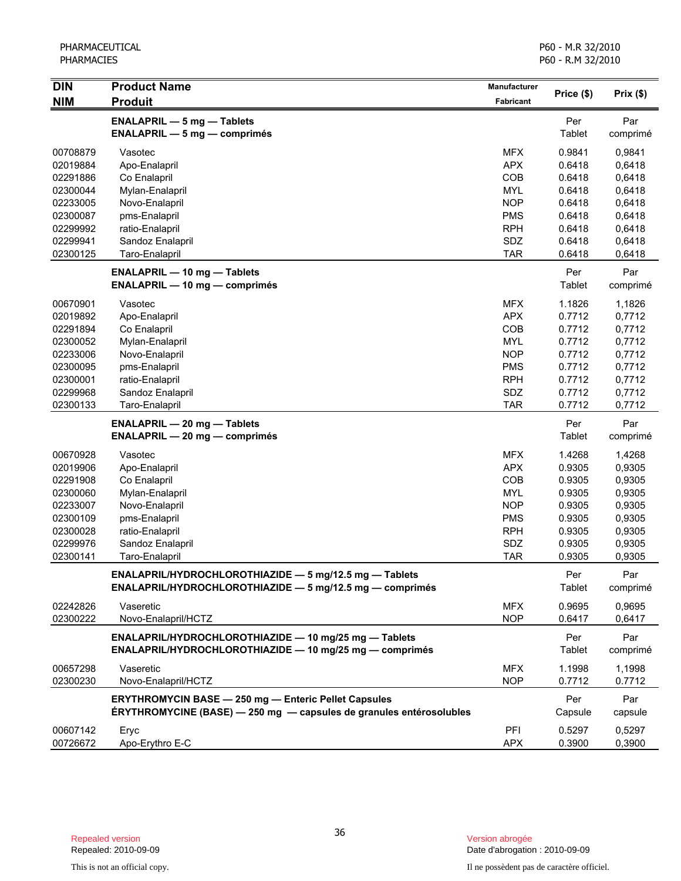| <b>DIN</b> | <b>Product Name</b>                                                 | Manufacturer | Price (\$) | Prix(\$) |
|------------|---------------------------------------------------------------------|--------------|------------|----------|
| <b>NIM</b> | <b>Produit</b>                                                      | Fabricant    |            |          |
|            | <b>ENALAPRIL - 5 mg - Tablets</b>                                   |              | Per        | Par      |
|            | $ENALAPRIL - 5 mg - comprimés$                                      |              | Tablet     | comprimé |
| 00708879   | Vasotec                                                             | <b>MFX</b>   | 0.9841     | 0,9841   |
| 02019884   | Apo-Enalapril                                                       | <b>APX</b>   | 0.6418     | 0,6418   |
| 02291886   | Co Enalapril                                                        | COB          | 0.6418     | 0,6418   |
| 02300044   | Mylan-Enalapril                                                     | <b>MYL</b>   | 0.6418     | 0,6418   |
| 02233005   | Novo-Enalapril                                                      | <b>NOP</b>   | 0.6418     | 0,6418   |
| 02300087   | pms-Enalapril                                                       | <b>PMS</b>   | 0.6418     | 0,6418   |
| 02299992   | ratio-Enalapril                                                     | <b>RPH</b>   | 0.6418     | 0,6418   |
| 02299941   | Sandoz Enalapril                                                    | SDZ          | 0.6418     | 0,6418   |
| 02300125   | Taro-Enalapril                                                      | <b>TAR</b>   | 0.6418     | 0,6418   |
|            | <b>ENALAPRIL - 10 mg - Tablets</b>                                  |              | Per        | Par      |
|            | <b>ENALAPRIL — 10 mg — comprimés</b>                                |              | Tablet     | comprimé |
| 00670901   | Vasotec                                                             | <b>MFX</b>   | 1.1826     | 1,1826   |
| 02019892   | Apo-Enalapril                                                       | <b>APX</b>   | 0.7712     | 0,7712   |
| 02291894   | Co Enalapril                                                        | COB          | 0.7712     | 0,7712   |
| 02300052   | Mylan-Enalapril                                                     | <b>MYL</b>   | 0.7712     | 0,7712   |
| 02233006   | Novo-Enalapril                                                      | <b>NOP</b>   | 0.7712     | 0,7712   |
| 02300095   | pms-Enalapril                                                       | <b>PMS</b>   | 0.7712     | 0,7712   |
| 02300001   | ratio-Enalapril                                                     | <b>RPH</b>   | 0.7712     | 0,7712   |
| 02299968   | Sandoz Enalapril                                                    | SDZ          | 0.7712     | 0,7712   |
| 02300133   | Taro-Enalapril                                                      | <b>TAR</b>   | 0.7712     | 0,7712   |
|            | <b>ENALAPRIL - 20 mg - Tablets</b>                                  |              | Per        | Par      |
|            | <b>ENALAPRIL - 20 mg - comprimés</b>                                |              | Tablet     | comprimé |
| 00670928   | Vasotec                                                             | <b>MFX</b>   | 1.4268     | 1,4268   |
| 02019906   | Apo-Enalapril                                                       | <b>APX</b>   | 0.9305     | 0,9305   |
| 02291908   | Co Enalapril                                                        | COB          | 0.9305     | 0,9305   |
| 02300060   | Mylan-Enalapril                                                     | <b>MYL</b>   | 0.9305     | 0,9305   |
| 02233007   | Novo-Enalapril                                                      | <b>NOP</b>   | 0.9305     | 0,9305   |
| 02300109   | pms-Enalapril                                                       | <b>PMS</b>   | 0.9305     | 0,9305   |
| 02300028   | ratio-Enalapril                                                     | <b>RPH</b>   | 0.9305     | 0,9305   |
| 02299976   | Sandoz Enalapril                                                    | SDZ          | 0.9305     | 0,9305   |
| 02300141   | Taro-Enalapril                                                      | <b>TAR</b>   | 0.9305     | 0,9305   |
|            | ENALAPRIL/HYDROCHLOROTHIAZIDE - 5 mg/12.5 mg - Tablets              |              | Per        | Par      |
|            | ENALAPRIL/HYDROCHLOROTHIAZIDE - 5 mg/12.5 mg - comprimés            |              | Tablet     | comprimé |
| 02242826   | Vaseretic                                                           | <b>MFX</b>   | 0.9695     | 0,9695   |
| 02300222   | Novo-Enalapril/HCTZ                                                 | <b>NOP</b>   | 0.6417     | 0,6417   |
|            |                                                                     |              |            |          |
|            | ENALAPRIL/HYDROCHLOROTHIAZIDE - 10 mg/25 mg - Tablets               |              | Per        | Par      |
|            | ENALAPRIL/HYDROCHLOROTHIAZIDE - 10 mg/25 mg - comprimés             |              | Tablet     | comprimé |
| 00657298   | Vaseretic                                                           | <b>MFX</b>   | 1.1998     | 1,1998   |
| 02300230   | Novo-Enalapril/HCTZ                                                 | <b>NOP</b>   | 0.7712     | 0.7712   |
|            | <b>ERYTHROMYCIN BASE - 250 mg - Enteric Pellet Capsules</b>         |              | Per        | Par      |
|            | ÉRYTHROMYCINE (BASE) — 250 mg — capsules de granules entérosolubles |              | Capsule    | capsule  |
| 00607142   | Eryc                                                                | PFI          | 0.5297     | 0,5297   |
| 00726672   | Apo-Erythro E-C                                                     | <b>APX</b>   | 0.3900     | 0,3900   |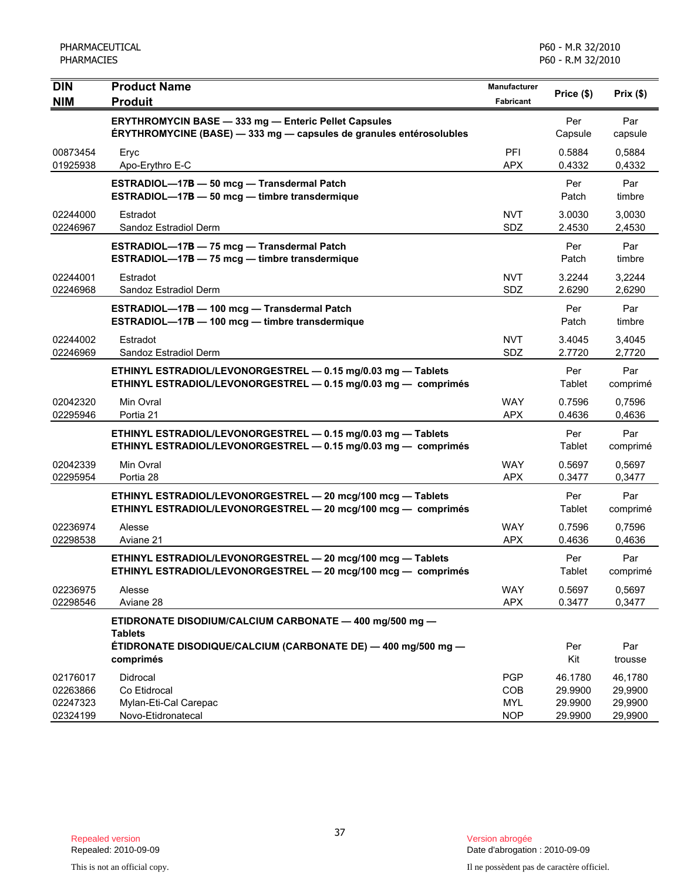| <b>DIN</b><br><b>NIM</b>                     | <b>Product Name</b><br><b>Produit</b>                                                                                                                   | Manufacturer<br>Fabricant                     | Price (\$)                               | Prix(\$)                                 |
|----------------------------------------------|---------------------------------------------------------------------------------------------------------------------------------------------------------|-----------------------------------------------|------------------------------------------|------------------------------------------|
|                                              | <b>ERYTHROMYCIN BASE - 333 mg - Enteric Pellet Capsules</b><br>ÉRYTHROMYCINE (BASE) - 333 mg - capsules de granules entérosolubles                      |                                               | Per<br>Capsule                           | Par<br>capsule                           |
| 00873454<br>01925938                         | Eryc<br>Apo-Erythro E-C                                                                                                                                 | PFI<br><b>APX</b>                             | 0.5884<br>0.4332                         | 0,5884<br>0,4332                         |
|                                              | ESTRADIOL-17B - 50 mcg - Transdermal Patch<br>ESTRADIOL-17B - 50 mcg - timbre transdermique                                                             |                                               | Per<br>Patch                             | Par<br>timbre                            |
| 02244000<br>02246967                         | Estradot<br>Sandoz Estradiol Derm                                                                                                                       | <b>NVT</b><br><b>SDZ</b>                      | 3.0030<br>2.4530                         | 3,0030<br>2,4530                         |
|                                              | ESTRADIOL-17B - 75 mcg - Transdermal Patch<br>ESTRADIOL-17B - 75 mcg - timbre transdermique                                                             |                                               | Per<br>Patch                             | Par<br>timbre                            |
| 02244001<br>02246968                         | Estradot<br>Sandoz Estradiol Derm                                                                                                                       | <b>NVT</b><br>SDZ                             | 3.2244<br>2.6290                         | 3,2244<br>2,6290                         |
|                                              | ESTRADIOL-17B - 100 mcg - Transdermal Patch<br>ESTRADIOL-17B - 100 mcg - timbre transdermique                                                           |                                               | Per<br>Patch                             | Par<br>timbre                            |
| 02244002<br>02246969                         | Estradot<br>Sandoz Estradiol Derm                                                                                                                       | <b>NVT</b><br><b>SDZ</b>                      | 3.4045<br>2.7720                         | 3,4045<br>2,7720                         |
|                                              | ETHINYL ESTRADIOL/LEVONORGESTREL - 0.15 mg/0.03 mg - Tablets<br>ETHINYL ESTRADIOL/LEVONORGESTREL - 0.15 mg/0.03 mg - comprimés                          |                                               | Per<br>Tablet                            | Par<br>comprimé                          |
| 02042320<br>02295946                         | Min Ovral<br>Portia 21                                                                                                                                  | <b>WAY</b><br><b>APX</b>                      | 0.7596<br>0.4636                         | 0,7596<br>0,4636                         |
|                                              | ETHINYL ESTRADIOL/LEVONORGESTREL - 0.15 mg/0.03 mg - Tablets<br>ETHINYL ESTRADIOL/LEVONORGESTREL - 0.15 mg/0.03 mg - comprimés                          |                                               | Per<br>Tablet                            | Par<br>comprimé                          |
| 02042339<br>02295954                         | Min Ovral<br>Portia 28                                                                                                                                  | <b>WAY</b><br><b>APX</b>                      | 0.5697<br>0.3477                         | 0,5697<br>0,3477                         |
|                                              | ETHINYL ESTRADIOL/LEVONORGESTREL - 20 mcg/100 mcg - Tablets<br>ETHINYL ESTRADIOL/LEVONORGESTREL - 20 mcg/100 mcg - comprimés                            |                                               | Per<br>Tablet                            | Par<br>comprimé                          |
| 02236974<br>02298538                         | Alesse<br>Aviane 21                                                                                                                                     | <b>WAY</b><br><b>APX</b>                      | 0.7596<br>0.4636                         | 0,7596<br>0,4636                         |
|                                              | ETHINYL ESTRADIOL/LEVONORGESTREL - 20 mcg/100 mcg - Tablets<br>ETHINYL ESTRADIOL/LEVONORGESTREL - 20 mcg/100 mcg - comprimés                            |                                               | Per<br>Tablet                            | Par<br>comprimé                          |
| 02236975<br>02298546                         | Alesse<br>Aviane 28                                                                                                                                     | <b>WAY</b><br><b>APX</b>                      | 0.5697<br>0.3477                         | 0,5697<br>0,3477                         |
|                                              | ETIDRONATE DISODIUM/CALCIUM CARBONATE - 400 mg/500 mg -<br><b>Tablets</b><br>ÉTIDRONATE DISODIQUE/CALCIUM (CARBONATE DE) — 400 mg/500 mg —<br>comprimés |                                               | Per<br>Kit                               | Par<br>trousse                           |
| 02176017<br>02263866<br>02247323<br>02324199 | Didrocal<br>Co Etidrocal<br>Mylan-Eti-Cal Carepac<br>Novo-Etidronatecal                                                                                 | <b>PGP</b><br>COB<br><b>MYL</b><br><b>NOP</b> | 46.1780<br>29.9900<br>29.9900<br>29.9900 | 46,1780<br>29,9900<br>29,9900<br>29,9900 |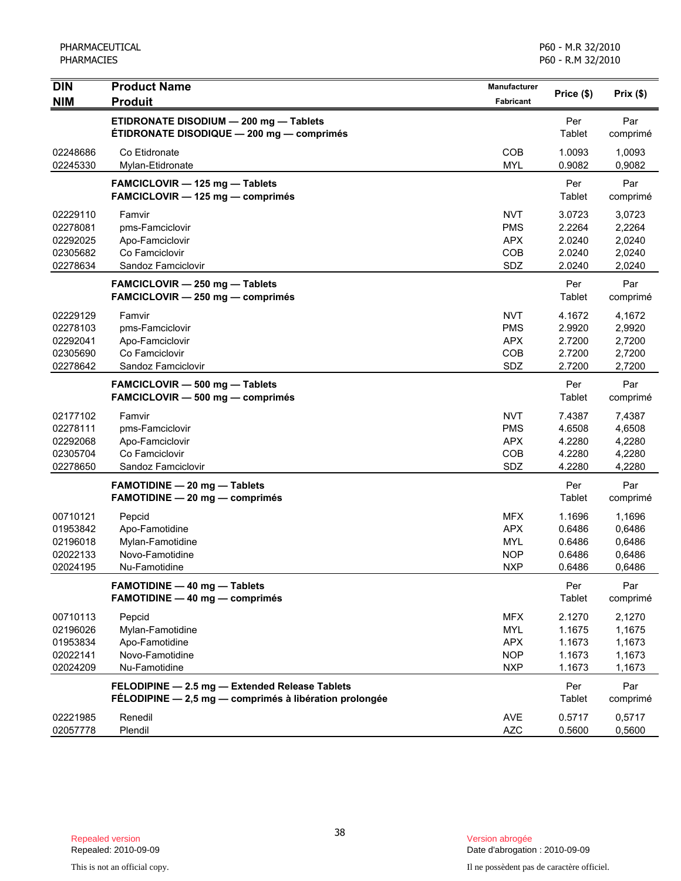| <b>DIN</b>                                               | <b>Product Name</b>                                                                                      | <b>Manufacturer</b>                                                | Price (\$)                                     | Prix(\$)                                       |
|----------------------------------------------------------|----------------------------------------------------------------------------------------------------------|--------------------------------------------------------------------|------------------------------------------------|------------------------------------------------|
| <b>NIM</b>                                               | <b>Produit</b>                                                                                           | <b>Fabricant</b>                                                   |                                                |                                                |
|                                                          | ETIDRONATE DISODIUM - 200 mg - Tablets<br><b>ÉTIDRONATE DISODIQUE — 200 mg — comprimés</b>               |                                                                    | Per<br>Tablet                                  | Par<br>comprimé                                |
| 02248686<br>02245330                                     | Co Etidronate<br>Mylan-Etidronate                                                                        | COB<br><b>MYL</b>                                                  | 1.0093<br>0.9082                               | 1,0093<br>0,9082                               |
|                                                          | FAMCICLOVIR - 125 mg - Tablets<br>FAMCICLOVIR - 125 mg - comprimés                                       |                                                                    | Per<br>Tablet                                  | Par<br>comprimé                                |
| 02229110<br>02278081<br>02292025<br>02305682<br>02278634 | Famvir<br>pms-Famciclovir<br>Apo-Famciclovir<br>Co Famciclovir<br>Sandoz Famciclovir                     | <b>NVT</b><br><b>PMS</b><br><b>APX</b><br>COB<br>SDZ               | 3.0723<br>2.2264<br>2.0240<br>2.0240<br>2.0240 | 3,0723<br>2,2264<br>2,0240<br>2,0240<br>2,0240 |
|                                                          | FAMCICLOVIR - 250 mg - Tablets<br>FAMCICLOVIR - 250 mg - comprimés                                       |                                                                    | Per<br>Tablet                                  | Par<br>comprimé                                |
| 02229129<br>02278103<br>02292041<br>02305690<br>02278642 | Famvir<br>pms-Famciclovir<br>Apo-Famciclovir<br>Co Famciclovir<br>Sandoz Famciclovir                     | <b>NVT</b><br><b>PMS</b><br><b>APX</b><br><b>COB</b><br>SDZ        | 4.1672<br>2.9920<br>2.7200<br>2.7200<br>2.7200 | 4,1672<br>2,9920<br>2,7200<br>2,7200<br>2,7200 |
|                                                          | FAMCICLOVIR - 500 mg - Tablets<br>FAMCICLOVIR - 500 mg - comprimés                                       |                                                                    | Per<br>Tablet                                  | Par<br>comprimé                                |
| 02177102<br>02278111<br>02292068<br>02305704<br>02278650 | Famvir<br>pms-Famciclovir<br>Apo-Famciclovir<br>Co Famciclovir<br>Sandoz Famciclovir                     | <b>NVT</b><br><b>PMS</b><br><b>APX</b><br>COB<br>SDZ               | 7.4387<br>4.6508<br>4.2280<br>4.2280<br>4.2280 | 7,4387<br>4,6508<br>4,2280<br>4,2280<br>4,2280 |
|                                                          | <b>FAMOTIDINE - 20 mg - Tablets</b><br>FAMOTIDINE - 20 mg - comprimés                                    |                                                                    | Per<br><b>Tablet</b>                           | Par<br>comprimé                                |
| 00710121<br>01953842<br>02196018<br>02022133<br>02024195 | Pepcid<br>Apo-Famotidine<br>Mylan-Famotidine<br>Novo-Famotidine<br>Nu-Famotidine                         | <b>MFX</b><br><b>APX</b><br><b>MYL</b><br><b>NOP</b><br><b>NXP</b> | 1.1696<br>0.6486<br>0.6486<br>0.6486<br>0.6486 | 1,1696<br>0,6486<br>0,6486<br>0,6486<br>0,6486 |
|                                                          | <b>FAMOTIDINE - 40 mg - Tablets</b><br>FAMOTIDINE - 40 mg - comprimés                                    |                                                                    | Per<br>Tablet                                  | Par<br>comprimé                                |
| 00710113<br>02196026<br>01953834<br>02022141<br>02024209 | Pepcid<br>Mylan-Famotidine<br>Apo-Famotidine<br>Novo-Famotidine<br>Nu-Famotidine                         | <b>MFX</b><br><b>MYL</b><br><b>APX</b><br><b>NOP</b><br><b>NXP</b> | 2.1270<br>1.1675<br>1.1673<br>1.1673<br>1.1673 | 2,1270<br>1,1675<br>1,1673<br>1,1673<br>1,1673 |
|                                                          | FELODIPINE - 2.5 mg - Extended Release Tablets<br>FÉLODIPINE - 2,5 mg - comprimés à libération prolongée |                                                                    | Per<br>Tablet                                  | Par<br>comprimé                                |
| 02221985<br>02057778                                     | Renedil<br>Plendil                                                                                       | <b>AVE</b><br><b>AZC</b>                                           | 0.5717<br>0.5600                               | 0,5717<br>0,5600                               |

Date d'abrogation : 2010-09-09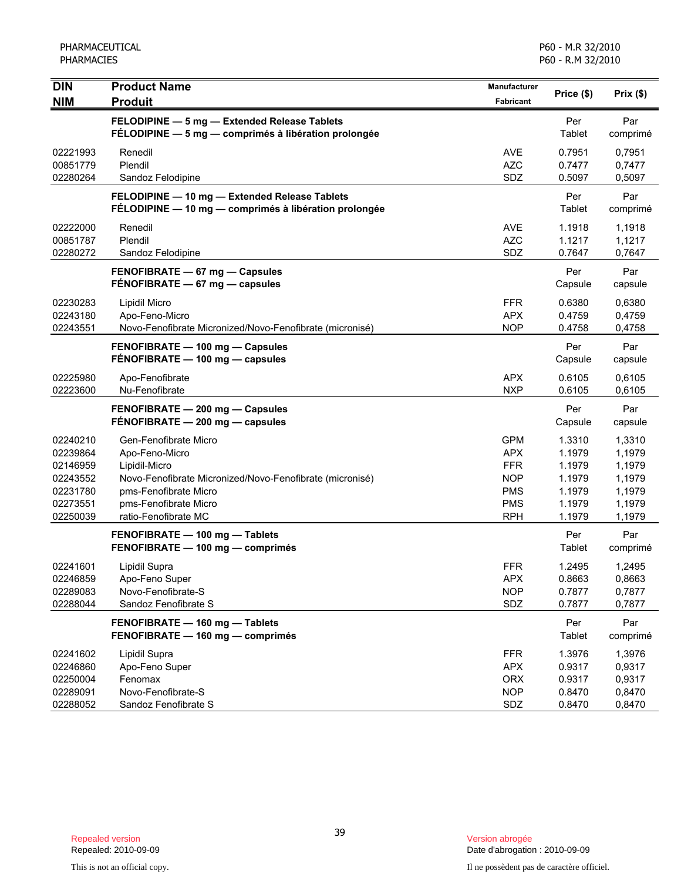| <b>DIN</b><br><b>NIM</b>                                                         | <b>Product Name</b><br><b>Produit</b>                                                                                                                                                          | Manufacturer<br>Fabricant                                                                      | Price (\$)                                                         | Prix(\$)                                                           |
|----------------------------------------------------------------------------------|------------------------------------------------------------------------------------------------------------------------------------------------------------------------------------------------|------------------------------------------------------------------------------------------------|--------------------------------------------------------------------|--------------------------------------------------------------------|
|                                                                                  | FELODIPINE - 5 mg - Extended Release Tablets<br>FÉLODIPINE - 5 mg - comprimés à libération prolongée                                                                                           |                                                                                                | Per<br>Tablet                                                      | Par<br>comprimé                                                    |
| 02221993<br>00851779<br>02280264                                                 | Renedil<br>Plendil<br>Sandoz Felodipine                                                                                                                                                        | AVE<br><b>AZC</b><br>SDZ                                                                       | 0.7951<br>0.7477<br>0.5097                                         | 0.7951<br>0,7477<br>0,5097                                         |
|                                                                                  | FELODIPINE - 10 mg - Extended Release Tablets<br>FÉLODIPINE - 10 mg - comprimés à libération prolongée                                                                                         |                                                                                                | Per<br>Tablet                                                      | Par<br>comprimé                                                    |
| 02222000<br>00851787<br>02280272                                                 | Renedil<br>Plendil<br>Sandoz Felodipine                                                                                                                                                        | <b>AVE</b><br><b>AZC</b><br>SDZ                                                                | 1.1918<br>1.1217<br>0.7647                                         | 1,1918<br>1,1217<br>0,7647                                         |
|                                                                                  | FENOFIBRATE - 67 mg - Capsules<br>$FÉNOFIBRATE - 67 mg - capsules$                                                                                                                             |                                                                                                | Per<br>Capsule                                                     | Par<br>capsule                                                     |
| 02230283<br>02243180<br>02243551                                                 | Lipidil Micro<br>Apo-Feno-Micro<br>Novo-Fenofibrate Micronized/Novo-Fenofibrate (micronisé)                                                                                                    | FFR.<br><b>APX</b><br><b>NOP</b>                                                               | 0.6380<br>0.4759<br>0.4758                                         | 0,6380<br>0,4759<br>0,4758                                         |
|                                                                                  | FENOFIBRATE - 100 mg - Capsules<br>FÉNOFIBRATE - 100 mg - capsules                                                                                                                             |                                                                                                | Per<br>Capsule                                                     | Par<br>capsule                                                     |
| 02225980<br>02223600                                                             | Apo-Fenofibrate<br>Nu-Fenofibrate                                                                                                                                                              | APX<br><b>NXP</b>                                                                              | 0.6105<br>0.6105                                                   | 0,6105<br>0,6105                                                   |
|                                                                                  | FENOFIBRATE - 200 mg - Capsules<br>FÉNOFIBRATE - 200 mg - capsules                                                                                                                             |                                                                                                | Per<br>Capsule                                                     | Par<br>capsule                                                     |
| 02240210<br>02239864<br>02146959<br>02243552<br>02231780<br>02273551<br>02250039 | Gen-Fenofibrate Micro<br>Apo-Feno-Micro<br>Lipidil-Micro<br>Novo-Fenofibrate Micronized/Novo-Fenofibrate (micronisé)<br>pms-Fenofibrate Micro<br>pms-Fenofibrate Micro<br>ratio-Fenofibrate MC | <b>GPM</b><br><b>APX</b><br><b>FFR</b><br><b>NOP</b><br><b>PMS</b><br><b>PMS</b><br><b>RPH</b> | 1.3310<br>1.1979<br>1.1979<br>1.1979<br>1.1979<br>1.1979<br>1.1979 | 1,3310<br>1,1979<br>1,1979<br>1,1979<br>1,1979<br>1,1979<br>1,1979 |
|                                                                                  | FENOFIBRATE - 100 mg - Tablets<br>FENOFIBRATE - 100 mg - comprimés                                                                                                                             |                                                                                                | Per<br>Tablet                                                      | Par<br>comprimé                                                    |
| 02241601<br>02246859<br>02289083<br>02288044                                     | Lipidil Supra<br>Apo-Feno Super<br>Novo-Fenofibrate-S<br>Sandoz Fenofibrate S                                                                                                                  | <b>FFR</b><br><b>APX</b><br><b>NOP</b><br>SDZ                                                  | 1.2495<br>0.8663<br>0.7877<br>0.7877                               | 1,2495<br>0,8663<br>0,7877<br>0,7877                               |
|                                                                                  | FENOFIBRATE - 160 mg - Tablets<br>FENOFIBRATE - 160 mg - comprimés                                                                                                                             |                                                                                                | Per<br>Tablet                                                      | Par<br>comprimé                                                    |
| 02241602<br>02246860<br>02250004<br>02289091<br>02288052                         | Lipidil Supra<br>Apo-Feno Super<br>Fenomax<br>Novo-Fenofibrate-S<br>Sandoz Fenofibrate S                                                                                                       | <b>FFR</b><br><b>APX</b><br><b>ORX</b><br><b>NOP</b><br>SDZ                                    | 1.3976<br>0.9317<br>0.9317<br>0.8470<br>0.8470                     | 1,3976<br>0,9317<br>0,9317<br>0,8470<br>0,8470                     |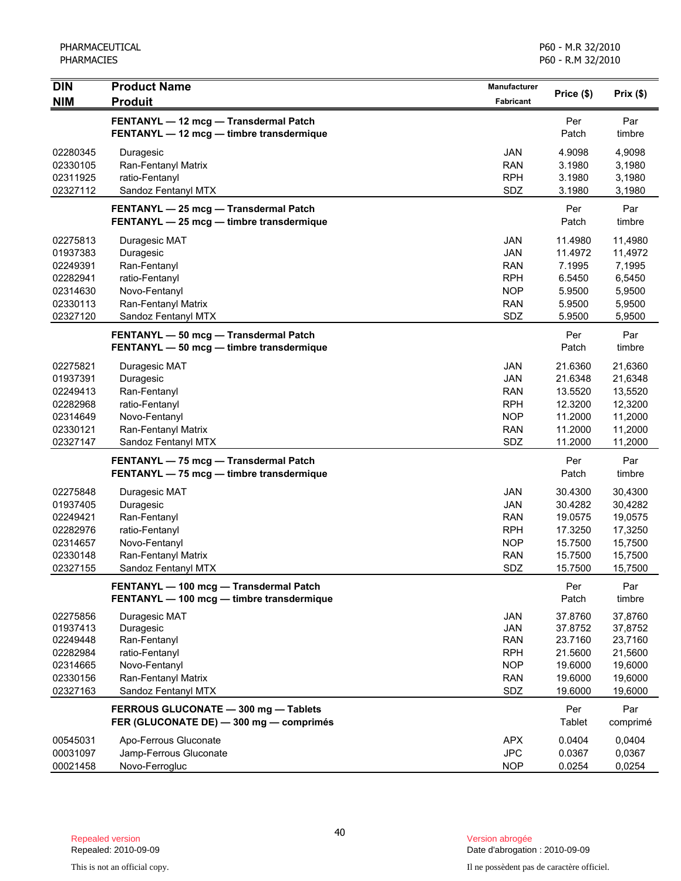| <b>DIN</b>                                                                       | <b>Product Name</b>                                                                                                         | Manufacturer                                                                     |                                                                           | Prix(\$)                                                                  |
|----------------------------------------------------------------------------------|-----------------------------------------------------------------------------------------------------------------------------|----------------------------------------------------------------------------------|---------------------------------------------------------------------------|---------------------------------------------------------------------------|
| <b>NIM</b>                                                                       | <b>Produit</b>                                                                                                              | <b>Fabricant</b>                                                                 | Price (\$)                                                                |                                                                           |
|                                                                                  | FENTANYL - 12 mcg - Transdermal Patch<br>FENTANYL - 12 mcg - timbre transdermique                                           |                                                                                  | Per<br>Patch                                                              | Par<br>timbre                                                             |
| 02280345<br>02330105<br>02311925<br>02327112                                     | Duragesic<br>Ran-Fentanyl Matrix<br>ratio-Fentanyl<br>Sandoz Fentanyl MTX                                                   | <b>JAN</b><br><b>RAN</b><br><b>RPH</b><br>SDZ                                    | 4.9098<br>3.1980<br>3.1980<br>3.1980                                      | 4,9098<br>3,1980<br>3,1980<br>3,1980                                      |
|                                                                                  | FENTANYL - 25 mcg - Transdermal Patch<br>FENTANYL - 25 mcg - timbre transdermique                                           |                                                                                  | Per<br>Patch                                                              | Par<br>timbre                                                             |
| 02275813<br>01937383<br>02249391<br>02282941<br>02314630<br>02330113<br>02327120 | Duragesic MAT<br>Duragesic<br>Ran-Fentanyl<br>ratio-Fentanyl<br>Novo-Fentanyl<br>Ran-Fentanyl Matrix<br>Sandoz Fentanyl MTX | JAN<br>JAN<br><b>RAN</b><br><b>RPH</b><br><b>NOP</b><br><b>RAN</b><br>SDZ        | 11.4980<br>11.4972<br>7.1995<br>6.5450<br>5.9500<br>5.9500<br>5.9500      | 11,4980<br>11,4972<br>7,1995<br>6,5450<br>5,9500<br>5,9500<br>5,9500      |
|                                                                                  | FENTANYL - 50 mcg - Transdermal Patch<br>FENTANYL - 50 mcg - timbre transdermique                                           |                                                                                  | Per<br>Patch                                                              | Par<br>timbre                                                             |
| 02275821<br>01937391<br>02249413<br>02282968<br>02314649<br>02330121<br>02327147 | Duragesic MAT<br>Duragesic<br>Ran-Fentanyl<br>ratio-Fentanyl<br>Novo-Fentanyl<br>Ran-Fentanyl Matrix<br>Sandoz Fentanyl MTX | <b>JAN</b><br>JAN<br><b>RAN</b><br><b>RPH</b><br><b>NOP</b><br><b>RAN</b><br>SDZ | 21.6360<br>21.6348<br>13.5520<br>12.3200<br>11.2000<br>11.2000<br>11.2000 | 21,6360<br>21,6348<br>13,5520<br>12,3200<br>11,2000<br>11,2000<br>11,2000 |
|                                                                                  | FENTANYL - 75 mcg - Transdermal Patch<br>FENTANYL - 75 mcg - timbre transdermique                                           |                                                                                  | Per<br>Patch                                                              | Par<br>timbre                                                             |
| 02275848<br>01937405<br>02249421<br>02282976<br>02314657<br>02330148<br>02327155 | Duragesic MAT<br>Duragesic<br>Ran-Fentanyl<br>ratio-Fentanyl<br>Novo-Fentanyl<br>Ran-Fentanyl Matrix<br>Sandoz Fentanyl MTX | JAN<br><b>JAN</b><br><b>RAN</b><br><b>RPH</b><br><b>NOP</b><br><b>RAN</b><br>SDZ | 30.4300<br>30.4282<br>19.0575<br>17.3250<br>15.7500<br>15.7500<br>15.7500 | 30,4300<br>30,4282<br>19,0575<br>17,3250<br>15,7500<br>15,7500<br>15,7500 |
|                                                                                  | FENTANYL - 100 mcg - Transdermal Patch<br>FENTANYL - 100 mcg - timbre transdermique                                         |                                                                                  | Per<br>Patch                                                              | Par<br>timbre                                                             |
| 02275856<br>01937413<br>02249448<br>02282984<br>02314665<br>02330156<br>02327163 | Duragesic MAT<br>Duragesic<br>Ran-Fentanyl<br>ratio-Fentanyl<br>Novo-Fentanyl<br>Ran-Fentanyl Matrix<br>Sandoz Fentanyl MTX | JAN<br><b>JAN</b><br><b>RAN</b><br><b>RPH</b><br><b>NOP</b><br><b>RAN</b><br>SDZ | 37.8760<br>37.8752<br>23.7160<br>21.5600<br>19.6000<br>19.6000<br>19.6000 | 37,8760<br>37,8752<br>23,7160<br>21,5600<br>19,6000<br>19,6000<br>19,6000 |
|                                                                                  | FERROUS GLUCONATE - 300 mg - Tablets<br>FER (GLUCONATE DE) - 300 mg - comprimés                                             |                                                                                  | Per<br>Tablet                                                             | Par<br>comprimé                                                           |
| 00545031<br>00031097<br>00021458                                                 | Apo-Ferrous Gluconate<br>Jamp-Ferrous Gluconate<br>Novo-Ferrogluc                                                           | <b>APX</b><br><b>JPC</b><br><b>NOP</b>                                           | 0.0404<br>0.0367<br>0.0254                                                | 0,0404<br>0,0367<br>0,0254                                                |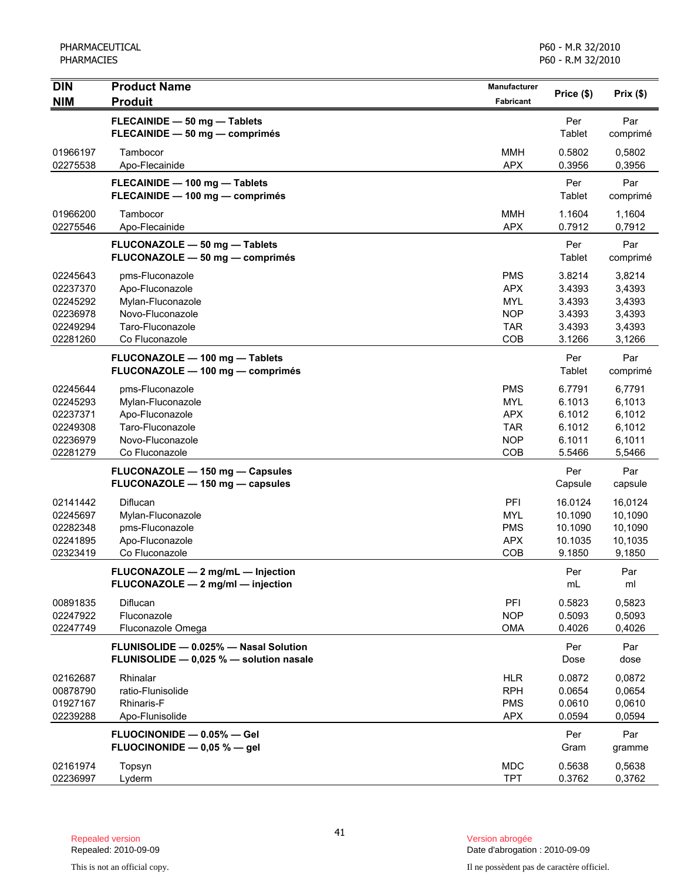| <b>DIN</b>                                                           | <b>Product Name</b>                                                                                               | <b>Manufacturer</b>                                                       | Price (\$)                                               | Prix(\$)                                                 |
|----------------------------------------------------------------------|-------------------------------------------------------------------------------------------------------------------|---------------------------------------------------------------------------|----------------------------------------------------------|----------------------------------------------------------|
| <b>NIM</b>                                                           | <b>Produit</b>                                                                                                    | Fabricant                                                                 |                                                          |                                                          |
|                                                                      | FLECAINIDE - 50 mg - Tablets<br>FLECAINIDE - 50 mg - comprimés                                                    |                                                                           | Per<br>Tablet                                            | Par<br>comprimé                                          |
| 01966197<br>02275538                                                 | Tambocor<br>Apo-Flecainide                                                                                        | <b>MMH</b><br><b>APX</b>                                                  | 0.5802<br>0.3956                                         | 0,5802<br>0,3956                                         |
|                                                                      | FLECAINIDE - 100 mg - Tablets<br>FLECAINIDE - 100 mg - comprimés                                                  |                                                                           | Per<br>Tablet                                            | Par<br>comprimé                                          |
| 01966200<br>02275546                                                 | Tambocor<br>Apo-Flecainide                                                                                        | <b>MMH</b><br><b>APX</b>                                                  | 1.1604<br>0.7912                                         | 1,1604<br>0,7912                                         |
|                                                                      | FLUCONAZOLE - 50 mg - Tablets<br>FLUCONAZOLE - 50 mg - comprimés                                                  |                                                                           | Per<br>Tablet                                            | Par<br>comprimé                                          |
| 02245643<br>02237370<br>02245292<br>02236978<br>02249294<br>02281260 | pms-Fluconazole<br>Apo-Fluconazole<br>Mylan-Fluconazole<br>Novo-Fluconazole<br>Taro-Fluconazole<br>Co Fluconazole | <b>PMS</b><br><b>APX</b><br><b>MYL</b><br><b>NOP</b><br><b>TAR</b><br>COB | 3.8214<br>3.4393<br>3.4393<br>3.4393<br>3.4393<br>3.1266 | 3,8214<br>3,4393<br>3,4393<br>3,4393<br>3,4393<br>3,1266 |
|                                                                      | FLUCONAZOLE - 100 mg - Tablets<br>FLUCONAZOLE - 100 mg - comprimés                                                |                                                                           | Per<br>Tablet                                            | Par<br>comprimé                                          |
| 02245644<br>02245293<br>02237371<br>02249308<br>02236979<br>02281279 | pms-Fluconazole<br>Mylan-Fluconazole<br>Apo-Fluconazole<br>Taro-Fluconazole<br>Novo-Fluconazole<br>Co Fluconazole | <b>PMS</b><br><b>MYL</b><br><b>APX</b><br><b>TAR</b><br><b>NOP</b><br>COB | 6.7791<br>6.1013<br>6.1012<br>6.1012<br>6.1011<br>5.5466 | 6,7791<br>6,1013<br>6,1012<br>6,1012<br>6,1011<br>5,5466 |
|                                                                      | FLUCONAZOLE - 150 mg - Capsules<br>FLUCONAZOLE - 150 mg - capsules                                                |                                                                           | Per<br>Capsule                                           | Par<br>capsule                                           |
| 02141442<br>02245697<br>02282348<br>02241895<br>02323419             | Diflucan<br>Mylan-Fluconazole<br>pms-Fluconazole<br>Apo-Fluconazole<br>Co Fluconazole                             | PFI<br><b>MYL</b><br><b>PMS</b><br><b>APX</b><br>COB                      | 16.0124<br>10.1090<br>10.1090<br>10.1035<br>9.1850       | 16,0124<br>10,1090<br>10,1090<br>10,1035<br>9,1850       |
|                                                                      | FLUCONAZOLE - 2 mg/mL - Injection<br>FLUCONAZOLE - 2 mg/ml - injection                                            |                                                                           | Per<br>mL                                                | Par<br>ml                                                |
| 00891835<br>02247922<br>02247749                                     | Diflucan<br>Fluconazole<br>Fluconazole Omega                                                                      | PFI<br><b>NOP</b><br>OMA                                                  | 0.5823<br>0.5093<br>0.4026                               | 0,5823<br>0,5093<br>0,4026                               |
|                                                                      | FLUNISOLIDE - 0.025% - Nasal Solution<br>FLUNISOLIDE - 0,025 % - solution nasale                                  |                                                                           | Per<br>Dose                                              | Par<br>dose                                              |
| 02162687<br>00878790<br>01927167<br>02239288                         | Rhinalar<br>ratio-Flunisolide<br>Rhinaris-F<br>Apo-Flunisolide                                                    | <b>HLR</b><br><b>RPH</b><br><b>PMS</b><br><b>APX</b>                      | 0.0872<br>0.0654<br>0.0610<br>0.0594                     | 0,0872<br>0,0654<br>0,0610<br>0,0594                     |
|                                                                      | FLUOCINONIDE - 0.05% - Gel<br>FLUOCINONIDE $-$ 0,05 % $-$ gel                                                     |                                                                           | Per<br>Gram                                              | Par<br>gramme                                            |
| 02161974<br>02236997                                                 | Topsyn<br>Lyderm                                                                                                  | <b>MDC</b><br><b>TPT</b>                                                  | 0.5638<br>0.3762                                         | 0,5638<br>0,3762                                         |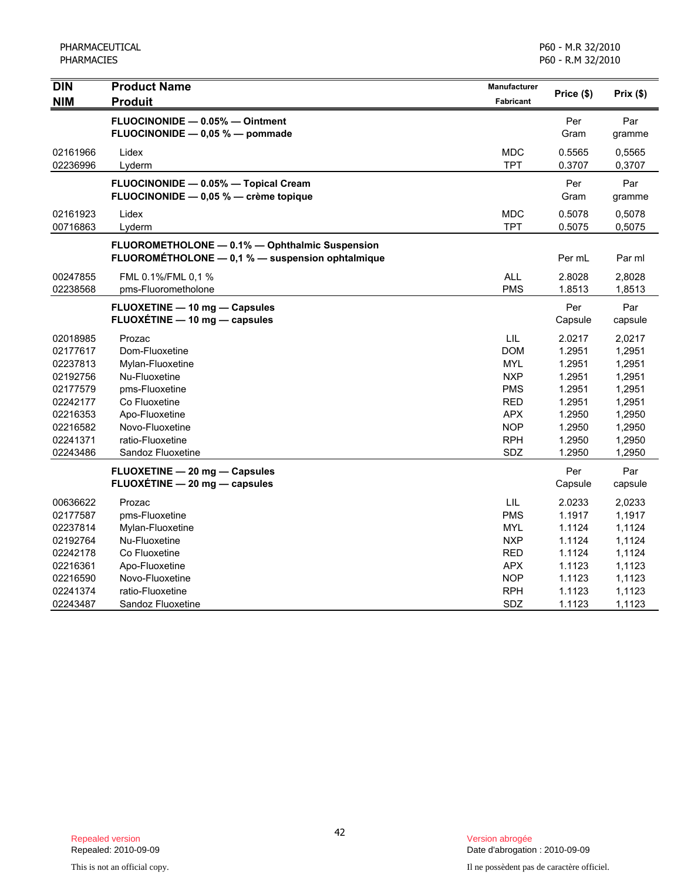| <b>DIN</b> | <b>Product Name</b>                              | Manufacturer | Price (\$) | Prix(\$) |
|------------|--------------------------------------------------|--------------|------------|----------|
| <b>NIM</b> | <b>Produit</b>                                   | Fabricant    |            |          |
|            | FLUOCINONIDE - 0.05% - Ointment                  |              | Per        | Par      |
|            | FLUOCINONIDE - 0,05 % - pommade                  |              | Gram       | gramme   |
| 02161966   | Lidex                                            | <b>MDC</b>   | 0.5565     | 0,5565   |
| 02236996   | Lyderm                                           | <b>TPT</b>   | 0.3707     | 0,3707   |
|            | FLUOCINONIDE - 0.05% - Topical Cream             |              | Per        | Par      |
|            | FLUOCINONIDE - 0,05 % - crème topique            |              | Gram       | gramme   |
| 02161923   | Lidex                                            | <b>MDC</b>   | 0.5078     | 0,5078   |
| 00716863   | Lyderm                                           | <b>TPT</b>   | 0.5075     | 0,5075   |
|            | FLUOROMETHOLONE - 0.1% - Ophthalmic Suspension   |              |            |          |
|            | FLUOROMÉTHOLONE - 0,1 % - suspension ophtalmique |              | Per mL     | Par ml   |
| 00247855   | FML 0.1%/FML 0,1 %                               | <b>ALL</b>   | 2.8028     | 2,8028   |
| 02238568   | pms-Fluorometholone                              | <b>PMS</b>   | 1.8513     | 1,8513   |
|            | <b>FLUOXETINE - 10 mg - Capsules</b>             |              | Per        | Par      |
|            | FLUOXÉTINE - 10 mg - capsules                    |              | Capsule    | capsule  |
| 02018985   | Prozac                                           | LIL          | 2.0217     | 2,0217   |
| 02177617   | Dom-Fluoxetine                                   | <b>DOM</b>   | 1.2951     | 1,2951   |
| 02237813   | Mylan-Fluoxetine                                 | <b>MYL</b>   | 1.2951     | 1,2951   |
| 02192756   | Nu-Fluoxetine                                    | <b>NXP</b>   | 1.2951     | 1,2951   |
| 02177579   | pms-Fluoxetine                                   | <b>PMS</b>   | 1.2951     | 1,2951   |
| 02242177   | Co Fluoxetine                                    | <b>RED</b>   | 1.2951     | 1,2951   |
| 02216353   | Apo-Fluoxetine                                   | <b>APX</b>   | 1.2950     | 1,2950   |
| 02216582   | Novo-Fluoxetine                                  | <b>NOP</b>   | 1.2950     | 1,2950   |
| 02241371   | ratio-Fluoxetine                                 | <b>RPH</b>   | 1.2950     | 1,2950   |
| 02243486   | Sandoz Fluoxetine                                | SDZ          | 1.2950     | 1,2950   |
|            | FLUOXETINE - 20 mg - Capsules                    |              | Per        | Par      |
|            | FLUOXÉTINE - 20 mg - capsules                    |              | Capsule    | capsule  |
| 00636622   | Prozac                                           | LIL          | 2.0233     | 2,0233   |
| 02177587   | pms-Fluoxetine                                   | <b>PMS</b>   | 1.1917     | 1,1917   |
| 02237814   | Mylan-Fluoxetine                                 | <b>MYL</b>   | 1.1124     | 1,1124   |
| 02192764   | Nu-Fluoxetine                                    | <b>NXP</b>   | 1.1124     | 1,1124   |
| 02242178   | Co Fluoxetine                                    | RED          | 1.1124     | 1,1124   |
| 02216361   | Apo-Fluoxetine                                   | <b>APX</b>   | 1.1123     | 1,1123   |
| 02216590   | Novo-Fluoxetine                                  | <b>NOP</b>   | 1.1123     | 1,1123   |
| 02241374   | ratio-Fluoxetine                                 | <b>RPH</b>   | 1.1123     | 1,1123   |
| 02243487   | Sandoz Fluoxetine                                | SDZ          | 1.1123     | 1,1123   |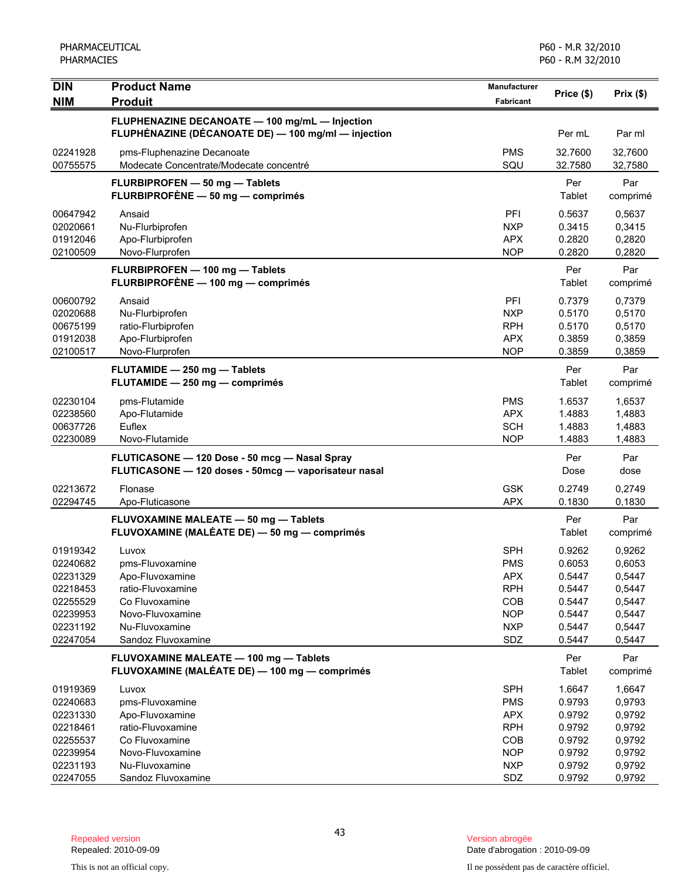| <b>DIN</b>                                                                                   | <b>Product Name</b>                                                                                                                            | Manufacturer                                                                                   |                                                                              |                                                                              |
|----------------------------------------------------------------------------------------------|------------------------------------------------------------------------------------------------------------------------------------------------|------------------------------------------------------------------------------------------------|------------------------------------------------------------------------------|------------------------------------------------------------------------------|
| <b>NIM</b>                                                                                   | <b>Produit</b>                                                                                                                                 | Fabricant                                                                                      | Price (\$)                                                                   | Prix(\$)                                                                     |
|                                                                                              | FLUPHENAZINE DECANOATE - 100 mg/mL - Injection<br>FLUPHÉNAZINE (DÉCANOATE DE) - 100 mg/ml - injection                                          |                                                                                                | Per mL                                                                       | Par ml                                                                       |
| 02241928<br>00755575                                                                         | pms-Fluphenazine Decanoate<br>Modecate Concentrate/Modecate concentré                                                                          | <b>PMS</b><br>SQU                                                                              | 32.7600<br>32.7580                                                           | 32,7600<br>32,7580                                                           |
|                                                                                              | FLURBIPROFEN - 50 mg - Tablets<br>FLURBIPROFÈNE - 50 mg - comprimés                                                                            |                                                                                                | Per<br>Tablet                                                                | Par<br>comprimé                                                              |
| 00647942<br>02020661<br>01912046<br>02100509                                                 | Ansaid<br>Nu-Flurbiprofen<br>Apo-Flurbiprofen<br>Novo-Flurprofen                                                                               | PFI<br><b>NXP</b><br><b>APX</b><br><b>NOP</b>                                                  | 0.5637<br>0.3415<br>0.2820<br>0.2820                                         | 0,5637<br>0,3415<br>0,2820<br>0,2820                                         |
|                                                                                              | FLURBIPROFEN - 100 mg - Tablets<br>FLURBIPROFÈNE - 100 mg - comprimés                                                                          |                                                                                                | Per<br>Tablet                                                                | Par<br>comprimé                                                              |
| 00600792<br>02020688<br>00675199<br>01912038<br>02100517                                     | Ansaid<br>Nu-Flurbiprofen<br>ratio-Flurbiprofen<br>Apo-Flurbiprofen<br>Novo-Flurprofen                                                         | PFI<br><b>NXP</b><br><b>RPH</b><br><b>APX</b><br><b>NOP</b>                                    | 0.7379<br>0.5170<br>0.5170<br>0.3859<br>0.3859                               | 0,7379<br>0,5170<br>0,5170<br>0,3859<br>0,3859                               |
|                                                                                              | FLUTAMIDE - 250 mg - Tablets<br>FLUTAMIDE - 250 mg - comprimés                                                                                 |                                                                                                | Per<br>Tablet                                                                | Par<br>comprimé                                                              |
| 02230104<br>02238560<br>00637726<br>02230089                                                 | pms-Flutamide<br>Apo-Flutamide<br>Euflex<br>Novo-Flutamide                                                                                     | <b>PMS</b><br><b>APX</b><br><b>SCH</b><br><b>NOP</b>                                           | 1.6537<br>1.4883<br>1.4883<br>1.4883                                         | 1,6537<br>1,4883<br>1,4883<br>1,4883                                         |
|                                                                                              | FLUTICASONE - 120 Dose - 50 mcg - Nasal Spray<br>FLUTICASONE - 120 doses - 50mcg - vaporisateur nasal                                          |                                                                                                | Per<br>Dose                                                                  | Par<br>dose                                                                  |
| 02213672<br>02294745                                                                         | Flonase<br>Apo-Fluticasone                                                                                                                     | <b>GSK</b><br><b>APX</b>                                                                       | 0.2749<br>0.1830                                                             | 0,2749<br>0,1830                                                             |
|                                                                                              | FLUVOXAMINE MALEATE - 50 mg - Tablets<br>FLUVOXAMINE (MALÉATE DE) - 50 mg - comprimés                                                          |                                                                                                | Per<br>Tablet                                                                | Par<br>comprimé                                                              |
| 01919342<br>02240682<br>02231329<br>02218453<br>02255529<br>02239953<br>02231192<br>02247054 | Luvox<br>pms-Fluvoxamine<br>Apo-Fluvoxamine<br>ratio-Fluvoxamine<br>Co Fluvoxamine<br>Novo-Fluvoxamine<br>Nu-Fluvoxamine<br>Sandoz Fluvoxamine | <b>SPH</b><br><b>PMS</b><br><b>APX</b><br><b>RPH</b><br>COB<br><b>NOP</b><br><b>NXP</b><br>SDZ | 0.9262<br>0.6053<br>0.5447<br>0.5447<br>0.5447<br>0.5447<br>0.5447<br>0.5447 | 0,9262<br>0,6053<br>0,5447<br>0,5447<br>0,5447<br>0,5447<br>0,5447<br>0,5447 |
|                                                                                              | FLUVOXAMINE MALEATE - 100 mg - Tablets<br>FLUVOXAMINE (MALÉATE DE) - 100 mg - comprimés                                                        |                                                                                                | Per<br>Tablet                                                                | Par<br>comprimé                                                              |
| 01919369<br>02240683<br>02231330<br>02218461<br>02255537<br>02239954<br>02231193             | Luvox<br>pms-Fluvoxamine<br>Apo-Fluvoxamine<br>ratio-Fluvoxamine<br>Co Fluvoxamine<br>Novo-Fluvoxamine<br>Nu-Fluvoxamine                       | <b>SPH</b><br><b>PMS</b><br><b>APX</b><br><b>RPH</b><br><b>COB</b><br><b>NOP</b><br><b>NXP</b> | 1.6647<br>0.9793<br>0.9792<br>0.9792<br>0.9792<br>0.9792<br>0.9792           | 1,6647<br>0,9793<br>0,9792<br>0,9792<br>0,9792<br>0,9792<br>0,9792           |
| 02247055                                                                                     | Sandoz Fluvoxamine                                                                                                                             | SDZ                                                                                            | 0.9792                                                                       | 0,9792                                                                       |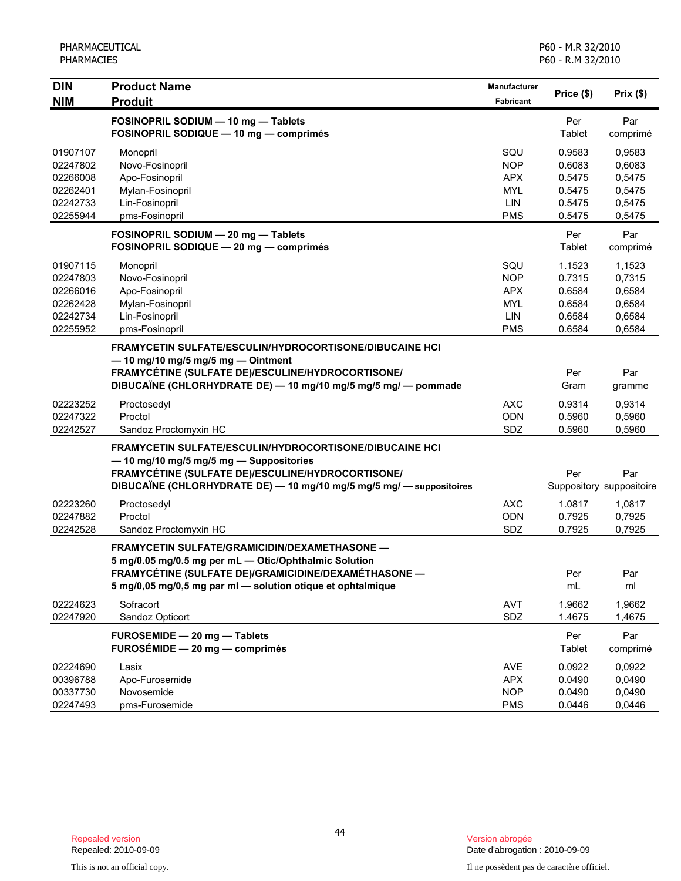| <b>DIN</b><br><b>NIM</b>                                             | <b>Product Name</b><br><b>Produit</b>                                                                                                                                                                                                  | Manufacturer<br><b>Fabricant</b>                                   | Price (\$)                                               | Prix(\$)                                                 |
|----------------------------------------------------------------------|----------------------------------------------------------------------------------------------------------------------------------------------------------------------------------------------------------------------------------------|--------------------------------------------------------------------|----------------------------------------------------------|----------------------------------------------------------|
|                                                                      | FOSINOPRIL SODIUM - 10 mg - Tablets<br>FOSINOPRIL SODIQUE - 10 mg - comprimés                                                                                                                                                          |                                                                    | Per<br>Tablet                                            | Par<br>comprimé                                          |
| 01907107<br>02247802<br>02266008<br>02262401<br>02242733<br>02255944 | Monopril<br>Novo-Fosinopril<br>Apo-Fosinopril<br>Mylan-Fosinopril<br>Lin-Fosinopril<br>pms-Fosinopril                                                                                                                                  | SQU<br><b>NOP</b><br><b>APX</b><br><b>MYL</b><br>LIN<br><b>PMS</b> | 0.9583<br>0.6083<br>0.5475<br>0.5475<br>0.5475<br>0.5475 | 0,9583<br>0,6083<br>0,5475<br>0,5475<br>0,5475<br>0,5475 |
|                                                                      | FOSINOPRIL SODIUM - 20 mg - Tablets<br>FOSINOPRIL SODIQUE - 20 mg - comprimés                                                                                                                                                          |                                                                    | Per<br>Tablet                                            | Par<br>comprimé                                          |
| 01907115<br>02247803<br>02266016<br>02262428<br>02242734<br>02255952 | Monopril<br>Novo-Fosinopril<br>Apo-Fosinopril<br>Mylan-Fosinopril<br>Lin-Fosinopril<br>pms-Fosinopril                                                                                                                                  | SQU<br><b>NOP</b><br><b>APX</b><br>MYL<br>LIN<br><b>PMS</b>        | 1.1523<br>0.7315<br>0.6584<br>0.6584<br>0.6584<br>0.6584 | 1,1523<br>0,7315<br>0,6584<br>0,6584<br>0,6584<br>0,6584 |
|                                                                      | FRAMYCETIN SULFATE/ESCULIN/HYDROCORTISONE/DIBUCAINE HCI<br>$-$ 10 mg/10 mg/5 mg/5 mg $-$ Ointment<br>FRAMYCÉTINE (SULFATE DE)/ESCULINE/HYDROCORTISONE/<br>DIBUCAÏNE (CHLORHYDRATE DE) - 10 mg/10 mg/5 mg/5 mg/ - pommade               |                                                                    | Per<br>Gram                                              | Par<br>gramme                                            |
| 02223252<br>02247322<br>02242527                                     | Proctosedyl<br>Proctol<br>Sandoz Proctomyxin HC                                                                                                                                                                                        | <b>AXC</b><br><b>ODN</b><br>SDZ                                    | 0.9314<br>0.5960<br>0.5960                               | 0,9314<br>0,5960<br>0,5960                               |
|                                                                      | <b>FRAMYCETIN SULFATE/ESCULIN/HYDROCORTISONE/DIBUCAINE HCI</b><br>- 10 mg/10 mg/5 mg/5 mg - Suppositories<br>FRAMYCÉTINE (SULFATE DE)/ESCULINE/HYDROCORTISONE/<br>DIBUCAÏNE (CHLORHYDRATE DE) - 10 mg/10 mg/5 mg/5 mg/ - suppositoires |                                                                    | Per                                                      | Par<br>Suppository suppositoire                          |
| 02223260<br>02247882<br>02242528                                     | Proctosedyl<br>Proctol<br>Sandoz Proctomyxin HC                                                                                                                                                                                        | <b>AXC</b><br><b>ODN</b><br>SDZ                                    | 1.0817<br>0.7925<br>0.7925                               | 1,0817<br>0,7925<br>0,7925                               |
|                                                                      | <b>FRAMYCETIN SULFATE/GRAMICIDIN/DEXAMETHASONE -</b><br>5 mg/0.05 mg/0.5 mg per mL - Otic/Ophthalmic Solution<br>FRAMYCÉTINE (SULFATE DE)/GRAMICIDINE/DEXAMÉTHASONE<br>5 mg/0,05 mg/0,5 mg par ml - solution otique et ophtalmique     |                                                                    | Per<br>mL                                                | Par<br>ml                                                |
| 02224623<br>02247920                                                 | Sofracort<br>Sandoz Opticort                                                                                                                                                                                                           | <b>AVT</b><br><b>SDZ</b>                                           | 1.9662<br>1.4675                                         | 1,9662<br>1,4675                                         |
|                                                                      | FUROSEMIDE - 20 mg - Tablets<br>FUROSÉMIDE - 20 mg - comprimés                                                                                                                                                                         |                                                                    | Per<br>Tablet                                            | Par<br>comprimé                                          |
| 02224690<br>00396788<br>00337730<br>02247493                         | Lasix<br>Apo-Furosemide<br>Novosemide<br>pms-Furosemide                                                                                                                                                                                | <b>AVE</b><br><b>APX</b><br><b>NOP</b><br><b>PMS</b>               | 0.0922<br>0.0490<br>0.0490<br>0.0446                     | 0,0922<br>0,0490<br>0,0490<br>0,0446                     |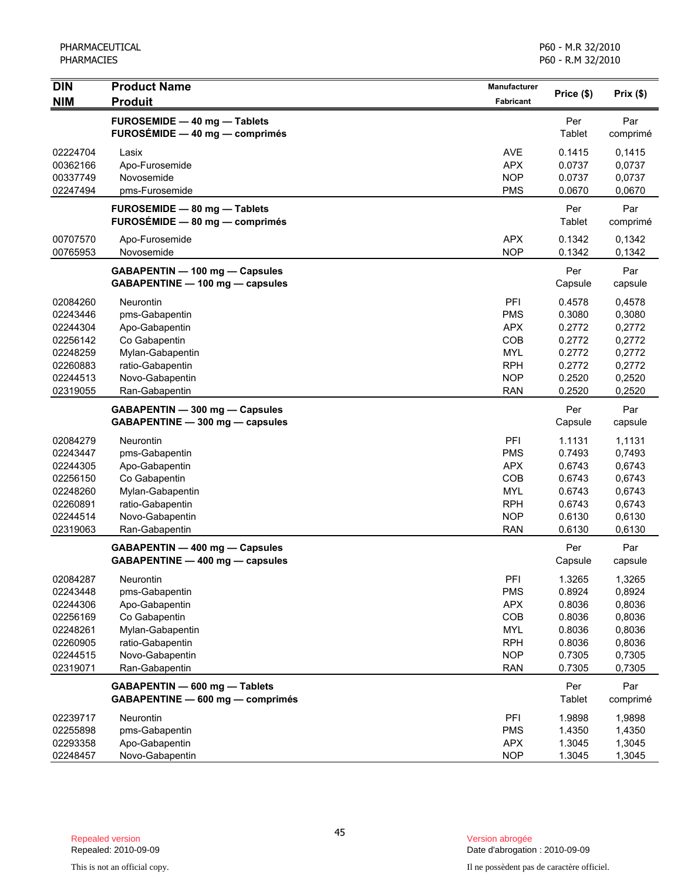| <b>DIN</b>                                                                                   | <b>Product Name</b>                                                                                                                         | Manufacturer                                                                                   | Price (\$)                                                                   | Prix(\$)                                                                     |
|----------------------------------------------------------------------------------------------|---------------------------------------------------------------------------------------------------------------------------------------------|------------------------------------------------------------------------------------------------|------------------------------------------------------------------------------|------------------------------------------------------------------------------|
| <b>NIM</b>                                                                                   | <b>Produit</b>                                                                                                                              | Fabricant                                                                                      |                                                                              |                                                                              |
|                                                                                              | FUROSEMIDE - 40 mg - Tablets<br>FUROSÉMIDE - 40 mg - comprimés                                                                              |                                                                                                | Per<br>Tablet                                                                | Par<br>comprimé                                                              |
| 02224704<br>00362166<br>00337749<br>02247494                                                 | Lasix<br>Apo-Furosemide<br>Novosemide<br>pms-Furosemide                                                                                     | <b>AVE</b><br><b>APX</b><br><b>NOP</b><br><b>PMS</b>                                           | 0.1415<br>0.0737<br>0.0737<br>0.0670                                         | 0,1415<br>0,0737<br>0,0737<br>0,0670                                         |
|                                                                                              | FUROSEMIDE - 80 mg - Tablets<br>FUROSÉMIDE - 80 mg - comprimés                                                                              |                                                                                                | Per<br>Tablet                                                                | Par<br>comprimé                                                              |
| 00707570<br>00765953                                                                         | Apo-Furosemide<br>Novosemide                                                                                                                | <b>APX</b><br><b>NOP</b>                                                                       | 0.1342<br>0.1342                                                             | 0,1342<br>0,1342                                                             |
|                                                                                              | GABAPENTIN - 100 mg - Capsules<br>GABAPENTINE - 100 mg - capsules                                                                           |                                                                                                | Per<br>Capsule                                                               | Par<br>capsule                                                               |
| 02084260<br>02243446<br>02244304                                                             | <b>Neurontin</b><br>pms-Gabapentin<br>Apo-Gabapentin                                                                                        | PFI<br><b>PMS</b><br><b>APX</b>                                                                | 0.4578<br>0.3080<br>0.2772                                                   | 0,4578<br>0,3080<br>0,2772                                                   |
| 02256142<br>02248259<br>02260883<br>02244513                                                 | Co Gabapentin<br>Mylan-Gabapentin<br>ratio-Gabapentin<br>Novo-Gabapentin                                                                    | COB<br>MYL<br><b>RPH</b><br><b>NOP</b>                                                         | 0.2772<br>0.2772<br>0.2772<br>0.2520                                         | 0,2772<br>0,2772<br>0,2772<br>0,2520                                         |
| 02319055                                                                                     | Ran-Gabapentin<br>GABAPENTIN - 300 mg - Capsules<br>GABAPENTINE - 300 mg - capsules                                                         | <b>RAN</b>                                                                                     | 0.2520<br>Per<br>Capsule                                                     | 0,2520<br>Par<br>capsule                                                     |
| 02084279<br>02243447<br>02244305<br>02256150<br>02248260<br>02260891<br>02244514<br>02319063 | Neurontin<br>pms-Gabapentin<br>Apo-Gabapentin<br>Co Gabapentin<br>Mylan-Gabapentin<br>ratio-Gabapentin<br>Novo-Gabapentin<br>Ran-Gabapentin | PFI<br><b>PMS</b><br><b>APX</b><br>COB<br><b>MYL</b><br><b>RPH</b><br><b>NOP</b><br><b>RAN</b> | 1.1131<br>0.7493<br>0.6743<br>0.6743<br>0.6743<br>0.6743<br>0.6130<br>0.6130 | 1,1131<br>0,7493<br>0,6743<br>0,6743<br>0,6743<br>0,6743<br>0,6130<br>0,6130 |
|                                                                                              | GABAPENTIN - 400 mg - Capsules<br>GABAPENTINE - 400 mg - capsules                                                                           |                                                                                                | Per<br>Capsule                                                               | Par<br>capsule                                                               |
| 02084287<br>02243448<br>02244306<br>02256169<br>02248261<br>02260905<br>02244515<br>02319071 | Neurontin<br>pms-Gabapentin<br>Apo-Gabapentin<br>Co Gabapentin<br>Mylan-Gabapentin<br>ratio-Gabapentin<br>Novo-Gabapentin<br>Ran-Gabapentin | PFI<br><b>PMS</b><br><b>APX</b><br>COB<br><b>MYL</b><br><b>RPH</b><br><b>NOP</b><br><b>RAN</b> | 1.3265<br>0.8924<br>0.8036<br>0.8036<br>0.8036<br>0.8036<br>0.7305<br>0.7305 | 1,3265<br>0,8924<br>0,8036<br>0,8036<br>0,8036<br>0,8036<br>0,7305<br>0,7305 |
|                                                                                              | GABAPENTIN - 600 mg - Tablets<br>GABAPENTINE - 600 mg - comprimés                                                                           |                                                                                                | Per<br>Tablet                                                                | Par<br>comprimé                                                              |
| 02239717<br>02255898<br>02293358<br>02248457                                                 | Neurontin<br>pms-Gabapentin<br>Apo-Gabapentin<br>Novo-Gabapentin                                                                            | PFI<br><b>PMS</b><br><b>APX</b><br><b>NOP</b>                                                  | 1.9898<br>1.4350<br>1.3045<br>1.3045                                         | 1,9898<br>1,4350<br>1,3045<br>1,3045                                         |

Date d'abrogation : 2010-09-09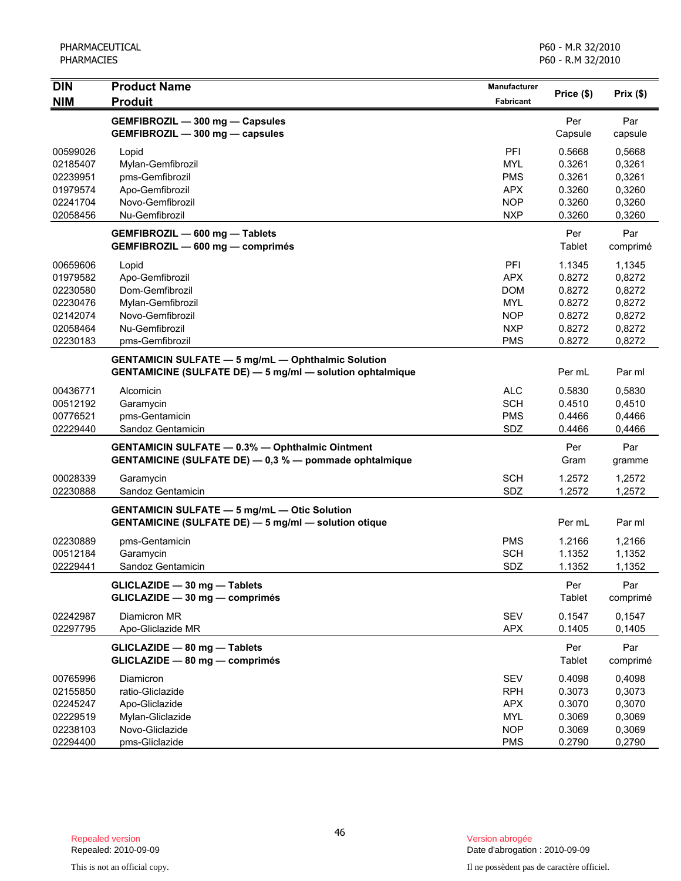| <b>DIN</b>           | <b>Product Name</b>                                                                                                           | Manufacturer             |                  |                  |
|----------------------|-------------------------------------------------------------------------------------------------------------------------------|--------------------------|------------------|------------------|
| <b>NIM</b>           | <b>Produit</b>                                                                                                                | <b>Fabricant</b>         | Price (\$)       | Prix(\$)         |
|                      | GEMFIBROZIL - 300 mg - Capsules<br>GEMFIBROZIL - 300 mg - capsules                                                            |                          | Per<br>Capsule   | Par<br>capsule   |
| 00599026             | Lopid                                                                                                                         | PFI                      | 0.5668           | 0,5668           |
| 02185407             | Mylan-Gemfibrozil                                                                                                             | <b>MYL</b>               | 0.3261           | 0,3261           |
| 02239951             | pms-Gemfibrozil                                                                                                               | <b>PMS</b>               | 0.3261           | 0,3261           |
| 01979574             | Apo-Gemfibrozil                                                                                                               | <b>APX</b>               | 0.3260           | 0,3260           |
| 02241704             | Novo-Gemfibrozil                                                                                                              | <b>NOP</b>               | 0.3260           | 0,3260           |
| 02058456             | Nu-Gemfibrozil                                                                                                                | <b>NXP</b>               | 0.3260           | 0,3260           |
|                      | GEMFIBROZIL - 600 mg - Tablets<br>GEMFIBROZIL - 600 mg - comprimés                                                            |                          | Per<br>Tablet    | Par<br>comprimé  |
| 00659606             | Lopid                                                                                                                         | PFI                      | 1.1345           | 1,1345           |
| 01979582             | Apo-Gemfibrozil                                                                                                               | <b>APX</b>               | 0.8272           | 0,8272           |
| 02230580             | Dom-Gemfibrozil                                                                                                               | <b>DOM</b>               | 0.8272           | 0,8272           |
| 02230476             | Mylan-Gemfibrozil                                                                                                             | <b>MYL</b>               | 0.8272           | 0,8272           |
| 02142074             | Novo-Gemfibrozil                                                                                                              | <b>NOP</b>               | 0.8272           | 0,8272           |
| 02058464             | Nu-Gemfibrozil                                                                                                                | <b>NXP</b>               | 0.8272           | 0,8272           |
| 02230183             | pms-Gemfibrozil                                                                                                               | <b>PMS</b>               | 0.8272           | 0,8272           |
|                      | <b>GENTAMICIN SULFATE - 5 mg/mL - Ophthalmic Solution</b><br><b>GENTAMICINE (SULFATE DE) - 5 mg/ml - solution ophtalmique</b> |                          | Per mL           | Par ml           |
| 00436771             | Alcomicin                                                                                                                     | <b>ALC</b>               | 0.5830           | 0,5830           |
| 00512192             | Garamycin                                                                                                                     | <b>SCH</b>               | 0.4510           | 0,4510           |
| 00776521             | pms-Gentamicin                                                                                                                | <b>PMS</b>               | 0.4466           | 0,4466           |
| 02229440             | Sandoz Gentamicin                                                                                                             | SDZ                      | 0.4466           | 0,4466           |
|                      | <b>GENTAMICIN SULFATE - 0.3% - Ophthalmic Ointment</b><br>GENTAMICINE (SULFATE DE) - 0,3 % - pommade ophtalmique              |                          | Per<br>Gram      | Par<br>gramme    |
| 00028339             | Garamycin                                                                                                                     | <b>SCH</b>               | 1.2572           | 1,2572           |
| 02230888             | Sandoz Gentamicin                                                                                                             | SDZ                      | 1.2572           | 1,2572           |
|                      | <b>GENTAMICIN SULFATE - 5 mg/mL - Otic Solution</b>                                                                           |                          |                  |                  |
|                      | <b>GENTAMICINE (SULFATE DE) - 5 mg/ml - solution otique</b>                                                                   |                          | Per mL           | Par ml           |
| 02230889             | pms-Gentamicin                                                                                                                | <b>PMS</b>               | 1.2166           | 1,2166           |
| 00512184             | Garamycin                                                                                                                     | <b>SCH</b>               | 1.1352           | 1,1352           |
| 02229441             | Sandoz Gentamicin                                                                                                             | SDZ                      | 1.1352           | 1,1352           |
|                      | GLICLAZIDE - 30 mg - Tablets<br>GLICLAZIDE - 30 mg - comprimés                                                                |                          | Per<br>Tablet    | Par<br>comprimé  |
| 02242987<br>02297795 | Diamicron MR<br>Apo-Gliclazide MR                                                                                             | <b>SEV</b><br><b>APX</b> | 0.1547<br>0.1405 | 0,1547<br>0,1405 |
|                      | GLICLAZIDE - 80 mg - Tablets<br>GLICLAZIDE - 80 mg - comprimés                                                                |                          | Per<br>Tablet    | Par<br>comprimé  |
| 00765996             | Diamicron                                                                                                                     | SEV                      | 0.4098           | 0,4098           |
| 02155850             | ratio-Gliclazide                                                                                                              | <b>RPH</b>               | 0.3073           | 0,3073           |
| 02245247             | Apo-Gliclazide                                                                                                                | <b>APX</b>               | 0.3070           | 0,3070           |
| 02229519             | Mylan-Gliclazide                                                                                                              | <b>MYL</b>               | 0.3069           | 0,3069           |
| 02238103             | Novo-Gliclazide                                                                                                               | <b>NOP</b>               | 0.3069           | 0,3069           |
| 02294400             | pms-Gliclazide                                                                                                                | <b>PMS</b>               | 0.2790           | 0,2790           |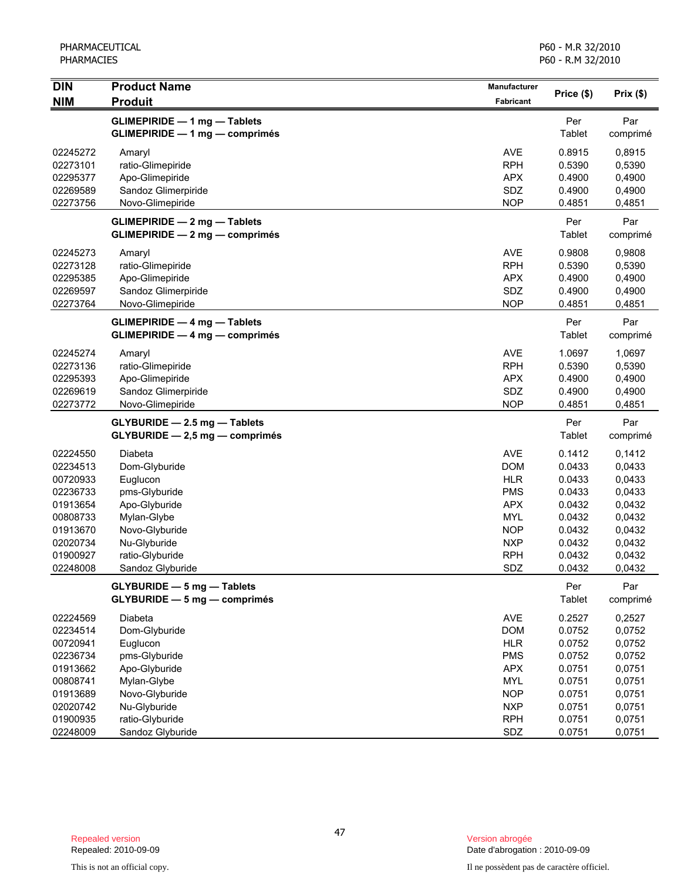| <b>DIN</b>           | <b>Product Name</b>                                                      | Manufacturer             | Price (\$)       | Prix(\$)         |
|----------------------|--------------------------------------------------------------------------|--------------------------|------------------|------------------|
| <b>NIM</b>           | <b>Produit</b>                                                           | Fabricant                |                  |                  |
|                      | <b>GLIMEPIRIDE - 1 mg - Tablets</b>                                      |                          | Per              | Par              |
|                      | <b>GLIMEPIRIDE - 1 mg - comprimés</b>                                    |                          | Tablet           | comprimé         |
| 02245272             | Amaryl                                                                   | <b>AVE</b>               | 0.8915           | 0,8915           |
| 02273101             | ratio-Glimepiride                                                        | <b>RPH</b>               | 0.5390           | 0,5390           |
| 02295377             | Apo-Glimepiride                                                          | <b>APX</b>               | 0.4900           | 0,4900           |
| 02269589             | Sandoz Glimerpiride                                                      | SDZ                      | 0.4900           | 0,4900           |
| 02273756             | Novo-Glimepiride                                                         | <b>NOP</b>               | 0.4851           | 0,4851           |
|                      | <b>GLIMEPIRIDE - 2 mg - Tablets</b>                                      |                          | Per              | Par              |
|                      | $GLIMEPIRIDE - 2 mg - comprimés$                                         |                          | Tablet           | comprimé         |
| 02245273             | Amaryl                                                                   | <b>AVE</b>               | 0.9808           | 0,9808           |
| 02273128             | ratio-Glimepiride                                                        | <b>RPH</b>               | 0.5390           | 0,5390           |
| 02295385             | Apo-Glimepiride                                                          | <b>APX</b>               | 0.4900           | 0,4900           |
| 02269597             | Sandoz Glimerpiride                                                      | SDZ                      | 0.4900           | 0,4900           |
| 02273764             | Novo-Glimepiride                                                         | <b>NOP</b>               | 0.4851           | 0,4851           |
|                      | <b>GLIMEPIRIDE - 4 mg - Tablets</b>                                      |                          | Per              | Par              |
|                      | <b>GLIMEPIRIDE - 4 mg - comprimés</b>                                    |                          | Tablet           | comprimé         |
| 02245274             | Amaryl                                                                   | <b>AVE</b>               | 1.0697           | 1,0697           |
| 02273136             | ratio-Glimepiride                                                        | <b>RPH</b>               | 0.5390           | 0,5390           |
| 02295393             | Apo-Glimepiride                                                          | <b>APX</b>               | 0.4900           | 0,4900           |
| 02269619             | Sandoz Glimerpiride                                                      | SDZ                      | 0.4900           | 0,4900           |
| 02273772             | Novo-Glimepiride                                                         | <b>NOP</b>               | 0.4851           | 0,4851           |
|                      | GLYBURIDE - 2.5 mg - Tablets                                             |                          | Per              | Par              |
|                      | GLYBURIDE - 2,5 mg - comprimés                                           |                          | Tablet           | comprimé         |
| 02224550             | Diabeta                                                                  | <b>AVE</b>               | 0.1412           | 0,1412           |
| 02234513             | Dom-Glyburide                                                            | <b>DOM</b>               | 0.0433           | 0,0433           |
| 00720933             | Euglucon                                                                 | <b>HLR</b>               | 0.0433           | 0,0433           |
| 02236733             | pms-Glyburide                                                            | <b>PMS</b>               | 0.0433           | 0,0433           |
| 01913654             | Apo-Glyburide                                                            | <b>APX</b>               | 0.0432           | 0,0432           |
| 00808733             | Mylan-Glybe                                                              | <b>MYL</b>               | 0.0432           | 0,0432           |
| 01913670             | Novo-Glyburide                                                           | <b>NOP</b>               | 0.0432           | 0,0432           |
| 02020734             | Nu-Glyburide                                                             | <b>NXP</b>               | 0.0432           | 0,0432           |
| 01900927<br>02248008 | ratio-Glyburide<br>Sandoz Glyburide                                      | <b>RPH</b><br>SDZ        | 0.0432<br>0.0432 | 0,0432<br>0,0432 |
|                      |                                                                          |                          |                  |                  |
|                      | <b>GLYBURIDE - 5 mg - Tablets</b><br><b>GLYBURIDE - 5 mg - comprimés</b> |                          | Per<br>Tablet    | Par<br>comprimé  |
|                      |                                                                          |                          |                  |                  |
| 02224569             | Diabeta                                                                  | AVE                      | 0.2527           | 0,2527           |
| 02234514             | Dom-Glyburide                                                            | <b>DOM</b>               | 0.0752           | 0,0752           |
| 00720941<br>02236734 | Euglucon                                                                 | <b>HLR</b><br><b>PMS</b> | 0.0752<br>0.0752 | 0,0752<br>0,0752 |
| 01913662             | pms-Glyburide<br>Apo-Glyburide                                           | <b>APX</b>               | 0.0751           | 0,0751           |
| 00808741             | Mylan-Glybe                                                              | <b>MYL</b>               | 0.0751           | 0,0751           |
| 01913689             | Novo-Glyburide                                                           | <b>NOP</b>               | 0.0751           | 0,0751           |
| 02020742             | Nu-Glyburide                                                             | <b>NXP</b>               | 0.0751           | 0,0751           |
| 01900935             | ratio-Glyburide                                                          | <b>RPH</b>               | 0.0751           | 0,0751           |
| 02248009             | Sandoz Glyburide                                                         | SDZ                      | 0.0751           | 0,0751           |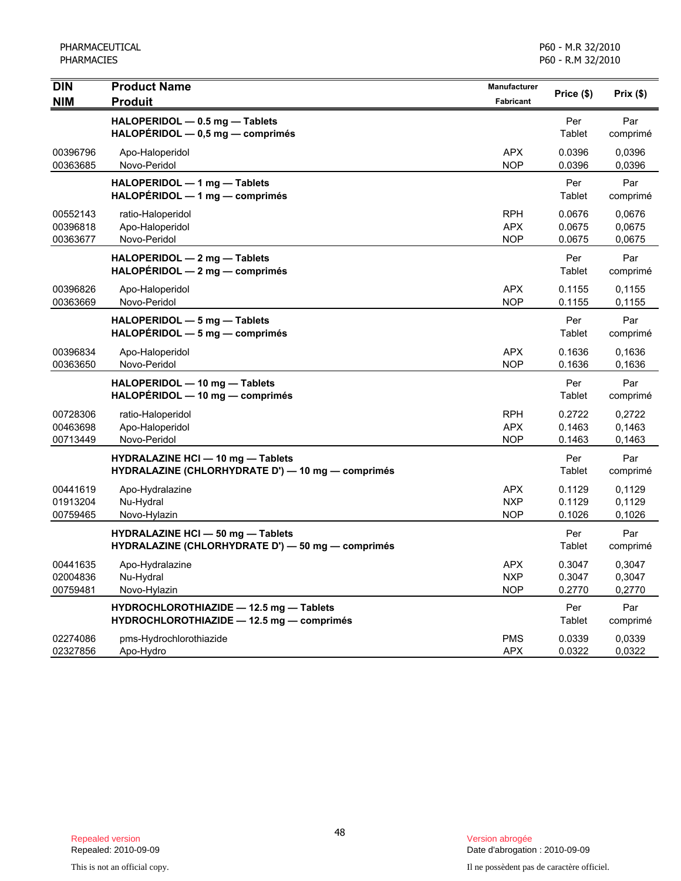PHARMACEUTICAL PHARMACIES

| <b>DIN</b>                       | <b>Product Name</b>                                                                           | Manufacturer                           | Price (\$)                 | Prix(\$)                   |
|----------------------------------|-----------------------------------------------------------------------------------------------|----------------------------------------|----------------------------|----------------------------|
| <b>NIM</b>                       | <b>Produit</b>                                                                                | Fabricant                              |                            |                            |
|                                  | HALOPERIDOL - 0.5 mg - Tablets<br>$HALOPÉRIDOL - 0,5 mg - comprimés$                          |                                        | Per<br>Tablet              | Par<br>comprimé            |
| 00396796<br>00363685             | Apo-Haloperidol<br>Novo-Peridol                                                               | <b>APX</b><br><b>NOP</b>               | 0.0396<br>0.0396           | 0.0396<br>0,0396           |
|                                  | HALOPERIDOL - 1 mg - Tablets<br>HALOPERIDOL - 1 mg - comprimés                                |                                        | Per<br>Tablet              | Par<br>comprimé            |
| 00552143<br>00396818<br>00363677 | ratio-Haloperidol<br>Apo-Haloperidol<br>Novo-Peridol                                          | <b>RPH</b><br><b>APX</b><br><b>NOP</b> | 0.0676<br>0.0675<br>0.0675 | 0,0676<br>0,0675<br>0,0675 |
|                                  | HALOPERIDOL - 2 mg - Tablets<br>HALOPÉRIDOL - 2 mg - comprimés                                |                                        | Per<br>Tablet              | Par<br>comprimé            |
| 00396826<br>00363669             | Apo-Haloperidol<br>Novo-Peridol                                                               | <b>APX</b><br><b>NOP</b>               | 0.1155<br>0.1155           | 0.1155<br>0.1155           |
|                                  | HALOPERIDOL - 5 mg - Tablets<br>HALOPERIDOL - 5 mg - comprimés                                |                                        | Per<br>Tablet              | Par<br>comprimé            |
| 00396834<br>00363650             | Apo-Haloperidol<br>Novo-Peridol                                                               | <b>APX</b><br><b>NOP</b>               | 0.1636<br>0.1636           | 0.1636<br>0.1636           |
|                                  | HALOPERIDOL - 10 mg - Tablets<br>HALOPÉRIDOL - 10 mg - comprimés                              |                                        | Per<br>Tablet              | Par<br>comprimé            |
| 00728306<br>00463698<br>00713449 | ratio-Haloperidol<br>Apo-Haloperidol<br>Novo-Peridol                                          | <b>RPH</b><br><b>APX</b><br><b>NOP</b> | 0.2722<br>0.1463<br>0.1463 | 0,2722<br>0,1463<br>0.1463 |
|                                  | HYDRALAZINE HCI - 10 mg - Tablets<br>HYDRALAZINE (CHLORHYDRATE D') - 10 mg - comprimés        |                                        | Per<br>Tablet              | Par<br>comprimé            |
| 00441619<br>01913204<br>00759465 | Apo-Hydralazine<br>Nu-Hydral<br>Novo-Hylazin                                                  | <b>APX</b><br><b>NXP</b><br><b>NOP</b> | 0.1129<br>0.1129<br>0.1026 | 0,1129<br>0,1129<br>0.1026 |
|                                  | <b>HYDRALAZINE HCI - 50 mg - Tablets</b><br>HYDRALAZINE (CHLORHYDRATE D') - 50 mg - comprimés |                                        | Per<br>Tablet              | Par<br>comprimé            |
| 00441635<br>02004836<br>00759481 | Apo-Hydralazine<br>Nu-Hydral<br>Novo-Hylazin                                                  | <b>APX</b><br><b>NXP</b><br><b>NOP</b> | 0.3047<br>0.3047<br>0.2770 | 0,3047<br>0,3047<br>0,2770 |
|                                  | HYDROCHLOROTHIAZIDE - 12.5 mg - Tablets<br>HYDROCHLOROTHIAZIDE - 12.5 mg - comprimés          |                                        | Per<br>Tablet              | Par<br>comprimé            |
| 02274086<br>02327856             | pms-Hydrochlorothiazide<br>Apo-Hydro                                                          | <b>PMS</b><br><b>APX</b>               | 0.0339<br>0.0322           | 0,0339<br>0,0322           |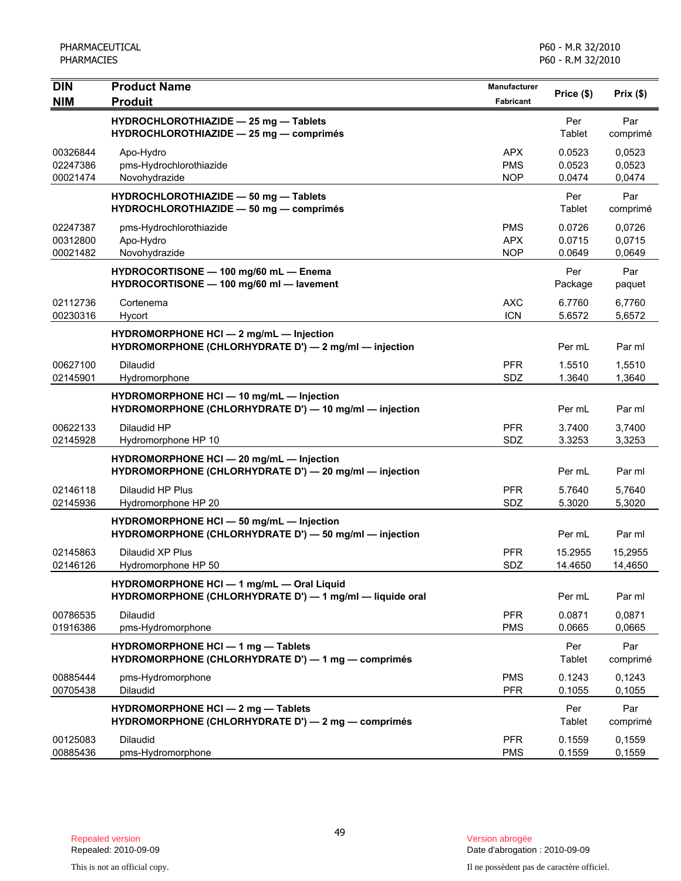| DIN<br><b>NIM</b>                | <b>Product Name</b><br><b>Produit</b>                                                                 | Manufacturer<br>Fabricant              | Price (\$)                 | Prix(\$)                   |
|----------------------------------|-------------------------------------------------------------------------------------------------------|----------------------------------------|----------------------------|----------------------------|
|                                  | HYDROCHLOROTHIAZIDE - 25 mg - Tablets<br>HYDROCHLOROTHIAZIDE - 25 mg - comprimés                      |                                        | Per<br>Tablet              | Par<br>comprimé            |
| 00326844<br>02247386<br>00021474 | Apo-Hydro<br>pms-Hydrochlorothiazide<br>Novohydrazide                                                 | <b>APX</b><br><b>PMS</b><br><b>NOP</b> | 0.0523<br>0.0523<br>0.0474 | 0,0523<br>0,0523<br>0,0474 |
|                                  | HYDROCHLOROTHIAZIDE - 50 mg - Tablets<br>HYDROCHLOROTHIAZIDE - 50 mg - comprimés                      |                                        | Per<br>Tablet              | Par<br>comprimé            |
| 02247387<br>00312800<br>00021482 | pms-Hydrochlorothiazide<br>Apo-Hydro<br>Novohydrazide                                                 | <b>PMS</b><br><b>APX</b><br><b>NOP</b> | 0.0726<br>0.0715<br>0.0649 | 0,0726<br>0,0715<br>0,0649 |
|                                  | HYDROCORTISONE - 100 mg/60 mL - Enema<br>HYDROCORTISONE - 100 mg/60 ml - lavement                     |                                        | Per<br>Package             | Par<br>paquet              |
| 02112736<br>00230316             | Cortenema<br>Hycort                                                                                   | <b>AXC</b><br><b>ICN</b>               | 6.7760<br>5.6572           | 6.7760<br>5,6572           |
|                                  | HYDROMORPHONE HCI - 2 mg/mL - Injection<br>HYDROMORPHONE (CHLORHYDRATE D') - 2 mg/ml - injection      |                                        | Per mL                     | Par ml                     |
| 00627100<br>02145901             | Dilaudid<br>Hydromorphone                                                                             | <b>PFR</b><br>SDZ                      | 1.5510<br>1.3640           | 1,5510<br>1,3640           |
|                                  | HYDROMORPHONE HCI - 10 mg/mL - Injection<br>HYDROMORPHONE (CHLORHYDRATE D') - 10 mg/ml - injection    |                                        | Per mL                     | Par ml                     |
| 00622133<br>02145928             | Dilaudid HP<br>Hydromorphone HP 10                                                                    | <b>PFR</b><br>SDZ                      | 3.7400<br>3.3253           | 3,7400<br>3,3253           |
|                                  | HYDROMORPHONE HCI - 20 mg/mL - Injection<br>HYDROMORPHONE (CHLORHYDRATE D') - 20 mg/ml - injection    |                                        | Per mL                     | Par ml                     |
| 02146118<br>02145936             | Dilaudid HP Plus<br>Hydromorphone HP 20                                                               | <b>PFR</b><br>SDZ                      | 5.7640<br>5.3020           | 5,7640<br>5,3020           |
|                                  | HYDROMORPHONE HCI - 50 mg/mL - Injection<br>HYDROMORPHONE (CHLORHYDRATE D') - 50 mg/ml - injection    |                                        | Per mL                     | Par ml                     |
| 02145863<br>02146126             | Dilaudid XP Plus<br>Hydromorphone HP 50                                                               | <b>PFR</b><br>SDZ                      | 15.2955<br>14.4650         | 15,2955<br>14,4650         |
|                                  | HYDROMORPHONE HCI - 1 mg/mL - Oral Liquid<br>HYDROMORPHONE (CHLORHYDRATE D') - 1 mg/ml - liquide oral |                                        | Per mL                     | Par ml                     |
| 00786535<br>01916386             | Dilaudid<br>pms-Hydromorphone                                                                         | <b>PFR</b><br><b>PMS</b>               | 0.0871<br>0.0665           | 0,0871<br>0,0665           |
|                                  | HYDROMORPHONE HCI - 1 mg - Tablets<br>HYDROMORPHONE (CHLORHYDRATE D') - 1 mg - comprimés              |                                        | Per<br>Tablet              | Par<br>comprimé            |
| 00885444<br>00705438             | pms-Hydromorphone<br>Dilaudid                                                                         | <b>PMS</b><br><b>PFR</b>               | 0.1243<br>0.1055           | 0,1243<br>0,1055           |
|                                  | HYDROMORPHONE HCI - 2 mg - Tablets<br>HYDROMORPHONE (CHLORHYDRATE D') - 2 mg - comprimés              |                                        | Per<br>Tablet              | Par<br>comprimé            |
| 00125083<br>00885436             | <b>Dilaudid</b><br>pms-Hydromorphone                                                                  | <b>PFR</b><br><b>PMS</b>               | 0.1559<br>0.1559           | 0,1559<br>0,1559           |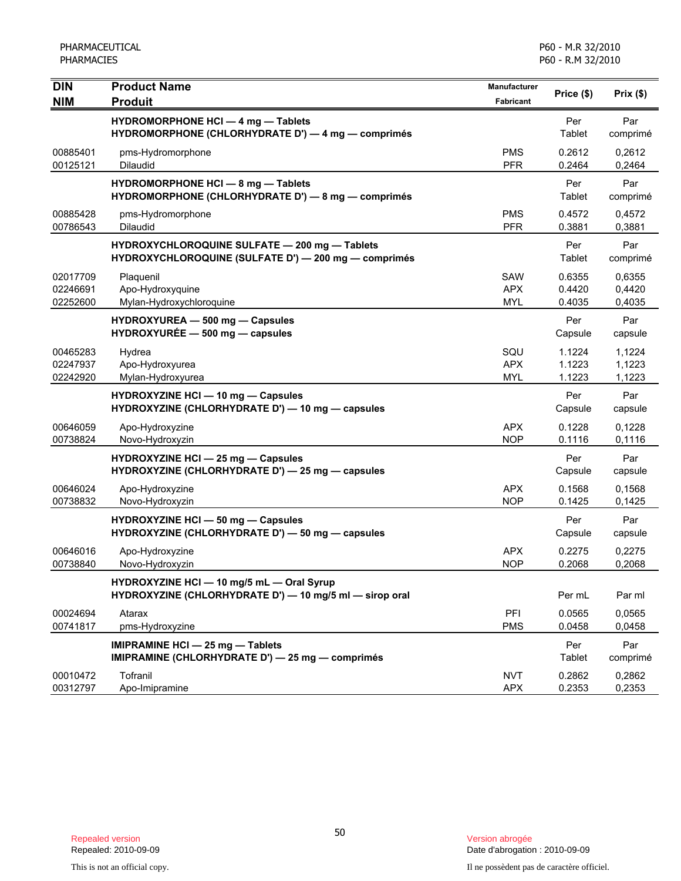| <b>DIN</b><br><b>NIM</b>         | <b>Product Name</b><br><b>Produit</b>                                                                 | Manufacturer<br><b>Fabricant</b>       | Price (\$)                 | Prix(\$)                   |
|----------------------------------|-------------------------------------------------------------------------------------------------------|----------------------------------------|----------------------------|----------------------------|
|                                  | <b>HYDROMORPHONE HCI - 4 mg - Tablets</b><br>HYDROMORPHONE (CHLORHYDRATE D') - 4 mg - comprimés       |                                        | Per<br>Tablet              | Par<br>comprimé            |
| 00885401<br>00125121             | pms-Hydromorphone<br><b>Dilaudid</b>                                                                  | <b>PMS</b><br><b>PFR</b>               | 0.2612<br>0.2464           | 0,2612<br>0,2464           |
|                                  | HYDROMORPHONE HCI - 8 mg - Tablets<br>HYDROMORPHONE (CHLORHYDRATE D') — 8 mg — comprimés              |                                        | Per<br>Tablet              | Par<br>comprimé            |
| 00885428<br>00786543             | pms-Hydromorphone<br>Dilaudid                                                                         | <b>PMS</b><br><b>PFR</b>               | 0.4572<br>0.3881           | 0,4572<br>0,3881           |
|                                  | HYDROXYCHLOROQUINE SULFATE - 200 mg - Tablets<br>HYDROXYCHLOROQUINE (SULFATE D') - 200 mg - comprimés |                                        | Per<br>Tablet              | Par<br>comprimé            |
| 02017709<br>02246691<br>02252600 | Plaquenil<br>Apo-Hydroxyquine<br>Mylan-Hydroxychloroquine                                             | <b>SAW</b><br><b>APX</b><br><b>MYL</b> | 0.6355<br>0.4420<br>0.4035 | 0.6355<br>0,4420<br>0,4035 |
|                                  | HYDROXYUREA - 500 mg - Capsules<br>$HYDROXYURÉE - 500 mg - capsules$                                  |                                        | Per<br>Capsule             | Par<br>capsule             |
| 00465283<br>02247937<br>02242920 | Hydrea<br>Apo-Hydroxyurea<br>Mylan-Hydroxyurea                                                        | SQU<br><b>APX</b><br><b>MYL</b>        | 1.1224<br>1.1223<br>1.1223 | 1,1224<br>1,1223<br>1,1223 |
|                                  | HYDROXYZINE HCI - 10 mg - Capsules<br>HYDROXYZINE (CHLORHYDRATE D') - 10 mg - capsules                |                                        | Per<br>Capsule             | Par<br>capsule             |
| 00646059<br>00738824             | Apo-Hydroxyzine<br>Novo-Hydroxyzin                                                                    | <b>APX</b><br><b>NOP</b>               | 0.1228<br>0.1116           | 0,1228<br>0,1116           |
|                                  | HYDROXYZINE HCI - 25 mg - Capsules<br>HYDROXYZINE (CHLORHYDRATE D') - 25 mg - capsules                |                                        | Per<br>Capsule             | Par<br>capsule             |
| 00646024<br>00738832             | Apo-Hydroxyzine<br>Novo-Hydroxyzin                                                                    | <b>APX</b><br><b>NOP</b>               | 0.1568<br>0.1425           | 0,1568<br>0,1425           |
|                                  | HYDROXYZINE HCI - 50 mg - Capsules<br>HYDROXYZINE (CHLORHYDRATE D') - 50 mg - capsules                |                                        | Per<br>Capsule             | Par<br>capsule             |
| 00646016<br>00738840             | Apo-Hydroxyzine<br>Novo-Hydroxyzin                                                                    | <b>APX</b><br><b>NOP</b>               | 0.2275<br>0.2068           | 0,2275<br>0,2068           |
|                                  | HYDROXYZINE HCI - 10 mg/5 mL - Oral Syrup<br>HYDROXYZINE (CHLORHYDRATE D') - 10 mg/5 ml - sirop oral  |                                        | Per mL                     | Par ml                     |
| 00024694<br>00741817             | Atarax<br>pms-Hydroxyzine                                                                             | PFI<br><b>PMS</b>                      | 0.0565<br>0.0458           | 0,0565<br>0,0458           |
|                                  | <b>IMIPRAMINE HCI - 25 mg - Tablets</b><br>IMIPRAMINE (CHLORHYDRATE D') - 25 mg - comprimés           |                                        | Per<br>Tablet              | Par<br>comprimé            |
| 00010472<br>00312797             | Tofranil<br>Apo-Imipramine                                                                            | <b>NVT</b><br><b>APX</b>               | 0.2862<br>0.2353           | 0,2862<br>0,2353           |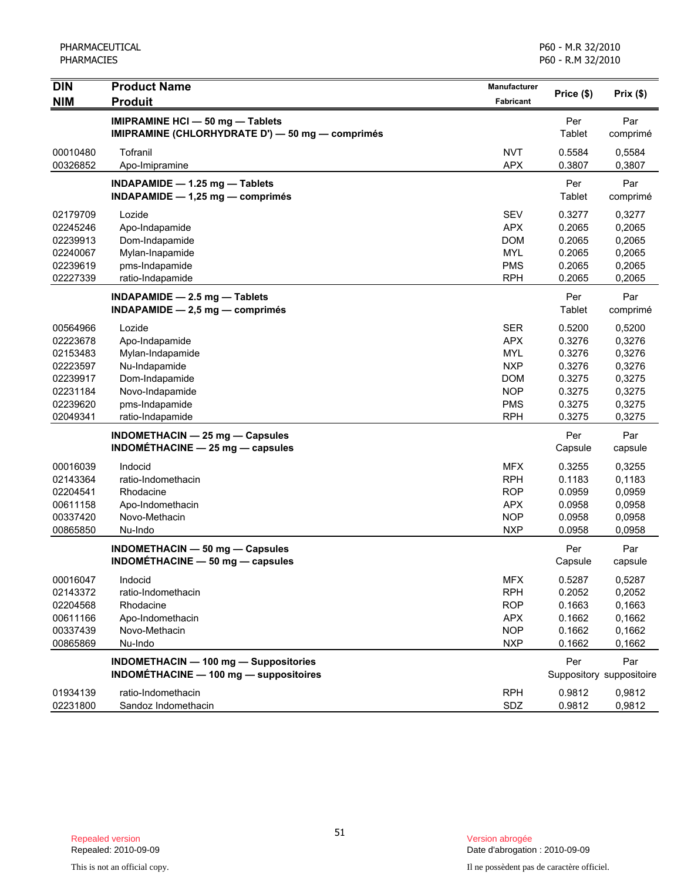| <b>DIN</b>                                                                                   | <b>Product Name</b>                                                                                                                      | Manufacturer                                                                                                 | Price (\$)                                                                   | Prix $($ \$)                                                                 |
|----------------------------------------------------------------------------------------------|------------------------------------------------------------------------------------------------------------------------------------------|--------------------------------------------------------------------------------------------------------------|------------------------------------------------------------------------------|------------------------------------------------------------------------------|
| <b>NIM</b>                                                                                   | <b>Produit</b>                                                                                                                           | Fabricant                                                                                                    |                                                                              |                                                                              |
|                                                                                              | <b>IMIPRAMINE HCI - 50 mg - Tablets</b><br>IMIPRAMINE (CHLORHYDRATE D') - 50 mg - comprimés                                              |                                                                                                              | Per<br>Tablet                                                                | Par<br>comprimé                                                              |
| 00010480<br>00326852                                                                         | Tofranil<br>Apo-Imipramine                                                                                                               | <b>NVT</b><br><b>APX</b>                                                                                     | 0.5584<br>0.3807                                                             | 0,5584<br>0,3807                                                             |
|                                                                                              | INDAPAMIDE - 1.25 mg - Tablets<br>INDAPAMIDE $- 1,25$ mg $-$ comprimés                                                                   |                                                                                                              | Per<br>Tablet                                                                | Par<br>comprimé                                                              |
| 02179709<br>02245246<br>02239913<br>02240067<br>02239619<br>02227339                         | Lozide<br>Apo-Indapamide<br>Dom-Indapamide<br>Mylan-Inapamide<br>pms-Indapamide<br>ratio-Indapamide                                      | <b>SEV</b><br><b>APX</b><br><b>DOM</b><br><b>MYL</b><br><b>PMS</b><br><b>RPH</b>                             | 0.3277<br>0.2065<br>0.2065<br>0.2065<br>0.2065<br>0.2065                     | 0,3277<br>0,2065<br>0,2065<br>0,2065<br>0,2065<br>0,2065                     |
|                                                                                              | $INDAPAMIDE - 2.5 mg - Tables$<br>$INDAPAMIDE - 2,5 mg - comprimés$                                                                      |                                                                                                              | Per<br>Tablet                                                                | Par<br>comprimé                                                              |
| 00564966<br>02223678<br>02153483<br>02223597<br>02239917<br>02231184<br>02239620<br>02049341 | Lozide<br>Apo-Indapamide<br>Mylan-Indapamide<br>Nu-Indapamide<br>Dom-Indapamide<br>Novo-Indapamide<br>pms-Indapamide<br>ratio-Indapamide | <b>SER</b><br><b>APX</b><br><b>MYL</b><br><b>NXP</b><br><b>DOM</b><br><b>NOP</b><br><b>PMS</b><br><b>RPH</b> | 0.5200<br>0.3276<br>0.3276<br>0.3276<br>0.3275<br>0.3275<br>0.3275<br>0.3275 | 0,5200<br>0,3276<br>0,3276<br>0,3276<br>0,3275<br>0,3275<br>0,3275<br>0,3275 |
|                                                                                              | INDOMETHACIN - 25 mg - Capsules<br>INDOMÉTHACINE $-$ 25 mg $-$ capsules                                                                  |                                                                                                              | Per<br>Capsule                                                               | Par<br>capsule                                                               |
| 00016039<br>02143364<br>02204541<br>00611158<br>00337420<br>00865850                         | Indocid<br>ratio-Indomethacin<br>Rhodacine<br>Apo-Indomethacin<br>Novo-Methacin<br>Nu-Indo                                               | <b>MFX</b><br><b>RPH</b><br><b>ROP</b><br><b>APX</b><br><b>NOP</b><br><b>NXP</b>                             | 0.3255<br>0.1183<br>0.0959<br>0.0958<br>0.0958<br>0.0958                     | 0,3255<br>0,1183<br>0,0959<br>0,0958<br>0,0958<br>0,0958                     |
|                                                                                              | INDOMETHACIN - 50 mg - Capsules<br>INDOMÉTHACINE - 50 mg - capsules                                                                      |                                                                                                              | Per<br>Capsule                                                               | Par<br>capsule                                                               |
| 00016047<br>02143372<br>02204568<br>00611166<br>00337439<br>00865869                         | Indocid<br>ratio-Indomethacin<br>Rhodacine<br>Apo-Indomethacin<br>Novo-Methacin<br>Nu-Indo                                               | <b>MFX</b><br><b>RPH</b><br><b>ROP</b><br><b>APX</b><br><b>NOP</b><br><b>NXP</b>                             | 0.5287<br>0.2052<br>0.1663<br>0.1662<br>0.1662<br>0.1662                     | 0,5287<br>0,2052<br>0,1663<br>0,1662<br>0,1662<br>0,1662                     |
|                                                                                              | <b>INDOMETHACIN - 100 mg - Suppositories</b><br><b>INDOMÉTHACINE - 100 mg - suppositoires</b>                                            |                                                                                                              | Per                                                                          | Par<br>Suppository suppositoire                                              |
| 01934139<br>02231800                                                                         | ratio-Indomethacin<br>Sandoz Indomethacin                                                                                                | <b>RPH</b><br>SDZ                                                                                            | 0.9812<br>0.9812                                                             | 0,9812<br>0,9812                                                             |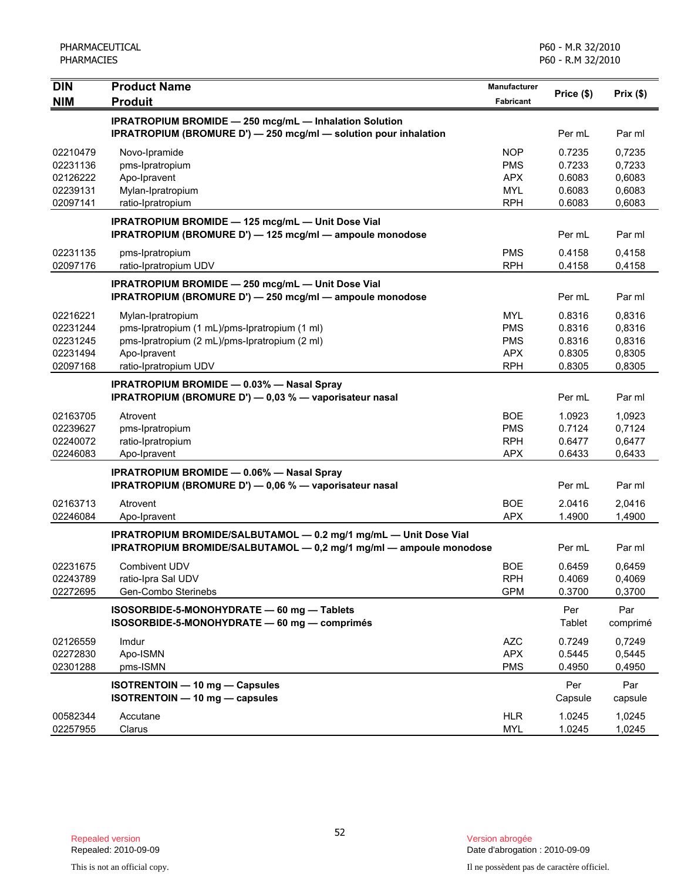| <b>DIN</b> | <b>Product Name</b>                                                                                                                    | Manufacturer | Price (\$)    | Prix(\$)        |
|------------|----------------------------------------------------------------------------------------------------------------------------------------|--------------|---------------|-----------------|
| <b>NIM</b> | <b>Produit</b>                                                                                                                         | Fabricant    |               |                 |
|            | <b>IPRATROPIUM BROMIDE - 250 mcg/mL - Inhalation Solution</b>                                                                          |              |               |                 |
|            | <b>IPRATROPIUM (BROMURE D') — 250 mcg/ml — solution pour inhalation</b>                                                                |              | Per mL        | Par ml          |
| 02210479   | Novo-Ipramide                                                                                                                          | <b>NOP</b>   | 0.7235        | 0,7235          |
| 02231136   | pms-Ipratropium                                                                                                                        | <b>PMS</b>   | 0.7233        | 0,7233          |
| 02126222   | Apo-Ipravent                                                                                                                           | <b>APX</b>   | 0.6083        | 0,6083          |
| 02239131   | Mylan-Ipratropium                                                                                                                      | <b>MYL</b>   | 0.6083        | 0,6083          |
| 02097141   | ratio-Ipratropium                                                                                                                      | <b>RPH</b>   | 0.6083        | 0,6083          |
|            | IPRATROPIUM BROMIDE - 125 mcg/mL - Unit Dose Vial<br>IPRATROPIUM (BROMURE D') - 125 mcg/ml - ampoule monodose                          |              | Per mL        | Par ml          |
| 02231135   | pms-Ipratropium                                                                                                                        | <b>PMS</b>   | 0.4158        | 0,4158          |
| 02097176   | ratio-Ipratropium UDV                                                                                                                  | <b>RPH</b>   | 0.4158        | 0,4158          |
|            | <b>IPRATROPIUM BROMIDE - 250 mcg/mL - Unit Dose Vial</b>                                                                               |              |               |                 |
|            | IPRATROPIUM (BROMURE D') - 250 mcg/ml - ampoule monodose                                                                               |              | Per mL        | Par ml          |
| 02216221   | Mylan-Ipratropium                                                                                                                      | <b>MYL</b>   | 0.8316        | 0,8316          |
| 02231244   | pms-Ipratropium (1 mL)/pms-Ipratropium (1 ml)                                                                                          | <b>PMS</b>   | 0.8316        | 0,8316          |
| 02231245   | pms-Ipratropium (2 mL)/pms-Ipratropium (2 ml)                                                                                          | <b>PMS</b>   | 0.8316        | 0,8316          |
| 02231494   | Apo-Ipravent                                                                                                                           | <b>APX</b>   | 0.8305        | 0,8305          |
| 02097168   | ratio-Ipratropium UDV                                                                                                                  | <b>RPH</b>   | 0.8305        | 0,8305          |
|            | <b>IPRATROPIUM BROMIDE - 0.03% - Nasal Spray</b>                                                                                       |              |               |                 |
|            | IPRATROPIUM (BROMURE D') - 0,03 % - vaporisateur nasal                                                                                 |              | Per mL        | Par ml          |
| 02163705   | Atrovent                                                                                                                               | <b>BOE</b>   | 1.0923        | 1,0923          |
| 02239627   | pms-Ipratropium                                                                                                                        | <b>PMS</b>   | 0.7124        | 0,7124          |
| 02240072   | ratio-Ipratropium                                                                                                                      | <b>RPH</b>   | 0.6477        | 0,6477          |
| 02246083   | Apo-Ipravent                                                                                                                           | <b>APX</b>   | 0.6433        | 0,6433          |
|            | <b>IPRATROPIUM BROMIDE - 0.06% - Nasal Spray</b>                                                                                       |              |               |                 |
|            | IPRATROPIUM (BROMURE D') - 0,06 % - vaporisateur nasal                                                                                 |              | Per mL        | Par ml          |
| 02163713   | Atrovent                                                                                                                               | <b>BOE</b>   | 2.0416        | 2,0416          |
| 02246084   | Apo-Ipravent                                                                                                                           | <b>APX</b>   | 1.4900        | 1,4900          |
|            | IPRATROPIUM BROMIDE/SALBUTAMOL - 0.2 mg/1 mg/mL - Unit Dose Vial<br>IPRATROPIUM BROMIDE/SALBUTAMOL - 0,2 mg/1 mg/ml - ampoule monodose |              | Per mL        | Par ml          |
| 02231675   | <b>Combivent UDV</b>                                                                                                                   | <b>BOE</b>   | 0.6459        | 0,6459          |
| 02243789   | ratio-Ipra Sal UDV                                                                                                                     | <b>RPH</b>   | 0.4069        | 0,4069          |
| 02272695   | Gen-Combo Sterinebs                                                                                                                    | <b>GPM</b>   | 0.3700        | 0,3700          |
|            | ISOSORBIDE-5-MONOHYDRATE - 60 mg - Tablets<br>ISOSORBIDE-5-MONOHYDRATE - 60 mg - comprimés                                             |              | Per<br>Tablet | Par<br>comprimé |
| 02126559   | Imdur                                                                                                                                  | <b>AZC</b>   | 0.7249        | 0,7249          |
| 02272830   | Apo-ISMN                                                                                                                               | <b>APX</b>   | 0.5445        | 0,5445          |
| 02301288   | pms-ISMN                                                                                                                               | <b>PMS</b>   | 0.4950        | 0,4950          |
|            | ISOTRENTOIN - 10 mg - Capsules                                                                                                         |              | Per           | Par             |
|            | ISOTRENTOIN - 10 mg - capsules                                                                                                         |              | Capsule       | capsule         |
| 00582344   | Accutane                                                                                                                               | <b>HLR</b>   | 1.0245        | 1,0245          |
| 02257955   | Clarus                                                                                                                                 | <b>MYL</b>   | 1.0245        | 1,0245          |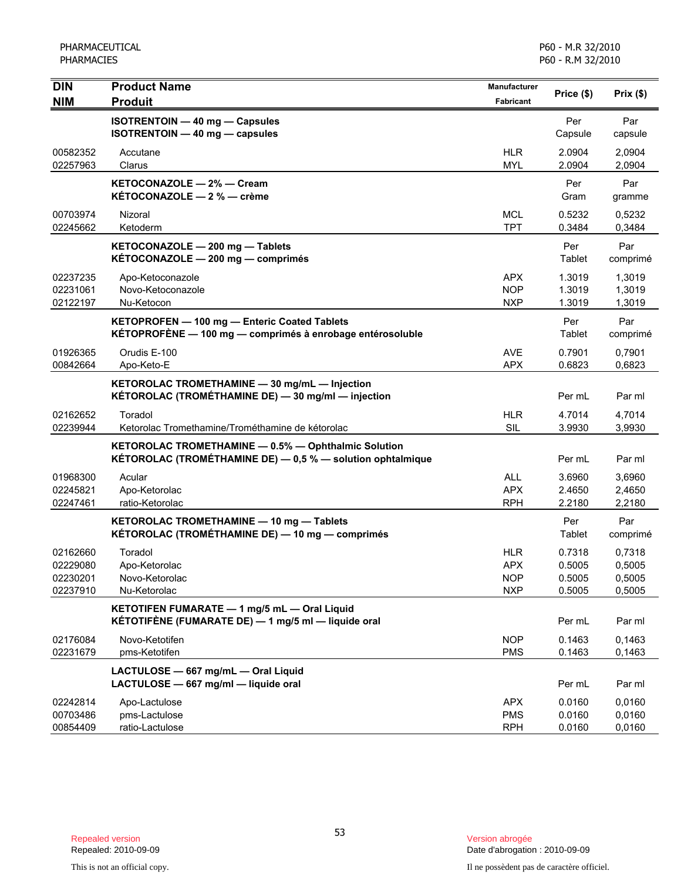| DIN                                          | <b>Product Name</b>                                                                                               | Manufacturer                                         | Price (\$)                           | Prix(\$)                             |
|----------------------------------------------|-------------------------------------------------------------------------------------------------------------------|------------------------------------------------------|--------------------------------------|--------------------------------------|
| <b>NIM</b>                                   | <b>Produit</b>                                                                                                    | <b>Fabricant</b>                                     |                                      |                                      |
|                                              | <b>ISOTRENTOIN - 40 mg - Capsules</b><br>ISOTRENTOIN - 40 mg - capsules                                           |                                                      | Per<br>Capsule                       | Par<br>capsule                       |
| 00582352<br>02257963                         | Accutane<br>Clarus                                                                                                | <b>HLR</b><br><b>MYL</b>                             | 2.0904<br>2.0904                     | 2,0904<br>2,0904                     |
|                                              | KETOCONAZOLE - 2% - Cream<br>KÉTOCONAZOLE - 2 % - crème                                                           |                                                      | Per<br>Gram                          | Par<br>gramme                        |
| 00703974<br>02245662                         | Nizoral<br>Ketoderm                                                                                               | <b>MCL</b><br><b>TPT</b>                             | 0.5232<br>0.3484                     | 0,5232<br>0,3484                     |
|                                              | KETOCONAZOLE - 200 mg - Tablets<br>KÉTOCONAZOLE - 200 mg - comprimés                                              |                                                      | Per<br>Tablet                        | Par<br>comprimé                      |
| 02237235<br>02231061<br>02122197             | Apo-Ketoconazole<br>Novo-Ketoconazole<br>Nu-Ketocon                                                               | <b>APX</b><br><b>NOP</b><br><b>NXP</b>               | 1.3019<br>1.3019<br>1.3019           | 1,3019<br>1,3019<br>1,3019           |
|                                              | KETOPROFEN - 100 mg - Enteric Coated Tablets<br>KÉTOPROFÈNE - 100 mg - comprimés à enrobage entérosoluble         |                                                      | Per<br>Tablet                        | Par<br>comprimé                      |
| 01926365<br>00842664                         | Orudis E-100<br>Apo-Keto-E                                                                                        | <b>AVE</b><br><b>APX</b>                             | 0.7901<br>0.6823                     | 0.7901<br>0,6823                     |
|                                              | KETOROLAC TROMETHAMINE - 30 mg/mL - Injection<br>KÉTOROLAC (TROMÉTHAMINE DE) - 30 mg/ml - injection               |                                                      | Per mL                               | Par ml                               |
| 02162652<br>02239944                         | Toradol<br>Ketorolac Tromethamine/Trométhamine de kétorolac                                                       | <b>HLR</b><br><b>SIL</b>                             | 4.7014<br>3.9930                     | 4,7014<br>3,9930                     |
|                                              | KETOROLAC TROMETHAMINE - 0.5% - Ophthalmic Solution<br>KÉTOROLAC (TROMÉTHAMINE DE) - 0,5 % - solution ophtalmique |                                                      | Per mL                               | Par ml                               |
| 01968300<br>02245821<br>02247461             | Acular<br>Apo-Ketorolac<br>ratio-Ketorolac                                                                        | <b>ALL</b><br><b>APX</b><br><b>RPH</b>               | 3.6960<br>2.4650<br>2.2180           | 3,6960<br>2,4650<br>2,2180           |
|                                              | KETOROLAC TROMETHAMINE - 10 mg - Tablets<br>KÉTOROLAC (TROMÉTHAMINE DE) — 10 mg — comprimés                       |                                                      | Per<br>Tablet                        | Par<br>comprimé                      |
| 02162660<br>02229080<br>02230201<br>02237910 | Toradol<br>Apo-Ketorolac<br>Novo-Ketorolac<br>Nu-Ketorolac                                                        | <b>HLR</b><br><b>APX</b><br><b>NOP</b><br><b>NXP</b> | 0.7318<br>0.5005<br>0.5005<br>0.5005 | 0,7318<br>0,5005<br>0,5005<br>0,5005 |
|                                              | KETOTIFEN FUMARATE - 1 mg/5 mL - Oral Liquid<br>KÉTOTIFÈNE (FUMARATE DE) — 1 mg/5 ml — liquide oral               |                                                      | Per mL                               | Par ml                               |
| 02176084<br>02231679                         | Novo-Ketotifen<br>pms-Ketotifen                                                                                   | <b>NOP</b><br><b>PMS</b>                             | 0.1463<br>0.1463                     | 0,1463<br>0,1463                     |
|                                              | LACTULOSE - 667 mg/mL - Oral Liquid<br>LACTULOSE - 667 mg/ml - liquide oral                                       |                                                      | Per mL                               | Par ml                               |
| 02242814<br>00703486<br>00854409             | Apo-Lactulose<br>pms-Lactulose<br>ratio-Lactulose                                                                 | <b>APX</b><br><b>PMS</b><br><b>RPH</b>               | 0.0160<br>0.0160<br>0.0160           | 0,0160<br>0,0160<br>0,0160           |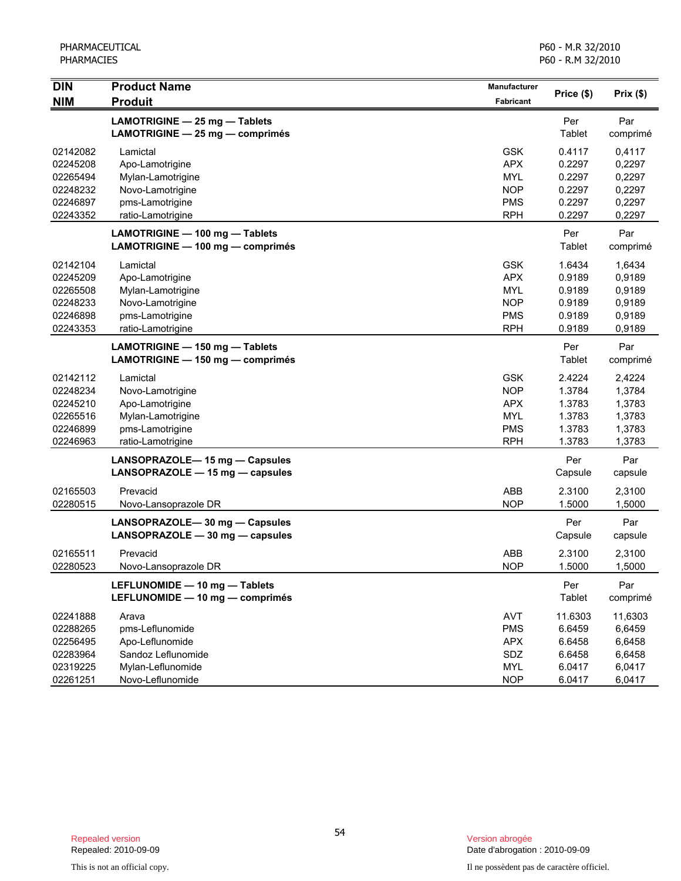| DIN                                                                  | <b>Product Name</b>                                                                                          | Manufacturer                                                                     | Price (\$)                                                | Prix(\$)                                                  |
|----------------------------------------------------------------------|--------------------------------------------------------------------------------------------------------------|----------------------------------------------------------------------------------|-----------------------------------------------------------|-----------------------------------------------------------|
| <b>NIM</b>                                                           | <b>Produit</b>                                                                                               | <b>Fabricant</b>                                                                 |                                                           |                                                           |
|                                                                      | LAMOTRIGINE - 25 mg - Tablets<br>LAMOTRIGINE - 25 mg - comprimés                                             |                                                                                  | Per<br>Tablet                                             | Par<br>comprimé                                           |
| 02142082<br>02245208<br>02265494<br>02248232<br>02246897<br>02243352 | Lamictal<br>Apo-Lamotrigine<br>Mylan-Lamotrigine<br>Novo-Lamotrigine<br>pms-Lamotrigine<br>ratio-Lamotrigine | <b>GSK</b><br><b>APX</b><br><b>MYL</b><br><b>NOP</b><br><b>PMS</b><br><b>RPH</b> | 0.4117<br>0.2297<br>0.2297<br>0.2297<br>0.2297<br>0.2297  | 0,4117<br>0,2297<br>0,2297<br>0,2297<br>0,2297<br>0,2297  |
|                                                                      | LAMOTRIGINE - 100 mg - Tablets<br>LAMOTRIGINE - 100 mg - comprimés                                           |                                                                                  | Per<br>Tablet                                             | Par<br>comprimé                                           |
| 02142104<br>02245209<br>02265508<br>02248233<br>02246898<br>02243353 | Lamictal<br>Apo-Lamotrigine<br>Mylan-Lamotrigine<br>Novo-Lamotrigine<br>pms-Lamotrigine<br>ratio-Lamotrigine | <b>GSK</b><br><b>APX</b><br><b>MYL</b><br><b>NOP</b><br><b>PMS</b><br><b>RPH</b> | 1.6434<br>0.9189<br>0.9189<br>0.9189<br>0.9189<br>0.9189  | 1,6434<br>0,9189<br>0,9189<br>0,9189<br>0,9189<br>0,9189  |
|                                                                      | LAMOTRIGINE - 150 mg - Tablets<br>LAMOTRIGINE - 150 mg - comprimés                                           |                                                                                  | Per<br>Tablet                                             | Par<br>comprimé                                           |
| 02142112<br>02248234<br>02245210<br>02265516<br>02246899<br>02246963 | Lamictal<br>Novo-Lamotrigine<br>Apo-Lamotrigine<br>Mylan-Lamotrigine<br>pms-Lamotrigine<br>ratio-Lamotrigine | <b>GSK</b><br><b>NOP</b><br><b>APX</b><br><b>MYL</b><br><b>PMS</b><br><b>RPH</b> | 2.4224<br>1.3784<br>1.3783<br>1.3783<br>1.3783<br>1.3783  | 2,4224<br>1,3784<br>1,3783<br>1,3783<br>1,3783<br>1,3783  |
|                                                                      | LANSOPRAZOLE-15 mg - Capsules<br>LANSOPRAZOLE - 15 mg - capsules                                             |                                                                                  | Per<br>Capsule                                            | Par<br>capsule                                            |
| 02165503<br>02280515                                                 | Prevacid<br>Novo-Lansoprazole DR                                                                             | ABB<br><b>NOP</b>                                                                | 2.3100<br>1.5000                                          | 2,3100<br>1,5000                                          |
|                                                                      | LANSOPRAZOLE-30 mg - Capsules<br>LANSOPRAZOLE - 30 mg - capsules                                             |                                                                                  | Per<br>Capsule                                            | Par<br>capsule                                            |
| 02165511<br>02280523                                                 | Prevacid<br>Novo-Lansoprazole DR                                                                             | ABB<br><b>NOP</b>                                                                | 2.3100<br>1.5000                                          | 2,3100<br>1,5000                                          |
|                                                                      | LEFLUNOMIDE - 10 mg - Tablets<br>LEFLUNOMIDE - 10 mg - comprimés                                             |                                                                                  | Per<br>Tablet                                             | Par<br>comprimé                                           |
| 02241888<br>02288265<br>02256495<br>02283964<br>02319225<br>02261251 | Arava<br>pms-Leflunomide<br>Apo-Leflunomide<br>Sandoz Leflunomide<br>Mylan-Leflunomide<br>Novo-Leflunomide   | <b>AVT</b><br><b>PMS</b><br><b>APX</b><br>SDZ<br><b>MYL</b><br><b>NOP</b>        | 11.6303<br>6.6459<br>6.6458<br>6.6458<br>6.0417<br>6.0417 | 11,6303<br>6,6459<br>6,6458<br>6,6458<br>6,0417<br>6,0417 |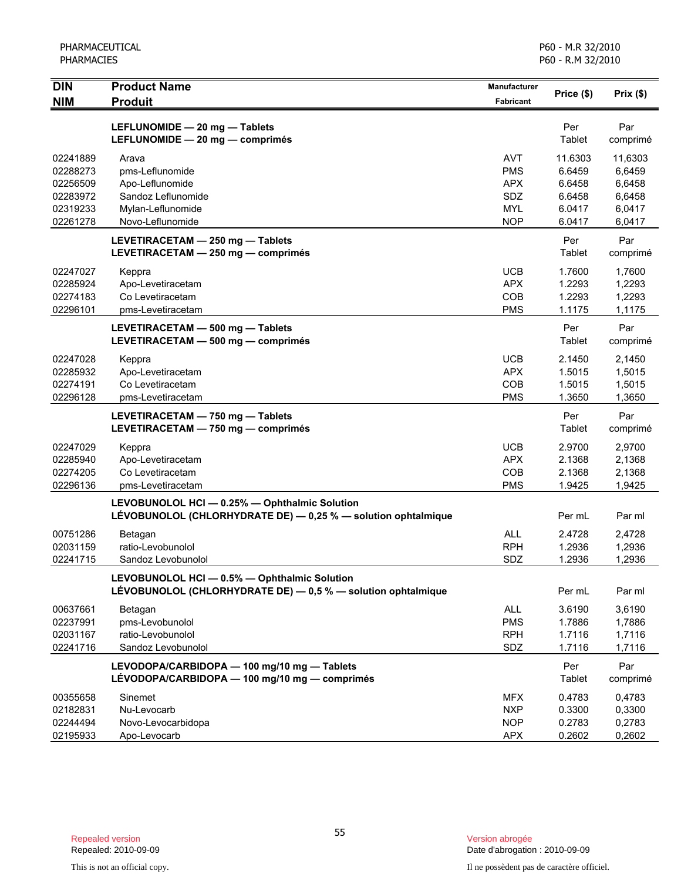| <b>DIN</b> | <b>Product Name</b>                                                                                            | <b>Manufacturer</b> | Price (\$)    | Prix(\$)        |
|------------|----------------------------------------------------------------------------------------------------------------|---------------------|---------------|-----------------|
| <b>NIM</b> | <b>Produit</b>                                                                                                 | <b>Fabricant</b>    |               |                 |
|            | LEFLUNOMIDE - 20 mg - Tablets<br>LEFLUNOMIDE - 20 mg - comprimés                                               |                     | Per<br>Tablet | Par<br>comprimé |
| 02241889   | Arava                                                                                                          | <b>AVT</b>          | 11.6303       | 11,6303         |
| 02288273   | pms-Leflunomide                                                                                                | <b>PMS</b>          | 6.6459        | 6,6459          |
| 02256509   | Apo-Leflunomide                                                                                                | <b>APX</b>          | 6.6458        | 6,6458          |
| 02283972   | Sandoz Leflunomide                                                                                             | SDZ                 | 6.6458        | 6,6458          |
| 02319233   | Mylan-Leflunomide                                                                                              | <b>MYL</b>          | 6.0417        | 6.0417          |
| 02261278   | Novo-Leflunomide                                                                                               | <b>NOP</b>          | 6.0417        | 6,0417          |
|            | LEVETIRACETAM - 250 mg - Tablets<br>LEVETIRACETAM - 250 mg - comprimés                                         |                     | Per<br>Tablet | Par<br>comprimé |
| 02247027   | Keppra                                                                                                         | <b>UCB</b>          | 1.7600        | 1,7600          |
| 02285924   | Apo-Levetiracetam                                                                                              | <b>APX</b>          | 1.2293        | 1,2293          |
| 02274183   | Co Levetiracetam                                                                                               | COB                 | 1.2293        | 1,2293          |
| 02296101   | pms-Levetiracetam                                                                                              | <b>PMS</b>          | 1.1175        | 1,1175          |
|            | LEVETIRACETAM - 500 mg - Tablets                                                                               |                     | Per           | Par             |
|            | LEVETIRACETAM - 500 mg - comprimés                                                                             |                     | Tablet        | comprimé        |
| 02247028   | Keppra                                                                                                         | <b>UCB</b>          | 2.1450        | 2,1450          |
| 02285932   | Apo-Levetiracetam                                                                                              | <b>APX</b>          | 1.5015        | 1,5015          |
| 02274191   | Co Levetiracetam                                                                                               | COB                 | 1.5015        | 1,5015          |
| 02296128   | pms-Levetiracetam                                                                                              | <b>PMS</b>          | 1.3650        | 1,3650          |
|            | LEVETIRACETAM - 750 mg - Tablets<br>LEVETIRACETAM - 750 mg - comprimés                                         |                     | Per<br>Tablet | Par<br>comprimé |
| 02247029   | Keppra                                                                                                         | <b>UCB</b>          | 2.9700        | 2,9700          |
| 02285940   | Apo-Levetiracetam                                                                                              | <b>APX</b>          | 2.1368        | 2,1368          |
| 02274205   | Co Levetiracetam                                                                                               | COB                 | 2.1368        | 2,1368          |
| 02296136   | pms-Levetiracetam                                                                                              | <b>PMS</b>          | 1.9425        | 1,9425          |
|            | LEVOBUNOLOL HCI - 0.25% - Ophthalmic Solution<br>LEVOBUNOLOL (CHLORHYDRATE DE) - 0,25 % - solution ophtalmique |                     | Per mL        | Par ml          |
| 00751286   | Betagan                                                                                                        | <b>ALL</b>          | 2.4728        | 2,4728          |
| 02031159   | ratio-Levobunolol                                                                                              | <b>RPH</b>          | 1.2936        | 1,2936          |
| 02241715   | Sandoz Levobunolol                                                                                             | SDZ                 | 1.2936        | 1,2936          |
|            | LEVOBUNOLOL HCI - 0.5% - Ophthalmic Solution<br>LÉVOBUNOLOL (CHLORHYDRATE DE) - 0,5 % - solution ophtalmique   |                     | Per mL        | Par ml          |
| 00637661   | Betagan                                                                                                        | <b>ALL</b>          | 3.6190        | 3,6190          |
| 02237991   | pms-Levobunolol                                                                                                | <b>PMS</b>          | 1.7886        | 1,7886          |
| 02031167   | ratio-Levobunolol                                                                                              | <b>RPH</b>          | 1.7116        | 1,7116          |
| 02241716   | Sandoz Levobunolol                                                                                             | SDZ                 | 1.7116        | 1,7116          |
|            | LEVODOPA/CARBIDOPA - 100 mg/10 mg - Tablets<br>LÉVODOPA/CARBIDOPA - 100 mg/10 mg - comprimés                   |                     | Per<br>Tablet | Par<br>comprimé |
| 00355658   | Sinemet                                                                                                        | <b>MFX</b>          | 0.4783        | 0,4783          |
| 02182831   | Nu-Levocarb                                                                                                    | <b>NXP</b>          | 0.3300        | 0,3300          |
| 02244494   | Novo-Levocarbidopa                                                                                             | <b>NOP</b>          | 0.2783        | 0,2783          |
| 02195933   | Apo-Levocarb                                                                                                   | <b>APX</b>          | 0.2602        | 0,2602          |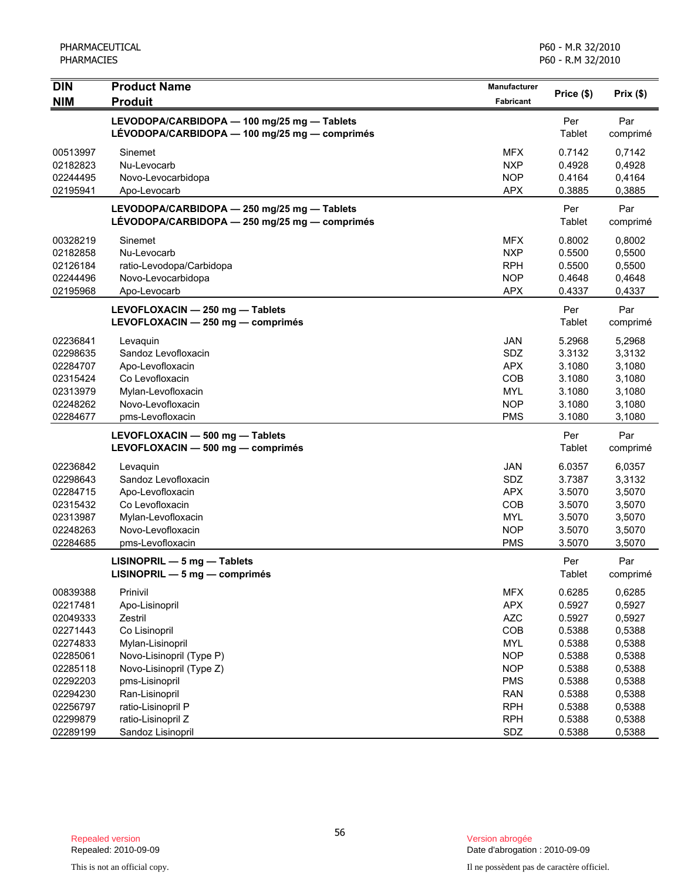| <b>DIN</b> | <b>Product Name</b>                                                                          | Manufacturer     | Price (\$)    | Prix(\$)        |
|------------|----------------------------------------------------------------------------------------------|------------------|---------------|-----------------|
| <b>NIM</b> | <b>Produit</b>                                                                               | <b>Fabricant</b> |               |                 |
|            | LEVODOPA/CARBIDOPA - 100 mg/25 mg - Tablets<br>LÉVODOPA/CARBIDOPA - 100 mg/25 mg - comprimés |                  | Per<br>Tablet | Par<br>comprimé |
| 00513997   | Sinemet                                                                                      | <b>MFX</b>       | 0.7142        | 0,7142          |
| 02182823   | Nu-Levocarb                                                                                  | <b>NXP</b>       | 0.4928        | 0,4928          |
| 02244495   | Novo-Levocarbidopa                                                                           | <b>NOP</b>       | 0.4164        | 0,4164          |
| 02195941   | Apo-Levocarb                                                                                 | <b>APX</b>       | 0.3885        | 0,3885          |
|            | LEVODOPA/CARBIDOPA - 250 mg/25 mg - Tablets<br>LÉVODOPA/CARBIDOPA - 250 mg/25 mg - comprimés |                  | Per<br>Tablet | Par<br>comprimé |
| 00328219   | Sinemet                                                                                      | <b>MFX</b>       | 0.8002        | 0,8002          |
| 02182858   | Nu-Levocarb                                                                                  | <b>NXP</b>       | 0.5500        | 0,5500          |
| 02126184   | ratio-Levodopa/Carbidopa                                                                     | <b>RPH</b>       | 0.5500        | 0,5500          |
| 02244496   | Novo-Levocarbidopa                                                                           | <b>NOP</b>       | 0.4648        | 0,4648          |
| 02195968   | Apo-Levocarb                                                                                 | <b>APX</b>       | 0.4337        | 0,4337          |
|            | LEVOFLOXACIN - 250 mg - Tablets<br>LEVOFLOXACIN - 250 mg - comprimés                         |                  | Per<br>Tablet | Par<br>comprimé |
| 02236841   | Levaquin                                                                                     | <b>JAN</b>       | 5.2968        | 5,2968          |
| 02298635   | Sandoz Levofloxacin                                                                          | SDZ              | 3.3132        | 3,3132          |
| 02284707   | Apo-Levofloxacin                                                                             | <b>APX</b>       | 3.1080        | 3,1080          |
| 02315424   | Co Levofloxacin                                                                              | COB              | 3.1080        | 3,1080          |
| 02313979   | Mylan-Levofloxacin                                                                           | <b>MYL</b>       | 3.1080        | 3,1080          |
| 02248262   | Novo-Levofloxacin                                                                            | <b>NOP</b>       | 3.1080        | 3,1080          |
| 02284677   | pms-Levofloxacin                                                                             | <b>PMS</b>       | 3.1080        | 3,1080          |
|            | LEVOFLOXACIN - 500 mg - Tablets                                                              |                  | Per           | Par             |
|            | LEVOFLOXACIN - 500 mg - comprimés                                                            |                  | Tablet        | comprimé        |
| 02236842   | Levaquin                                                                                     | <b>JAN</b>       | 6.0357        | 6,0357          |
| 02298643   | Sandoz Levofloxacin                                                                          | SDZ              | 3.7387        | 3,3132          |
| 02284715   | Apo-Levofloxacin                                                                             | <b>APX</b>       | 3.5070        | 3,5070          |
| 02315432   | Co Levofloxacin                                                                              | COB              | 3.5070        | 3,5070          |
| 02313987   | Mylan-Levofloxacin                                                                           | <b>MYL</b>       | 3.5070        | 3,5070          |
| 02248263   | Novo-Levofloxacin                                                                            | <b>NOP</b>       | 3.5070        | 3,5070          |
| 02284685   | pms-Levofloxacin                                                                             | <b>PMS</b>       | 3.5070        | 3,5070          |
|            | $LISINOPRIL - 5 mg - Tables$<br>LISINOPRIL - 5 mg - comprimés                                |                  | Per<br>Tablet | Par<br>comprimé |
| 00839388   | Prinivil                                                                                     | <b>MFX</b>       | 0.6285        | 0,6285          |
| 02217481   | Apo-Lisinopril                                                                               | <b>APX</b>       | 0.5927        | 0,5927          |
| 02049333   | Zestril                                                                                      | <b>AZC</b>       | 0.5927        | 0,5927          |
| 02271443   | Co Lisinopril                                                                                | COB              | 0.5388        | 0,5388          |
| 02274833   | Mylan-Lisinopril                                                                             | <b>MYL</b>       | 0.5388        | 0,5388          |
| 02285061   | Novo-Lisinopril (Type P)                                                                     | <b>NOP</b>       | 0.5388        | 0,5388          |
| 02285118   | Novo-Lisinopril (Type Z)                                                                     | <b>NOP</b>       | 0.5388        | 0,5388          |
| 02292203   | pms-Lisinopril                                                                               | <b>PMS</b>       | 0.5388        | 0,5388          |
| 02294230   | Ran-Lisinopril                                                                               | <b>RAN</b>       | 0.5388        | 0,5388          |
| 02256797   | ratio-Lisinopril P                                                                           | <b>RPH</b>       | 0.5388        | 0,5388          |
| 02299879   | ratio-Lisinopril Z                                                                           | <b>RPH</b>       | 0.5388        | 0,5388          |
| 02289199   | Sandoz Lisinopril                                                                            | SDZ              | 0.5388        | 0,5388          |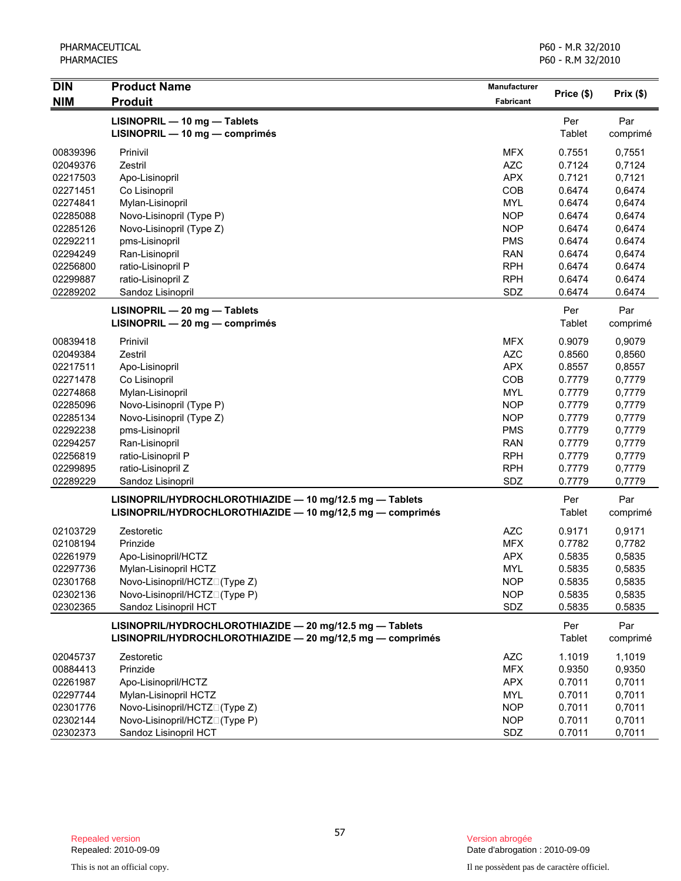| <b>DIN</b> | <b>Product Name</b>                                        | <b>Manufacturer</b> | Price (\$)    |          |
|------------|------------------------------------------------------------|---------------------|---------------|----------|
| <b>NIM</b> | <b>Produit</b>                                             | Fabricant           |               | Prix(\$) |
|            | LISINOPRIL - 10 mg - Tablets                               |                     | Per           | Par      |
|            | LISINOPRIL - 10 mg - comprimés                             |                     | Tablet        | comprimé |
| 00839396   | Prinivil                                                   | <b>MFX</b>          | 0.7551        | 0,7551   |
| 02049376   | Zestril                                                    | <b>AZC</b>          | 0.7124        | 0,7124   |
| 02217503   | Apo-Lisinopril                                             | <b>APX</b>          | 0.7121        | 0,7121   |
| 02271451   | Co Lisinopril                                              | COB                 | 0.6474        | 0,6474   |
| 02274841   | Mylan-Lisinopril                                           | <b>MYL</b>          | 0.6474        | 0,6474   |
| 02285088   | Novo-Lisinopril (Type P)                                   | <b>NOP</b>          | 0.6474        | 0,6474   |
| 02285126   | Novo-Lisinopril (Type Z)                                   | <b>NOP</b>          | 0.6474        | 0,6474   |
| 02292211   | pms-Lisinopril                                             | <b>PMS</b>          | 0.6474        | 0.6474   |
| 02294249   | Ran-Lisinopril                                             | <b>RAN</b>          | 0.6474        | 0,6474   |
| 02256800   | ratio-Lisinopril P                                         | <b>RPH</b>          | 0.6474        | 0.6474   |
| 02299887   | ratio-Lisinopril Z                                         | <b>RPH</b>          | 0.6474        | 0.6474   |
| 02289202   | Sandoz Lisinopril                                          | SDZ                 | 0.6474        | 0.6474   |
|            | LISINOPRIL - 20 mg - Tablets                               |                     | Per           | Par      |
|            | LISINOPRIL - 20 mg - comprimés                             |                     | Tablet        | comprimé |
| 00839418   | Prinivil                                                   | <b>MFX</b>          | 0.9079        | 0,9079   |
| 02049384   | Zestril                                                    | <b>AZC</b>          | 0.8560        | 0,8560   |
| 02217511   | Apo-Lisinopril                                             | <b>APX</b>          | 0.8557        | 0,8557   |
| 02271478   | Co Lisinopril                                              | COB                 | 0.7779        | 0,7779   |
| 02274868   | Mylan-Lisinopril                                           | <b>MYL</b>          | 0.7779        | 0,7779   |
| 02285096   | Novo-Lisinopril (Type P)                                   | <b>NOP</b>          | 0.7779        | 0,7779   |
| 02285134   | Novo-Lisinopril (Type Z)                                   | <b>NOP</b>          | 0.7779        | 0,7779   |
| 02292238   | pms-Lisinopril                                             | <b>PMS</b>          | 0.7779        | 0,7779   |
| 02294257   | Ran-Lisinopril                                             | <b>RAN</b>          | 0.7779        | 0,7779   |
| 02256819   | ratio-Lisinopril P                                         | <b>RPH</b>          | 0.7779        | 0,7779   |
| 02299895   | ratio-Lisinopril Z                                         | <b>RPH</b>          | 0.7779        | 0,7779   |
| 02289229   | Sandoz Lisinopril                                          | SDZ                 | 0.7779        | 0,7779   |
|            | LISINOPRIL/HYDROCHLOROTHIAZIDE - 10 mg/12.5 mg - Tablets   |                     | Per           | Par      |
|            | LISINOPRIL/HYDROCHLOROTHIAZIDE - 10 mg/12,5 mg - comprimés |                     | Tablet        | comprimé |
| 02103729   | Zestoretic                                                 | <b>AZC</b>          | 0.9171        | 0,9171   |
| 02108194   | Prinzide                                                   | <b>MFX</b>          | 0.7782        | 0,7782   |
| 02261979   | Apo-Lisinopril/HCTZ                                        | <b>APX</b>          | 0.5835        | 0,5835   |
| 02297736   | Mylan-Lisinopril HCTZ                                      | <b>MYL</b>          | 0.5835        | 0,5835   |
| 02301768   | Novo-Lisinopril/HCTZN(Type Z)                              | <b>NOP</b>          | 0.5835        | 0,5835   |
| 02302136   | Novo-Lisinopril/HCTZN(Type P)                              | <b>NOP</b>          | 0.5835        | 0,5835   |
| 02302365   | Sandoz Lisinopril HCT                                      | SDZ                 | 0.5835        | 0.5835   |
|            | LISINOPRIL/HYDROCHLOROTHIAZIDE - 20 mg/12.5 mg - Tablets   |                     | Per           | Par      |
|            | LISINOPRIL/HYDROCHLOROTHIAZIDE - 20 mg/12,5 mg - comprimés |                     | <b>Tablet</b> | comprimé |
| 02045737   | Zestoretic                                                 | <b>AZC</b>          | 1.1019        | 1,1019   |
| 00884413   | Prinzide                                                   | <b>MFX</b>          | 0.9350        | 0,9350   |
| 02261987   | Apo-Lisinopril/HCTZ                                        | <b>APX</b>          | 0.7011        | 0,7011   |
| 02297744   | Mylan-Lisinopril HCTZ                                      | <b>MYL</b>          | 0.7011        | 0,7011   |
| 02301776   | Novo-Lisinopril/HCTZN(Type Z)                              | <b>NOP</b>          | 0.7011        | 0,7011   |
| 02302144   | Novo-Lisinopril/HCTZN(Type P)                              | <b>NOP</b>          | 0.7011        | 0,7011   |
| 02302373   | Sandoz Lisinopril HCT                                      | SDZ                 | 0.7011        | 0,7011   |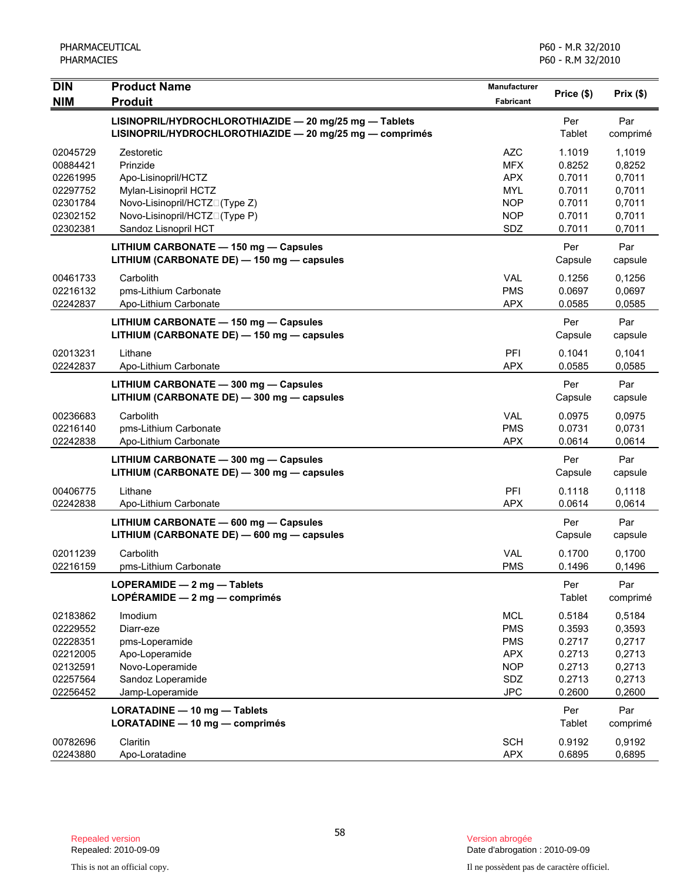| <b>DIN</b>                                                                       | <b>Product Name</b>                                                                                                 | <b>Manufacturer</b>                                                                     | Price (\$)                                                         |                                                                    |
|----------------------------------------------------------------------------------|---------------------------------------------------------------------------------------------------------------------|-----------------------------------------------------------------------------------------|--------------------------------------------------------------------|--------------------------------------------------------------------|
| <b>NIM</b>                                                                       | <b>Produit</b>                                                                                                      | Fabricant                                                                               |                                                                    | Prix(\$)                                                           |
|                                                                                  | LISINOPRIL/HYDROCHLOROTHIAZIDE - 20 mg/25 mg - Tablets<br>LISINOPRIL/HYDROCHLOROTHIAZIDE - 20 mg/25 mg - comprimés  |                                                                                         | Per<br>Tablet                                                      | Par<br>comprimé                                                    |
| 02045729<br>00884421<br>02261995<br>02297752<br>02301784                         | Zestoretic<br>Prinzide<br>Apo-Lisinopril/HCTZ<br>Mylan-Lisinopril HCTZ<br>Novo-Lisinopril/HCTZN(Type Z)             | AZC<br><b>MFX</b><br><b>APX</b><br><b>MYL</b><br><b>NOP</b>                             | 1.1019<br>0.8252<br>0.7011<br>0.7011<br>0.7011                     | 1,1019<br>0,8252<br>0,7011<br>0,7011<br>0,7011                     |
| 02302152<br>02302381                                                             | Novo-Lisinopril/HCTZN(Type P)<br>Sandoz Lisnopril HCT                                                               | <b>NOP</b><br>SDZ                                                                       | 0.7011<br>0.7011                                                   | 0,7011<br>0,7011                                                   |
|                                                                                  | LITHIUM CARBONATE - 150 mg - Capsules<br>LITHIUM (CARBONATE DE) - 150 mg - capsules                                 |                                                                                         | Per<br>Capsule                                                     | Par<br>capsule                                                     |
| 00461733<br>02216132<br>02242837                                                 | Carbolith<br>pms-Lithium Carbonate<br>Apo-Lithium Carbonate                                                         | <b>VAL</b><br><b>PMS</b><br><b>APX</b>                                                  | 0.1256<br>0.0697<br>0.0585                                         | 0,1256<br>0,0697<br>0,0585                                         |
|                                                                                  | LITHIUM CARBONATE - 150 mg - Capsules<br>LITHIUM (CARBONATE DE) - 150 mg - capsules                                 |                                                                                         | Per<br>Capsule                                                     | Par<br>capsule                                                     |
| 02013231<br>02242837                                                             | Lithane<br>Apo-Lithium Carbonate                                                                                    | PFI<br><b>APX</b>                                                                       | 0.1041<br>0.0585                                                   | 0,1041<br>0.0585                                                   |
|                                                                                  | LITHIUM CARBONATE - 300 mg - Capsules<br>LITHIUM (CARBONATE DE) - 300 mg - capsules                                 |                                                                                         | Per<br>Capsule                                                     | Par<br>capsule                                                     |
| 00236683<br>02216140<br>02242838                                                 | Carbolith<br>pms-Lithium Carbonate<br>Apo-Lithium Carbonate                                                         | <b>VAL</b><br><b>PMS</b><br><b>APX</b>                                                  | 0.0975<br>0.0731<br>0.0614                                         | 0.0975<br>0,0731<br>0,0614                                         |
|                                                                                  | LITHIUM CARBONATE - 300 mg - Capsules<br>LITHIUM (CARBONATE DE) - 300 mg - capsules                                 |                                                                                         | Per<br>Capsule                                                     | Par<br>capsule                                                     |
| 00406775<br>02242838                                                             | Lithane<br>Apo-Lithium Carbonate                                                                                    | PFI<br><b>APX</b>                                                                       | 0.1118<br>0.0614                                                   | 0,1118<br>0,0614                                                   |
|                                                                                  | LITHIUM CARBONATE - 600 mg - Capsules<br>LITHIUM (CARBONATE DE) - 600 mg - capsules                                 |                                                                                         | Per<br>Capsule                                                     | Par<br>capsule                                                     |
| 02011239<br>02216159                                                             | Carbolith<br>pms-Lithium Carbonate                                                                                  | <b>VAL</b><br><b>PMS</b>                                                                | 0.1700<br>0.1496                                                   | 0,1700<br>0,1496                                                   |
|                                                                                  | LOPERAMIDE - 2 mg - Tablets<br>LOPÉRAMIDE $-2$ mg $-$ comprimés                                                     |                                                                                         | Per<br>Tablet                                                      | Par<br>comprimé                                                    |
| 02183862<br>02229552<br>02228351<br>02212005<br>02132591<br>02257564<br>02256452 | Imodium<br>Diarr-eze<br>pms-Loperamide<br>Apo-Loperamide<br>Novo-Loperamide<br>Sandoz Loperamide<br>Jamp-Loperamide | <b>MCL</b><br><b>PMS</b><br><b>PMS</b><br><b>APX</b><br><b>NOP</b><br>SDZ<br><b>JPC</b> | 0.5184<br>0.3593<br>0.2717<br>0.2713<br>0.2713<br>0.2713<br>0.2600 | 0,5184<br>0,3593<br>0,2717<br>0,2713<br>0,2713<br>0,2713<br>0,2600 |
|                                                                                  | LORATADINE - 10 mg - Tablets<br>LORATADINE - 10 mg - comprimés                                                      |                                                                                         | Per<br>Tablet                                                      | Par<br>comprimé                                                    |
| 00782696<br>02243880                                                             | Claritin<br>Apo-Loratadine                                                                                          | <b>SCH</b><br><b>APX</b>                                                                | 0.9192<br>0.6895                                                   | 0,9192<br>0,6895                                                   |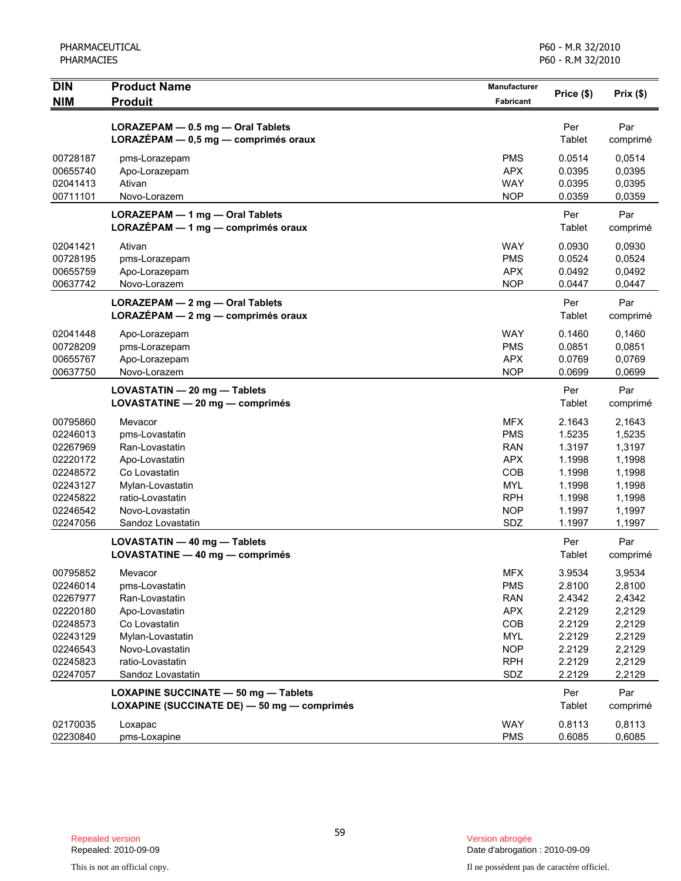| $\overline{D}$<br><b>NIM</b> | <b>Product Name</b><br><b>Produit</b>                           | Manufacturer<br><b>Fabricant</b> | Price (\$)       | Prix(\$)         |
|------------------------------|-----------------------------------------------------------------|----------------------------------|------------------|------------------|
|                              | LORAZEPAM - 0.5 mg - Oral Tablets                               |                                  | Per              | Par              |
|                              | LORAZÉPAM - 0,5 mg - comprimés oraux                            |                                  | Tablet           | comprimé         |
| 00728187                     | pms-Lorazepam                                                   | <b>PMS</b>                       | 0.0514           | 0,0514           |
| 00655740                     | Apo-Lorazepam                                                   | <b>APX</b>                       | 0.0395           | 0,0395           |
| 02041413                     | Ativan                                                          | <b>WAY</b>                       | 0.0395           | 0,0395           |
| 00711101                     | Novo-Lorazem                                                    | <b>NOP</b>                       | 0.0359           | 0,0359           |
|                              | LORAZEPAM - 1 mg - Oral Tablets                                 |                                  | Per              | Par              |
|                              | LORAZÉPAM - 1 mg - comprimés oraux                              |                                  | Tablet           | comprimé         |
| 02041421                     | Ativan                                                          | <b>WAY</b>                       | 0.0930           | 0,0930           |
| 00728195                     | pms-Lorazepam                                                   | <b>PMS</b>                       | 0.0524           | 0,0524           |
| 00655759                     | Apo-Lorazepam                                                   | <b>APX</b>                       | 0.0492           | 0,0492           |
| 00637742                     | Novo-Lorazem                                                    | <b>NOP</b>                       | 0.0447           | 0,0447           |
|                              | LORAZEPAM - 2 mg - Oral Tablets                                 |                                  | Per              | Par              |
|                              | LORAZÉPAM - 2 mg - comprimés oraux                              |                                  | Tablet           | comprimé         |
| 02041448                     | Apo-Lorazepam                                                   | <b>WAY</b>                       | 0.1460           | 0,1460           |
| 00728209                     | pms-Lorazepam                                                   | <b>PMS</b>                       | 0.0851           | 0,0851           |
| 00655767                     | Apo-Lorazepam                                                   | <b>APX</b>                       | 0.0769           | 0,0769           |
| 00637750                     | Novo-Lorazem                                                    | <b>NOP</b>                       | 0.0699           | 0,0699           |
|                              | LOVASTATIN - 20 mg - Tablets                                    |                                  | Per              | Par              |
|                              | LOVASTATINE - 20 mg - comprimés                                 |                                  | Tablet           | comprimé         |
| 00795860                     | Mevacor                                                         | <b>MFX</b>                       | 2.1643           | 2,1643           |
| 02246013                     | pms-Lovastatin                                                  | <b>PMS</b>                       | 1.5235           | 1,5235           |
| 02267969                     | Ran-Lovastatin                                                  | <b>RAN</b>                       | 1.3197           | 1,3197           |
| 02220172                     | Apo-Lovastatin                                                  | <b>APX</b>                       | 1.1998           | 1,1998           |
| 02248572                     | Co Lovastatin                                                   | COB                              | 1.1998           | 1,1998           |
| 02243127                     | Mylan-Lovastatin                                                | <b>MYL</b>                       | 1.1998           | 1,1998           |
| 02245822<br>02246542         | ratio-Lovastatin<br>Novo-Lovastatin                             | <b>RPH</b><br><b>NOP</b>         | 1.1998<br>1.1997 | 1,1998<br>1,1997 |
| 02247056                     | Sandoz Lovastatin                                               | SDZ                              | 1.1997           | 1,1997           |
|                              |                                                                 |                                  |                  |                  |
|                              | LOVASTATIN - 40 mg - Tablets<br>LOVASTATINE - 40 mg - comprimés |                                  | Per<br>Tablet    | Par<br>comprimé  |
|                              |                                                                 |                                  |                  |                  |
| 00795852                     | Mevacor                                                         | <b>MFX</b>                       | 3.9534<br>2.8100 | 3,9534           |
| 02246014<br>02267977         | pms-Lovastatin<br>Ran-Lovastatin                                | <b>PMS</b><br><b>RAN</b>         | 2.4342           | 2,8100<br>2,4342 |
| 02220180                     | Apo-Lovastatin                                                  | <b>APX</b>                       | 2.2129           | 2,2129           |
| 02248573                     | Co Lovastatin                                                   | COB                              | 2.2129           | 2,2129           |
| 02243129                     | Mylan-Lovastatin                                                | <b>MYL</b>                       | 2.2129           | 2,2129           |
| 02246543                     | Novo-Lovastatin                                                 | <b>NOP</b>                       | 2.2129           | 2,2129           |
| 02245823                     | ratio-Lovastatin                                                | <b>RPH</b>                       | 2.2129           | 2,2129           |
| 02247057                     | Sandoz Lovastatin                                               | SDZ                              | 2.2129           | 2,2129           |
|                              | LOXAPINE SUCCINATE - 50 mg - Tablets                            |                                  | Per              | Par              |
|                              | LOXAPINE (SUCCINATE DE) - 50 mg - comprimés                     |                                  | Tablet           | comprimé         |
| 02170035                     | Loxapac                                                         | <b>WAY</b>                       | 0.8113           | 0,8113           |
| 02230840                     | pms-Loxapine                                                    | <b>PMS</b>                       | 0.6085           | 0,6085           |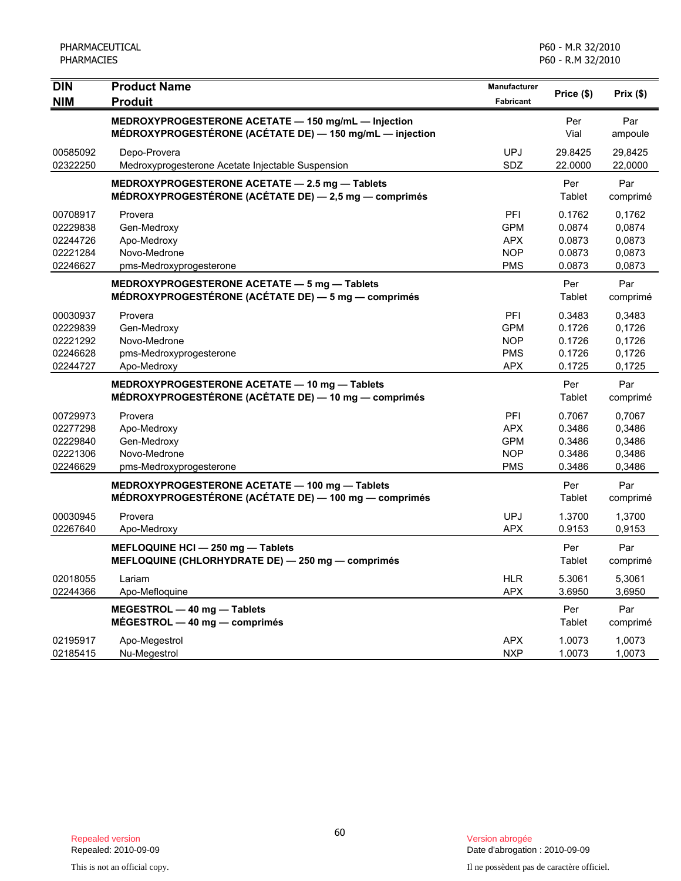| <b>DIN</b> | <b>Product Name</b>                                      | Manufacturer     | Price (\$)    | Prix(\$) |
|------------|----------------------------------------------------------|------------------|---------------|----------|
| <b>NIM</b> | <b>Produit</b>                                           | <b>Fabricant</b> |               |          |
|            | MEDROXYPROGESTERONE ACETATE - 150 mg/mL - Injection      |                  | Per           | Par      |
|            | MÉDROXYPROGESTÉRONE (ACÉTATE DE) - 150 mg/mL - injection |                  | Vial          | ampoule  |
| 00585092   | Depo-Provera                                             | <b>UPJ</b>       | 29.8425       | 29,8425  |
| 02322250   | Medroxyprogesterone Acetate Injectable Suspension        | SDZ              | 22.0000       | 22,0000  |
|            | MEDROXYPROGESTERONE ACETATE - 2.5 mg - Tablets           |                  | Per           | Par      |
|            | MÉDROXYPROGESTÉRONE (ACÉTATE DE) - 2,5 mg - comprimés    |                  | Tablet        | comprimé |
| 00708917   | Provera                                                  | PFI              | 0.1762        | 0,1762   |
| 02229838   | Gen-Medroxy                                              | <b>GPM</b>       | 0.0874        | 0,0874   |
| 02244726   | Apo-Medroxy                                              | <b>APX</b>       | 0.0873        | 0,0873   |
| 02221284   | Novo-Medrone                                             | <b>NOP</b>       | 0.0873        | 0,0873   |
| 02246627   | pms-Medroxyprogesterone                                  | <b>PMS</b>       | 0.0873        | 0,0873   |
|            | MEDROXYPROGESTERONE ACETATE - 5 mg - Tablets             |                  | Per           | Par      |
|            | MÉDROXYPROGESTÉRONE (ACÉTATE DE) - 5 mg - comprimés      |                  | Tablet        | comprimé |
| 00030937   | Provera                                                  | PFI              | 0.3483        | 0,3483   |
| 02229839   | Gen-Medroxy                                              | <b>GPM</b>       | 0.1726        | 0,1726   |
| 02221292   | Novo-Medrone                                             | <b>NOP</b>       | 0.1726        | 0,1726   |
| 02246628   | pms-Medroxyprogesterone                                  | <b>PMS</b>       | 0.1726        | 0,1726   |
| 02244727   | Apo-Medroxy                                              | <b>APX</b>       | 0.1725        | 0,1725   |
|            | MEDROXYPROGESTERONE ACETATE - 10 mg - Tablets            |                  | Per           | Par      |
|            | MÉDROXYPROGESTÉRONE (ACÉTATE DE) — 10 mg — comprimés     |                  | Tablet        | comprimé |
| 00729973   | Provera                                                  | PFI              | 0.7067        | 0,7067   |
| 02277298   | Apo-Medroxy                                              | <b>APX</b>       | 0.3486        | 0,3486   |
| 02229840   | Gen-Medroxy                                              | <b>GPM</b>       | 0.3486        | 0,3486   |
| 02221306   | Novo-Medrone                                             | <b>NOP</b>       | 0.3486        | 0,3486   |
| 02246629   | pms-Medroxyprogesterone                                  | <b>PMS</b>       | 0.3486        | 0,3486   |
|            | MEDROXYPROGESTERONE ACETATE - 100 mg - Tablets           |                  | Per           | Par      |
|            | MÉDROXYPROGESTÉRONE (ACÉTATE DE) - 100 mg - comprimés    |                  | Tablet        | comprimé |
| 00030945   | Provera                                                  | <b>UPJ</b>       | 1.3700        | 1,3700   |
| 02267640   | Apo-Medroxy                                              | <b>APX</b>       | 0.9153        | 0,9153   |
|            | MEFLOQUINE HCI - 250 mg - Tablets                        |                  | Per           | Par      |
|            | MEFLOQUINE (CHLORHYDRATE DE) - 250 mg - comprimés        |                  | Tablet        | comprimé |
| 02018055   | Lariam                                                   | <b>HLR</b>       | 5.3061        | 5,3061   |
| 02244366   | Apo-Mefloquine                                           | <b>APX</b>       | 3.6950        | 3,6950   |
|            | MEGESTROL - 40 mg - Tablets                              |                  | Per           | Par      |
|            | $MÉGESTROL - 40 mg - comprimés$                          |                  | <b>Tablet</b> | comprimé |
| 02195917   | Apo-Megestrol                                            | <b>APX</b>       | 1.0073        | 1,0073   |
| 02185415   | Nu-Megestrol                                             | <b>NXP</b>       | 1.0073        | 1,0073   |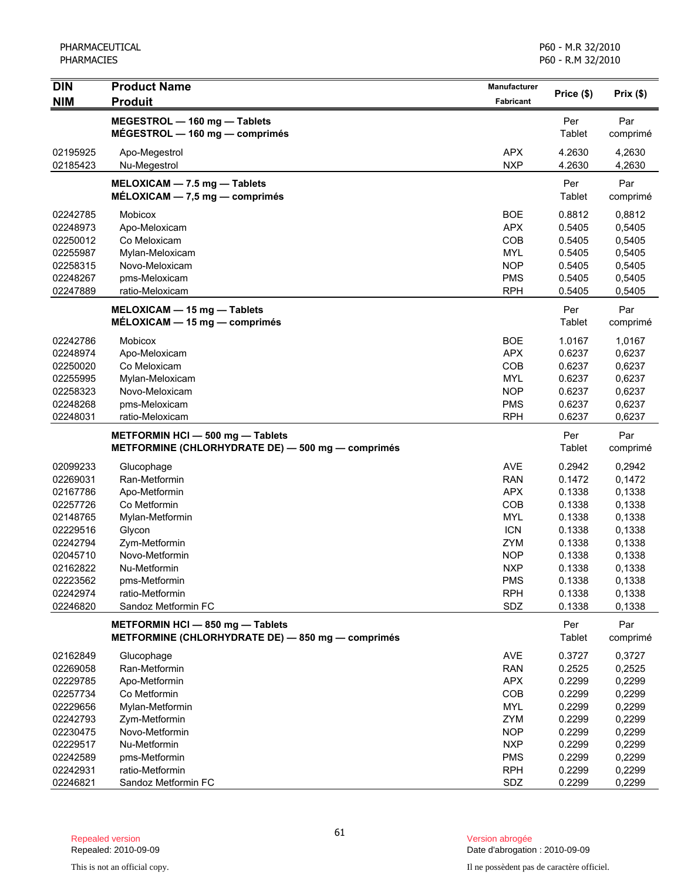| <b>DIN</b> | <b>Product Name</b>                                                                   | Manufacturer     | Price (\$)    | Prix(\$)        |
|------------|---------------------------------------------------------------------------------------|------------------|---------------|-----------------|
| <b>NIM</b> | <b>Produit</b>                                                                        | <b>Fabricant</b> |               |                 |
|            | MEGESTROL - 160 mg - Tablets                                                          |                  | Per           | Par             |
|            | $MÉGESTROL - 160 mg - comprimés$                                                      |                  | Tablet        | comprimé        |
| 02195925   | Apo-Megestrol                                                                         | <b>APX</b>       | 4.2630        | 4,2630          |
| 02185423   | Nu-Megestrol                                                                          | <b>NXP</b>       | 4.2630        | 4,2630          |
|            | MELOXICAM - 7.5 mg - Tablets                                                          |                  | Per           | Par             |
|            | $MÉLOXICAM - 7,5 mg - comprimés$                                                      |                  | Tablet        | comprimé        |
| 02242785   | <b>Mobicox</b>                                                                        | <b>BOE</b>       | 0.8812        | 0,8812          |
| 02248973   | Apo-Meloxicam                                                                         | <b>APX</b>       | 0.5405        | 0,5405          |
| 02250012   | Co Meloxicam                                                                          | COB              | 0.5405        | 0,5405          |
| 02255987   | Mylan-Meloxicam                                                                       | <b>MYL</b>       | 0.5405        | 0,5405          |
| 02258315   | Novo-Meloxicam                                                                        | <b>NOP</b>       | 0.5405        | 0,5405          |
| 02248267   | pms-Meloxicam                                                                         | <b>PMS</b>       | 0.5405        | 0,5405          |
| 02247889   | ratio-Meloxicam                                                                       | <b>RPH</b>       | 0.5405        | 0,5405          |
|            | $MELOXICAM - 15 mg - Tables$                                                          |                  | Per           | Par             |
|            | $MELOXICAM - 15 mg - comprimés$                                                       |                  | Tablet        | comprimé        |
| 02242786   | <b>Mobicox</b>                                                                        | <b>BOE</b>       | 1.0167        | 1,0167          |
| 02248974   | Apo-Meloxicam                                                                         | <b>APX</b>       | 0.6237        | 0,6237          |
| 02250020   | Co Meloxicam                                                                          | COB              | 0.6237        | 0,6237          |
| 02255995   | Mylan-Meloxicam                                                                       | <b>MYL</b>       | 0.6237        | 0,6237          |
| 02258323   | Novo-Meloxicam                                                                        | <b>NOP</b>       | 0.6237        | 0,6237          |
| 02248268   | pms-Meloxicam                                                                         | <b>PMS</b>       | 0.6237        | 0,6237          |
| 02248031   | ratio-Meloxicam                                                                       | <b>RPH</b>       | 0.6237        | 0,6237          |
|            | METFORMIN HCI-500 mg-Tablets                                                          |                  | Per           | Par             |
|            | METFORMINE (CHLORHYDRATE DE) - 500 mg - comprimés                                     |                  | Tablet        | comprimé        |
| 02099233   | Glucophage                                                                            | <b>AVE</b>       | 0.2942        | 0,2942          |
| 02269031   | Ran-Metformin                                                                         | <b>RAN</b>       | 0.1472        | 0,1472          |
| 02167786   | Apo-Metformin                                                                         | <b>APX</b>       | 0.1338        | 0,1338          |
| 02257726   | Co Metformin                                                                          | COB              | 0.1338        | 0,1338          |
| 02148765   | Mylan-Metformin                                                                       | <b>MYL</b>       | 0.1338        | 0,1338          |
| 02229516   | Glycon                                                                                | <b>ICN</b>       | 0.1338        | 0,1338          |
| 02242794   | Zym-Metformin                                                                         | <b>ZYM</b>       | 0.1338        | 0,1338          |
| 02045710   | Novo-Metformin                                                                        | <b>NOP</b>       | 0.1338        | 0,1338          |
| 02162822   | Nu-Metformin                                                                          | <b>NXP</b>       | 0.1338        | 0,1338          |
| 02223562   | pms-Metformin                                                                         | <b>PMS</b>       | 0.1338        | 0,1338          |
| 02242974   | ratio-Metformin                                                                       | <b>RPH</b>       | 0.1338        | 0,1338          |
| 02246820   | Sandoz Metformin FC                                                                   | SDZ              | 0.1338        | 0,1338          |
|            | METFORMIN HCI - 850 mg - Tablets<br>METFORMINE (CHLORHYDRATE DE) - 850 mg - comprimés |                  | Per<br>Tablet | Par<br>comprimé |
| 02162849   | Glucophage                                                                            | <b>AVE</b>       | 0.3727        | 0,3727          |
| 02269058   | Ran-Metformin                                                                         | <b>RAN</b>       | 0.2525        | 0,2525          |
| 02229785   | Apo-Metformin                                                                         | <b>APX</b>       | 0.2299        | 0,2299          |
| 02257734   | Co Metformin                                                                          | COB              | 0.2299        | 0,2299          |
| 02229656   | Mylan-Metformin                                                                       | <b>MYL</b>       | 0.2299        | 0,2299          |
| 02242793   | Zym-Metformin                                                                         | <b>ZYM</b>       | 0.2299        | 0,2299          |
| 02230475   | Novo-Metformin                                                                        | <b>NOP</b>       | 0.2299        | 0,2299          |
| 02229517   | Nu-Metformin                                                                          | <b>NXP</b>       | 0.2299        | 0,2299          |
| 02242589   | pms-Metformin                                                                         | <b>PMS</b>       | 0.2299        | 0,2299          |
| 02242931   | ratio-Metformin                                                                       | <b>RPH</b>       | 0.2299        | 0,2299          |
| 02246821   | Sandoz Metformin FC                                                                   | SDZ              | 0.2299        | 0,2299          |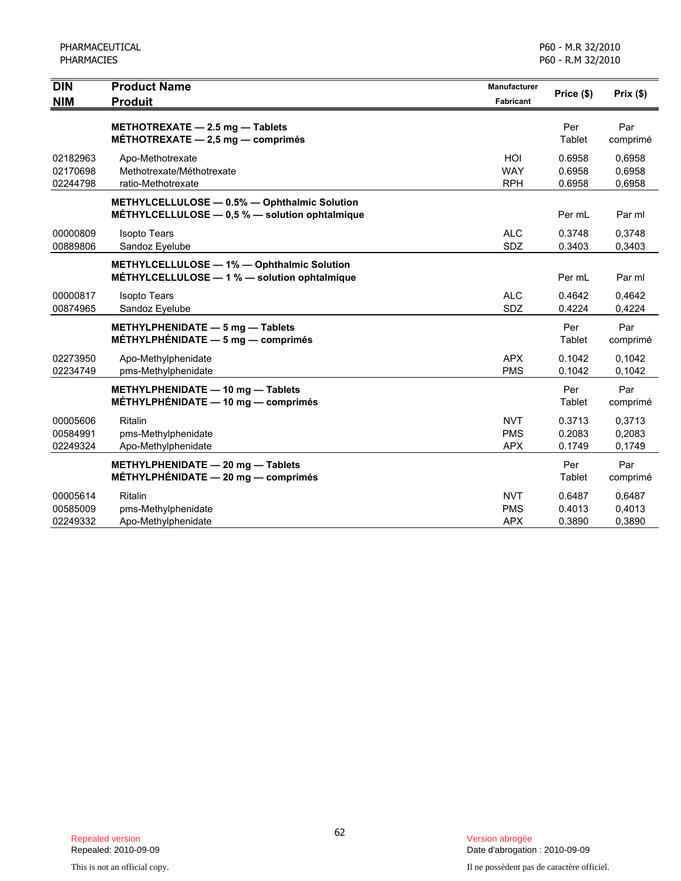| <b>DIN</b>                       | <b>Product Name</b>                                                                                | <b>Manufacturer</b>                    | Price (\$)                 | Prix(\$)                   |
|----------------------------------|----------------------------------------------------------------------------------------------------|----------------------------------------|----------------------------|----------------------------|
| <b>NIM</b>                       | <b>Produit</b>                                                                                     | <b>Fabricant</b>                       |                            |                            |
|                                  | METHOTREXATE - 2.5 mg - Tablets<br>MÉTHOTREXATE $-2,5$ mg $-$ comprimés                            |                                        | Per<br>Tablet              | Par<br>comprimé            |
| 02182963<br>02170698<br>02244798 | Apo-Methotrexate<br>Methotrexate/Méthotrexate<br>ratio-Methotrexate                                | HOI<br><b>WAY</b><br><b>RPH</b>        | 0.6958<br>0.6958<br>0.6958 | 0,6958<br>0,6958<br>0,6958 |
|                                  | METHYLCELLULOSE - 0.5% - Ophthalmic Solution<br>MÉTHYLCELLULOSE $-$ 0,5 % $-$ solution ophtalmique |                                        | Per mL                     | Par ml                     |
| 00000809<br>00889806             | <b>Isopto Tears</b><br>Sandoz Eyelube                                                              | <b>ALC</b><br><b>SDZ</b>               | 0.3748<br>0.3403           | 0,3748<br>0,3403           |
|                                  | METHYLCELLULOSE - 1% - Ophthalmic Solution<br>MÉTHYLCELLULOSE - 1 % - solution ophtalmique         |                                        | Per mL                     | Par ml                     |
| 00000817<br>00874965             | <b>Isopto Tears</b><br>Sandoz Eyelube                                                              | <b>ALC</b><br>SDZ                      | 0.4642<br>0.4224           | 0,4642<br>0,4224           |
|                                  | METHYLPHENIDATE - 5 mg - Tablets<br>MÉTHYLPHÉNIDATE $-5$ mg $-$ comprimés                          |                                        | Per<br>Tablet              | Par<br>comprimé            |
| 02273950<br>02234749             | Apo-Methylphenidate<br>pms-Methylphenidate                                                         | <b>APX</b><br><b>PMS</b>               | 0.1042<br>0.1042           | 0.1042<br>0,1042           |
|                                  | METHYLPHENIDATE - 10 mg - Tablets<br>MÉTHYLPHÉNIDATE $-$ 10 mg $-$ comprimés                       |                                        | Per<br>Tablet              | Par<br>comprimé            |
| 00005606<br>00584991<br>02249324 | Ritalin<br>pms-Methylphenidate<br>Apo-Methylphenidate                                              | <b>NVT</b><br><b>PMS</b><br><b>APX</b> | 0.3713<br>0.2083<br>0.1749 | 0,3713<br>0,2083<br>0,1749 |
|                                  | METHYLPHENIDATE - 20 mg - Tablets<br>MÉTHYLPHÉNIDATE - 20 mg - comprimés                           |                                        | Per<br>Tablet              | Par<br>comprimé            |
| 00005614<br>00585009<br>02249332 | <b>Ritalin</b><br>pms-Methylphenidate<br>Apo-Methylphenidate                                       | <b>NVT</b><br><b>PMS</b><br><b>APX</b> | 0.6487<br>0.4013<br>0.3890 | 0,6487<br>0,4013<br>0,3890 |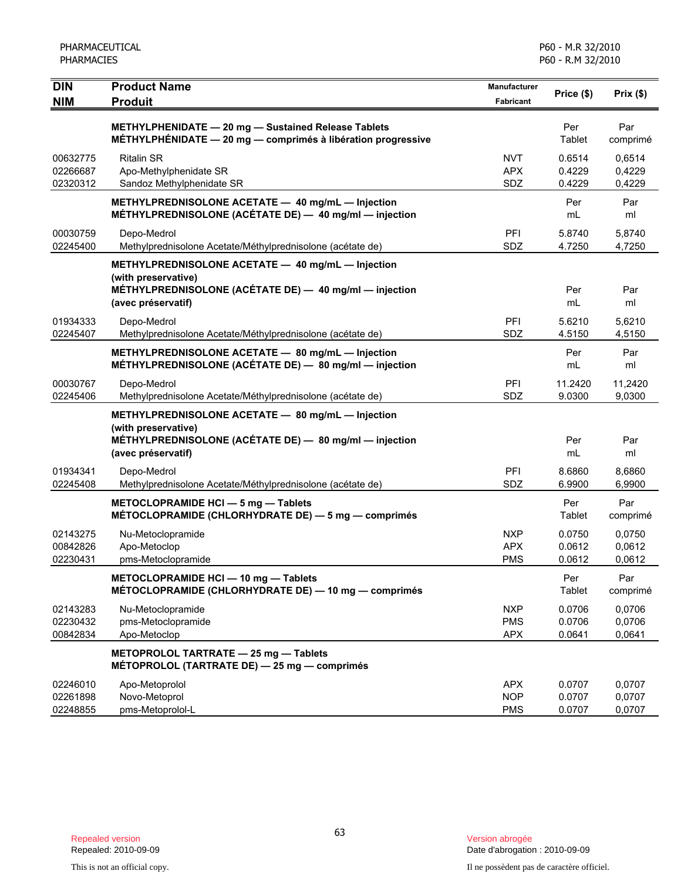| <b>DIN</b><br><b>NIM</b>         | <b>Product Name</b><br><b>Produit</b>                                                                                                                    | Manufacturer<br><b>Fabricant</b>       | Price (\$)                 | Prix(\$)                   |
|----------------------------------|----------------------------------------------------------------------------------------------------------------------------------------------------------|----------------------------------------|----------------------------|----------------------------|
|                                  | METHYLPHENIDATE - 20 mg - Sustained Release Tablets<br><b>MÉTHYLPHÉNIDATE - 20 mg - comprimés à libération progressive</b>                               |                                        | Per<br>Tablet              | Par<br>comprimé            |
| 00632775<br>02266687<br>02320312 | <b>Ritalin SR</b><br>Apo-Methylphenidate SR<br>Sandoz Methylphenidate SR                                                                                 | <b>NVT</b><br><b>APX</b><br>SDZ        | 0.6514<br>0.4229<br>0.4229 | 0.6514<br>0,4229<br>0,4229 |
|                                  | METHYLPREDNISOLONE ACETATE - 40 mg/mL - Injection<br>MÉTHYLPREDNISOLONE (ACÉTATE DE) - 40 mg/ml - injection                                              |                                        | Per<br>mL                  | Par<br>ml                  |
| 00030759<br>02245400             | Depo-Medrol<br>Methylprednisolone Acetate/Méthylprednisolone (acétate de)                                                                                | <b>PFI</b><br>SDZ                      | 5.8740<br>4.7250           | 5,8740<br>4,7250           |
|                                  | METHYLPREDNISOLONE ACETATE - 40 mg/mL - Injection<br>(with preservative)<br>MÉTHYLPREDNISOLONE (ACÉTATE DE) - 40 mg/ml - injection<br>(avec préservatif) |                                        | Per<br>mL                  | Par<br>ml                  |
| 01934333<br>02245407             | Depo-Medrol<br>Methylprednisolone Acetate/Méthylprednisolone (acétate de)                                                                                | PFI<br>SDZ                             | 5.6210<br>4.5150           | 5,6210<br>4,5150           |
|                                  | METHYLPREDNISOLONE ACETATE - 80 mg/mL - Injection<br>MÉTHYLPREDNISOLONE (ACÉTATE DE) - 80 mg/ml - injection                                              |                                        | Per<br>mL                  | Par<br>ml                  |
| 00030767<br>02245406             | Depo-Medrol<br>Methylprednisolone Acetate/Méthylprednisolone (acétate de)                                                                                | <b>PFI</b><br>SDZ                      | 11.2420<br>9.0300          | 11,2420<br>9,0300          |
|                                  | METHYLPREDNISOLONE ACETATE - 80 mg/mL - Injection<br>(with preservative)<br>MÉTHYLPREDNISOLONE (ACÉTATE DE) - 80 mg/ml - injection<br>(avec préservatif) |                                        | Per<br>mL                  | Par<br>ml                  |
| 01934341<br>02245408             | Depo-Medrol<br>Methylprednisolone Acetate/Méthylprednisolone (acétate de)                                                                                | PFI<br>SDZ                             | 8.6860<br>6.9900           | 8,6860<br>6,9900           |
|                                  | METOCLOPRAMIDE HCI - 5 mg - Tablets<br>MÉTOCLOPRAMIDE (CHLORHYDRATE DE) - 5 mg - comprimés                                                               |                                        | Per<br>Tablet              | Par<br>comprimé            |
| 02143275<br>00842826<br>02230431 | Nu-Metoclopramide<br>Apo-Metoclop<br>pms-Metoclopramide                                                                                                  | <b>NXP</b><br><b>APX</b><br><b>PMS</b> | 0.0750<br>0.0612<br>0.0612 | 0,0750<br>0,0612<br>0,0612 |
|                                  | METOCLOPRAMIDE HCI - 10 mg - Tablets<br>MÉTOCLOPRAMIDE (CHLORHYDRATE DE) - 10 mg - comprimés                                                             |                                        | Per<br><b>Tablet</b>       | Par<br>comprimé            |
| 02143283<br>02230432<br>00842834 | Nu-Metoclopramide<br>pms-Metoclopramide<br>Apo-Metoclop                                                                                                  | <b>NXP</b><br><b>PMS</b><br><b>APX</b> | 0.0706<br>0.0706<br>0.0641 | 0,0706<br>0,0706<br>0,0641 |
|                                  | METOPROLOL TARTRATE - 25 mg - Tablets<br>MÉTOPROLOL (TARTRATE DE) - 25 mg - comprimés                                                                    |                                        |                            |                            |
| 02246010<br>02261898<br>02248855 | Apo-Metoprolol<br>Novo-Metoprol<br>pms-Metoprolol-L                                                                                                      | <b>APX</b><br><b>NOP</b><br><b>PMS</b> | 0.0707<br>0.0707<br>0.0707 | 0,0707<br>0,0707<br>0,0707 |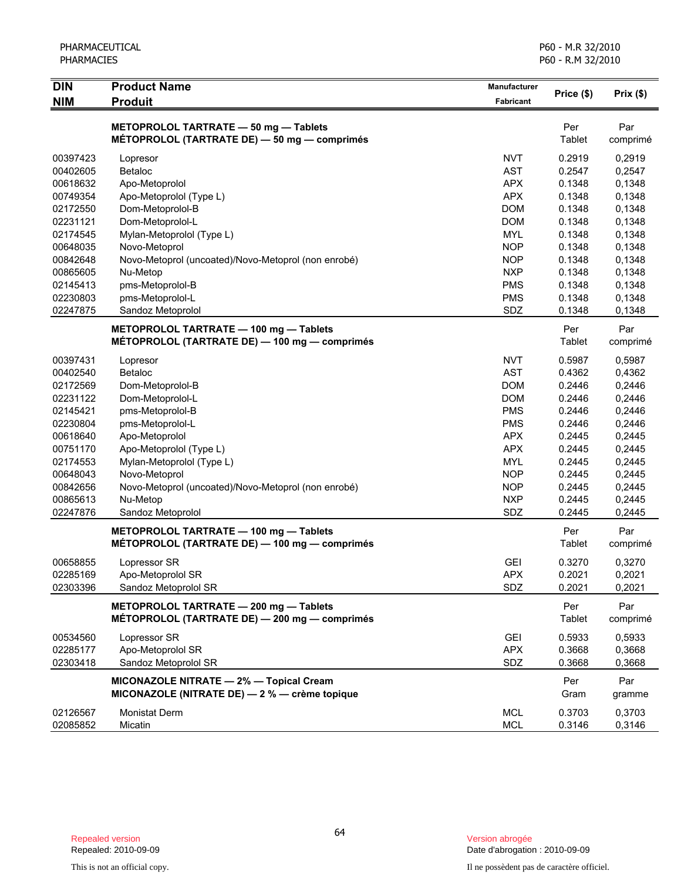| PHARMACEUTICAL<br><b>PHARMACIES</b> |                                                                                          |                           | P60 - M.R 32/2010<br>P60 - R.M 32/2010 |                 |
|-------------------------------------|------------------------------------------------------------------------------------------|---------------------------|----------------------------------------|-----------------|
| <b>DIN</b><br><b>NIM</b>            | <b>Product Name</b><br><b>Produit</b>                                                    | Manufacturer<br>Fabricant | Price (\$)                             | Prix(\$)        |
|                                     | METOPROLOL TARTRATE - 50 mg - Tablets<br>MÉTOPROLOL (TARTRATE DE) - 50 mg - comprimés    |                           | Per<br>Tablet                          | Par<br>comprimé |
| 00397423                            |                                                                                          | <b>NVT</b>                | 0.2919                                 | 0,2919          |
| 00402605                            | Lopresor<br>Betaloc                                                                      | <b>AST</b>                | 0.2547                                 | 0,2547          |
| 00618632                            | Apo-Metoprolol                                                                           | <b>APX</b>                | 0.1348                                 | 0,1348          |
| 00749354                            | Apo-Metoprolol (Type L)                                                                  | <b>APX</b>                | 0.1348                                 | 0,1348          |
| 02172550                            | Dom-Metoprolol-B                                                                         | <b>DOM</b>                | 0.1348                                 | 0,1348          |
| 02231121                            | Dom-Metoprolol-L                                                                         | <b>DOM</b>                | 0.1348                                 | 0,1348          |
| 02174545                            | Mylan-Metoprolol (Type L)                                                                | <b>MYL</b>                | 0.1348                                 | 0,1348          |
| 00648035                            | Novo-Metoprol                                                                            | <b>NOP</b>                | 0.1348                                 | 0,1348          |
| 00842648                            | Novo-Metoprol (uncoated)/Novo-Metoprol (non enrobé)                                      | <b>NOP</b>                | 0.1348                                 | 0,1348          |
| 00865605                            | Nu-Metop                                                                                 | <b>NXP</b>                | 0.1348                                 | 0,1348          |
| 02145413                            | pms-Metoprolol-B                                                                         | <b>PMS</b>                | 0.1348                                 | 0,1348          |
| 02230803                            | pms-Metoprolol-L                                                                         | <b>PMS</b>                | 0.1348                                 | 0,1348          |
| 02247875                            | Sandoz Metoprolol                                                                        | SDZ                       | 0.1348                                 | 0,1348          |
|                                     |                                                                                          |                           |                                        |                 |
|                                     | METOPROLOL TARTRATE - 100 mg - Tablets                                                   |                           | Per                                    | Par             |
|                                     | MÉTOPROLOL (TARTRATE DE) - 100 mg - comprimés                                            |                           | Tablet                                 | comprimé        |
| 00397431                            | Lopresor                                                                                 | <b>NVT</b>                | 0.5987                                 | 0,5987          |
| 00402540                            | <b>Betaloc</b>                                                                           | <b>AST</b>                | 0.4362                                 | 0,4362          |
| 02172569                            | Dom-Metoprolol-B                                                                         | <b>DOM</b>                | 0.2446                                 | 0,2446          |
| 02231122                            | Dom-Metoprolol-L                                                                         | <b>DOM</b>                | 0.2446                                 | 0,2446          |
| 02145421                            | pms-Metoprolol-B                                                                         | <b>PMS</b>                | 0.2446                                 | 0,2446          |
| 02230804                            | pms-Metoprolol-L                                                                         | <b>PMS</b>                | 0.2446                                 | 0,2446          |
| 00618640                            | Apo-Metoprolol                                                                           | <b>APX</b>                | 0.2445                                 | 0,2445          |
| 00751170                            | Apo-Metoprolol (Type L)                                                                  | <b>APX</b>                | 0.2445                                 | 0,2445          |
| 02174553                            | Mylan-Metoprolol (Type L)                                                                | <b>MYL</b>                | 0.2445                                 | 0,2445          |
| 00648043                            | Novo-Metoprol                                                                            | <b>NOP</b>                | 0.2445                                 | 0,2445          |
| 00842656                            | Novo-Metoprol (uncoated)/Novo-Metoprol (non enrobé)                                      | <b>NOP</b>                | 0.2445                                 | 0,2445          |
| 00865613                            | Nu-Metop                                                                                 | <b>NXP</b>                | 0.2445                                 | 0,2445          |
| 02247876                            | Sandoz Metoprolol                                                                        | SDZ                       | 0.2445                                 | 0,2445          |
|                                     | METOPROLOL TARTRATE - 100 mg - Tablets                                                   |                           | Per                                    | Par             |
|                                     | MÉTOPROLOL (TARTRATE DE) — 100 mg — comprimés                                            |                           | Tablet                                 | comprimé        |
| 00658855                            | Lopressor SR                                                                             | <b>GEI</b>                | 0.3270                                 | 0,3270          |
| 02285169                            | Apo-Metoprolol SR                                                                        | <b>APX</b>                | 0.2021                                 | 0,2021          |
| 02303396                            | Sandoz Metoprolol SR                                                                     | SDZ                       | 0.2021                                 | 0,2021          |
|                                     | METOPROLOL TARTRATE - 200 mg - Tablets                                                   |                           | Per                                    | Par             |
|                                     | MÉTOPROLOL (TARTRATE DE) - 200 mg - comprimés                                            |                           | Tablet                                 | comprimé        |
| 00534560                            | Lopressor SR                                                                             | <b>GEI</b>                | 0.5933                                 | 0,5933          |
| 02285177                            | Apo-Metoprolol SR                                                                        | <b>APX</b>                | 0.3668                                 | 0,3668          |
| 02303418                            | Sandoz Metoprolol SR                                                                     | SDZ                       | 0.3668                                 | 0,3668          |
|                                     | MICONAZOLE NITRATE - 2% - Topical Cream<br>MICONAZOLE (NITRATE DE) - 2 % - crème topique |                           | Per<br>Gram                            | Par<br>gramme   |
| 02126567                            | <b>Monistat Derm</b>                                                                     | <b>MCL</b>                | 0.3703                                 | 0,3703          |
| 02085852                            | Micatin                                                                                  | <b>MCL</b>                | 0.3146                                 | 0,3146          |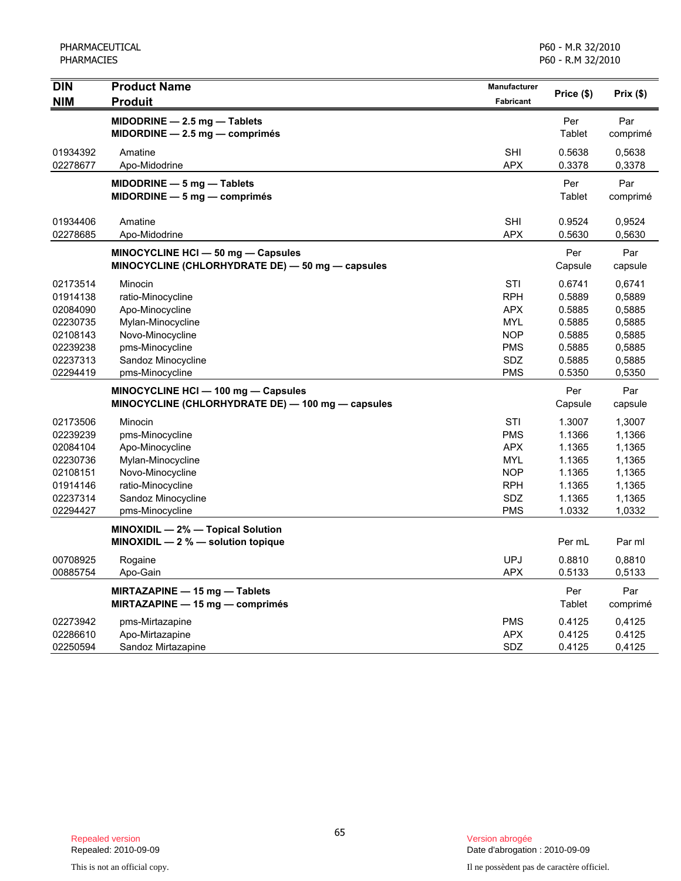PHARMACEUTICAL PHARMACIES

| <b>DIN</b> | <b>Product Name</b>                               | <b>Manufacturer</b> | Price (\$)    | Prix(\$) |
|------------|---------------------------------------------------|---------------------|---------------|----------|
| <b>NIM</b> | <b>Produit</b>                                    | <b>Fabricant</b>    |               |          |
|            | MIDODRINE - 2.5 mg - Tablets                      |                     | Per           | Par      |
|            | $MIDORDINE - 2.5 mg - comprimés$                  |                     | Tablet        | comprimé |
| 01934392   | Amatine                                           | <b>SHI</b>          | 0.5638        | 0,5638   |
| 02278677   | Apo-Midodrine                                     | <b>APX</b>          | 0.3378        | 0,3378   |
|            | $MIDODRINE - 5 mg - Tables$                       |                     | Per           | Par      |
|            | $MIDORDINE - 5 mg - comprimés$                    |                     | Tablet        | comprimé |
| 01934406   | Amatine                                           | <b>SHI</b>          | 0.9524        | 0,9524   |
| 02278685   | Apo-Midodrine                                     | <b>APX</b>          | 0.5630        | 0,5630   |
|            | MINOCYCLINE HCI - 50 mg - Capsules                |                     | Per           | Par      |
|            | MINOCYCLINE (CHLORHYDRATE DE) - 50 mg - capsules  |                     | Capsule       | capsule  |
| 02173514   | Minocin                                           | <b>STI</b>          | 0.6741        | 0,6741   |
| 01914138   | ratio-Minocycline                                 | <b>RPH</b>          | 0.5889        | 0,5889   |
| 02084090   | Apo-Minocycline                                   | <b>APX</b>          | 0.5885        | 0,5885   |
| 02230735   | Mylan-Minocycline                                 | <b>MYL</b>          | 0.5885        | 0,5885   |
| 02108143   | Novo-Minocycline                                  | <b>NOP</b>          | 0.5885        | 0,5885   |
| 02239238   | pms-Minocycline                                   | <b>PMS</b>          | 0.5885        | 0,5885   |
| 02237313   | Sandoz Minocycline                                | <b>SDZ</b>          | 0.5885        | 0,5885   |
| 02294419   | pms-Minocycline                                   | <b>PMS</b>          | 0.5350        | 0,5350   |
|            | MINOCYCLINE HCI - 100 mg - Capsules               |                     | Per           | Par      |
|            | MINOCYCLINE (CHLORHYDRATE DE) - 100 mg - capsules |                     | Capsule       | capsule  |
| 02173506   | Minocin                                           | <b>STI</b>          | 1.3007        | 1,3007   |
| 02239239   | pms-Minocycline                                   | <b>PMS</b>          | 1.1366        | 1,1366   |
| 02084104   | Apo-Minocycline                                   | <b>APX</b>          | 1.1365        | 1,1365   |
| 02230736   | Mylan-Minocycline                                 | <b>MYL</b>          | 1.1365        | 1,1365   |
| 02108151   | Novo-Minocycline                                  | <b>NOP</b>          | 1.1365        | 1,1365   |
| 01914146   | ratio-Minocycline                                 | <b>RPH</b>          | 1.1365        | 1,1365   |
| 02237314   | Sandoz Minocycline                                | SDZ                 | 1.1365        | 1,1365   |
| 02294427   | pms-Minocycline                                   | <b>PMS</b>          | 1.0332        | 1,0332   |
|            | MINOXIDIL - 2% - Topical Solution                 |                     |               |          |
|            | MINOXIDIL $-2$ % $-$ solution topique             |                     | Per mL        | Par ml   |
| 00708925   | Rogaine                                           | <b>UPJ</b>          | 0.8810        | 0,8810   |
| 00885754   | Apo-Gain                                          | <b>APX</b>          | 0.5133        | 0,5133   |
|            | MIRTAZAPINE - 15 mg - Tablets                     |                     | Per           | Par      |
|            | MIRTAZAPINE - 15 mg - comprimés                   |                     | <b>Tablet</b> | comprimé |
| 02273942   | pms-Mirtazapine                                   | <b>PMS</b>          | 0.4125        | 0,4125   |
| 02286610   | Apo-Mirtazapine                                   | <b>APX</b>          | 0.4125        | 0.4125   |
| 02250594   | Sandoz Mirtazapine                                | SDZ                 | 0.4125        | 0,4125   |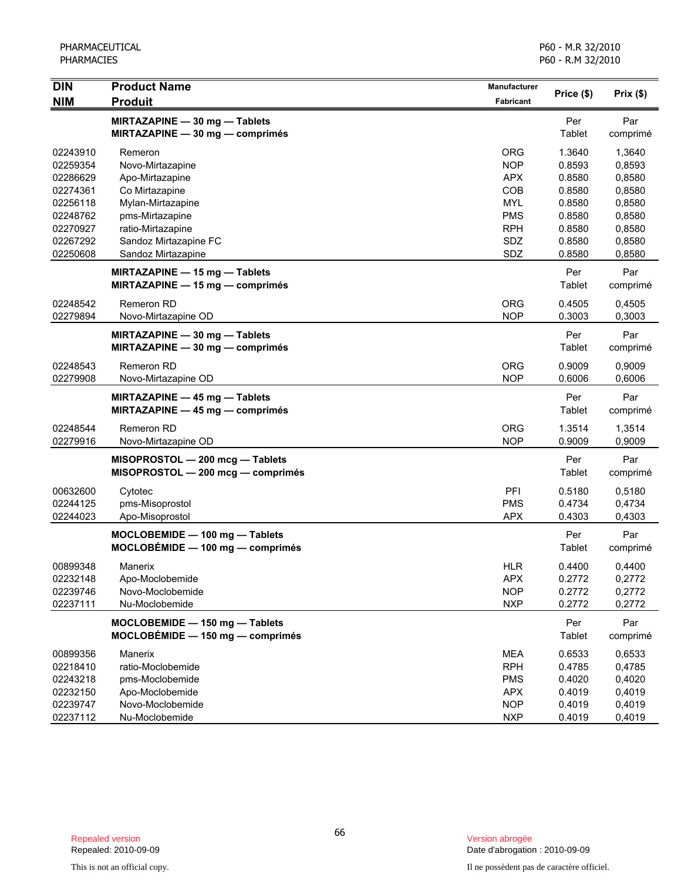| <b>DIN</b>                                                                                   | <b>Product Name</b>                                                                                                                                    | Manufacturer                                                                            |                                                                              |                                                                              |
|----------------------------------------------------------------------------------------------|--------------------------------------------------------------------------------------------------------------------------------------------------------|-----------------------------------------------------------------------------------------|------------------------------------------------------------------------------|------------------------------------------------------------------------------|
| <b>NIM</b>                                                                                   | <b>Produit</b>                                                                                                                                         | <b>Fabricant</b>                                                                        | Price (\$)                                                                   | Prix(\$)                                                                     |
|                                                                                              | MIRTAZAPINE - 30 mg - Tablets<br>MIRTAZAPINE - 30 mg - comprimés                                                                                       |                                                                                         | Per<br>Tablet                                                                | Par<br>comprimé                                                              |
| 02243910<br>02259354<br>02286629<br>02274361<br>02256118<br>02248762<br>02270927<br>02267292 | Remeron<br>Novo-Mirtazapine<br>Apo-Mirtazapine<br>Co Mirtazapine<br>Mylan-Mirtazapine<br>pms-Mirtazapine<br>ratio-Mirtazapine<br>Sandoz Mirtazapine FC | ORG<br><b>NOP</b><br><b>APX</b><br>COB<br><b>MYL</b><br><b>PMS</b><br><b>RPH</b><br>SDZ | 1.3640<br>0.8593<br>0.8580<br>0.8580<br>0.8580<br>0.8580<br>0.8580<br>0.8580 | 1,3640<br>0,8593<br>0,8580<br>0,8580<br>0,8580<br>0,8580<br>0,8580<br>0,8580 |
| 02250608                                                                                     | Sandoz Mirtazapine                                                                                                                                     | SDZ                                                                                     | 0.8580                                                                       | 0,8580                                                                       |
| 02248542                                                                                     | <b>MIRTAZAPINE - 15 mg - Tablets</b><br>MIRTAZAPINE $-$ 15 mg $-$ comprimés<br>Remeron RD                                                              | <b>ORG</b>                                                                              | Per<br>Tablet<br>0.4505                                                      | Par<br>comprimé<br>0,4505                                                    |
| 02279894                                                                                     | Novo-Mirtazapine OD                                                                                                                                    | <b>NOP</b>                                                                              | 0.3003                                                                       | 0,3003                                                                       |
|                                                                                              | MIRTAZAPINE - 30 mg - Tablets<br>MIRTAZAPINE - 30 mg - comprimés                                                                                       |                                                                                         | Per<br>Tablet                                                                | Par<br>comprimé                                                              |
| 02248543<br>02279908                                                                         | Remeron RD<br>Novo-Mirtazapine OD                                                                                                                      | <b>ORG</b><br><b>NOP</b>                                                                | 0.9009<br>0.6006                                                             | 0,9009<br>0,6006                                                             |
|                                                                                              | MIRTAZAPINE - 45 mg - Tablets<br>MIRTAZAPINE - 45 mg - comprimés                                                                                       |                                                                                         | Per<br>Tablet                                                                | Par<br>comprimé                                                              |
| 02248544<br>02279916                                                                         | Remeron RD<br>Novo-Mirtazapine OD                                                                                                                      | <b>ORG</b><br><b>NOP</b>                                                                | 1.3514<br>0.9009                                                             | 1,3514<br>0,9009                                                             |
|                                                                                              | MISOPROSTOL - 200 mcg - Tablets<br>MISOPROSTOL - 200 mcg - comprimés                                                                                   |                                                                                         | Per<br>Tablet                                                                | Par<br>comprimé                                                              |
| 00632600<br>02244125<br>02244023                                                             | Cytotec<br>pms-Misoprostol<br>Apo-Misoprostol                                                                                                          | PFI<br><b>PMS</b><br><b>APX</b>                                                         | 0.5180<br>0.4734<br>0.4303                                                   | 0,5180<br>0,4734<br>0,4303                                                   |
|                                                                                              | MOCLOBEMIDE - 100 mg - Tablets<br>$MOCLOBÉMIDE - 100 mg - comprimés$                                                                                   |                                                                                         | Per<br>Tablet                                                                | Par<br>comprimé                                                              |
| 00899348<br>02232148<br>02239746<br>02237111                                                 | Manerix<br>Apo-Moclobemide<br>Novo-Moclobemide<br>Nu-Moclobemide                                                                                       | <b>HLR</b><br><b>APX</b><br><b>NOP</b><br><b>NXP</b>                                    | 0.4400<br>0.2772<br>0.2772<br>0.2772                                         | 0,4400<br>0,2772<br>0,2772<br>0,2772                                         |
|                                                                                              | MOCLOBEMIDE - 150 mg - Tablets<br>$MOCLOBÉMIDE - 150 mg - comprimés$                                                                                   |                                                                                         | Per<br>Tablet                                                                | Par<br>comprimé                                                              |
| 00899356<br>02218410<br>02243218<br>02232150<br>02239747<br>02237112                         | Manerix<br>ratio-Moclobemide<br>pms-Moclobemide<br>Apo-Moclobemide<br>Novo-Moclobemide<br>Nu-Moclobemide                                               | MEA<br><b>RPH</b><br><b>PMS</b><br><b>APX</b><br><b>NOP</b><br><b>NXP</b>               | 0.6533<br>0.4785<br>0.4020<br>0.4019<br>0.4019<br>0.4019                     | 0,6533<br>0,4785<br>0,4020<br>0,4019<br>0,4019<br>0,4019                     |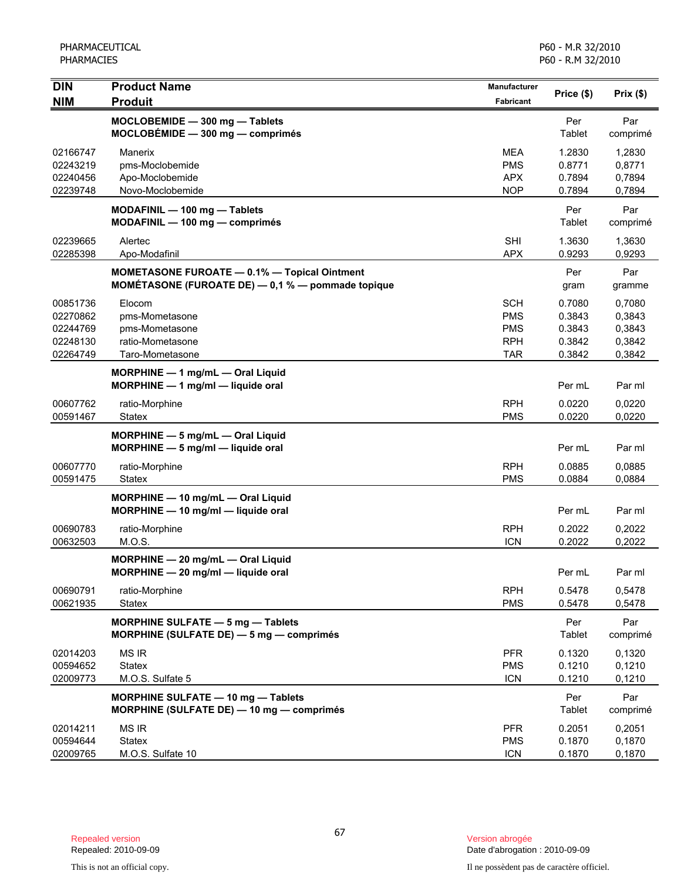| <b>DIN</b>                                               | <b>Product Name</b>                                                                                          | <b>Manufacturer</b>                                         | Price (\$)                                     | Prix(\$)                                       |
|----------------------------------------------------------|--------------------------------------------------------------------------------------------------------------|-------------------------------------------------------------|------------------------------------------------|------------------------------------------------|
| <b>NIM</b>                                               | <b>Produit</b>                                                                                               | Fabricant                                                   |                                                |                                                |
|                                                          | MOCLOBEMIDE - 300 mg - Tablets<br>$MOCLOBÉMIDE - 300 mg - comprimés$                                         |                                                             | Per<br>Tablet                                  | Par<br>comprimé                                |
| 02166747<br>02243219<br>02240456<br>02239748             | Manerix<br>pms-Moclobemide<br>Apo-Moclobemide<br>Novo-Moclobemide                                            | <b>MEA</b><br><b>PMS</b><br><b>APX</b><br><b>NOP</b>        | 1.2830<br>0.8771<br>0.7894<br>0.7894           | 1,2830<br>0,8771<br>0,7894<br>0,7894           |
|                                                          | MODAFINIL - 100 mg - Tablets<br>MODAFINIL - 100 mg - comprimés                                               |                                                             | Per<br>Tablet                                  | Par<br>comprimé                                |
| 02239665<br>02285398                                     | Alertec<br>Apo-Modafinil                                                                                     | <b>SHI</b><br><b>APX</b>                                    | 1.3630<br>0.9293                               | 1,3630<br>0,9293                               |
|                                                          | <b>MOMETASONE FUROATE - 0.1% - Topical Ointment</b><br>MOMÉTASONE (FUROATE DE) $-$ 0,1 % $-$ pommade topique |                                                             | Per<br>gram                                    | Par<br>gramme                                  |
| 00851736<br>02270862<br>02244769<br>02248130<br>02264749 | Elocom<br>pms-Mometasone<br>pms-Mometasone<br>ratio-Mometasone<br>Taro-Mometasone                            | <b>SCH</b><br><b>PMS</b><br><b>PMS</b><br><b>RPH</b><br>TAR | 0.7080<br>0.3843<br>0.3843<br>0.3842<br>0.3842 | 0,7080<br>0,3843<br>0,3843<br>0,3842<br>0,3842 |
|                                                          | MORPHINE - 1 mg/mL - Oral Liquid<br>MORPHINE $-1$ mg/ml $-$ liquide oral                                     |                                                             | Per mL                                         | Par ml                                         |
| 00607762<br>00591467                                     | ratio-Morphine<br><b>Statex</b>                                                                              | <b>RPH</b><br><b>PMS</b>                                    | 0.0220<br>0.0220                               | 0,0220<br>0,0220                               |
|                                                          | MORPHINE - 5 mg/mL - Oral Liquid<br>$MORPHINE - 5$ mg/ml $-$ liquide oral                                    |                                                             | Per mL                                         | Par ml                                         |
| 00607770<br>00591475                                     | ratio-Morphine<br><b>Statex</b>                                                                              | <b>RPH</b><br><b>PMS</b>                                    | 0.0885<br>0.0884                               | 0.0885<br>0,0884                               |
|                                                          | MORPHINE - 10 mg/mL - Oral Liquid<br>MORPHINE - 10 mg/ml - liquide oral                                      |                                                             | Per mL                                         | Par ml                                         |
| 00690783<br>00632503                                     | ratio-Morphine<br>M.O.S.                                                                                     | <b>RPH</b><br><b>ICN</b>                                    | 0.2022<br>0.2022                               | 0,2022<br>0,2022                               |
|                                                          | MORPHINE - 20 mg/mL - Oral Liquid<br>$MORPHINE - 20$ mg/ml - liquide oral                                    |                                                             | Per mL                                         | Par ml                                         |
| 00690791<br>00621935                                     | ratio-Morphine<br>Statex                                                                                     | <b>RPH</b><br><b>PMS</b>                                    | 0.5478<br>0.5478                               | 0,5478<br>0,5478                               |
|                                                          | <b>MORPHINE SULFATE - 5 mg - Tablets</b><br>MORPHINE (SULFATE DE) - 5 mg - comprimés                         |                                                             | Per<br>Tablet                                  | Par<br>comprimé                                |
| 02014203<br>00594652<br>02009773                         | <b>MS IR</b><br><b>Statex</b><br>M.O.S. Sulfate 5                                                            | <b>PFR</b><br><b>PMS</b><br><b>ICN</b>                      | 0.1320<br>0.1210<br>0.1210                     | 0,1320<br>0,1210<br>0,1210                     |
|                                                          | MORPHINE SULFATE - 10 mg - Tablets<br>MORPHINE (SULFATE DE) - 10 mg - comprimés                              |                                                             | Per<br><b>Tablet</b>                           | Par<br>comprimé                                |
| 02014211<br>00594644<br>02009765                         | <b>MS IR</b><br><b>Statex</b><br>M.O.S. Sulfate 10                                                           | <b>PFR</b><br><b>PMS</b><br><b>ICN</b>                      | 0.2051<br>0.1870<br>0.1870                     | 0,2051<br>0,1870<br>0,1870                     |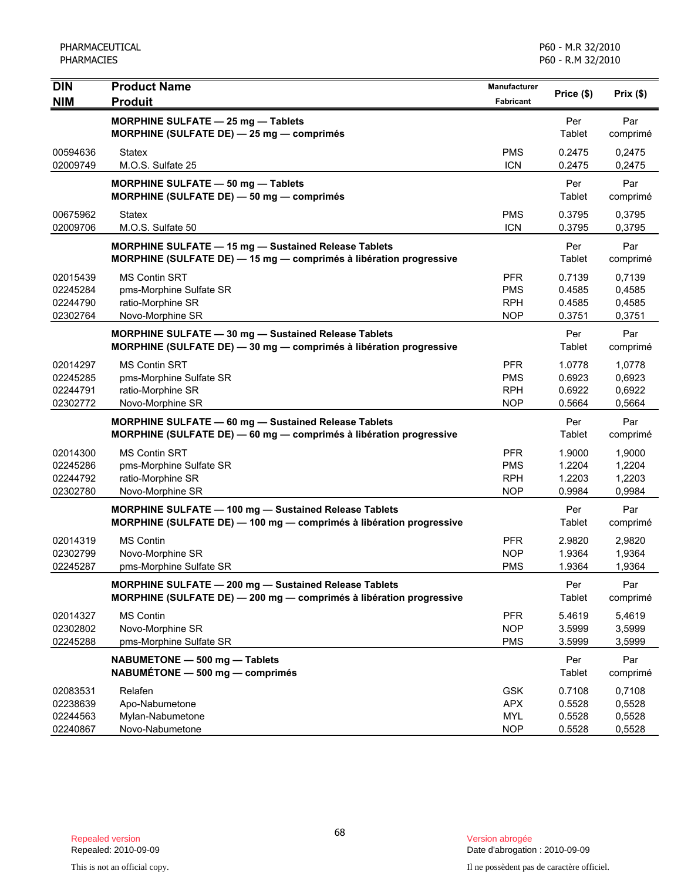| <b>DIN</b><br><b>NIM</b>                     | <b>Product Name</b><br><b>Produit</b>                                                                                             | <b>Manufacturer</b><br><b>Fabricant</b>              | Price (\$)                           | Prix(\$)                             |
|----------------------------------------------|-----------------------------------------------------------------------------------------------------------------------------------|------------------------------------------------------|--------------------------------------|--------------------------------------|
|                                              | <b>MORPHINE SULFATE - 25 mg - Tablets</b><br>MORPHINE (SULFATE DE) - 25 mg - comprimés                                            |                                                      | Per<br>Tablet                        | Par<br>comprimé                      |
| 00594636<br>02009749                         | <b>Statex</b><br>M.O.S. Sulfate 25                                                                                                | <b>PMS</b><br><b>ICN</b>                             | 0.2475<br>0.2475                     | 0,2475<br>0,2475                     |
|                                              | <b>MORPHINE SULFATE - 50 mg - Tablets</b><br>MORPHINE (SULFATE DE) - 50 mg - comprimés                                            |                                                      | Per<br>Tablet                        | Par<br>comprimé                      |
| 00675962<br>02009706                         | <b>Statex</b><br>M.O.S. Sulfate 50                                                                                                | <b>PMS</b><br><b>ICN</b>                             | 0.3795<br>0.3795                     | 0,3795<br>0,3795                     |
|                                              | <b>MORPHINE SULFATE - 15 mg - Sustained Release Tablets</b><br>MORPHINE (SULFATE DE) - 15 mg - comprimés à libération progressive |                                                      | Per<br>Tablet                        | Par<br>comprimé                      |
| 02015439<br>02245284<br>02244790<br>02302764 | <b>MS Contin SRT</b><br>pms-Morphine Sulfate SR<br>ratio-Morphine SR<br>Novo-Morphine SR                                          | <b>PFR</b><br><b>PMS</b><br><b>RPH</b><br><b>NOP</b> | 0.7139<br>0.4585<br>0.4585<br>0.3751 | 0,7139<br>0,4585<br>0,4585<br>0,3751 |
|                                              | MORPHINE SULFATE - 30 mg - Sustained Release Tablets<br>MORPHINE (SULFATE DE) - 30 mg - comprimés à libération progressive        |                                                      | Per<br>Tablet                        | Par<br>comprimé                      |
| 02014297<br>02245285<br>02244791<br>02302772 | <b>MS Contin SRT</b><br>pms-Morphine Sulfate SR<br>ratio-Morphine SR<br>Novo-Morphine SR                                          | <b>PFR</b><br><b>PMS</b><br><b>RPH</b><br><b>NOP</b> | 1.0778<br>0.6923<br>0.6922<br>0.5664 | 1,0778<br>0,6923<br>0,6922<br>0,5664 |
|                                              | <b>MORPHINE SULFATE - 60 mg - Sustained Release Tablets</b><br>MORPHINE (SULFATE DE) - 60 mg - comprimés à libération progressive |                                                      | Per<br>Tablet                        | Par<br>comprimé                      |
| 02014300<br>02245286<br>02244792<br>02302780 | <b>MS Contin SRT</b><br>pms-Morphine Sulfate SR<br>ratio-Morphine SR<br>Novo-Morphine SR                                          | <b>PFR</b><br><b>PMS</b><br><b>RPH</b><br><b>NOP</b> | 1.9000<br>1.2204<br>1.2203<br>0.9984 | 1,9000<br>1,2204<br>1,2203<br>0,9984 |
|                                              | MORPHINE SULFATE - 100 mg - Sustained Release Tablets<br>MORPHINE (SULFATE DE) - 100 mg - comprimés à libération progressive      |                                                      | Per<br>Tablet                        | Par<br>comprimé                      |
| 02014319<br>02302799<br>02245287             | <b>MS Contin</b><br>Novo-Morphine SR<br>pms-Morphine Sulfate SR                                                                   | <b>PFR</b><br><b>NOP</b><br><b>PMS</b>               | 2.9820<br>1.9364<br>1.9364           | 2,9820<br>1,9364<br>1,9364           |
|                                              | MORPHINE SULFATE - 200 mg - Sustained Release Tablets<br>MORPHINE (SULFATE DE) - 200 mg - comprimés à libération progressive      |                                                      | Per<br>Tablet                        | Par<br>comprimé                      |
| 02014327<br>02302802<br>02245288             | <b>MS Contin</b><br>Novo-Morphine SR<br>pms-Morphine Sulfate SR                                                                   | <b>PFR</b><br><b>NOP</b><br><b>PMS</b>               | 5.4619<br>3.5999<br>3.5999           | 5,4619<br>3,5999<br>3,5999           |
|                                              | NABUMETONE - 500 mg - Tablets<br>NABUMÉTONE - 500 mg - comprimés                                                                  |                                                      | Per<br>Tablet                        | Par<br>comprimé                      |
| 02083531<br>02238639<br>02244563<br>02240867 | Relafen<br>Apo-Nabumetone<br>Mylan-Nabumetone<br>Novo-Nabumetone                                                                  | <b>GSK</b><br><b>APX</b><br><b>MYL</b><br><b>NOP</b> | 0.7108<br>0.5528<br>0.5528<br>0.5528 | 0,7108<br>0,5528<br>0,5528<br>0,5528 |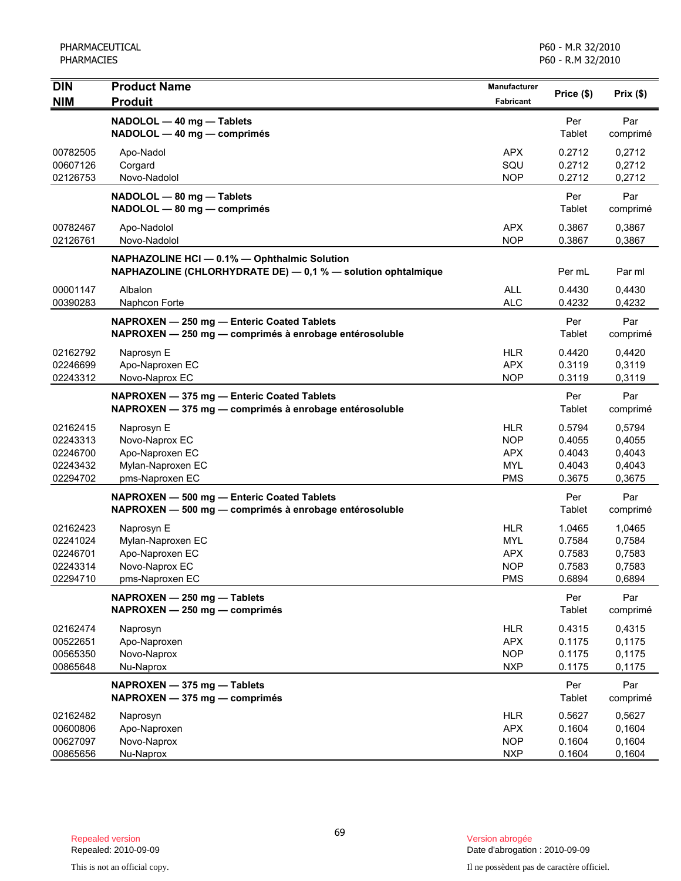| <b>DIN</b>                                               | <b>Product Name</b>                                                                                          | Manufacturer                                                       | Price (\$)                                     | Prix(\$)                                       |
|----------------------------------------------------------|--------------------------------------------------------------------------------------------------------------|--------------------------------------------------------------------|------------------------------------------------|------------------------------------------------|
| <b>NIM</b>                                               | <b>Produit</b>                                                                                               | <b>Fabricant</b>                                                   |                                                |                                                |
|                                                          | NADOLOL - 40 mg - Tablets<br>NADOLOL - 40 mg - comprimés                                                     |                                                                    | Per<br>Tablet                                  | Par<br>comprimé                                |
| 00782505<br>00607126<br>02126753                         | Apo-Nadol<br>Corgard<br>Novo-Nadolol                                                                         | <b>APX</b><br>SQU<br><b>NOP</b>                                    | 0.2712<br>0.2712<br>0.2712                     | 0,2712<br>0,2712<br>0,2712                     |
|                                                          | NADOLOL - 80 mg - Tablets<br>NADOLOL - 80 mg - comprimés                                                     |                                                                    | Per<br>Tablet                                  | Par<br>comprimé                                |
| 00782467<br>02126761                                     | Apo-Nadolol<br>Novo-Nadolol                                                                                  | <b>APX</b><br><b>NOP</b>                                           | 0.3867<br>0.3867                               | 0,3867<br>0,3867                               |
|                                                          | NAPHAZOLINE HCI - 0.1% - Ophthalmic Solution<br>NAPHAZOLINE (CHLORHYDRATE DE) - 0,1 % - solution ophtalmique |                                                                    | Per mL                                         | Par ml                                         |
| 00001147<br>00390283                                     | Albalon<br>Naphcon Forte                                                                                     | <b>ALL</b><br><b>ALC</b>                                           | 0.4430<br>0.4232                               | 0,4430<br>0,4232                               |
|                                                          | NAPROXEN - 250 mg - Enteric Coated Tablets<br>NAPROXEN - 250 mg - comprimés à enrobage entérosoluble         |                                                                    | Per<br>Tablet                                  | Par<br>comprimé                                |
| 02162792<br>02246699<br>02243312                         | Naprosyn E<br>Apo-Naproxen EC<br>Novo-Naprox EC                                                              | HLR.<br><b>APX</b><br><b>NOP</b>                                   | 0.4420<br>0.3119<br>0.3119                     | 0,4420<br>0,3119<br>0,3119                     |
|                                                          | NAPROXEN - 375 mg - Enteric Coated Tablets<br>NAPROXEN - 375 mg - comprimés à enrobage entérosoluble         |                                                                    | Per<br>Tablet                                  | Par<br>comprimé                                |
| 02162415<br>02243313<br>02246700<br>02243432<br>02294702 | Naprosyn E<br>Novo-Naprox EC<br>Apo-Naproxen EC<br>Mylan-Naproxen EC<br>pms-Naproxen EC                      | <b>HLR</b><br><b>NOP</b><br><b>APX</b><br><b>MYL</b><br><b>PMS</b> | 0.5794<br>0.4055<br>0.4043<br>0.4043<br>0.3675 | 0,5794<br>0,4055<br>0,4043<br>0,4043<br>0,3675 |
|                                                          | NAPROXEN - 500 mg - Enteric Coated Tablets<br>NAPROXEN - 500 mg - comprimés à enrobage entérosoluble         |                                                                    | Per<br>Tablet                                  | Par<br>comprimé                                |
| 02162423<br>02241024<br>02246701<br>02243314<br>02294710 | Naprosyn E<br>Mylan-Naproxen EC<br>Apo-Naproxen EC<br>Novo-Naprox EC<br>pms-Naproxen EC                      | HLR<br><b>MYL</b><br><b>APX</b><br><b>NOP</b><br><b>PMS</b>        | 1.0465<br>0.7584<br>0.7583<br>0.7583<br>0.6894 | 1,0465<br>0,7584<br>0,7583<br>0,7583<br>0,6894 |
|                                                          | NAPROXEN - 250 mg - Tablets<br>NAPROXEN - 250 mg - comprimés                                                 |                                                                    | Per<br>Tablet                                  | Par<br>comprimé                                |
| 02162474<br>00522651<br>00565350<br>00865648             | Naprosyn<br>Apo-Naproxen<br>Novo-Naprox<br>Nu-Naprox                                                         | <b>HLR</b><br><b>APX</b><br><b>NOP</b><br><b>NXP</b>               | 0.4315<br>0.1175<br>0.1175<br>0.1175           | 0,4315<br>0,1175<br>0,1175<br>0,1175           |
|                                                          | NAPROXEN - 375 mg - Tablets<br>NAPROXEN - 375 mg - comprimés                                                 |                                                                    | Per<br>Tablet                                  | Par<br>comprimé                                |
| 02162482<br>00600806<br>00627097<br>00865656             | Naprosyn<br>Apo-Naproxen<br>Novo-Naprox<br>Nu-Naprox                                                         | <b>HLR</b><br><b>APX</b><br><b>NOP</b><br><b>NXP</b>               | 0.5627<br>0.1604<br>0.1604<br>0.1604           | 0,5627<br>0,1604<br>0,1604<br>0,1604           |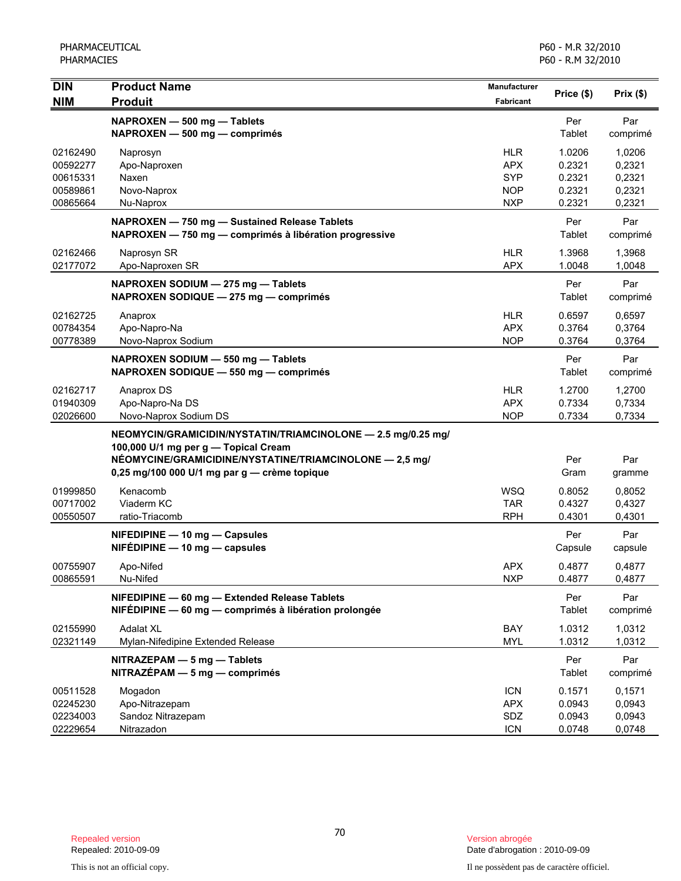| <b>DIN</b><br><b>NIM</b>                                 | <b>Product Name</b><br><b>Produit</b>                                                                                                                                                                           | Manufacturer<br>Fabricant                                          | Price (\$)                                     | Prix(\$)                                       |
|----------------------------------------------------------|-----------------------------------------------------------------------------------------------------------------------------------------------------------------------------------------------------------------|--------------------------------------------------------------------|------------------------------------------------|------------------------------------------------|
|                                                          | NAPROXEN - 500 mg - Tablets<br>NAPROXEN - 500 mg - comprimés                                                                                                                                                    |                                                                    | Per<br>Tablet                                  | Par<br>comprimé                                |
| 02162490<br>00592277<br>00615331<br>00589861<br>00865664 | Naprosyn<br>Apo-Naproxen<br>Naxen<br>Novo-Naprox<br>Nu-Naprox                                                                                                                                                   | <b>HLR</b><br><b>APX</b><br><b>SYP</b><br><b>NOP</b><br><b>NXP</b> | 1.0206<br>0.2321<br>0.2321<br>0.2321<br>0.2321 | 1,0206<br>0,2321<br>0,2321<br>0,2321<br>0,2321 |
|                                                          | NAPROXEN - 750 mg - Sustained Release Tablets<br>NAPROXEN - 750 mg - comprimés à libération progressive                                                                                                         |                                                                    | Per<br>Tablet                                  | Par<br>comprimé                                |
| 02162466<br>02177072                                     | Naprosyn SR<br>Apo-Naproxen SR                                                                                                                                                                                  | <b>HLR</b><br><b>APX</b>                                           | 1.3968<br>1.0048                               | 1,3968<br>1,0048                               |
|                                                          | NAPROXEN SODIUM - 275 mg - Tablets<br>NAPROXEN SODIQUE - 275 mg - comprimés                                                                                                                                     |                                                                    | Per<br>Tablet                                  | Par<br>comprimé                                |
| 02162725<br>00784354<br>00778389                         | Anaprox<br>Apo-Napro-Na<br>Novo-Naprox Sodium                                                                                                                                                                   | <b>HLR</b><br><b>APX</b><br><b>NOP</b>                             | 0.6597<br>0.3764<br>0.3764                     | 0,6597<br>0,3764<br>0,3764                     |
|                                                          | NAPROXEN SODIUM - 550 mg - Tablets<br>NAPROXEN SODIQUE - 550 mg - comprimés                                                                                                                                     |                                                                    | Per<br>Tablet                                  | Par<br>comprimé                                |
| 02162717<br>01940309<br>02026600                         | Anaprox DS<br>Apo-Napro-Na DS<br>Novo-Naprox Sodium DS                                                                                                                                                          | <b>HLR</b><br><b>APX</b><br><b>NOP</b>                             | 1.2700<br>0.7334<br>0.7334                     | 1,2700<br>0,7334<br>0,7334                     |
|                                                          | NEOMYCIN/GRAMICIDIN/NYSTATIN/TRIAMCINOLONE - 2.5 mg/0.25 mg/<br>100,000 U/1 mg per g - Topical Cream<br>NÉOMYCINE/GRAMICIDINE/NYSTATINE/TRIAMCINOLONE - 2,5 mg/<br>0,25 mg/100 000 U/1 mg par g — crème topique |                                                                    | Per<br>Gram                                    | Par<br>gramme                                  |
| 01999850<br>00717002<br>00550507                         | Kenacomb<br>Viaderm KC<br>ratio-Triacomb                                                                                                                                                                        | <b>WSQ</b><br><b>TAR</b><br><b>RPH</b>                             | 0.8052<br>0.4327<br>0.4301                     | 0,8052<br>0,4327<br>0,4301                     |
|                                                          | NIFEDIPINE - 10 mg - Capsules<br>$NIFÉDIPINE - 10 mg - capsules$                                                                                                                                                |                                                                    | Per<br>Capsule                                 | Par<br>capsule                                 |
| 00755907<br>00865591                                     | Apo-Nifed<br>Nu-Nifed                                                                                                                                                                                           | <b>APX</b><br><b>NXP</b>                                           | 0.4877<br>0.4877                               | 0,4877<br>0,4877                               |
|                                                          | NIFEDIPINE - 60 mg - Extended Release Tablets<br>NIFÉDIPINE - 60 mg - comprimés à libération prolongée                                                                                                          |                                                                    | Per<br>Tablet                                  | Par<br>comprimé                                |
| 02155990<br>02321149                                     | <b>Adalat XL</b><br>Mylan-Nifedipine Extended Release                                                                                                                                                           | BAY<br><b>MYL</b>                                                  | 1.0312<br>1.0312                               | 1,0312<br>1,0312                               |
|                                                          | NITRAZEPAM - 5 mg - Tablets<br>$NITRAZÉPAM - 5 mg - comprimés$                                                                                                                                                  |                                                                    | Per<br>Tablet                                  | Par<br>comprimé                                |
| 00511528<br>02245230<br>02234003<br>02229654             | Mogadon<br>Apo-Nitrazepam<br>Sandoz Nitrazepam<br>Nitrazadon                                                                                                                                                    | <b>ICN</b><br><b>APX</b><br>SDZ<br><b>ICN</b>                      | 0.1571<br>0.0943<br>0.0943<br>0.0748           | 0,1571<br>0,0943<br>0,0943<br>0,0748           |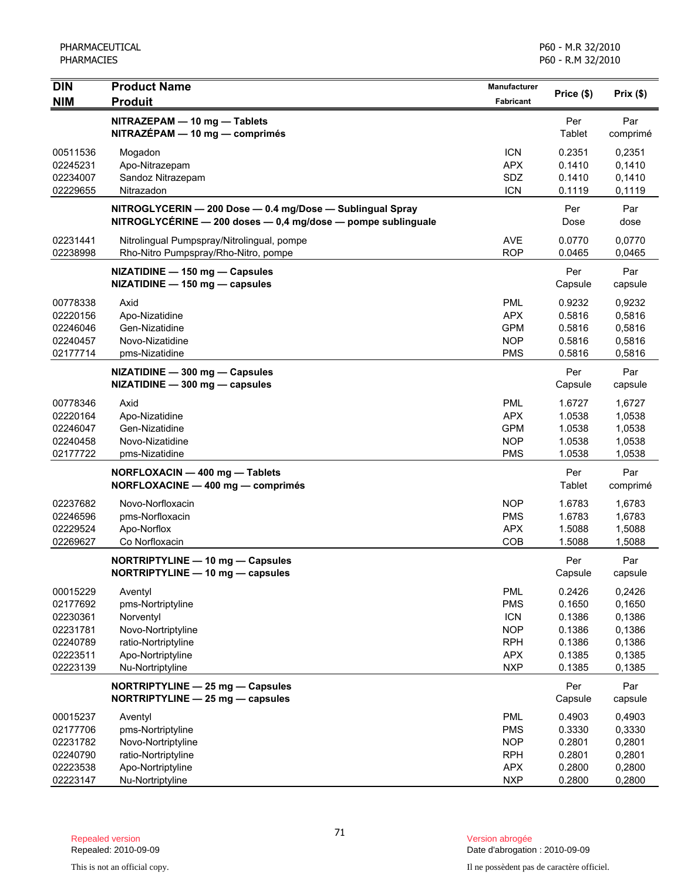| <b>DIN</b>                                                                       | <b>Product Name</b>                                                                                                             | Manufacturer                                                                            | Price (\$)                                                         | Prix(\$)                                                           |
|----------------------------------------------------------------------------------|---------------------------------------------------------------------------------------------------------------------------------|-----------------------------------------------------------------------------------------|--------------------------------------------------------------------|--------------------------------------------------------------------|
| <b>NIM</b>                                                                       | <b>Produit</b>                                                                                                                  | Fabricant                                                                               |                                                                    |                                                                    |
|                                                                                  | NITRAZEPAM - 10 mg - Tablets<br>NITRAZÉPAM - 10 mg - comprimés                                                                  |                                                                                         | Per<br>Tablet                                                      | Par<br>comprimé                                                    |
| 00511536<br>02245231<br>02234007<br>02229655                                     | Mogadon<br>Apo-Nitrazepam<br>Sandoz Nitrazepam<br>Nitrazadon                                                                    | <b>ICN</b><br><b>APX</b><br>SDZ<br><b>ICN</b>                                           | 0.2351<br>0.1410<br>0.1410<br>0.1119                               | 0,2351<br>0,1410<br>0,1410<br>0,1119                               |
|                                                                                  | NITROGLYCERIN - 200 Dose - 0.4 mg/Dose - Sublingual Spray<br>NITROGLYCÉRINE - 200 doses - 0,4 mg/dose - pompe sublinguale       |                                                                                         | Per<br>Dose                                                        | Par<br>dose                                                        |
| 02231441<br>02238998                                                             | Nitrolingual Pumpspray/Nitrolingual, pompe<br>Rho-Nitro Pumpspray/Rho-Nitro, pompe                                              | <b>AVE</b><br><b>ROP</b>                                                                | 0.0770<br>0.0465                                                   | 0,0770<br>0,0465                                                   |
|                                                                                  | NIZATIDINE - 150 mg - Capsules<br>NIZATIDINE - 150 mg - capsules                                                                |                                                                                         | Per<br>Capsule                                                     | Par<br>capsule                                                     |
| 00778338<br>02220156<br>02246046<br>02240457<br>02177714                         | Axid<br>Apo-Nizatidine<br>Gen-Nizatidine<br>Novo-Nizatidine<br>pms-Nizatidine                                                   | <b>PML</b><br><b>APX</b><br><b>GPM</b><br><b>NOP</b><br><b>PMS</b>                      | 0.9232<br>0.5816<br>0.5816<br>0.5816<br>0.5816                     | 0,9232<br>0,5816<br>0,5816<br>0,5816<br>0,5816                     |
|                                                                                  | NIZATIDINE - 300 mg - Capsules<br>NIZATIDINE - 300 mg - capsules                                                                |                                                                                         | Per<br>Capsule                                                     | Par<br>capsule                                                     |
| 00778346<br>02220164<br>02246047<br>02240458<br>02177722                         | Axid<br>Apo-Nizatidine<br>Gen-Nizatidine<br>Novo-Nizatidine<br>pms-Nizatidine                                                   | <b>PML</b><br><b>APX</b><br><b>GPM</b><br><b>NOP</b><br><b>PMS</b>                      | 1.6727<br>1.0538<br>1.0538<br>1.0538<br>1.0538                     | 1,6727<br>1,0538<br>1,0538<br>1,0538<br>1,0538                     |
|                                                                                  | NORFLOXACIN - 400 mg - Tablets<br>NORFLOXACINE - 400 mg - comprimés                                                             |                                                                                         | Per<br>Tablet                                                      | Par<br>comprimé                                                    |
| 02237682<br>02246596<br>02229524<br>02269627                                     | Novo-Norfloxacin<br>pms-Norfloxacin<br>Apo-Norflox<br>Co Norfloxacin                                                            | <b>NOP</b><br><b>PMS</b><br><b>APX</b><br>COB                                           | 1.6783<br>1.6783<br>1.5088<br>1.5088                               | 1,6783<br>1,6783<br>1,5088<br>1,5088                               |
|                                                                                  | NORTRIPTYLINE - 10 mg - Capsules<br>NORTRIPTYLINE - 10 mg - capsules                                                            |                                                                                         | Per<br>Capsule                                                     | Par<br>capsule                                                     |
| 00015229<br>02177692<br>02230361<br>02231781<br>02240789<br>02223511<br>02223139 | Aventyl<br>pms-Nortriptyline<br>Norventyl<br>Novo-Nortriptyline<br>ratio-Nortriptyline<br>Apo-Nortriptyline<br>Nu-Nortriptyline | PML<br><b>PMS</b><br><b>ICN</b><br><b>NOP</b><br><b>RPH</b><br><b>APX</b><br><b>NXP</b> | 0.2426<br>0.1650<br>0.1386<br>0.1386<br>0.1386<br>0.1385<br>0.1385 | 0,2426<br>0,1650<br>0,1386<br>0,1386<br>0,1386<br>0,1385<br>0,1385 |
|                                                                                  | NORTRIPTYLINE - 25 mg - Capsules<br>NORTRIPTYLINE - 25 mg - capsules                                                            |                                                                                         | Per<br>Capsule                                                     | Par<br>capsule                                                     |
| 00015237<br>02177706<br>02231782<br>02240790<br>02223538                         | Aventyl<br>pms-Nortriptyline<br>Novo-Nortriptyline<br>ratio-Nortriptyline<br>Apo-Nortriptyline                                  | PML<br><b>PMS</b><br><b>NOP</b><br><b>RPH</b><br><b>APX</b>                             | 0.4903<br>0.3330<br>0.2801<br>0.2801<br>0.2800                     | 0,4903<br>0,3330<br>0,2801<br>0,2801<br>0,2800                     |
| 02223147                                                                         | Nu-Nortriptyline                                                                                                                | <b>NXP</b>                                                                              | 0.2800                                                             | 0,2800                                                             |

Date d'abrogation : 2010-09-09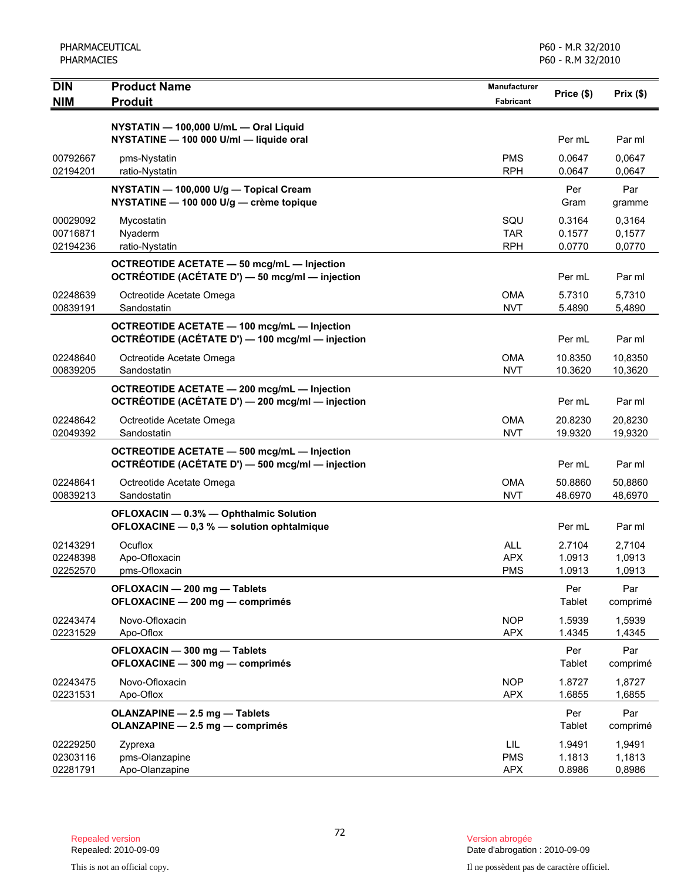| <b>DIN</b>                       | <b>Product Name</b>                                                                             | <b>Manufacturer</b>                    | Price (\$)                 | Prix(\$)                   |
|----------------------------------|-------------------------------------------------------------------------------------------------|----------------------------------------|----------------------------|----------------------------|
| <b>NIM</b>                       | <b>Produit</b>                                                                                  | <b>Fabricant</b>                       |                            |                            |
|                                  | NYSTATIN - 100,000 U/mL - Oral Liquid<br>NYSTATINE - 100 000 U/ml - liquide oral                |                                        | Per mL                     | Par ml                     |
| 00792667<br>02194201             | pms-Nystatin<br>ratio-Nystatin                                                                  | <b>PMS</b><br><b>RPH</b>               | 0.0647<br>0.0647           | 0,0647<br>0,0647           |
|                                  | NYSTATIN - 100,000 U/g - Topical Cream<br>NYSTATINE - 100 000 U/g - crème topique               |                                        | Per<br>Gram                | Par<br>gramme              |
| 00029092<br>00716871<br>02194236 | Mycostatin<br>Nyaderm<br>ratio-Nystatin                                                         | SQU<br><b>TAR</b><br><b>RPH</b>        | 0.3164<br>0.1577<br>0.0770 | 0,3164<br>0,1577<br>0,0770 |
|                                  | OCTREOTIDE ACETATE - 50 mcg/mL - Injection<br>OCTRÉOTIDE (ACÉTATE D') - 50 mcg/ml - injection   |                                        | Per mL                     | Par ml                     |
| 02248639<br>00839191             | Octreotide Acetate Omega<br>Sandostatin                                                         | <b>OMA</b><br><b>NVT</b>               | 5.7310<br>5.4890           | 5,7310<br>5,4890           |
|                                  | OCTREOTIDE ACETATE - 100 mcg/mL - Injection<br>OCTRÉOTIDE (ACÉTATE D') - 100 mcg/ml - injection |                                        | Per mL                     | Par ml                     |
| 02248640<br>00839205             | Octreotide Acetate Omega<br>Sandostatin                                                         | <b>OMA</b><br><b>NVT</b>               | 10.8350<br>10.3620         | 10,8350<br>10,3620         |
|                                  | OCTREOTIDE ACETATE - 200 mcg/mL - Injection<br>OCTRÉOTIDE (ACÉTATE D') - 200 mcg/ml - injection |                                        | Per mL                     | Par ml                     |
| 02248642<br>02049392             | Octreotide Acetate Omega<br>Sandostatin                                                         | <b>OMA</b><br><b>NVT</b>               | 20.8230<br>19.9320         | 20,8230<br>19,9320         |
|                                  | OCTREOTIDE ACETATE - 500 mcg/mL - Injection<br>OCTRÉOTIDE (ACÉTATE D') - 500 mcg/ml - injection |                                        | Per mL                     | Par ml                     |
| 02248641<br>00839213             | Octreotide Acetate Omega<br>Sandostatin                                                         | <b>OMA</b><br><b>NVT</b>               | 50.8860<br>48.6970         | 50,8860<br>48,6970         |
|                                  | OFLOXACIN - 0.3% - Ophthalmic Solution<br>OFLOXACINE - 0,3 % - solution ophtalmique             |                                        | Per mL                     | Par ml                     |
| 02143291<br>02248398<br>02252570 | Ocuflox<br>Apo-Ofloxacin<br>pms-Ofloxacin                                                       | <b>ALL</b><br><b>APX</b><br><b>PMS</b> | 2.7104<br>1.0913<br>1.0913 | 2,7104<br>1,0913<br>1,0913 |
|                                  | OFLOXACIN - 200 mg - Tablets<br>OFLOXACINE - 200 mg - comprimés                                 |                                        | Per<br>Tablet              | Par<br>comprimé            |
| 02243474<br>02231529             | Novo-Ofloxacin<br>Apo-Oflox                                                                     | <b>NOP</b><br><b>APX</b>               | 1.5939<br>1.4345           | 1,5939<br>1,4345           |
|                                  | OFLOXACIN - 300 mg - Tablets<br>OFLOXACINE - 300 mg - comprimés                                 |                                        | Per<br>Tablet              | Par<br>comprimé            |
| 02243475<br>02231531             | Novo-Ofloxacin<br>Apo-Oflox                                                                     | <b>NOP</b><br><b>APX</b>               | 1.8727<br>1.6855           | 1,8727<br>1,6855           |
|                                  | OLANZAPINE - 2.5 mg - Tablets<br>OLANZAPINE - 2.5 mg - comprimés                                |                                        | Per<br>Tablet              | Par<br>comprimé            |
| 02229250<br>02303116<br>02281791 | Zyprexa<br>pms-Olanzapine<br>Apo-Olanzapine                                                     | LIL.<br><b>PMS</b><br><b>APX</b>       | 1.9491<br>1.1813<br>0.8986 | 1,9491<br>1,1813<br>0,8986 |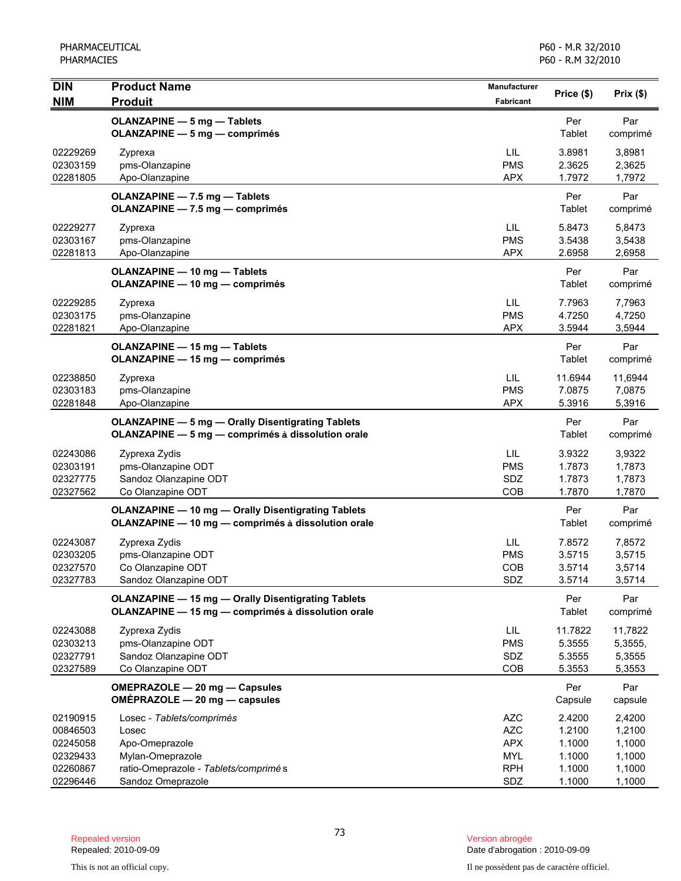| <b>DIN</b>                                               | <b>Product Name</b>                                                                                               | <b>Manufacturer</b>                                                | Price (\$)                                     | Prix(\$)                                       |
|----------------------------------------------------------|-------------------------------------------------------------------------------------------------------------------|--------------------------------------------------------------------|------------------------------------------------|------------------------------------------------|
| <b>NIM</b>                                               | <b>Produit</b>                                                                                                    | <b>Fabricant</b>                                                   |                                                |                                                |
|                                                          | <b>OLANZAPINE - 5 mg - Tablets</b><br><b>OLANZAPINE - 5 mg - comprimés</b>                                        |                                                                    | Per<br>Tablet                                  | Par<br>comprimé                                |
| 02229269<br>02303159<br>02281805                         | Zyprexa<br>pms-Olanzapine<br>Apo-Olanzapine                                                                       | LIL<br><b>PMS</b><br><b>APX</b>                                    | 3.8981<br>2.3625<br>1.7972                     | 3,8981<br>2,3625<br>1,7972                     |
|                                                          | OLANZAPINE - 7.5 mg - Tablets<br>OLANZAPINE - 7.5 mg - comprimés                                                  |                                                                    | Per<br>Tablet                                  | Par<br>comprimé                                |
| 02229277<br>02303167<br>02281813                         | Zyprexa<br>pms-Olanzapine<br>Apo-Olanzapine                                                                       | LIL<br><b>PMS</b><br><b>APX</b>                                    | 5.8473<br>3.5438<br>2.6958                     | 5,8473<br>3,5438<br>2,6958                     |
|                                                          | <b>OLANZAPINE - 10 mg - Tablets</b><br><b>OLANZAPINE - 10 mg - comprimés</b>                                      |                                                                    | Per<br>Tablet                                  | Par<br>comprimé                                |
| 02229285<br>02303175<br>02281821                         | Zyprexa<br>pms-Olanzapine<br>Apo-Olanzapine                                                                       | LIL<br><b>PMS</b><br><b>APX</b>                                    | 7.7963<br>4.7250<br>3.5944                     | 7,7963<br>4,7250<br>3,5944                     |
|                                                          | OLANZAPINE - 15 mg - Tablets<br><b>OLANZAPINE - 15 mg - comprimés</b>                                             |                                                                    | Per<br>Tablet                                  | Par<br>comprimé                                |
| 02238850<br>02303183<br>02281848                         | Zyprexa<br>pms-Olanzapine<br>Apo-Olanzapine                                                                       | LIL<br><b>PMS</b><br><b>APX</b>                                    | 11.6944<br>7.0875<br>5.3916                    | 11,6944<br>7,0875<br>5,3916                    |
|                                                          | <b>OLANZAPINE - 5 mg - Orally Disentigrating Tablets</b><br>OLANZAPINE - 5 mg - comprimés à dissolution orale     |                                                                    | Per<br>Tablet                                  | Par<br>comprimé                                |
| 02243086<br>02303191<br>02327775<br>02327562             | Zyprexa Zydis<br>pms-Olanzapine ODT<br>Sandoz Olanzapine ODT<br>Co Olanzapine ODT                                 | LIL<br><b>PMS</b><br>SDZ<br>COB                                    | 3.9322<br>1.7873<br>1.7873<br>1.7870           | 3,9322<br>1,7873<br>1,7873<br>1,7870           |
|                                                          | <b>OLANZAPINE - 10 mg - Orally Disentigrating Tablets</b><br>OLANZAPINE - 10 mg - comprimés à dissolution orale   |                                                                    | Per<br>Tablet                                  | Par<br>comprimé                                |
| 02243087<br>02303205<br>02327570<br>02327783             | Zyprexa Zydis<br>pms-Olanzapine ODT<br>Co Olanzapine ODT<br>Sandoz Olanzapine ODT                                 | LIL<br><b>PMS</b><br><b>COB</b><br>SDZ                             | 7.8572<br>3.5715<br>3.5714<br>3.5714           | 7,8572<br>3,5715<br>3,5714<br>3,5714           |
|                                                          | <b>OLANZAPINE - 15 mg - Orally Disentigrating Tablets</b><br>OLANZAPINE - 15 mg - comprimés à dissolution orale   |                                                                    | Per<br>Tablet                                  | Par<br>comprimé                                |
| 02243088<br>02303213<br>02327791<br>02327589             | Zyprexa Zydis<br>pms-Olanzapine ODT<br>Sandoz Olanzapine ODT<br>Co Olanzapine ODT                                 | LIL.<br><b>PMS</b><br>SDZ<br>COB                                   | 11.7822<br>5.3555<br>5.3555<br>5.3553          | 11,7822<br>5,3555,<br>5,3555<br>5,3553         |
|                                                          | OMEPRAZOLE - 20 mg - Capsules<br>OMÉPRAZOLE - 20 mg - capsules                                                    |                                                                    | Per<br>Capsule                                 | Par<br>capsule                                 |
| 02190915<br>00846503<br>02245058<br>02329433<br>02260867 | Losec - Tablets/comprimés<br>Losec<br>Apo-Omeprazole<br>Mylan-Omeprazole<br>ratio-Omeprazole - Tablets/comprimé s | <b>AZC</b><br><b>AZC</b><br><b>APX</b><br><b>MYL</b><br><b>RPH</b> | 2.4200<br>1.2100<br>1.1000<br>1.1000<br>1.1000 | 2,4200<br>1,2100<br>1,1000<br>1,1000<br>1,1000 |
| 02296446                                                 | Sandoz Omeprazole                                                                                                 | SDZ                                                                | 1.1000                                         | 1,1000                                         |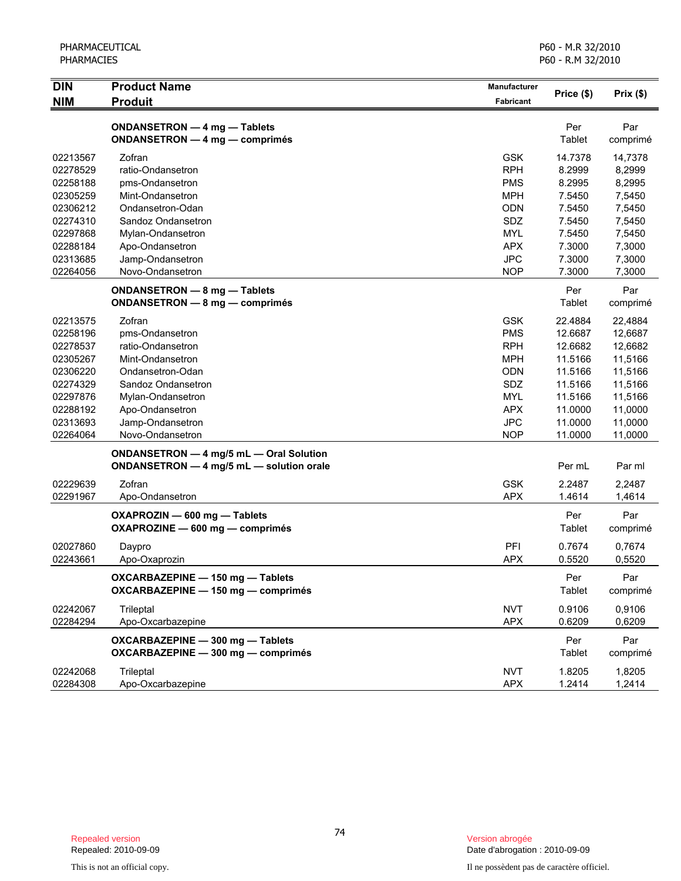| <b>DIN</b> | <b>Product Name</b>                                                                 | Manufacturer     | Price (\$)           | Prix(\$)        |
|------------|-------------------------------------------------------------------------------------|------------------|----------------------|-----------------|
| <b>NIM</b> | <b>Produit</b>                                                                      | <b>Fabricant</b> |                      |                 |
|            | ONDANSETRON - 4 mg - Tablets<br>ONDANSETRON - 4 mg - comprimés                      |                  | Per<br>Tablet        | Par<br>comprimé |
| 02213567   | Zofran                                                                              | <b>GSK</b>       | 14.7378              | 14,7378         |
| 02278529   | ratio-Ondansetron                                                                   | <b>RPH</b>       | 8.2999               | 8,2999          |
| 02258188   | pms-Ondansetron                                                                     | <b>PMS</b>       | 8.2995               | 8,2995          |
| 02305259   | Mint-Ondansetron                                                                    | <b>MPH</b>       | 7.5450               | 7,5450          |
| 02306212   | Ondansetron-Odan                                                                    | <b>ODN</b>       | 7.5450               | 7,5450          |
| 02274310   | Sandoz Ondansetron                                                                  | SDZ              | 7.5450               | 7,5450          |
| 02297868   | Mylan-Ondansetron                                                                   | <b>MYL</b>       | 7.5450               | 7,5450          |
| 02288184   | Apo-Ondansetron                                                                     | <b>APX</b>       | 7.3000               | 7,3000          |
| 02313685   | Jamp-Ondansetron                                                                    | <b>JPC</b>       | 7.3000               | 7,3000          |
| 02264056   | Novo-Ondansetron                                                                    | <b>NOP</b>       | 7.3000               | 7,3000          |
|            | ONDANSETRON - 8 mg - Tablets<br><b>ONDANSETRON - 8 mg - comprimés</b>               |                  | Per<br>Tablet        | Par<br>comprimé |
| 02213575   | Zofran                                                                              | <b>GSK</b>       | 22.4884              | 22.4884         |
| 02258196   | pms-Ondansetron                                                                     | <b>PMS</b>       | 12.6687              | 12,6687         |
| 02278537   | ratio-Ondansetron                                                                   | <b>RPH</b>       | 12.6682              | 12,6682         |
| 02305267   | Mint-Ondansetron                                                                    | <b>MPH</b>       | 11.5166              | 11,5166         |
| 02306220   | Ondansetron-Odan                                                                    | ODN              | 11.5166              | 11,5166         |
| 02274329   | Sandoz Ondansetron                                                                  | SDZ              | 11.5166              | 11,5166         |
| 02297876   | Mylan-Ondansetron                                                                   | <b>MYL</b>       | 11.5166              | 11,5166         |
| 02288192   | Apo-Ondansetron                                                                     | <b>APX</b>       | 11.0000              | 11,0000         |
| 02313693   | Jamp-Ondansetron                                                                    | <b>JPC</b>       | 11.0000              | 11,0000         |
| 02264064   | Novo-Ondansetron                                                                    | <b>NOP</b>       | 11.0000              | 11,0000         |
|            | ONDANSETRON - 4 mg/5 mL - Oral Solution<br>ONDANSETRON - 4 mg/5 mL - solution orale |                  | Per mL               | Par ml          |
| 02229639   | Zofran                                                                              | <b>GSK</b>       | 2.2487               | 2,2487          |
| 02291967   | Apo-Ondansetron                                                                     | <b>APX</b>       | 1.4614               | 1,4614          |
|            | OXAPROZIN - 600 mg - Tablets<br>OXAPROZINE - 600 mg - comprimés                     |                  | Per<br>Tablet        | Par<br>comprimé |
| 02027860   | Daypro                                                                              | PFI              | 0.7674               | 0,7674          |
| 02243661   | Apo-Oxaprozin                                                                       | <b>APX</b>       | 0.5520               | 0,5520          |
|            | OXCARBAZEPINE - 150 mg - Tablets<br>OXCARBAZEPINE - 150 mg - comprimés              |                  | Per<br><b>Tablet</b> | Par<br>comprimé |
| 02242067   | Trileptal                                                                           | <b>NVT</b>       | 0.9106               | 0,9106          |
| 02284294   | Apo-Oxcarbazepine                                                                   | <b>APX</b>       | 0.6209               | 0,6209          |
|            | OXCARBAZEPINE - 300 mg - Tablets<br>OXCARBAZEPINE - 300 mg - comprimés              |                  | Per<br>Tablet        | Par<br>comprimé |
| 02242068   | Trileptal                                                                           | <b>NVT</b>       | 1.8205               | 1,8205          |
| 02284308   | Apo-Oxcarbazepine                                                                   | <b>APX</b>       | 1.2414               | 1,2414          |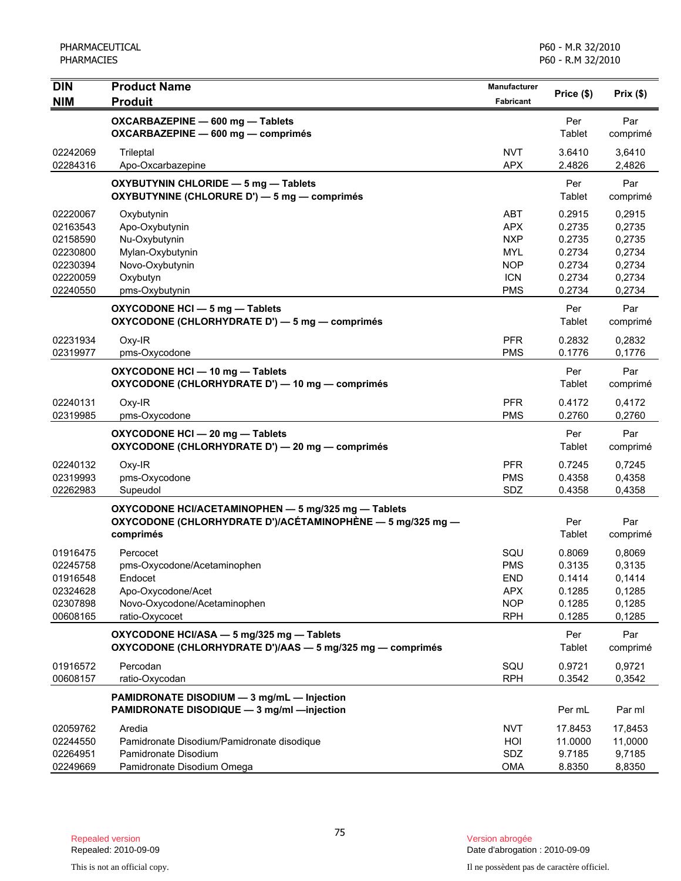| <b>DIN</b>           | <b>Product Name</b>                                                                                                            | Manufacturer             | Price (\$)       | Prix(\$)         |
|----------------------|--------------------------------------------------------------------------------------------------------------------------------|--------------------------|------------------|------------------|
| <b>NIM</b>           | <b>Produit</b>                                                                                                                 | Fabricant                |                  |                  |
|                      | OXCARBAZEPINE - 600 mg - Tablets<br>OXCARBAZEPINE - 600 mg - comprimés                                                         |                          | Per<br>Tablet    | Par<br>comprimé  |
| 02242069<br>02284316 | Trileptal<br>Apo-Oxcarbazepine                                                                                                 | <b>NVT</b><br><b>APX</b> | 3.6410<br>2.4826 | 3,6410<br>2,4826 |
|                      | OXYBUTYNIN CHLORIDE - 5 mg - Tablets<br>OXYBUTYNINE (CHLORURE D') - 5 mg - comprimés                                           |                          | Per<br>Tablet    | Par<br>comprimé  |
| 02220067             | Oxybutynin                                                                                                                     | <b>ABT</b>               | 0.2915           | 0,2915           |
| 02163543             | Apo-Oxybutynin                                                                                                                 | <b>APX</b>               | 0.2735           | 0,2735           |
| 02158590             | Nu-Oxybutynin                                                                                                                  | <b>NXP</b>               | 0.2735           | 0,2735           |
| 02230800             | Mylan-Oxybutynin                                                                                                               | <b>MYL</b>               | 0.2734           | 0,2734           |
| 02230394<br>02220059 | Novo-Oxybutynin<br>Oxybutyn                                                                                                    | <b>NOP</b><br><b>ICN</b> | 0.2734<br>0.2734 | 0,2734<br>0,2734 |
| 02240550             | pms-Oxybutynin                                                                                                                 | <b>PMS</b>               | 0.2734           | 0,2734           |
|                      | OXYCODONE HCI - 5 mg - Tablets<br>OXYCODONE (CHLORHYDRATE D') - 5 mg - comprimés                                               |                          | Per<br>Tablet    | Par<br>comprimé  |
| 02231934             | Oxy-IR                                                                                                                         | <b>PFR</b>               | 0.2832           | 0,2832           |
| 02319977             | pms-Oxycodone                                                                                                                  | <b>PMS</b>               | 0.1776           | 0,1776           |
|                      | OXYCODONE HCI - 10 mg - Tablets<br>OXYCODONE (CHLORHYDRATE D') - 10 mg - comprimés                                             |                          | Per<br>Tablet    | Par<br>comprimé  |
| 02240131             | Oxy-IR                                                                                                                         | <b>PFR</b>               | 0.4172           | 0,4172           |
| 02319985             | pms-Oxycodone                                                                                                                  | <b>PMS</b>               | 0.2760           | 0,2760           |
|                      | OXYCODONE HCI - 20 mg - Tablets<br>OXYCODONE (CHLORHYDRATE D') - 20 mg - comprimés                                             |                          | Per<br>Tablet    | Par<br>comprimé  |
| 02240132             | Oxy-IR                                                                                                                         | <b>PFR</b>               | 0.7245           | 0,7245           |
| 02319993             | pms-Oxycodone                                                                                                                  | <b>PMS</b>               | 0.4358           | 0,4358           |
| 02262983             | Supeudol                                                                                                                       | SDZ                      | 0.4358           | 0,4358           |
|                      | OXYCODONE HCI/ACETAMINOPHEN - 5 mg/325 mg - Tablets<br>OXYCODONE (CHLORHYDRATE D')/ACÉTAMINOPHÈNE — 5 mg/325 mg —<br>comprimés |                          | Per<br>Tablet    | Par<br>comprimé  |
| 01916475             | Percocet                                                                                                                       | SQU                      | 0.8069           | 0,8069           |
| 02245758             | pms-Oxycodone/Acetaminophen                                                                                                    | <b>PMS</b>               | 0.3135           | 0,3135           |
| 01916548             | Endocet                                                                                                                        | <b>END</b>               | 0.1414           | 0,1414           |
| 02324628<br>02307898 | Apo-Oxycodone/Acet<br>Novo-Oxycodone/Acetaminophen                                                                             | <b>APX</b><br><b>NOP</b> | 0.1285<br>0.1285 | 0,1285<br>0,1285 |
| 00608165             | ratio-Oxycocet                                                                                                                 | <b>RPH</b>               | 0.1285           | 0,1285           |
|                      | OXYCODONE HCI/ASA - 5 mg/325 mg - Tablets<br>OXYCODONE (CHLORHYDRATE D')/AAS - 5 mg/325 mg - comprimés                         |                          | Per<br>Tablet    | Par<br>comprimé  |
| 01916572             | Percodan                                                                                                                       | SQU                      | 0.9721           | 0,9721           |
| 00608157             | ratio-Oxycodan                                                                                                                 | <b>RPH</b>               | 0.3542           | 0,3542           |
|                      | PAMIDRONATE DISODIUM - 3 mg/mL - Injection<br>PAMIDRONATE DISODIQUE - 3 mg/ml - injection                                      |                          | Per mL           | Par ml           |
| 02059762             | Aredia                                                                                                                         | <b>NVT</b>               | 17.8453          | 17,8453          |
| 02244550             | Pamidronate Disodium/Pamidronate disodique                                                                                     | HOI                      | 11.0000          | 11,0000          |
| 02264951             | Pamidronate Disodium                                                                                                           | SDZ                      | 9.7185           | 9,7185           |
| 02249669             | Pamidronate Disodium Omega                                                                                                     | <b>OMA</b>               | 8.8350           | 8,8350           |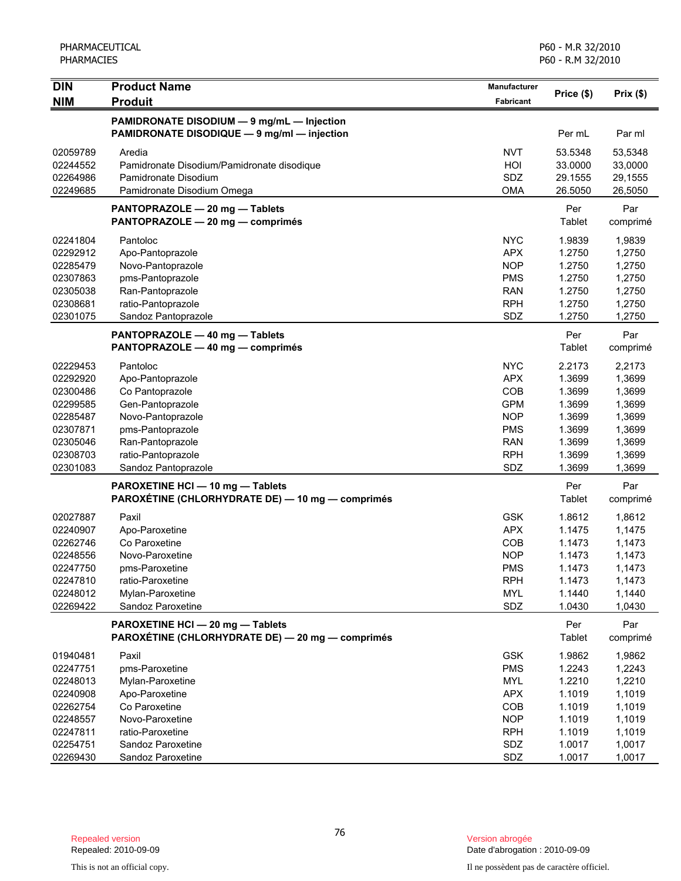| <b>DIN</b> | <b>Product Name</b>                              | Manufacturer |            |          |
|------------|--------------------------------------------------|--------------|------------|----------|
| <b>NIM</b> | <b>Produit</b>                                   | Fabricant    | Price (\$) | Prix(\$) |
|            | PAMIDRONATE DISODIUM - 9 mg/mL - Injection       |              |            |          |
|            | PAMIDRONATE DISODIQUE - 9 mg/ml - injection      |              | Per mL     | Par ml   |
| 02059789   | Aredia                                           | <b>NVT</b>   | 53.5348    | 53,5348  |
| 02244552   | Pamidronate Disodium/Pamidronate disodique       | HOI          | 33.0000    | 33,0000  |
| 02264986   | Pamidronate Disodium                             | SDZ          | 29.1555    | 29,1555  |
| 02249685   | Pamidronate Disodium Omega                       | <b>OMA</b>   | 26.5050    | 26,5050  |
|            | PANTOPRAZOLE - 20 mg - Tablets                   |              | Per        | Par      |
|            | PANTOPRAZOLE - 20 mg - comprimés                 |              | Tablet     | comprimé |
| 02241804   | Pantoloc                                         | <b>NYC</b>   | 1.9839     | 1,9839   |
| 02292912   | Apo-Pantoprazole                                 | <b>APX</b>   | 1.2750     | 1,2750   |
| 02285479   | Novo-Pantoprazole                                | <b>NOP</b>   | 1.2750     | 1,2750   |
| 02307863   | pms-Pantoprazole                                 | <b>PMS</b>   | 1.2750     | 1,2750   |
| 02305038   | Ran-Pantoprazole                                 | <b>RAN</b>   | 1.2750     | 1,2750   |
| 02308681   | ratio-Pantoprazole                               | <b>RPH</b>   | 1.2750     | 1,2750   |
| 02301075   | Sandoz Pantoprazole                              | SDZ          | 1.2750     | 1,2750   |
|            | PANTOPRAZOLE - 40 mg - Tablets                   |              | Per        | Par      |
|            | PANTOPRAZOLE - 40 mg - comprimés                 |              | Tablet     | comprimé |
| 02229453   | Pantoloc                                         | <b>NYC</b>   | 2.2173     | 2,2173   |
| 02292920   | Apo-Pantoprazole                                 | <b>APX</b>   | 1.3699     | 1,3699   |
| 02300486   | Co Pantoprazole                                  | COB          | 1.3699     | 1,3699   |
| 02299585   | Gen-Pantoprazole                                 | <b>GPM</b>   | 1.3699     | 1,3699   |
| 02285487   | Novo-Pantoprazole                                | <b>NOP</b>   | 1.3699     | 1,3699   |
| 02307871   | pms-Pantoprazole                                 | <b>PMS</b>   | 1.3699     | 1,3699   |
| 02305046   | Ran-Pantoprazole                                 | <b>RAN</b>   | 1.3699     | 1,3699   |
| 02308703   | ratio-Pantoprazole                               | <b>RPH</b>   | 1.3699     | 1,3699   |
| 02301083   | Sandoz Pantoprazole                              | SDZ          | 1.3699     | 1,3699   |
|            | PAROXETINE HCI - 10 mg - Tablets                 |              | Per        | Par      |
|            | PAROXÉTINE (CHLORHYDRATE DE) — 10 mg — comprimés |              | Tablet     | comprimé |
| 02027887   | Paxil                                            | <b>GSK</b>   | 1.8612     | 1,8612   |
| 02240907   | Apo-Paroxetine                                   | <b>APX</b>   | 1.1475     | 1,1475   |
| 02262746   | Co Paroxetine                                    | COB          | 1.1473     | 1,1473   |
| 02248556   | Novo-Paroxetine                                  | <b>NOP</b>   | 1.1473     | 1,1473   |
| 02247750   | pms-Paroxetine                                   | <b>PMS</b>   | 1.1473     | 1,1473   |
| 02247810   | ratio-Paroxetine                                 | <b>RPH</b>   | 1.1473     | 1,1473   |
| 02248012   | Mylan-Paroxetine                                 | <b>MYL</b>   | 1.1440     | 1,1440   |
| 02269422   | Sandoz Paroxetine                                | SDZ          | 1.0430     | 1,0430   |
|            | PAROXETINE HCI - 20 mg - Tablets                 |              | Per        | Par      |
|            | PAROXÉTINE (CHLORHYDRATE DE) - 20 mg - comprimés |              | Tablet     | comprimé |
| 01940481   | Paxil                                            | <b>GSK</b>   | 1.9862     | 1,9862   |
| 02247751   | pms-Paroxetine                                   | <b>PMS</b>   | 1.2243     | 1,2243   |
| 02248013   | Mylan-Paroxetine                                 | <b>MYL</b>   | 1.2210     | 1,2210   |
| 02240908   | Apo-Paroxetine                                   | <b>APX</b>   | 1.1019     | 1,1019   |
| 02262754   | Co Paroxetine                                    | COB          | 1.1019     | 1,1019   |
| 02248557   | Novo-Paroxetine                                  | <b>NOP</b>   | 1.1019     | 1,1019   |
| 02247811   | ratio-Paroxetine                                 | <b>RPH</b>   | 1.1019     | 1,1019   |
| 02254751   | Sandoz Paroxetine                                | SDZ          | 1.0017     | 1,0017   |
| 02269430   | Sandoz Paroxetine                                | SDZ          | 1.0017     | 1,0017   |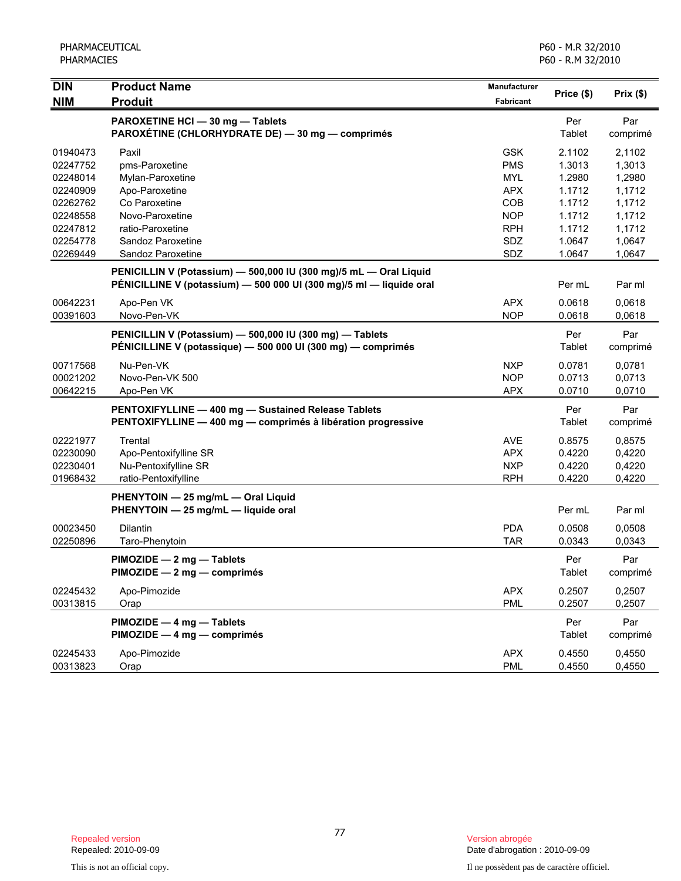| <b>DIN</b> | <b>Product Name</b>                                                 | <b>Manufacturer</b> |            |          |
|------------|---------------------------------------------------------------------|---------------------|------------|----------|
| <b>NIM</b> | <b>Produit</b>                                                      | Fabricant           | Price (\$) | Prix(\$) |
|            | PAROXETINE HCI - 30 mg - Tablets                                    |                     | Per        | Par      |
|            | PAROXÉTINE (CHLORHYDRATE DE) - 30 mg - comprimés                    |                     | Tablet     | comprimé |
| 01940473   | Paxil                                                               | <b>GSK</b>          | 2.1102     | 2,1102   |
| 02247752   | pms-Paroxetine                                                      | <b>PMS</b>          | 1.3013     | 1,3013   |
| 02248014   | Mylan-Paroxetine                                                    | <b>MYL</b>          | 1.2980     | 1,2980   |
| 02240909   | Apo-Paroxetine                                                      | <b>APX</b>          | 1.1712     | 1,1712   |
| 02262762   | Co Paroxetine                                                       | COB                 | 1.1712     | 1,1712   |
| 02248558   | Novo-Paroxetine                                                     | <b>NOP</b>          | 1.1712     | 1,1712   |
| 02247812   | ratio-Paroxetine                                                    | <b>RPH</b>          | 1.1712     | 1,1712   |
| 02254778   | Sandoz Paroxetine                                                   | SDZ                 | 1.0647     | 1,0647   |
| 02269449   | Sandoz Paroxetine                                                   | SDZ                 | 1.0647     | 1,0647   |
|            | PENICILLIN V (Potassium) - 500,000 IU (300 mg)/5 mL - Oral Liquid   |                     |            |          |
|            | PÉNICILLINE V (potassium) - 500 000 UI (300 mg)/5 ml - liquide oral |                     | Per mL     | Par ml   |
| 00642231   | Apo-Pen VK                                                          | <b>APX</b>          | 0.0618     | 0,0618   |
| 00391603   | Novo-Pen-VK                                                         | <b>NOP</b>          | 0.0618     | 0,0618   |
|            | PENICILLIN V (Potassium) - 500,000 IU (300 mg) - Tablets            |                     | Per        | Par      |
|            | PÉNICILLINE V (potassique) - 500 000 UI (300 mg) - comprimés        |                     | Tablet     | comprimé |
| 00717568   | Nu-Pen-VK                                                           | <b>NXP</b>          | 0.0781     | 0,0781   |
| 00021202   | Novo-Pen-VK 500                                                     | <b>NOP</b>          | 0.0713     | 0,0713   |
| 00642215   | Apo-Pen VK                                                          | <b>APX</b>          | 0.0710     | 0,0710   |
|            | PENTOXIFYLLINE - 400 mg - Sustained Release Tablets                 |                     | Per        | Par      |
|            | PENTOXIFYLLINE - 400 mg - comprimés à libération progressive        |                     | Tablet     | comprimé |
| 02221977   | Trental                                                             | <b>AVE</b>          | 0.8575     | 0,8575   |
| 02230090   | Apo-Pentoxifylline SR                                               | <b>APX</b>          | 0.4220     | 0,4220   |
| 02230401   | Nu-Pentoxifylline SR                                                | <b>NXP</b>          | 0.4220     | 0,4220   |
| 01968432   | ratio-Pentoxifylline                                                | <b>RPH</b>          | 0.4220     | 0,4220   |
|            | PHENYTOIN - 25 mg/mL - Oral Liquid                                  |                     |            |          |
|            | PHENYTOIN - 25 mg/mL - liquide oral                                 |                     | Per mL     | Par ml   |
| 00023450   | Dilantin                                                            | <b>PDA</b>          | 0.0508     | 0,0508   |
| 02250896   | Taro-Phenytoin                                                      | <b>TAR</b>          | 0.0343     | 0,0343   |
|            | PIMOZIDE - 2 mg - Tablets                                           |                     | Per        | Par      |
|            | PIMOZIDE - 2 mg - comprimés                                         |                     | Tablet     | comprimé |
| 02245432   | Apo-Pimozide                                                        | <b>APX</b>          | 0.2507     | 0,2507   |
| 00313815   | Orap                                                                | <b>PML</b>          | 0.2507     | 0,2507   |
|            | PIMOZIDE - 4 mg - Tablets                                           |                     | Per        | Par      |
|            | PIMOZIDE - 4 mg - comprimés                                         |                     | Tablet     | comprimé |
| 02245433   | Apo-Pimozide                                                        | <b>APX</b>          | 0.4550     | 0,4550   |
| 00313823   | Orap                                                                | <b>PML</b>          | 0.4550     | 0,4550   |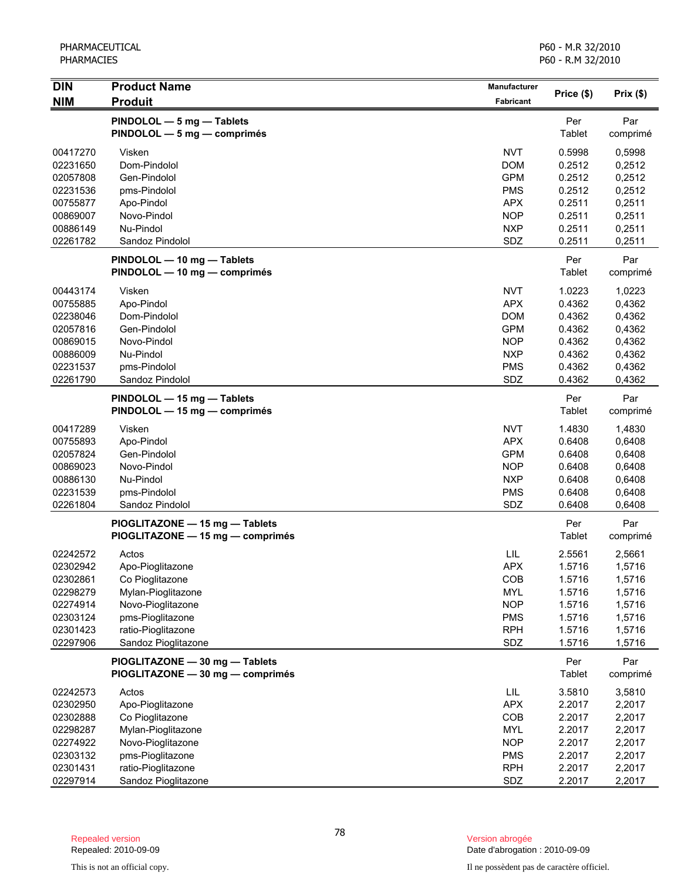| <b>DIN</b>           | <b>Product Name</b>                                      | <b>Manufacturer</b> |                  |                  |
|----------------------|----------------------------------------------------------|---------------------|------------------|------------------|
| <b>NIM</b>           | <b>Produit</b>                                           | <b>Fabricant</b>    | Price (\$)       | Prix(\$)         |
|                      |                                                          |                     | Per              | Par              |
|                      | PINDOLOL - 5 mg - Tablets<br>PINDOLOL - 5 mg - comprimés |                     | Tablet           | comprimé         |
|                      |                                                          |                     |                  |                  |
| 00417270             | Visken                                                   | <b>NVT</b>          | 0.5998           | 0,5998           |
| 02231650             | Dom-Pindolol                                             | <b>DOM</b>          | 0.2512           | 0,2512           |
| 02057808             | Gen-Pindolol                                             | <b>GPM</b>          | 0.2512           | 0,2512           |
| 02231536             | pms-Pindolol                                             | <b>PMS</b>          | 0.2512           | 0,2512           |
| 00755877             | Apo-Pindol                                               | <b>APX</b>          | 0.2511           | 0,2511           |
| 00869007             | Novo-Pindol<br>Nu-Pindol                                 | <b>NOP</b>          | 0.2511           | 0,2511           |
| 00886149<br>02261782 | Sandoz Pindolol                                          | <b>NXP</b><br>SDZ   | 0.2511<br>0.2511 | 0,2511<br>0,2511 |
|                      |                                                          |                     |                  |                  |
|                      | PINDOLOL - 10 mg - Tablets                               |                     | Per              | Par              |
|                      | PINDOLOL - 10 mg - comprimés                             |                     | Tablet           | comprimé         |
| 00443174             | Visken                                                   | <b>NVT</b>          | 1.0223           | 1,0223           |
| 00755885             | Apo-Pindol                                               | <b>APX</b>          | 0.4362           | 0,4362           |
| 02238046             | Dom-Pindolol                                             | <b>DOM</b>          | 0.4362           | 0,4362           |
| 02057816             | Gen-Pindolol                                             | <b>GPM</b>          | 0.4362           | 0,4362           |
| 00869015             | Novo-Pindol                                              | <b>NOP</b>          | 0.4362           | 0,4362           |
| 00886009             | Nu-Pindol                                                | <b>NXP</b>          | 0.4362           | 0,4362           |
| 02231537             | pms-Pindolol                                             | <b>PMS</b>          | 0.4362           | 0,4362           |
| 02261790             | Sandoz Pindolol                                          | SDZ                 | 0.4362           | 0,4362           |
|                      | PINDOLOL - 15 mg - Tablets                               |                     | Per              | Par              |
|                      | PINDOLOL - 15 mg - comprimés                             |                     | Tablet           | comprimé         |
|                      |                                                          |                     |                  |                  |
| 00417289             | Visken                                                   | <b>NVT</b>          | 1.4830           | 1,4830           |
| 00755893             | Apo-Pindol                                               | <b>APX</b>          | 0.6408           | 0,6408           |
| 02057824             | Gen-Pindolol                                             | <b>GPM</b>          | 0.6408           | 0,6408           |
| 00869023             | Novo-Pindol                                              | <b>NOP</b>          | 0.6408           | 0,6408           |
| 00886130             | Nu-Pindol                                                | <b>NXP</b>          | 0.6408           | 0,6408           |
| 02231539             | pms-Pindolol                                             | <b>PMS</b>          | 0.6408           | 0,6408           |
| 02261804             | Sandoz Pindolol                                          | SDZ                 | 0.6408           | 0,6408           |
|                      | PIOGLITAZONE - 15 mg - Tablets                           |                     | Per              | Par              |
|                      | PIOGLITAZONE - 15 mg - comprimés                         |                     | <b>Tablet</b>    | comprimé         |
| 02242572             | Actos                                                    | <b>LIL</b>          | 2.5561           | 2,5661           |
| 02302942             | Apo-Pioglitazone                                         | <b>APX</b>          | 1.5716           | 1,5716           |
| 02302861             | Co Pioglitazone                                          | COB                 | 1.5716           | 1,5716           |
| 02298279             | Mylan-Pioglitazone                                       | <b>MYL</b>          | 1.5716           | 1,5716           |
| 02274914             | Novo-Pioglitazone                                        | <b>NOP</b>          | 1.5716           | 1,5716           |
| 02303124             | pms-Pioglitazone                                         | <b>PMS</b>          | 1.5716           | 1,5716           |
| 02301423             | ratio-Pioglitazone                                       | <b>RPH</b>          | 1.5716           | 1,5716           |
| 02297906             | Sandoz Pioglitazone                                      | SDZ                 | 1.5716           | 1,5716           |
|                      | PIOGLITAZONE - 30 mg - Tablets                           |                     | Per              | Par              |
|                      | PIOGLITAZONE - 30 mg - comprimés                         |                     | <b>Tablet</b>    | comprimé         |
|                      |                                                          |                     |                  |                  |
| 02242573             | Actos                                                    | <b>LIL</b>          | 3.5810           | 3,5810           |
| 02302950             | Apo-Pioglitazone                                         | <b>APX</b>          | 2.2017           | 2,2017           |
| 02302888             | Co Pioglitazone                                          | COB                 | 2.2017           | 2,2017           |
| 02298287             | Mylan-Pioglitazone                                       | <b>MYL</b>          | 2.2017           | 2,2017           |
| 02274922             | Novo-Pioglitazone                                        | <b>NOP</b>          | 2.2017           | 2,2017           |
| 02303132             | pms-Pioglitazone                                         | <b>PMS</b>          | 2.2017           | 2,2017           |
| 02301431             | ratio-Pioglitazone                                       | <b>RPH</b>          | 2.2017           | 2,2017           |
| 02297914             | Sandoz Pioglitazone                                      | SDZ                 | 2.2017           | 2,2017           |

Date d'abrogation : 2010-09-09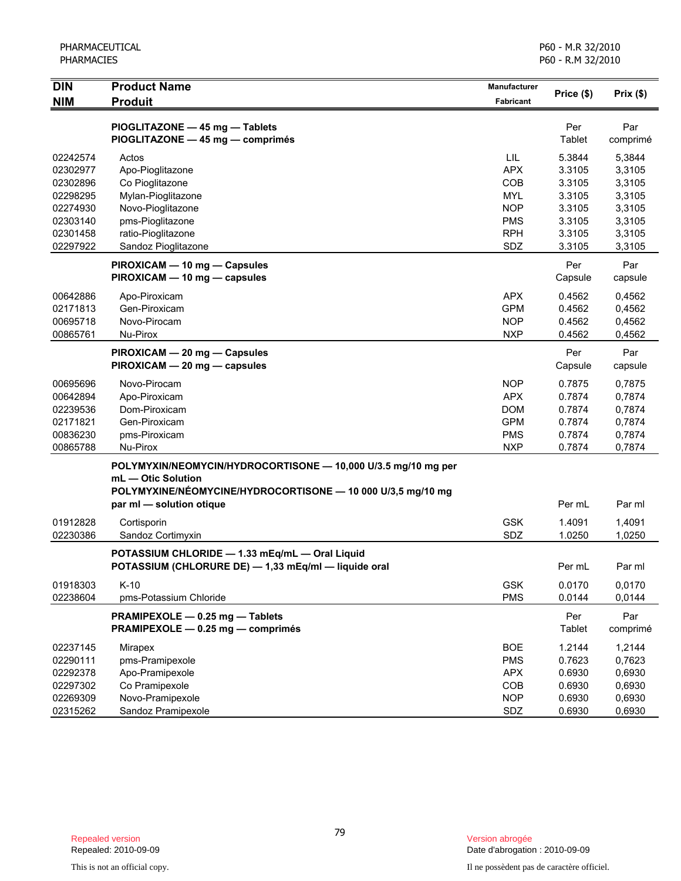| <b>DIN</b>                                                           | <b>Product Name</b>                                                                                                                                                            | Manufacturer<br><b>Fabricant</b>                                                 | Price (\$)                                               | Prix(\$)                                                 |
|----------------------------------------------------------------------|--------------------------------------------------------------------------------------------------------------------------------------------------------------------------------|----------------------------------------------------------------------------------|----------------------------------------------------------|----------------------------------------------------------|
| <b>NIM</b>                                                           | <b>Produit</b>                                                                                                                                                                 |                                                                                  |                                                          |                                                          |
|                                                                      | PIOGLITAZONE - 45 mg - Tablets<br>PIOGLITAZONE - 45 mg - comprimés                                                                                                             |                                                                                  | Per<br>Tablet                                            | Par<br>comprimé                                          |
| 02242574<br>02302977<br>02302896<br>02298295<br>02274930<br>02303140 | Actos<br>Apo-Pioglitazone<br>Co Pioglitazone<br>Mylan-Pioglitazone<br>Novo-Pioglitazone<br>pms-Pioglitazone                                                                    | LIL<br><b>APX</b><br>COB<br><b>MYL</b><br><b>NOP</b><br><b>PMS</b>               | 5.3844<br>3.3105<br>3.3105<br>3.3105<br>3.3105<br>3.3105 | 5,3844<br>3,3105<br>3,3105<br>3,3105<br>3,3105<br>3,3105 |
| 02301458                                                             | ratio-Pioglitazone                                                                                                                                                             | <b>RPH</b>                                                                       | 3.3105                                                   | 3,3105                                                   |
| 02297922                                                             | Sandoz Pioglitazone<br>PIROXICAM - 10 mg - Capsules<br>PIROXICAM - 10 mg - capsules                                                                                            | SDZ                                                                              | 3.3105<br>Per<br>Capsule                                 | 3,3105<br>Par<br>capsule                                 |
| 00642886<br>02171813<br>00695718<br>00865761                         | Apo-Piroxicam<br>Gen-Piroxicam<br>Novo-Pirocam<br>Nu-Pirox                                                                                                                     | <b>APX</b><br><b>GPM</b><br><b>NOP</b><br><b>NXP</b>                             | 0.4562<br>0.4562<br>0.4562<br>0.4562                     | 0,4562<br>0,4562<br>0,4562<br>0,4562                     |
|                                                                      | PIROXICAM - 20 mg - Capsules<br>PIROXICAM - 20 mg - capsules                                                                                                                   |                                                                                  | Per<br>Capsule                                           | Par<br>capsule                                           |
| 00695696<br>00642894<br>02239536<br>02171821<br>00836230<br>00865788 | Novo-Pirocam<br>Apo-Piroxicam<br>Dom-Piroxicam<br>Gen-Piroxicam<br>pms-Piroxicam<br>Nu-Pirox                                                                                   | <b>NOP</b><br><b>APX</b><br><b>DOM</b><br><b>GPM</b><br><b>PMS</b><br><b>NXP</b> | 0.7875<br>0.7874<br>0.7874<br>0.7874<br>0.7874<br>0.7874 | 0,7875<br>0,7874<br>0,7874<br>0,7874<br>0,7874<br>0,7874 |
|                                                                      | POLYMYXIN/NEOMYCIN/HYDROCORTISONE - 10,000 U/3.5 mg/10 mg per<br>mL - Otic Solution<br>POLYMYXINE/NÉOMYCINE/HYDROCORTISONE - 10 000 U/3,5 mg/10 mg<br>par ml - solution otique |                                                                                  | Per mL                                                   | Par ml                                                   |
| 01912828<br>02230386                                                 | Cortisporin<br>Sandoz Cortimyxin                                                                                                                                               | <b>GSK</b><br>SDZ                                                                | 1.4091<br>1.0250                                         | 1,4091<br>1,0250                                         |
|                                                                      | POTASSIUM CHLORIDE - 1.33 mEq/mL - Oral Liquid<br>POTASSIUM (CHLORURE DE) - 1,33 mEq/ml - liquide oral                                                                         |                                                                                  | Per mL                                                   | Par ml                                                   |
| 01918303<br>02238604                                                 | $K-10$<br>pms-Potassium Chloride                                                                                                                                               | <b>GSK</b><br><b>PMS</b>                                                         | 0.0170<br>0.0144                                         | 0,0170<br>0,0144                                         |
|                                                                      | PRAMIPEXOLE - 0.25 mg - Tablets<br>PRAMIPEXOLE - 0.25 mg - comprimés                                                                                                           |                                                                                  | Per<br>Tablet                                            | Par<br>comprimé                                          |
| 02237145<br>02290111<br>02292378<br>02297302<br>02269309<br>02315262 | Mirapex<br>pms-Pramipexole<br>Apo-Pramipexole<br>Co Pramipexole<br>Novo-Pramipexole<br>Sandoz Pramipexole                                                                      | <b>BOE</b><br><b>PMS</b><br><b>APX</b><br>COB<br><b>NOP</b><br>SDZ               | 1.2144<br>0.7623<br>0.6930<br>0.6930<br>0.6930<br>0.6930 | 1,2144<br>0,7623<br>0,6930<br>0,6930<br>0,6930<br>0,6930 |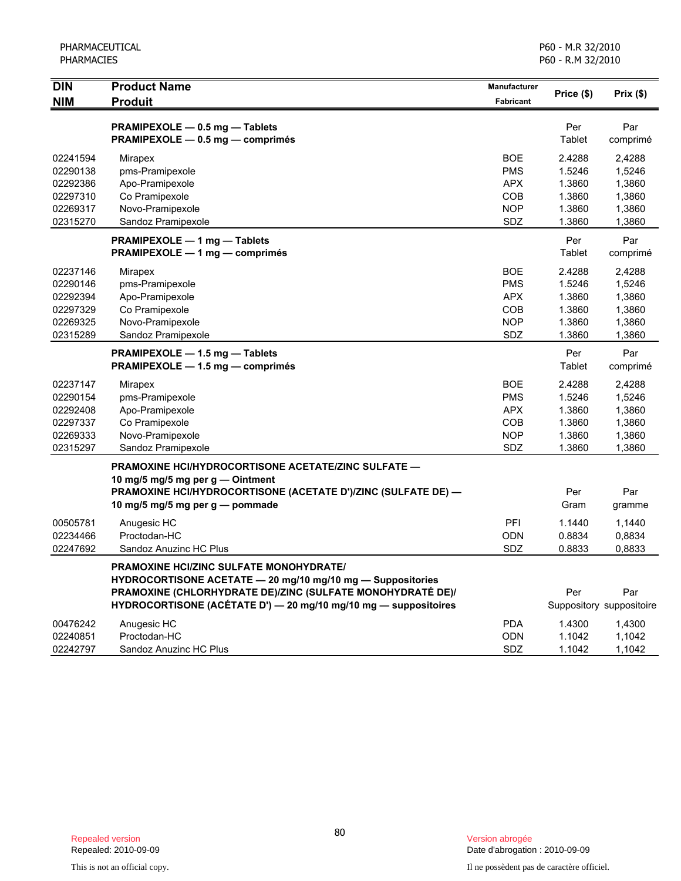| <b>DIN</b> | <b>Product Name</b>                                                                              | Manufacturer |             |                          |
|------------|--------------------------------------------------------------------------------------------------|--------------|-------------|--------------------------|
| <b>NIM</b> | <b>Produit</b>                                                                                   | Fabricant    | Price (\$)  | Prix(\$)                 |
|            | PRAMIPEXOLE - 0.5 mg - Tablets                                                                   |              | Per         | Par                      |
|            | PRAMIPEXOLE - 0.5 mg - comprimés                                                                 |              | Tablet      | comprimé                 |
| 02241594   | Mirapex                                                                                          | <b>BOE</b>   | 2.4288      | 2,4288                   |
| 02290138   | pms-Pramipexole                                                                                  | <b>PMS</b>   | 1.5246      | 1,5246                   |
| 02292386   | Apo-Pramipexole                                                                                  | <b>APX</b>   | 1.3860      | 1,3860                   |
| 02297310   | Co Pramipexole                                                                                   | <b>COB</b>   | 1.3860      | 1,3860                   |
| 02269317   | Novo-Pramipexole                                                                                 | <b>NOP</b>   | 1.3860      | 1,3860                   |
| 02315270   | Sandoz Pramipexole                                                                               | <b>SDZ</b>   | 1.3860      | 1,3860                   |
|            | PRAMIPEXOLE - 1 mg - Tablets                                                                     |              | Per         | Par                      |
|            | PRAMIPEXOLE - 1 mg - comprimés                                                                   |              | Tablet      | comprimé                 |
| 02237146   | Mirapex                                                                                          | <b>BOE</b>   | 2.4288      | 2,4288                   |
| 02290146   | pms-Pramipexole                                                                                  | <b>PMS</b>   | 1.5246      | 1,5246                   |
| 02292394   | Apo-Pramipexole                                                                                  | <b>APX</b>   | 1.3860      | 1,3860                   |
| 02297329   | Co Pramipexole                                                                                   | <b>COB</b>   | 1.3860      | 1,3860                   |
| 02269325   | Novo-Pramipexole                                                                                 | <b>NOP</b>   | 1.3860      | 1,3860                   |
| 02315289   | Sandoz Pramipexole                                                                               | <b>SDZ</b>   | 1.3860      | 1,3860                   |
|            | PRAMIPEXOLE - 1.5 mg - Tablets                                                                   |              | Per         | Par                      |
|            | PRAMIPEXOLE - 1.5 mg - comprimés                                                                 |              | Tablet      | comprimé                 |
| 02237147   | <b>Mirapex</b>                                                                                   | <b>BOE</b>   | 2.4288      | 2,4288                   |
| 02290154   | pms-Pramipexole                                                                                  | <b>PMS</b>   | 1.5246      | 1,5246                   |
| 02292408   | Apo-Pramipexole                                                                                  | <b>APX</b>   | 1.3860      | 1,3860                   |
| 02297337   | Co Pramipexole                                                                                   | COB          | 1.3860      | 1,3860                   |
| 02269333   | Novo-Pramipexole                                                                                 | <b>NOP</b>   | 1.3860      | 1,3860                   |
| 02315297   | Sandoz Pramipexole                                                                               | SDZ          | 1.3860      | 1,3860                   |
|            | <b>PRAMOXINE HCI/HYDROCORTISONE ACETATE/ZINC SULFATE —</b>                                       |              |             |                          |
|            | 10 mg/5 mg/5 mg per g - Ointment                                                                 |              |             |                          |
|            | PRAMOXINE HCI/HYDROCORTISONE (ACETATE D')/ZINC (SULFATE DE) -<br>10 mg/5 mg/5 mg per g — pommade |              | Per<br>Gram | Par                      |
|            |                                                                                                  |              |             | gramme                   |
| 00505781   | Anugesic HC                                                                                      | PFI          | 1.1440      | 1,1440                   |
| 02234466   | Proctodan-HC                                                                                     | <b>ODN</b>   | 0.8834      | 0,8834                   |
| 02247692   | Sandoz Anuzinc HC Plus                                                                           | SDZ          | 0.8833      | 0,8833                   |
|            | <b>PRAMOXINE HCI/ZINC SULFATE MONOHYDRATE/</b>                                                   |              |             |                          |
|            | HYDROCORTISONE ACETATE - 20 mg/10 mg/10 mg - Suppositories                                       |              |             |                          |
|            | PRAMOXINE (CHLORHYDRATE DE)/ZINC (SULFATE MONOHYDRATÉ DE)/                                       |              | Per         | Par                      |
|            | HYDROCORTISONE (ACÉTATE D') - 20 mg/10 mg/10 mg - suppositoires                                  |              |             | Suppository suppositoire |
| 00476242   | Anugesic HC                                                                                      | <b>PDA</b>   | 1.4300      | 1,4300                   |
| 02240851   | Proctodan-HC                                                                                     | <b>ODN</b>   | 1.1042      | 1,1042                   |
| 02242797   | Sandoz Anuzinc HC Plus                                                                           | SDZ          | 1.1042      | 1,1042                   |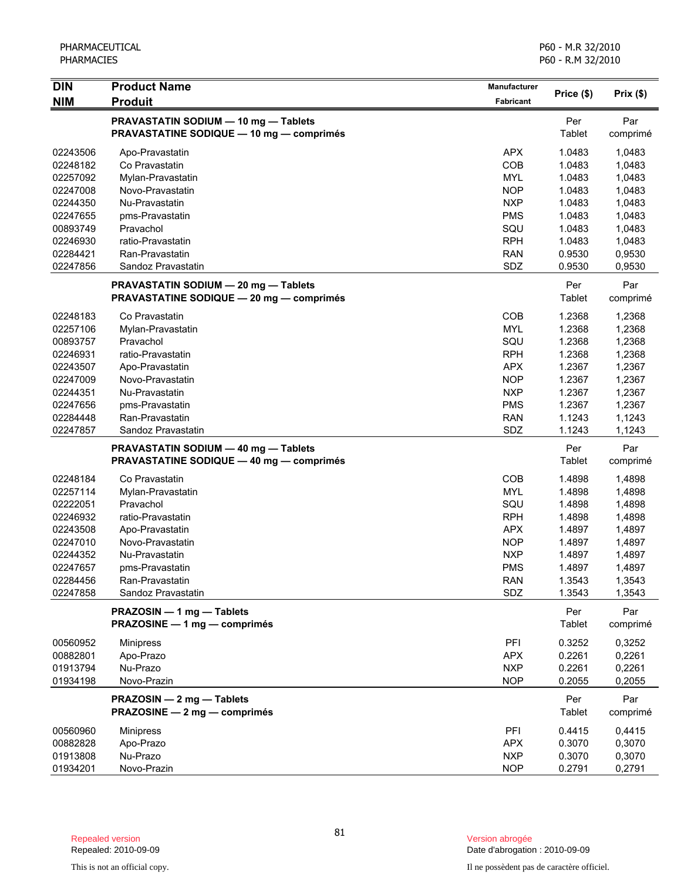| Price (\$)<br><b>NIM</b><br><b>Produit</b><br>Fabricant<br>PRAVASTATIN SODIUM - 10 mg - Tablets<br>Per<br><b>PRAVASTATINE SODIQUE - 10 mg - comprimés</b><br>Tablet<br>02243506<br><b>APX</b><br>1.0483<br>Apo-Pravastatin<br>COB<br>1.0483<br>02248182<br>Co Pravastatin<br><b>MYL</b><br>1.0483<br>02257092<br>Mylan-Pravastatin<br><b>NOP</b><br>1.0483<br>02247008<br>Novo-Pravastatin<br>1.0483<br>02244350<br>Nu-Pravastatin<br><b>NXP</b><br>1.0483<br>02247655<br>pms-Pravastatin<br><b>PMS</b> | Prix(\$)<br>Par<br>comprimé<br>1,0483<br>1,0483<br>1,0483<br>1,0483<br>1,0483<br>1,0483<br>1,0483<br>1,0483<br>0,9530<br>0,9530 |
|---------------------------------------------------------------------------------------------------------------------------------------------------------------------------------------------------------------------------------------------------------------------------------------------------------------------------------------------------------------------------------------------------------------------------------------------------------------------------------------------------------|---------------------------------------------------------------------------------------------------------------------------------|
|                                                                                                                                                                                                                                                                                                                                                                                                                                                                                                         |                                                                                                                                 |
|                                                                                                                                                                                                                                                                                                                                                                                                                                                                                                         |                                                                                                                                 |
|                                                                                                                                                                                                                                                                                                                                                                                                                                                                                                         |                                                                                                                                 |
|                                                                                                                                                                                                                                                                                                                                                                                                                                                                                                         |                                                                                                                                 |
|                                                                                                                                                                                                                                                                                                                                                                                                                                                                                                         |                                                                                                                                 |
|                                                                                                                                                                                                                                                                                                                                                                                                                                                                                                         |                                                                                                                                 |
|                                                                                                                                                                                                                                                                                                                                                                                                                                                                                                         |                                                                                                                                 |
|                                                                                                                                                                                                                                                                                                                                                                                                                                                                                                         |                                                                                                                                 |
| SQU<br>1.0483<br>00893749<br>Pravachol                                                                                                                                                                                                                                                                                                                                                                                                                                                                  |                                                                                                                                 |
| ratio-Pravastatin<br><b>RPH</b><br>1.0483<br>02246930                                                                                                                                                                                                                                                                                                                                                                                                                                                   |                                                                                                                                 |
| <b>RAN</b><br>0.9530<br>02284421<br>Ran-Pravastatin<br>SDZ<br>02247856<br>Sandoz Pravastatin<br>0.9530                                                                                                                                                                                                                                                                                                                                                                                                  |                                                                                                                                 |
|                                                                                                                                                                                                                                                                                                                                                                                                                                                                                                         |                                                                                                                                 |
| Per<br>PRAVASTATIN SODIUM - 20 mg - Tablets<br>Tablet<br><b>PRAVASTATINE SODIQUE - 20 mg - comprimés</b>                                                                                                                                                                                                                                                                                                                                                                                                | Par<br>comprimé                                                                                                                 |
| COB<br>1.2368<br>02248183<br>Co Pravastatin                                                                                                                                                                                                                                                                                                                                                                                                                                                             | 1,2368                                                                                                                          |
| <b>MYL</b><br>02257106<br>Mylan-Pravastatin<br>1.2368                                                                                                                                                                                                                                                                                                                                                                                                                                                   | 1,2368                                                                                                                          |
| 00893757<br>Pravachol<br>SQU<br>1.2368                                                                                                                                                                                                                                                                                                                                                                                                                                                                  | 1,2368                                                                                                                          |
| 1.2368<br>02246931<br>ratio-Pravastatin<br><b>RPH</b>                                                                                                                                                                                                                                                                                                                                                                                                                                                   | 1,2368                                                                                                                          |
| 1.2367<br>02243507<br>Apo-Pravastatin<br><b>APX</b>                                                                                                                                                                                                                                                                                                                                                                                                                                                     | 1,2367                                                                                                                          |
| 1.2367<br>02247009<br>Novo-Pravastatin<br><b>NOP</b>                                                                                                                                                                                                                                                                                                                                                                                                                                                    | 1,2367                                                                                                                          |
| 1.2367<br>02244351<br>Nu-Pravastatin<br><b>NXP</b>                                                                                                                                                                                                                                                                                                                                                                                                                                                      | 1,2367                                                                                                                          |
| <b>PMS</b><br>1.2367<br>02247656<br>pms-Pravastatin                                                                                                                                                                                                                                                                                                                                                                                                                                                     | 1,2367                                                                                                                          |
| <b>RAN</b><br>1.1243<br>02284448<br>Ran-Pravastatin                                                                                                                                                                                                                                                                                                                                                                                                                                                     | 1,1243                                                                                                                          |
| SDZ<br>1.1243<br>02247857<br>Sandoz Pravastatin                                                                                                                                                                                                                                                                                                                                                                                                                                                         | 1,1243                                                                                                                          |
| Per<br>PRAVASTATIN SODIUM - 40 mg - Tablets<br><b>PRAVASTATINE SODIQUE - 40 mg - comprimés</b><br>Tablet                                                                                                                                                                                                                                                                                                                                                                                                | Par<br>comprimé                                                                                                                 |
| <b>COB</b><br>1.4898<br>02248184<br>Co Pravastatin                                                                                                                                                                                                                                                                                                                                                                                                                                                      | 1,4898                                                                                                                          |
| <b>MYL</b><br>1.4898<br>02257114<br>Mylan-Pravastatin                                                                                                                                                                                                                                                                                                                                                                                                                                                   | 1,4898                                                                                                                          |
| SQU<br>02222051<br>Pravachol<br>1.4898                                                                                                                                                                                                                                                                                                                                                                                                                                                                  | 1,4898                                                                                                                          |
| <b>RPH</b><br>02246932<br>ratio-Pravastatin<br>1.4898                                                                                                                                                                                                                                                                                                                                                                                                                                                   | 1,4898                                                                                                                          |
| 02243508<br>Apo-Pravastatin<br><b>APX</b><br>1.4897                                                                                                                                                                                                                                                                                                                                                                                                                                                     | 1,4897                                                                                                                          |
| 02247010<br>Novo-Pravastatin<br><b>NOP</b><br>1.4897                                                                                                                                                                                                                                                                                                                                                                                                                                                    | 1,4897                                                                                                                          |
| <b>NXP</b><br>02244352<br>Nu-Pravastatin<br>1.4897                                                                                                                                                                                                                                                                                                                                                                                                                                                      | 1,4897                                                                                                                          |
| 02247657<br><b>PMS</b><br>1.4897<br>pms-Pravastatin                                                                                                                                                                                                                                                                                                                                                                                                                                                     | 1,4897                                                                                                                          |
| 02284456<br>Ran-Pravastatin<br><b>RAN</b><br>1.3543                                                                                                                                                                                                                                                                                                                                                                                                                                                     | 1,3543                                                                                                                          |
| SDZ<br>02247858<br>Sandoz Pravastatin<br>1.3543                                                                                                                                                                                                                                                                                                                                                                                                                                                         | 1,3543                                                                                                                          |
| Per<br>PRAZOSIN - 1 mg - Tablets<br>Tablet<br>PRAZOSINE - 1 mg - comprimés                                                                                                                                                                                                                                                                                                                                                                                                                              | Par<br>comprimé                                                                                                                 |
| PFI<br>0.3252<br>00560952<br><b>Minipress</b>                                                                                                                                                                                                                                                                                                                                                                                                                                                           | 0,3252                                                                                                                          |
| 00882801<br><b>APX</b><br>0.2261<br>Apo-Prazo                                                                                                                                                                                                                                                                                                                                                                                                                                                           | 0,2261                                                                                                                          |
| Nu-Prazo<br><b>NXP</b><br>0.2261<br>01913794                                                                                                                                                                                                                                                                                                                                                                                                                                                            | 0,2261                                                                                                                          |
| Novo-Prazin<br>0.2055<br>01934198<br><b>NOP</b>                                                                                                                                                                                                                                                                                                                                                                                                                                                         | 0,2055                                                                                                                          |
| PRAZOSIN - 2 mg - Tablets<br>Per<br>Tablet<br>PRAZOSINE - 2 mg - comprimés                                                                                                                                                                                                                                                                                                                                                                                                                              | Par<br>comprimé                                                                                                                 |
|                                                                                                                                                                                                                                                                                                                                                                                                                                                                                                         |                                                                                                                                 |
| PFI<br>0.4415<br>00560960<br><b>Minipress</b>                                                                                                                                                                                                                                                                                                                                                                                                                                                           | 0,4415                                                                                                                          |
| <b>APX</b><br>0.3070<br>00882828<br>Apo-Prazo<br>Nu-Prazo<br><b>NXP</b><br>01913808<br>0.3070                                                                                                                                                                                                                                                                                                                                                                                                           | 0,3070<br>0,3070                                                                                                                |
| 01934201<br>Novo-Prazin<br>0.2791<br>0,2791<br><b>NOP</b>                                                                                                                                                                                                                                                                                                                                                                                                                                               |                                                                                                                                 |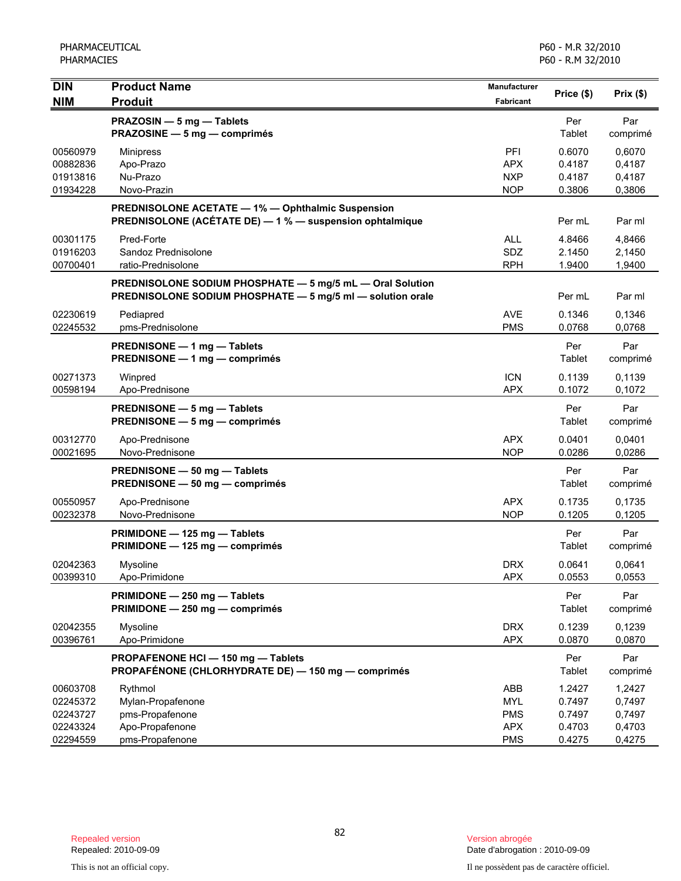| <b>DIN</b>                                   | <b>Product Name</b>                                                                                                     | Manufacturer                                  | Price (\$)                           | Prix(\$)                             |
|----------------------------------------------|-------------------------------------------------------------------------------------------------------------------------|-----------------------------------------------|--------------------------------------|--------------------------------------|
| <b>NIM</b>                                   | <b>Produit</b>                                                                                                          | Fabricant                                     |                                      |                                      |
|                                              | PRAZOSIN - 5 mg - Tablets<br>PRAZOSINE - 5 mg - comprimés                                                               |                                               | Per<br>Tablet                        | Par<br>comprimé                      |
| 00560979<br>00882836<br>01913816<br>01934228 | <b>Minipress</b><br>Apo-Prazo<br>Nu-Prazo<br>Novo-Prazin                                                                | PFI<br><b>APX</b><br>NXP<br><b>NOP</b>        | 0.6070<br>0.4187<br>0.4187<br>0.3806 | 0,6070<br>0,4187<br>0,4187<br>0,3806 |
|                                              | PREDNISOLONE ACETATE - 1% - Ophthalmic Suspension<br>PREDNISOLONE (ACÉTATE DE) - 1 % - suspension ophtalmique           |                                               | Per mL                               | Par ml                               |
| 00301175<br>01916203<br>00700401             | Pred-Forte<br>Sandoz Prednisolone<br>ratio-Prednisolone                                                                 | <b>ALL</b><br>SDZ<br><b>RPH</b>               | 4.8466<br>2.1450<br>1.9400           | 4,8466<br>2,1450<br>1,9400           |
|                                              | PREDNISOLONE SODIUM PHOSPHATE - 5 mg/5 mL - Oral Solution<br>PREDNISOLONE SODIUM PHOSPHATE - 5 mg/5 ml - solution orale |                                               | Per mL                               | Par ml                               |
| 02230619<br>02245532                         | Pediapred<br>pms-Prednisolone                                                                                           | AVE<br><b>PMS</b>                             | 0.1346<br>0.0768                     | 0,1346<br>0,0768                     |
|                                              | PREDNISONE - 1 mg - Tablets<br>PREDNISONE - 1 mg - comprimés                                                            |                                               | Per<br>Tablet                        | Par<br>comprimé                      |
| 00271373<br>00598194                         | Winpred<br>Apo-Prednisone                                                                                               | <b>ICN</b><br><b>APX</b>                      | 0.1139<br>0.1072                     | 0,1139<br>0,1072                     |
|                                              | PREDNISONE - 5 mg - Tablets<br>PREDNISONE - 5 mg - comprimés                                                            |                                               | Per<br>Tablet                        | Par<br>comprimé                      |
| 00312770<br>00021695                         | Apo-Prednisone<br>Novo-Prednisone                                                                                       | <b>APX</b><br><b>NOP</b>                      | 0.0401<br>0.0286                     | 0,0401<br>0,0286                     |
|                                              | PREDNISONE - 50 mg - Tablets<br>PREDNISONE - 50 mg - comprimés                                                          |                                               | Per<br>Tablet                        | Par<br>comprimé                      |
| 00550957<br>00232378                         | Apo-Prednisone<br>Novo-Prednisone                                                                                       | <b>APX</b><br><b>NOP</b>                      | 0.1735<br>0.1205                     | 0,1735<br>0,1205                     |
|                                              | PRIMIDONE - 125 mg - Tablets<br>PRIMIDONE - 125 mg - comprimés                                                          |                                               | Per<br>Tablet                        | Par<br>comprimé                      |
| 02042363<br>00399310                         | Mysoline<br>Apo-Primidone                                                                                               | <b>DRX</b><br>APX                             | 0.0641<br>0.0553                     | 0,0641<br>0,0553                     |
|                                              | PRIMIDONE - 250 mg - Tablets<br>PRIMIDONE - 250 mg - comprimés                                                          |                                               | Per<br>Tablet                        | Par<br>comprimé                      |
| 02042355<br>00396761                         | Mysoline<br>Apo-Primidone                                                                                               | <b>DRX</b><br><b>APX</b>                      | 0.1239<br>0.0870                     | 0,1239<br>0,0870                     |
|                                              | PROPAFENONE HCI-150 mg-Tablets<br>PROPAFÉNONE (CHLORHYDRATE DE) - 150 mg - comprimés                                    |                                               | Per<br>Tablet                        | Par<br>comprimé                      |
| 00603708<br>02245372<br>02243727<br>02243324 | Rythmol<br>Mylan-Propafenone<br>pms-Propafenone<br>Apo-Propafenone                                                      | ABB<br><b>MYL</b><br><b>PMS</b><br><b>APX</b> | 1.2427<br>0.7497<br>0.7497<br>0.4703 | 1,2427<br>0,7497<br>0,7497<br>0,4703 |
| 02294559                                     | pms-Propafenone                                                                                                         | <b>PMS</b>                                    | 0.4275                               | 0,4275                               |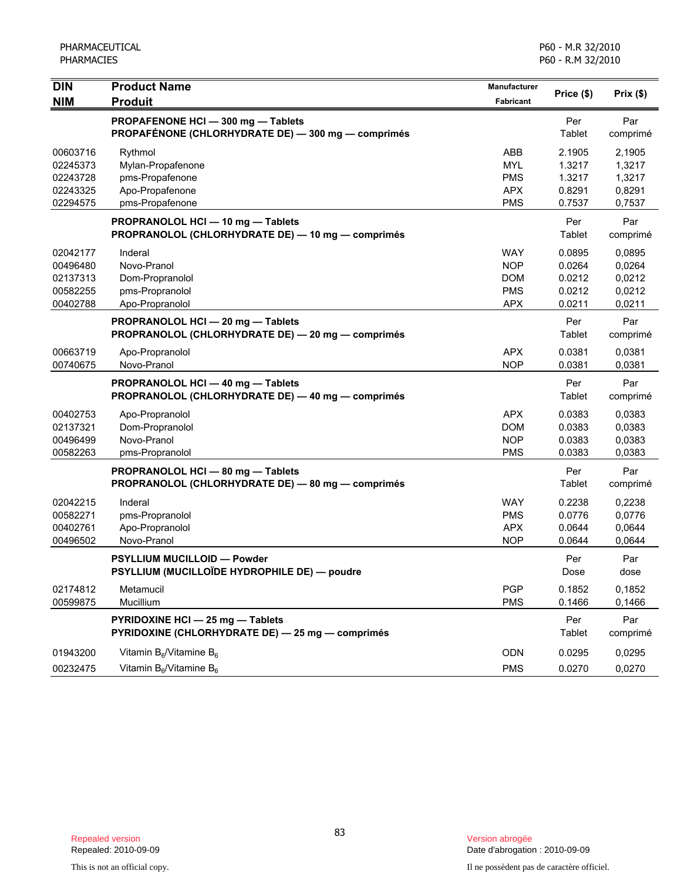| <b>DIN</b><br><b>NIM</b>                                 | <b>Product Name</b><br><b>Produit</b>                                                  | Manufacturer<br>Fabricant                                          | Price (\$)                                     | Prix(\$)                                       |
|----------------------------------------------------------|----------------------------------------------------------------------------------------|--------------------------------------------------------------------|------------------------------------------------|------------------------------------------------|
|                                                          | PROPAFENONE HCI-300 mg-Tablets<br>PROPAFÉNONE (CHLORHYDRATE DE) - 300 mg - comprimés   |                                                                    | Per<br>Tablet                                  | Par<br>comprimé                                |
| 00603716<br>02245373<br>02243728<br>02243325<br>02294575 | Rythmol<br>Mylan-Propafenone<br>pms-Propafenone<br>Apo-Propafenone<br>pms-Propafenone  | ABB<br><b>MYL</b><br><b>PMS</b><br><b>APX</b><br><b>PMS</b>        | 2.1905<br>1.3217<br>1.3217<br>0.8291<br>0.7537 | 2,1905<br>1,3217<br>1,3217<br>0,8291<br>0,7537 |
|                                                          | PROPRANOLOL HCI-10 mg-Tablets<br>PROPRANOLOL (CHLORHYDRATE DE) - 10 mg - comprimés     |                                                                    | Per<br>Tablet                                  | Par<br>comprimé                                |
| 02042177<br>00496480<br>02137313<br>00582255<br>00402788 | Inderal<br>Novo-Pranol<br>Dom-Propranolol<br>pms-Propranolol<br>Apo-Propranolol        | <b>WAY</b><br><b>NOP</b><br><b>DOM</b><br><b>PMS</b><br><b>APX</b> | 0.0895<br>0.0264<br>0.0212<br>0.0212<br>0.0211 | 0,0895<br>0,0264<br>0,0212<br>0,0212<br>0,0211 |
|                                                          | PROPRANOLOL HCI - 20 mg - Tablets<br>PROPRANOLOL (CHLORHYDRATE DE) - 20 mg - comprimés |                                                                    | Per<br>Tablet                                  | Par<br>comprimé                                |
| 00663719<br>00740675                                     | Apo-Propranolol<br>Novo-Pranol                                                         | <b>APX</b><br><b>NOP</b>                                           | 0.0381<br>0.0381                               | 0,0381<br>0,0381                               |
|                                                          | PROPRANOLOL HCI - 40 mg - Tablets<br>PROPRANOLOL (CHLORHYDRATE DE) - 40 mg - comprimés |                                                                    | Per<br>Tablet                                  | Par<br>comprimé                                |
| 00402753<br>02137321<br>00496499<br>00582263             | Apo-Propranolol<br>Dom-Propranolol<br>Novo-Pranol<br>pms-Propranolol                   | <b>APX</b><br><b>DOM</b><br><b>NOP</b><br><b>PMS</b>               | 0.0383<br>0.0383<br>0.0383<br>0.0383           | 0,0383<br>0,0383<br>0,0383<br>0,0383           |
|                                                          | PROPRANOLOL HCI - 80 mg - Tablets<br>PROPRANOLOL (CHLORHYDRATE DE) - 80 mg - comprimés |                                                                    | Per<br>Tablet                                  | Par<br>comprimé                                |
| 02042215<br>00582271<br>00402761<br>00496502             | Inderal<br>pms-Propranolol<br>Apo-Propranolol<br>Novo-Pranol                           | <b>WAY</b><br><b>PMS</b><br><b>APX</b><br><b>NOP</b>               | 0.2238<br>0.0776<br>0.0644<br>0.0644           | 0,2238<br>0,0776<br>0,0644<br>0,0644           |
|                                                          | <b>PSYLLIUM MUCILLOID - Powder</b><br>PSYLLIUM (MUCILLOÏDE HYDROPHILE DE) — poudre     |                                                                    | Per<br>Dose                                    | Par<br>dose                                    |
| 02174812<br>00599875                                     | Metamucil<br>Mucillium                                                                 | <b>PGP</b><br><b>PMS</b>                                           | 0.1852<br>0.1466                               | 0,1852<br>0,1466                               |
|                                                          | PYRIDOXINE HCI - 25 mg - Tablets<br>PYRIDOXINE (CHLORHYDRATE DE) - 25 mg - comprimés   |                                                                    | Per<br>Tablet                                  | Par<br>comprimé                                |
| 01943200<br>00232475                                     | Vitamin $B_6$ /Vitamine $B_6$<br>Vitamin $B_6$ /Vitamine $B_6$                         | ODN<br><b>PMS</b>                                                  | 0.0295<br>0.0270                               | 0,0295<br>0,0270                               |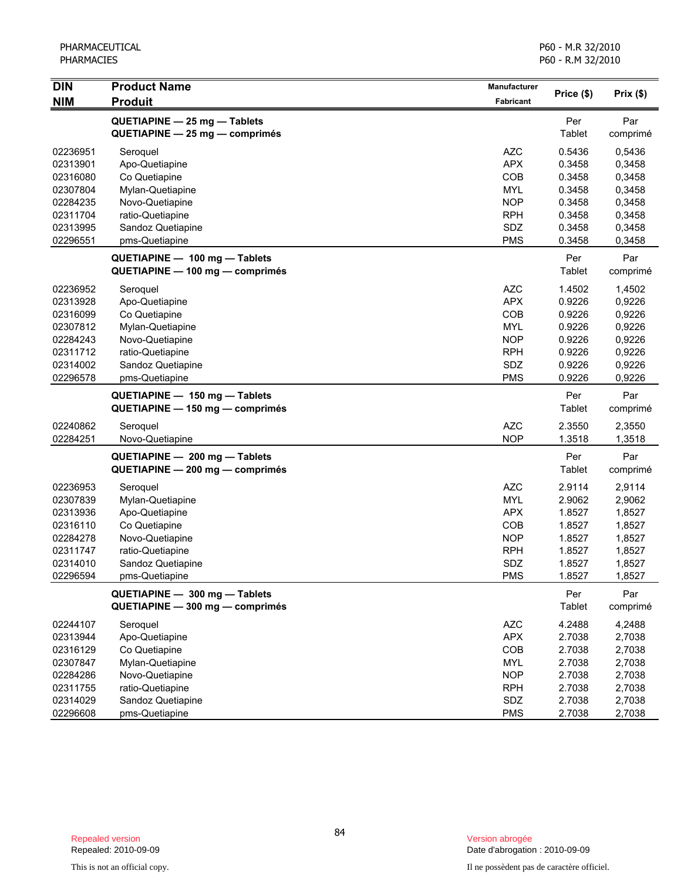| <b>DIN</b>                                                                                   | <b>Product Name</b>                                                                                                                           | Manufacturer                                                                                          | Price (\$)                                                                   | Prix(\$)                                                                     |
|----------------------------------------------------------------------------------------------|-----------------------------------------------------------------------------------------------------------------------------------------------|-------------------------------------------------------------------------------------------------------|------------------------------------------------------------------------------|------------------------------------------------------------------------------|
| <b>NIM</b>                                                                                   | <b>Produit</b>                                                                                                                                | <b>Fabricant</b>                                                                                      |                                                                              |                                                                              |
|                                                                                              | QUETIAPINE - 25 mg - Tablets<br>QUETIAPINE - 25 mg - comprimés                                                                                |                                                                                                       | Per<br>Tablet                                                                | Par<br>comprimé                                                              |
| 02236951<br>02313901<br>02316080<br>02307804<br>02284235<br>02311704<br>02313995<br>02296551 | Seroquel<br>Apo-Quetiapine<br>Co Quetiapine<br>Mylan-Quetiapine<br>Novo-Quetiapine<br>ratio-Quetiapine<br>Sandoz Quetiapine<br>pms-Quetiapine | <b>AZC</b><br><b>APX</b><br>COB<br><b>MYL</b><br><b>NOP</b><br><b>RPH</b><br>SDZ<br><b>PMS</b>        | 0.5436<br>0.3458<br>0.3458<br>0.3458<br>0.3458<br>0.3458<br>0.3458<br>0.3458 | 0,5436<br>0,3458<br>0,3458<br>0,3458<br>0,3458<br>0,3458<br>0,3458<br>0,3458 |
|                                                                                              | QUETIAPINE - 100 mg - Tablets<br>QUETIAPINE - 100 mg - comprimés                                                                              |                                                                                                       | Per<br>Tablet                                                                | Par<br>comprimé                                                              |
| 02236952<br>02313928<br>02316099<br>02307812<br>02284243<br>02311712<br>02314002<br>02296578 | Seroquel<br>Apo-Quetiapine<br>Co Quetiapine<br>Mylan-Quetiapine<br>Novo-Quetiapine<br>ratio-Quetiapine<br>Sandoz Quetiapine<br>pms-Quetiapine | <b>AZC</b><br><b>APX</b><br>COB<br><b>MYL</b><br><b>NOP</b><br><b>RPH</b><br>SDZ<br><b>PMS</b>        | 1.4502<br>0.9226<br>0.9226<br>0.9226<br>0.9226<br>0.9226<br>0.9226<br>0.9226 | 1,4502<br>0,9226<br>0,9226<br>0,9226<br>0,9226<br>0,9226<br>0,9226<br>0,9226 |
|                                                                                              | QUETIAPINE - 150 mg - Tablets<br>QUETIAPINE - 150 mg - comprimés                                                                              |                                                                                                       | Per<br>Tablet                                                                | Par<br>comprimé                                                              |
| 02240862<br>02284251                                                                         | Seroquel<br>Novo-Quetiapine                                                                                                                   | <b>AZC</b><br><b>NOP</b>                                                                              | 2.3550<br>1.3518                                                             | 2,3550<br>1,3518                                                             |
|                                                                                              | QUETIAPINE - 200 mg - Tablets<br>QUETIAPINE - 200 mg - comprimés                                                                              |                                                                                                       | Per<br>Tablet                                                                | Par<br>comprimé                                                              |
| 02236953<br>02307839<br>02313936<br>02316110<br>02284278<br>02311747<br>02314010<br>02296594 | Seroquel<br>Mylan-Quetiapine<br>Apo-Quetiapine<br>Co Quetiapine<br>Novo-Quetiapine<br>ratio-Quetiapine<br>Sandoz Quetiapine<br>pms-Quetiapine | <b>AZC</b><br><b>MYL</b><br><b>APX</b><br><b>COB</b><br><b>NOP</b><br><b>RPH</b><br>SDZ<br><b>PMS</b> | 2.9114<br>2.9062<br>1.8527<br>1.8527<br>1.8527<br>1.8527<br>1.8527<br>1.8527 | 2,9114<br>2,9062<br>1,8527<br>1,8527<br>1,8527<br>1,8527<br>1,8527<br>1,8527 |
|                                                                                              | QUETIAPINE - 300 mg - Tablets<br>QUETIAPINE - 300 mg - comprimés                                                                              |                                                                                                       | Per<br>Tablet                                                                | Par<br>comprimé                                                              |
| 02244107<br>02313944<br>02316129<br>02307847<br>02284286<br>02311755<br>02314029<br>02296608 | Seroquel<br>Apo-Quetiapine<br>Co Quetiapine<br>Mylan-Quetiapine<br>Novo-Quetiapine<br>ratio-Quetiapine<br>Sandoz Quetiapine<br>pms-Quetiapine | <b>AZC</b><br><b>APX</b><br>COB<br><b>MYL</b><br><b>NOP</b><br><b>RPH</b><br>SDZ<br><b>PMS</b>        | 4.2488<br>2.7038<br>2.7038<br>2.7038<br>2.7038<br>2.7038<br>2.7038<br>2.7038 | 4,2488<br>2,7038<br>2,7038<br>2,7038<br>2,7038<br>2,7038<br>2,7038<br>2,7038 |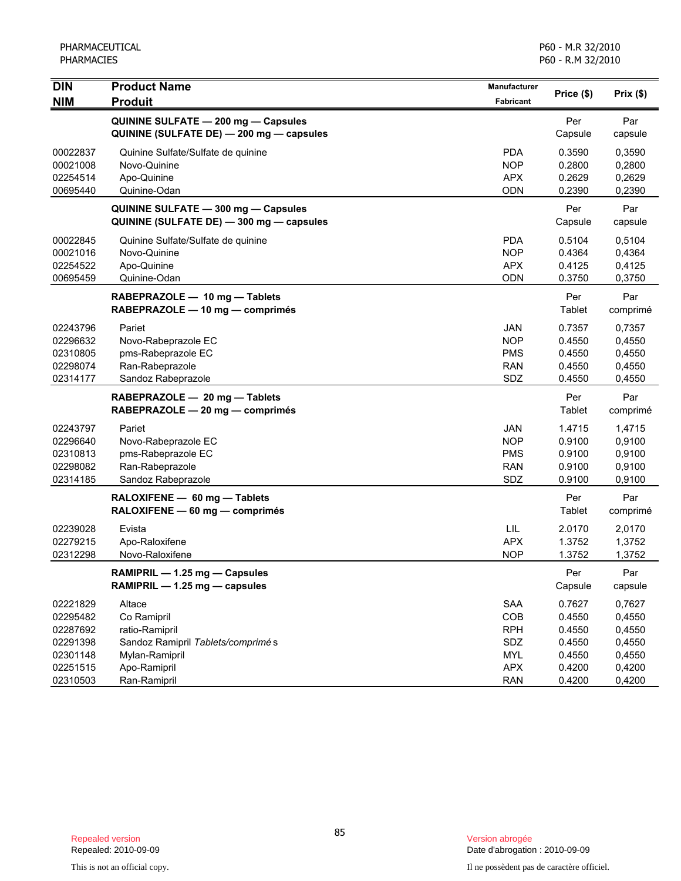| <b>DIN</b> | <b>Product Name</b>                      | Manufacturer     | Price (\$) | Prix(\$) |
|------------|------------------------------------------|------------------|------------|----------|
| <b>NIM</b> | <b>Produit</b>                           | <b>Fabricant</b> |            |          |
|            | QUININE SULFATE - 200 mg - Capsules      |                  | Per        | Par      |
|            | QUININE (SULFATE DE) - 200 mg - capsules |                  | Capsule    | capsule  |
| 00022837   | Quinine Sulfate/Sulfate de quinine       | <b>PDA</b>       | 0.3590     | 0,3590   |
| 00021008   | Novo-Quinine                             | <b>NOP</b>       | 0.2800     | 0,2800   |
| 02254514   | Apo-Quinine                              | <b>APX</b>       | 0.2629     | 0,2629   |
| 00695440   | Quinine-Odan                             | ODN              | 0.2390     | 0,2390   |
|            | QUININE SULFATE - 300 mg - Capsules      |                  | Per        | Par      |
|            | QUININE (SULFATE DE) - 300 mg - capsules |                  | Capsule    | capsule  |
| 00022845   | Quinine Sulfate/Sulfate de quinine       | <b>PDA</b>       | 0.5104     | 0,5104   |
| 00021016   | Novo-Quinine                             | <b>NOP</b>       | 0.4364     | 0,4364   |
| 02254522   | Apo-Quinine                              | <b>APX</b>       | 0.4125     | 0,4125   |
| 00695459   | Quinine-Odan                             | <b>ODN</b>       | 0.3750     | 0,3750   |
|            | RABEPRAZOLE - 10 mg - Tablets            |                  | Per        | Par      |
|            | RABEPRAZOLE - 10 mg - comprimés          |                  | Tablet     | comprimé |
| 02243796   | Pariet                                   | <b>JAN</b>       | 0.7357     | 0,7357   |
| 02296632   | Novo-Rabeprazole EC                      | <b>NOP</b>       | 0.4550     | 0,4550   |
| 02310805   | pms-Rabeprazole EC                       | <b>PMS</b>       | 0.4550     | 0,4550   |
| 02298074   | Ran-Rabeprazole                          | <b>RAN</b>       | 0.4550     | 0,4550   |
| 02314177   | Sandoz Rabeprazole                       | SDZ              | 0.4550     | 0,4550   |
|            | RABEPRAZOLE - 20 mg - Tablets            |                  | Per        | Par      |
|            | RABEPRAZOLE - 20 mg - comprimés          |                  | Tablet     | comprimé |
| 02243797   | Pariet                                   | <b>JAN</b>       | 1.4715     | 1,4715   |
| 02296640   | Novo-Rabeprazole EC                      | <b>NOP</b>       | 0.9100     | 0,9100   |
| 02310813   | pms-Rabeprazole EC                       | <b>PMS</b>       | 0.9100     | 0,9100   |
| 02298082   | Ran-Rabeprazole                          | <b>RAN</b>       | 0.9100     | 0,9100   |
| 02314185   | Sandoz Rabeprazole                       | SDZ              | 0.9100     | 0,9100   |
|            | RALOXIFENE - 60 mg - Tablets             |                  | Per        | Par      |
|            | RALOXIFENE - 60 mg - comprimés           |                  | Tablet     | comprimé |
| 02239028   | Evista                                   | LIL              | 2.0170     | 2,0170   |
| 02279215   | Apo-Raloxifene                           | <b>APX</b>       | 1.3752     | 1,3752   |
| 02312298   | Novo-Raloxifene                          | <b>NOP</b>       | 1.3752     | 1,3752   |
|            | RAMIPRIL - 1.25 mg - Capsules            |                  | Per        | Par      |
|            | RAMIPRIL - 1.25 mg - capsules            |                  | Capsule    | capsule  |
| 02221829   | Altace                                   | SAA              | 0.7627     | 0,7627   |
| 02295482   | Co Ramipril                              | COB              | 0.4550     | 0,4550   |
| 02287692   | ratio-Ramipril                           | <b>RPH</b>       | 0.4550     | 0,4550   |
| 02291398   | Sandoz Ramipril Tablets/comprimés        | SDZ              | 0.4550     | 0,4550   |
| 02301148   | Mylan-Ramipril                           | <b>MYL</b>       | 0.4550     | 0,4550   |
| 02251515   | Apo-Ramipril                             | <b>APX</b>       | 0.4200     | 0,4200   |
| 02310503   | Ran-Ramipril                             | <b>RAN</b>       | 0.4200     | 0,4200   |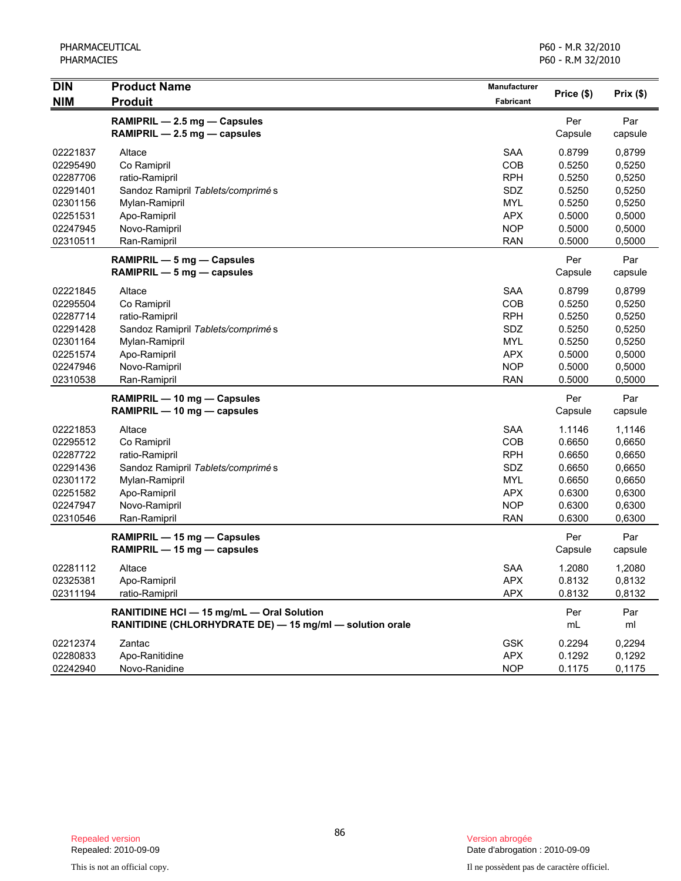| <b>DIN</b> | <b>Product Name</b>                                      | <b>Manufacturer</b> |            |           |
|------------|----------------------------------------------------------|---------------------|------------|-----------|
| <b>NIM</b> | <b>Produit</b>                                           | Fabricant           | Price (\$) | Prix (\$) |
|            | RAMIPRIL - 2.5 mg - Capsules                             |                     | Per        | Par       |
|            | RAMIPRIL - 2.5 mg - capsules                             |                     | Capsule    | capsule   |
| 02221837   | Altace                                                   | <b>SAA</b>          | 0.8799     | 0,8799    |
| 02295490   | Co Ramipril                                              | COB                 | 0.5250     | 0,5250    |
| 02287706   | ratio-Ramipril                                           | <b>RPH</b>          | 0.5250     | 0,5250    |
| 02291401   | Sandoz Ramipril Tablets/comprimé s                       | SDZ                 | 0.5250     | 0,5250    |
| 02301156   | Mylan-Ramipril                                           | <b>MYL</b>          | 0.5250     | 0,5250    |
| 02251531   | Apo-Ramipril                                             | <b>APX</b>          | 0.5000     | 0,5000    |
| 02247945   | Novo-Ramipril                                            | <b>NOP</b>          | 0.5000     | 0,5000    |
| 02310511   | Ran-Ramipril                                             | <b>RAN</b>          | 0.5000     | 0,5000    |
|            | RAMIPRIL - 5 mg - Capsules                               |                     | Per        | Par       |
|            | RAMIPRIL $-5$ mg $-$ capsules                            |                     | Capsule    | capsule   |
| 02221845   | Altace                                                   | <b>SAA</b>          | 0.8799     | 0,8799    |
| 02295504   | Co Ramipril                                              | COB                 | 0.5250     | 0,5250    |
| 02287714   | ratio-Ramipril                                           | <b>RPH</b>          | 0.5250     | 0,5250    |
| 02291428   | Sandoz Ramipril Tablets/comprimé s                       | SDZ                 | 0.5250     | 0,5250    |
| 02301164   | Mylan-Ramipril                                           | MYL                 | 0.5250     | 0,5250    |
| 02251574   | Apo-Ramipril                                             | <b>APX</b>          | 0.5000     | 0,5000    |
| 02247946   | Novo-Ramipril                                            | <b>NOP</b>          | 0.5000     | 0,5000    |
| 02310538   | Ran-Ramipril                                             | <b>RAN</b>          | 0.5000     | 0,5000    |
|            | RAMIPRIL - 10 mg - Capsules                              |                     | Per        | Par       |
|            | RAMIPRIL - 10 mg - capsules                              |                     | Capsule    | capsule   |
| 02221853   | Altace                                                   | <b>SAA</b>          | 1.1146     | 1,1146    |
| 02295512   | Co Ramipril                                              | COB                 | 0.6650     | 0,6650    |
| 02287722   | ratio-Ramipril                                           | <b>RPH</b>          | 0.6650     | 0,6650    |
| 02291436   | Sandoz Ramipril Tablets/comprimé s                       | SDZ                 | 0.6650     | 0,6650    |
| 02301172   | Mylan-Ramipril                                           | <b>MYL</b>          | 0.6650     | 0,6650    |
| 02251582   | Apo-Ramipril                                             | <b>APX</b>          | 0.6300     | 0,6300    |
| 02247947   | Novo-Ramipril                                            | <b>NOP</b>          | 0.6300     | 0,6300    |
| 02310546   | Ran-Ramipril                                             | <b>RAN</b>          | 0.6300     | 0,6300    |
|            | RAMIPRIL - 15 mg - Capsules                              |                     | Per        | Par       |
|            | RAMIPRIL - 15 mg - capsules                              |                     | Capsule    | capsule   |
| 02281112   | Altace                                                   | <b>SAA</b>          | 1.2080     | 1,2080    |
| 02325381   | Apo-Ramipril                                             | <b>APX</b>          | 0.8132     | 0,8132    |
| 02311194   | ratio-Ramipril                                           | <b>APX</b>          | 0.8132     | 0,8132    |
|            | RANITIDINE HCI - 15 mg/mL - Oral Solution                |                     | Per        | Par       |
|            | RANITIDINE (CHLORHYDRATE DE) - 15 mg/ml - solution orale |                     | mL         | ml        |
| 02212374   | Zantac                                                   | <b>GSK</b>          | 0.2294     | 0,2294    |
| 02280833   | Apo-Ranitidine                                           | <b>APX</b>          | 0.1292     | 0,1292    |
| 02242940   | Novo-Ranidine                                            | <b>NOP</b>          | 0.1175     | 0,1175    |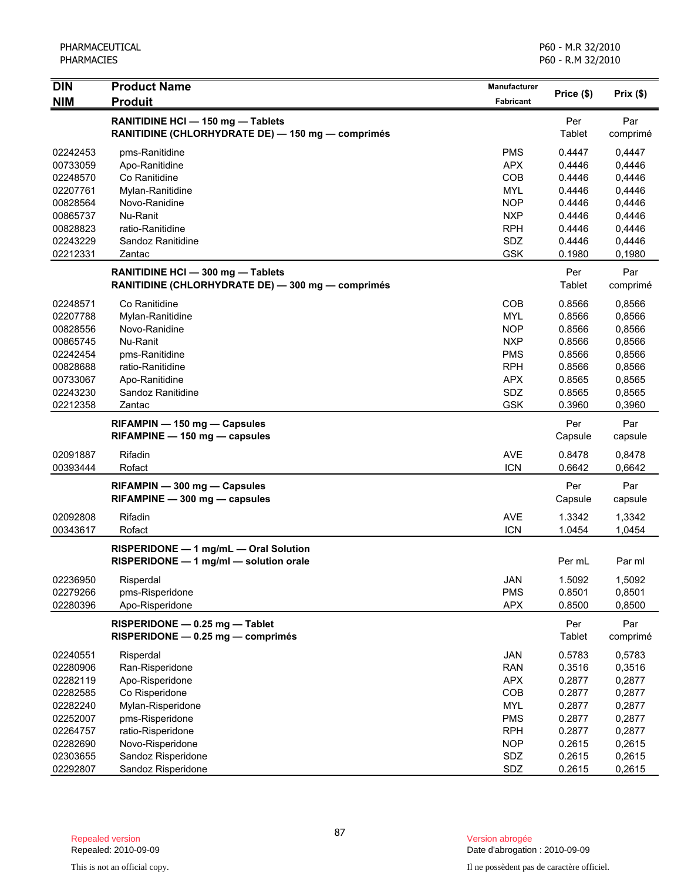| <b>DIN</b>           | <b>Product Name</b>                                                                    | <b>Manufacturer</b>      |                      |                  |
|----------------------|----------------------------------------------------------------------------------------|--------------------------|----------------------|------------------|
| <b>NIM</b>           | <b>Produit</b>                                                                         | Fabricant                | Price (\$)           | Prix(\$)         |
|                      | RANITIDINE HCI - 150 mg - Tablets<br>RANITIDINE (CHLORHYDRATE DE) - 150 mg - comprimés |                          | Per<br>Tablet        | Par<br>comprimé  |
| 02242453             | pms-Ranitidine                                                                         | <b>PMS</b>               | 0.4447               | 0,4447           |
| 00733059             | Apo-Ranitidine                                                                         | <b>APX</b>               | 0.4446               | 0,4446           |
| 02248570             | Co Ranitidine                                                                          | COB                      | 0.4446               | 0,4446           |
| 02207761             | Mylan-Ranitidine                                                                       | <b>MYL</b>               | 0.4446               | 0,4446           |
| 00828564             | Novo-Ranidine                                                                          | <b>NOP</b>               | 0.4446               | 0,4446           |
| 00865737             | Nu-Ranit                                                                               | <b>NXP</b>               | 0.4446               | 0,4446           |
| 00828823             | ratio-Ranitidine                                                                       | <b>RPH</b>               | 0.4446               | 0,4446           |
| 02243229             | Sandoz Ranitidine                                                                      | SDZ                      | 0.4446               | 0,4446           |
| 02212331             | Zantac                                                                                 | <b>GSK</b>               | 0.1980               | 0,1980           |
|                      | RANITIDINE HCI - 300 mg - Tablets<br>RANITIDINE (CHLORHYDRATE DE) - 300 mg - comprimés |                          | Per<br>Tablet        | Par<br>comprimé  |
| 02248571             | Co Ranitidine                                                                          | <b>COB</b>               | 0.8566               | 0,8566           |
| 02207788             | Mylan-Ranitidine                                                                       | <b>MYL</b>               | 0.8566               | 0,8566           |
| 00828556             | Novo-Ranidine                                                                          | <b>NOP</b>               | 0.8566               | 0,8566           |
| 00865745             | Nu-Ranit                                                                               | <b>NXP</b>               | 0.8566               | 0,8566           |
| 02242454             | pms-Ranitidine                                                                         | <b>PMS</b>               | 0.8566               | 0,8566           |
| 00828688             | ratio-Ranitidine                                                                       | <b>RPH</b>               | 0.8566               | 0,8566           |
| 00733067             | Apo-Ranitidine                                                                         | <b>APX</b>               | 0.8565               | 0,8565           |
| 02243230             | Sandoz Ranitidine                                                                      | SDZ                      | 0.8565               | 0,8565           |
| 02212358             | Zantac                                                                                 | <b>GSK</b>               | 0.3960               | 0,3960           |
|                      | RIFAMPIN - 150 mg - Capsules<br>RIFAMPINE - 150 mg - capsules                          |                          | Per<br>Capsule       | Par<br>capsule   |
|                      |                                                                                        |                          |                      |                  |
| 02091887<br>00393444 | Rifadin<br>Rofact                                                                      | <b>AVE</b><br><b>ICN</b> | 0.8478<br>0.6642     | 0,8478<br>0,6642 |
|                      |                                                                                        |                          |                      |                  |
|                      | RIFAMPIN - 300 mg - Capsules<br>RIFAMPINE - 300 mg - capsules                          |                          | Per<br>Capsule       | Par<br>capsule   |
| 02092808             | Rifadin                                                                                | <b>AVE</b>               | 1.3342               | 1,3342           |
| 00343617             | Rofact                                                                                 | <b>ICN</b>               | 1.0454               | 1,0454           |
|                      | RISPERIDONE - 1 mg/mL - Oral Solution<br>RISPERIDONE - 1 mg/ml - solution orale        |                          | Per mL               | Par ml           |
| 02236950             | Risperdal                                                                              | JAN                      | 1.5092               | 1,5092           |
| 02279266             | pms-Risperidone                                                                        | <b>PMS</b>               | 0.8501               | 0,8501           |
| 02280396             | Apo-Risperidone                                                                        | <b>APX</b>               | 0.8500               | 0,8500           |
|                      | RISPERIDONE - 0.25 mg - Tablet<br>RISPERIDONE - 0.25 mg - comprimés                    |                          | Per<br><b>Tablet</b> | Par<br>comprimé  |
| 02240551             | Risperdal                                                                              | <b>JAN</b>               | 0.5783               | 0,5783           |
| 02280906             | Ran-Risperidone                                                                        | <b>RAN</b>               | 0.3516               | 0,3516           |
| 02282119             | Apo-Risperidone                                                                        | <b>APX</b>               | 0.2877               | 0,2877           |
| 02282585             | Co Risperidone                                                                         | COB                      | 0.2877               | 0,2877           |
| 02282240             | Mylan-Risperidone                                                                      | <b>MYL</b>               | 0.2877               | 0,2877           |
| 02252007             | pms-Risperidone                                                                        | <b>PMS</b>               | 0.2877               | 0,2877           |
| 02264757             | ratio-Risperidone                                                                      | <b>RPH</b>               | 0.2877               | 0,2877           |
| 02282690             | Novo-Risperidone                                                                       | <b>NOP</b>               | 0.2615               | 0,2615           |
| 02303655             | Sandoz Risperidone                                                                     | SDZ                      | 0.2615               | 0,2615           |
| 02292807             | Sandoz Risperidone                                                                     | SDZ                      | 0.2615               | 0,2615           |

Date d'abrogation : 2010-09-09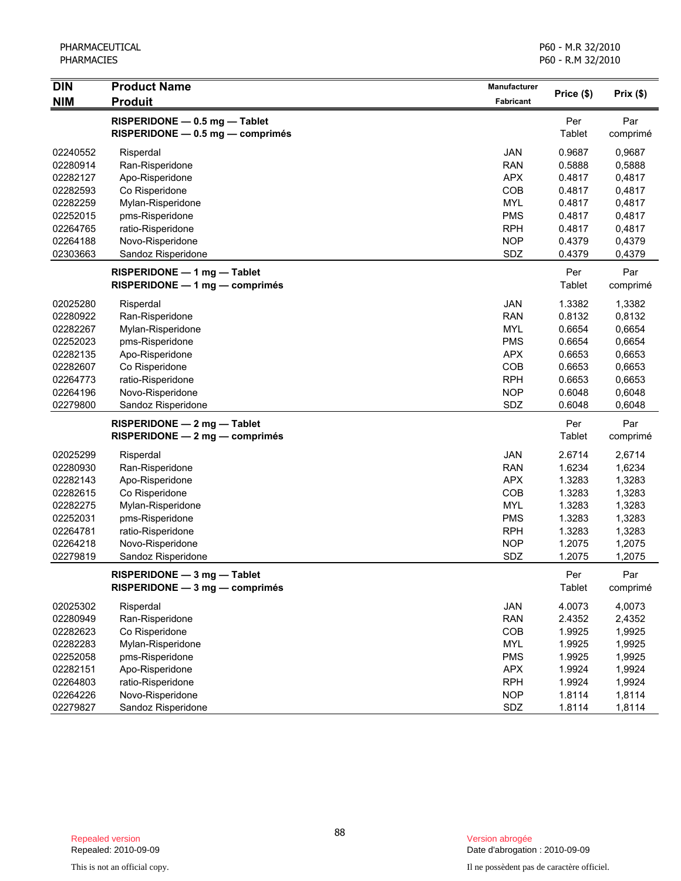| <b>DIN</b> | <b>Product Name</b>                                               | Manufacturer | Price (\$)    | Prix(\$)         |
|------------|-------------------------------------------------------------------|--------------|---------------|------------------|
| <b>NIM</b> | <b>Produit</b>                                                    | Fabricant    |               |                  |
|            | RISPERIDONE - 0.5 mg - Tablet<br>RISPERIDONE - 0.5 mg - comprimés |              | Per<br>Tablet | Par<br>comprimé  |
| 02240552   | Risperdal                                                         | JAN          | 0.9687        | 0,9687           |
| 02280914   | Ran-Risperidone                                                   | <b>RAN</b>   | 0.5888        | 0,5888           |
| 02282127   | Apo-Risperidone                                                   | <b>APX</b>   | 0.4817        | 0,4817           |
| 02282593   | Co Risperidone                                                    | COB          | 0.4817        | 0,4817           |
| 02282259   | Mylan-Risperidone                                                 | <b>MYL</b>   | 0.4817        | 0,4817           |
| 02252015   | pms-Risperidone                                                   | <b>PMS</b>   | 0.4817        | 0,4817           |
| 02264765   | ratio-Risperidone                                                 | <b>RPH</b>   | 0.4817        | 0,4817           |
| 02264188   | Novo-Risperidone                                                  | <b>NOP</b>   | 0.4379        | 0,4379           |
| 02303663   | Sandoz Risperidone                                                | SDZ          | 0.4379        | 0,4379           |
|            | RISPERIDONE - 1 mg - Tablet<br>$RISPERIDONE - 1 mg - comprimés$   |              | Per<br>Tablet | Par<br>comprimé  |
| 02025280   |                                                                   | JAN          | 1.3382        | 1,3382           |
| 02280922   | Risperdal<br>Ran-Risperidone                                      | <b>RAN</b>   | 0.8132        |                  |
| 02282267   | Mylan-Risperidone                                                 | <b>MYL</b>   | 0.6654        | 0,8132<br>0,6654 |
| 02252023   | pms-Risperidone                                                   | <b>PMS</b>   | 0.6654        | 0,6654           |
| 02282135   | Apo-Risperidone                                                   | <b>APX</b>   | 0.6653        | 0,6653           |
| 02282607   | Co Risperidone                                                    | COB          | 0.6653        | 0,6653           |
| 02264773   | ratio-Risperidone                                                 | <b>RPH</b>   | 0.6653        | 0,6653           |
| 02264196   | Novo-Risperidone                                                  | <b>NOP</b>   | 0.6048        | 0,6048           |
| 02279800   | Sandoz Risperidone                                                | SDZ          | 0.6048        | 0,6048           |
|            |                                                                   |              |               |                  |
|            | RISPERIDONE - 2 mg - Tablet<br>$RISPERIDONE - 2 mg - comprimés$   |              | Per<br>Tablet | Par<br>comprimé  |
| 02025299   | Risperdal                                                         | JAN          | 2.6714        | 2,6714           |
| 02280930   | Ran-Risperidone                                                   | <b>RAN</b>   | 1.6234        | 1,6234           |
| 02282143   | Apo-Risperidone                                                   | <b>APX</b>   | 1.3283        | 1,3283           |
| 02282615   | Co Risperidone                                                    | COB          | 1.3283        | 1,3283           |
| 02282275   | Mylan-Risperidone                                                 | <b>MYL</b>   | 1.3283        | 1,3283           |
| 02252031   | pms-Risperidone                                                   | <b>PMS</b>   | 1.3283        | 1,3283           |
| 02264781   | ratio-Risperidone                                                 | <b>RPH</b>   | 1.3283        | 1,3283           |
| 02264218   | Novo-Risperidone                                                  | <b>NOP</b>   | 1.2075        | 1,2075           |
| 02279819   | Sandoz Risperidone                                                | SDZ          | 1.2075        | 1,2075           |
|            | RISPERIDONE - 3 mg - Tablet                                       |              | Per           | Par              |
|            | RISPERIDONE - 3 mg - comprimés                                    |              | Tablet        | comprimé         |
| 02025302   | Risperdal                                                         | JAN          | 4.0073        | 4,0073           |
| 02280949   | Ran-Risperidone                                                   | <b>RAN</b>   | 2.4352        | 2,4352           |
| 02282623   | Co Risperidone                                                    | COB          | 1.9925        | 1,9925           |
| 02282283   | Mylan-Risperidone                                                 | <b>MYL</b>   | 1.9925        | 1,9925           |
| 02252058   | pms-Risperidone                                                   | <b>PMS</b>   | 1.9925        | 1,9925           |
| 02282151   | Apo-Risperidone                                                   | <b>APX</b>   | 1.9924        | 1,9924           |
| 02264803   | ratio-Risperidone                                                 | <b>RPH</b>   | 1.9924        | 1,9924           |
| 02264226   | Novo-Risperidone                                                  | <b>NOP</b>   | 1.8114        | 1,8114           |
| 02279827   | Sandoz Risperidone                                                | SDZ          | 1.8114        | 1,8114           |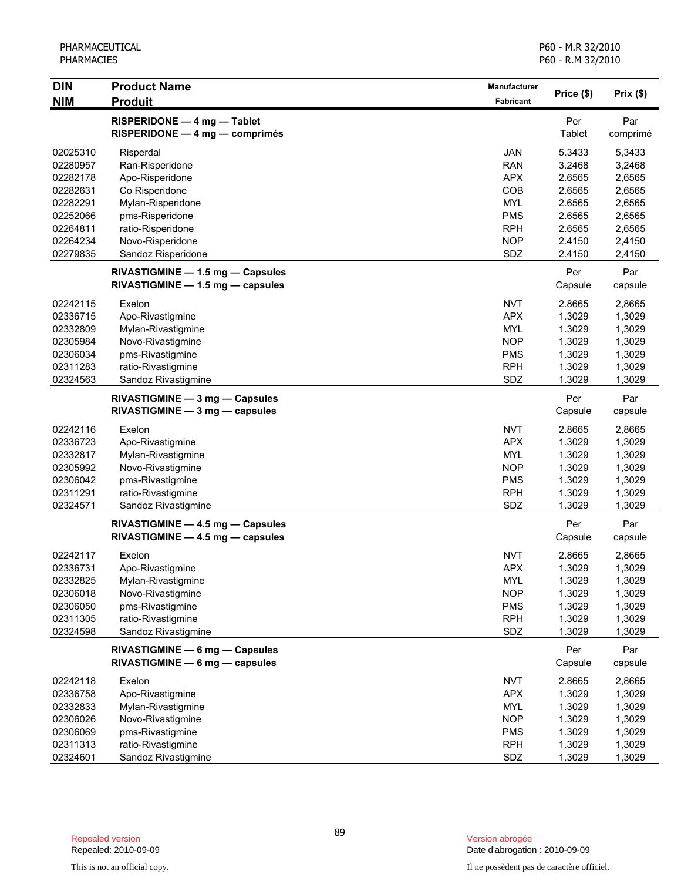| <b>DIN</b> | <b>Product Name</b>                                                  | Manufacturer |                |                 |
|------------|----------------------------------------------------------------------|--------------|----------------|-----------------|
| <b>NIM</b> | <b>Produit</b>                                                       | Fabricant    | Price (\$)     | Prix(\$)        |
|            | RISPERIDONE - 4 mg - Tablet<br>$RISPERIDONE - 4 mg - comprimés$      |              | Per<br>Tablet  | Par<br>comprimé |
| 02025310   | Risperdal                                                            | <b>JAN</b>   | 5.3433         | 5,3433          |
| 02280957   | Ran-Risperidone                                                      | <b>RAN</b>   | 3.2468         | 3,2468          |
| 02282178   | Apo-Risperidone                                                      | <b>APX</b>   | 2.6565         | 2,6565          |
| 02282631   | Co Risperidone                                                       | COB          | 2.6565         | 2,6565          |
| 02282291   | Mylan-Risperidone                                                    | <b>MYL</b>   | 2.6565         | 2,6565          |
| 02252066   | pms-Risperidone                                                      | <b>PMS</b>   | 2.6565         | 2,6565          |
| 02264811   | ratio-Risperidone                                                    | <b>RPH</b>   | 2.6565         | 2,6565          |
| 02264234   | Novo-Risperidone                                                     | <b>NOP</b>   | 2.4150         | 2,4150          |
| 02279835   | Sandoz Risperidone                                                   | SDZ          | 2.4150         | 2,4150          |
|            | RIVASTIGMINE - 1.5 mg - Capsules<br>RIVASTIGMINE - 1.5 mg - capsules |              | Per<br>Capsule | Par<br>capsule  |
| 02242115   | Exelon                                                               | <b>NVT</b>   | 2.8665         | 2,8665          |
| 02336715   | Apo-Rivastigmine                                                     | <b>APX</b>   | 1.3029         | 1,3029          |
| 02332809   | Mylan-Rivastigmine                                                   | <b>MYL</b>   | 1.3029         | 1,3029          |
| 02305984   | Novo-Rivastigmine                                                    | <b>NOP</b>   | 1.3029         | 1,3029          |
| 02306034   | pms-Rivastigmine                                                     | <b>PMS</b>   | 1.3029         | 1,3029          |
| 02311283   | ratio-Rivastigmine                                                   | <b>RPH</b>   | 1.3029         | 1,3029          |
| 02324563   | Sandoz Rivastigmine                                                  | SDZ          | 1.3029         | 1,3029          |
|            | RIVASTIGMINE - 3 mg - Capsules                                       |              | Per            | Par             |
|            | $RIVASTIGMINE - 3 mg - capsules$                                     |              | Capsule        | capsule         |
| 02242116   | Exelon                                                               | <b>NVT</b>   | 2.8665         | 2,8665          |
| 02336723   | Apo-Rivastigmine                                                     | <b>APX</b>   | 1.3029         | 1,3029          |
| 02332817   | Mylan-Rivastigmine                                                   | <b>MYL</b>   | 1.3029         | 1,3029          |
| 02305992   | Novo-Rivastigmine                                                    | <b>NOP</b>   | 1.3029         | 1,3029          |
| 02306042   | pms-Rivastigmine                                                     | <b>PMS</b>   | 1.3029         | 1,3029          |
| 02311291   | ratio-Rivastigmine                                                   | <b>RPH</b>   | 1.3029         | 1,3029          |
| 02324571   | Sandoz Rivastigmine                                                  | SDZ          | 1.3029         | 1,3029          |
|            | RIVASTIGMINE - 4.5 mg - Capsules<br>RIVASTIGMINE - 4.5 mg - capsules |              | Per<br>Capsule | Par<br>capsule  |
| 02242117   | Exelon                                                               | <b>NVT</b>   | 2.8665         | 2,8665          |
| 02336731   | Apo-Rivastigmine                                                     | <b>APX</b>   | 1.3029         | 1,3029          |
| 02332825   | Mylan-Rivastigmine                                                   | <b>MYL</b>   | 1.3029         | 1,3029          |
| 02306018   | Novo-Rivastigmine                                                    | <b>NOP</b>   | 1.3029         | 1,3029          |
| 02306050   | pms-Rivastigmine                                                     | <b>PMS</b>   | 1.3029         | 1,3029          |
| 02311305   | ratio-Rivastigmine                                                   | <b>RPH</b>   | 1.3029         | 1,3029          |
| 02324598   | Sandoz Rivastigmine                                                  | SDZ          | 1.3029         | 1,3029          |
|            | RIVASTIGMINE - 6 mg - Capsules<br>RIVASTIGMINE - 6 mg - capsules     |              | Per<br>Capsule | Par<br>capsule  |
| 02242118   | Exelon                                                               | <b>NVT</b>   | 2.8665         | 2,8665          |
| 02336758   | Apo-Rivastigmine                                                     | <b>APX</b>   | 1.3029         | 1,3029          |
| 02332833   | Mylan-Rivastigmine                                                   | <b>MYL</b>   | 1.3029         | 1,3029          |
| 02306026   | Novo-Rivastigmine                                                    | <b>NOP</b>   | 1.3029         | 1,3029          |
| 02306069   | pms-Rivastigmine                                                     | <b>PMS</b>   | 1.3029         | 1,3029          |
| 02311313   | ratio-Rivastigmine                                                   | <b>RPH</b>   | 1.3029         | 1,3029          |
| 02324601   | Sandoz Rivastigmine                                                  | SDZ          | 1.3029         | 1,3029          |

Date d'abrogation : 2010-09-09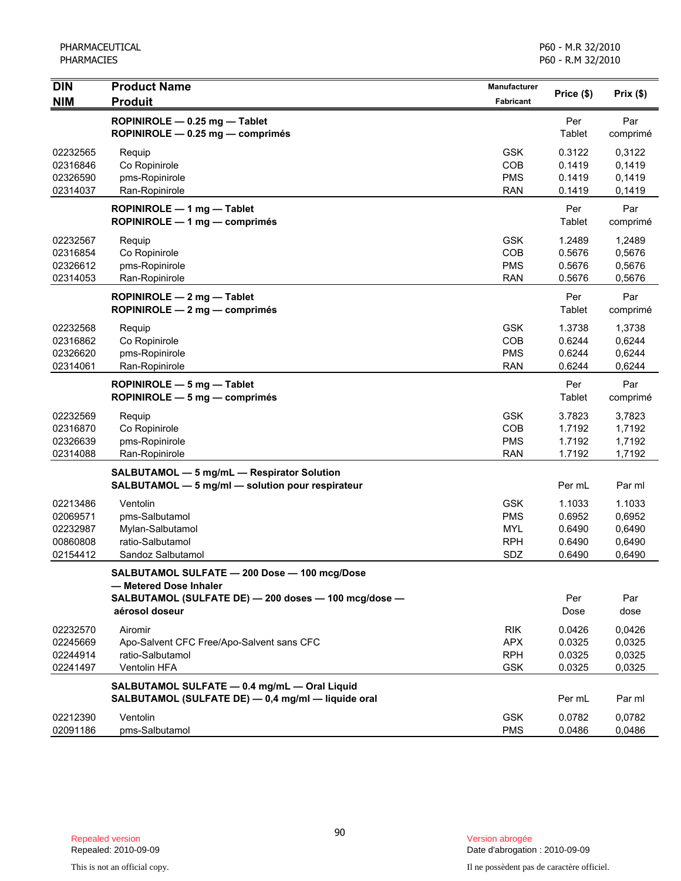| <b>DIN</b>                                               | <b>Product Name</b>                                                                                                                              | <b>Manufacturer</b>                                         | Price (\$)                                     | Prix(\$)                                       |
|----------------------------------------------------------|--------------------------------------------------------------------------------------------------------------------------------------------------|-------------------------------------------------------------|------------------------------------------------|------------------------------------------------|
| <b>NIM</b>                                               | <b>Produit</b>                                                                                                                                   | Fabricant                                                   |                                                |                                                |
|                                                          | ROPINIROLE - 0.25 mg - Tablet<br>ROPINIROLE - 0.25 mg - comprimés                                                                                |                                                             | Per<br>Tablet                                  | Par<br>comprimé                                |
| 02232565<br>02316846<br>02326590<br>02314037             | Requip<br>Co Ropinirole<br>pms-Ropinirole<br>Ran-Ropinirole                                                                                      | <b>GSK</b><br>COB<br><b>PMS</b><br><b>RAN</b>               | 0.3122<br>0.1419<br>0.1419<br>0.1419           | 0,3122<br>0,1419<br>0,1419<br>0,1419           |
|                                                          | ROPINIROLE - 1 mg - Tablet<br>ROPINIROLE - 1 mg - comprimés                                                                                      |                                                             | Per<br>Tablet                                  | Par<br>comprimé                                |
| 02232567<br>02316854<br>02326612<br>02314053             | Requip<br>Co Ropinirole<br>pms-Ropinirole<br>Ran-Ropinirole                                                                                      | <b>GSK</b><br>COB<br><b>PMS</b><br><b>RAN</b>               | 1.2489<br>0.5676<br>0.5676<br>0.5676           | 1,2489<br>0,5676<br>0,5676<br>0,5676           |
|                                                          | ROPINIROLE - 2 mg - Tablet<br>ROPINIROLE - 2 mg - comprimés                                                                                      |                                                             | Per<br>Tablet                                  | Par<br>comprimé                                |
| 02232568<br>02316862<br>02326620<br>02314061             | Requip<br>Co Ropinirole<br>pms-Ropinirole<br>Ran-Ropinirole                                                                                      | <b>GSK</b><br>COB<br><b>PMS</b><br><b>RAN</b>               | 1.3738<br>0.6244<br>0.6244<br>0.6244           | 1,3738<br>0,6244<br>0,6244<br>0,6244           |
|                                                          | ROPINIROLE - 5 mg - Tablet<br>$ROPINIROLE - 5 mg - comprimés$                                                                                    |                                                             | Per<br>Tablet                                  | Par<br>comprimé                                |
| 02232569<br>02316870<br>02326639<br>02314088             | Requip<br>Co Ropinirole<br>pms-Ropinirole<br>Ran-Ropinirole                                                                                      | <b>GSK</b><br>COB<br><b>PMS</b><br><b>RAN</b>               | 3.7823<br>1.7192<br>1.7192<br>1.7192           | 3,7823<br>1,7192<br>1,7192<br>1,7192           |
|                                                          | SALBUTAMOL - 5 mg/mL - Respirator Solution<br>SALBUTAMOL - 5 mg/ml - solution pour respirateur                                                   |                                                             | Per mL                                         | Par ml                                         |
| 02213486<br>02069571<br>02232987<br>00860808<br>02154412 | Ventolin<br>pms-Salbutamol<br>Mylan-Salbutamol<br>ratio-Salbutamol<br>Sandoz Salbutamol                                                          | <b>GSK</b><br><b>PMS</b><br><b>MYL</b><br><b>RPH</b><br>SDZ | 1.1033<br>0.6952<br>0.6490<br>0.6490<br>0.6490 | 1.1033<br>0,6952<br>0,6490<br>0,6490<br>0,6490 |
|                                                          | SALBUTAMOL SULFATE - 200 Dose - 100 mcg/Dose<br>- Metered Dose Inhaler<br>SALBUTAMOL (SULFATE DE) - 200 doses - 100 mcg/dose -<br>aérosol doseur |                                                             | Per<br>Dose                                    | Par<br>dose                                    |
| 02232570<br>02245669<br>02244914<br>02241497             | Airomir<br>Apo-Salvent CFC Free/Apo-Salvent sans CFC<br>ratio-Salbutamol<br>Ventolin HFA                                                         | <b>RIK</b><br><b>APX</b><br><b>RPH</b><br><b>GSK</b>        | 0.0426<br>0.0325<br>0.0325<br>0.0325           | 0.0426<br>0,0325<br>0,0325<br>0,0325           |
|                                                          | SALBUTAMOL SULFATE - 0.4 mg/mL - Oral Liquid<br>SALBUTAMOL (SULFATE DE) - 0,4 mg/ml - liquide oral                                               |                                                             | Per mL                                         | Par ml                                         |
| 02212390<br>02091186                                     | Ventolin<br>pms-Salbutamol                                                                                                                       | <b>GSK</b><br><b>PMS</b>                                    | 0.0782<br>0.0486                               | 0,0782<br>0,0486                               |

Date d'abrogation : 2010-09-09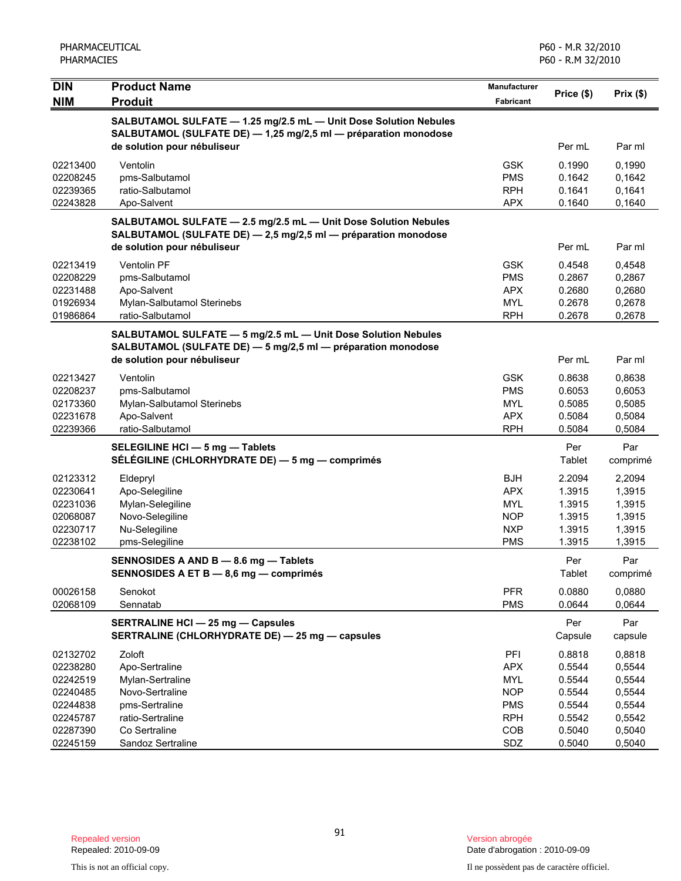| PHARMACEUTICAL<br><b>PHARMACIES</b> |                                                                                                                                     | P60 - M.R 32/2010<br>P60 - R.M 32/2010  |                  |                  |
|-------------------------------------|-------------------------------------------------------------------------------------------------------------------------------------|-----------------------------------------|------------------|------------------|
| <b>DIN</b><br><b>NIM</b>            | <b>Product Name</b><br><b>Produit</b>                                                                                               | <b>Manufacturer</b><br><b>Fabricant</b> | Price (\$)       | Prix(\$)         |
|                                     | SALBUTAMOL SULFATE - 1.25 mg/2.5 mL - Unit Dose Solution Nebules<br>SALBUTAMOL (SULFATE DE) - 1,25 mg/2,5 ml - préparation monodose |                                         |                  |                  |
|                                     | de solution pour nébuliseur                                                                                                         |                                         | Per mL           | Par ml           |
| 02213400                            | Ventolin                                                                                                                            | <b>GSK</b>                              | 0.1990           | 0,1990           |
| 02208245                            | pms-Salbutamol                                                                                                                      | <b>PMS</b>                              | 0.1642           | 0,1642           |
| 02239365                            | ratio-Salbutamol                                                                                                                    | <b>RPH</b>                              | 0.1641           | 0,1641           |
| 02243828                            | Apo-Salvent                                                                                                                         | <b>APX</b>                              | 0.1640           | 0,1640           |
|                                     | SALBUTAMOL SULFATE - 2.5 mg/2.5 mL - Unit Dose Solution Nebules<br>SALBUTAMOL (SULFATE DE) - 2,5 mg/2,5 ml - préparation monodose   |                                         |                  |                  |
|                                     | de solution pour nébuliseur                                                                                                         |                                         | Per mL           | Par ml           |
| 02213419                            | Ventolin PF                                                                                                                         | <b>GSK</b>                              | 0.4548           | 0,4548           |
| 02208229                            | pms-Salbutamol                                                                                                                      | <b>PMS</b>                              | 0.2867           | 0,2867           |
| 02231488                            | Apo-Salvent                                                                                                                         | <b>APX</b>                              | 0.2680           | 0,2680           |
| 01926934<br>01986864                | Mylan-Salbutamol Sterinebs<br>ratio-Salbutamol                                                                                      | <b>MYL</b><br><b>RPH</b>                | 0.2678<br>0.2678 | 0,2678<br>0,2678 |
|                                     | SALBUTAMOL SULFATE - 5 mg/2.5 mL - Unit Dose Solution Nebules<br>SALBUTAMOL (SULFATE DE) - 5 mg/2,5 ml - préparation monodose       |                                         |                  |                  |
|                                     | de solution pour nébuliseur                                                                                                         |                                         | Per mL           | Par ml           |
| 02213427                            | Ventolin                                                                                                                            | <b>GSK</b>                              | 0.8638           | 0,8638           |
| 02208237                            | pms-Salbutamol                                                                                                                      | <b>PMS</b>                              | 0.6053           | 0,6053           |
| 02173360                            | Mylan-Salbutamol Sterinebs                                                                                                          | <b>MYL</b>                              | 0.5085           | 0,5085           |
| 02231678                            | Apo-Salvent                                                                                                                         | <b>APX</b>                              | 0.5084           | 0,5084           |
| 02239366                            | ratio-Salbutamol                                                                                                                    | <b>RPH</b>                              | 0.5084           | 0,5084           |
|                                     | SELEGILINE HCI - 5 mg - Tablets                                                                                                     |                                         | Per              | Par              |
|                                     | SÉLÉGILINE (CHLORHYDRATE DE) — 5 mg — comprimés                                                                                     |                                         | Tablet           | comprimé         |
| 02123312                            | Eldepryl                                                                                                                            | <b>BJH</b>                              | 2.2094           | 2,2094           |
| 02230641                            | Apo-Selegiline                                                                                                                      | <b>APX</b>                              | 1.3915           | 1,3915           |
| 02231036                            | Mylan-Selegiline                                                                                                                    | <b>MYL</b>                              | 1.3915           | 1,3915           |
| 02068087                            | Novo-Selegiline                                                                                                                     | <b>NOP</b>                              | 1.3915           | 1,3915           |
| 02230717<br>02238102                | Nu-Selegiline<br>pms-Selegiline                                                                                                     | <b>NXP</b><br><b>PMS</b>                | 1.3915<br>1.3915 | 1,3915<br>1,3915 |
|                                     |                                                                                                                                     |                                         |                  |                  |
|                                     | SENNOSIDES A AND B - 8.6 mg - Tablets<br>SENNOSIDES A ET B - 8,6 mg - comprimés                                                     |                                         | Per<br>Tablet    | Par<br>comprimé  |
| 00026158                            | Senokot                                                                                                                             | <b>PFR</b>                              | 0.0880           | 0,0880           |
| 02068109                            | Sennatab                                                                                                                            | <b>PMS</b>                              | 0.0644           | 0,0644           |
|                                     | <b>SERTRALINE HCI - 25 mg - Capsules</b>                                                                                            |                                         | Per              | Par              |
|                                     | SERTRALINE (CHLORHYDRATE DE) - 25 mg - capsules                                                                                     |                                         | Capsule          | capsule          |
| 02132702                            | Zoloft                                                                                                                              | PFI                                     | 0.8818           | 0,8818           |
| 02238280                            | Apo-Sertraline                                                                                                                      | <b>APX</b>                              | 0.5544           | 0,5544           |
| 02242519                            | Mylan-Sertraline                                                                                                                    | <b>MYL</b>                              | 0.5544           | 0,5544           |
| 02240485                            | Novo-Sertraline                                                                                                                     | <b>NOP</b>                              | 0.5544           | 0,5544           |
| 02244838                            | pms-Sertraline                                                                                                                      | <b>PMS</b>                              | 0.5544           | 0,5544           |
| 02245787<br>02287390                | ratio-Sertraline<br>Co Sertraline                                                                                                   | <b>RPH</b><br>COB                       | 0.5542<br>0.5040 | 0,5542<br>0,5040 |
| 02245159                            | Sandoz Sertraline                                                                                                                   | SDZ                                     | 0.5040           | 0,5040           |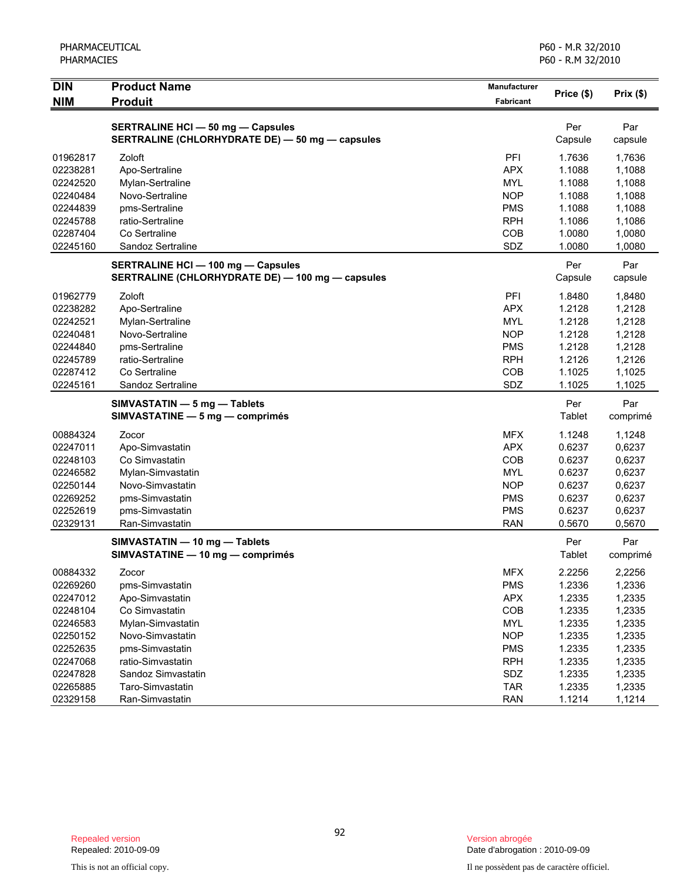| <b>DIN</b><br><b>NIM</b> | <b>Product Name</b><br><b>Produit</b>            | <b>Manufacturer</b><br><b>Fabricant</b> | Price (\$) | Prix(\$) |
|--------------------------|--------------------------------------------------|-----------------------------------------|------------|----------|
|                          |                                                  |                                         |            |          |
|                          | <b>SERTRALINE HCI - 50 mg - Capsules</b>         |                                         | Per        | Par      |
|                          | SERTRALINE (CHLORHYDRATE DE) - 50 mg - capsules  |                                         | Capsule    | capsule  |
| 01962817                 | Zoloft                                           | PFI                                     | 1.7636     | 1,7636   |
| 02238281                 | Apo-Sertraline                                   | <b>APX</b>                              | 1.1088     | 1,1088   |
| 02242520                 | Mylan-Sertraline                                 | <b>MYL</b>                              | 1.1088     | 1,1088   |
| 02240484                 | Novo-Sertraline                                  | <b>NOP</b>                              | 1.1088     | 1,1088   |
| 02244839                 | pms-Sertraline                                   | <b>PMS</b>                              | 1.1088     | 1,1088   |
| 02245788                 | ratio-Sertraline                                 | <b>RPH</b>                              | 1.1086     | 1,1086   |
| 02287404                 | Co Sertraline                                    | COB                                     | 1.0080     | 1,0080   |
| 02245160                 | Sandoz Sertraline                                | SDZ                                     | 1.0080     | 1,0080   |
|                          | <b>SERTRALINE HCI - 100 mg - Capsules</b>        |                                         | Per        | Par      |
|                          | SERTRALINE (CHLORHYDRATE DE) - 100 mg - capsules |                                         | Capsule    | capsule  |
| 01962779                 | Zoloft                                           | PFI                                     | 1.8480     | 1,8480   |
| 02238282                 | Apo-Sertraline                                   | <b>APX</b>                              | 1.2128     | 1,2128   |
| 02242521                 | Mylan-Sertraline                                 | <b>MYL</b>                              | 1.2128     | 1,2128   |
| 02240481                 | Novo-Sertraline                                  | <b>NOP</b>                              | 1.2128     | 1,2128   |
| 02244840                 | pms-Sertraline                                   | <b>PMS</b>                              | 1.2128     | 1,2128   |
| 02245789                 | ratio-Sertraline                                 | <b>RPH</b>                              | 1.2126     | 1,2126   |
| 02287412                 | Co Sertraline                                    | COB                                     | 1.1025     | 1,1025   |
| 02245161                 | Sandoz Sertraline                                | SDZ                                     | 1.1025     | 1,1025   |
|                          | SIMVASTATIN - 5 mg - Tablets                     |                                         | Per        | Par      |
|                          | SIMVASTATINE - 5 mg - comprimés                  |                                         | Tablet     | comprimé |
| 00884324                 | Zocor                                            | <b>MFX</b>                              | 1.1248     | 1,1248   |
| 02247011                 | Apo-Simvastatin                                  | <b>APX</b>                              | 0.6237     | 0,6237   |
| 02248103                 | Co Simvastatin                                   | <b>COB</b>                              | 0.6237     | 0,6237   |
| 02246582                 | Mylan-Simvastatin                                | <b>MYL</b>                              | 0.6237     | 0,6237   |
| 02250144                 | Novo-Simvastatin                                 | <b>NOP</b>                              | 0.6237     | 0,6237   |
| 02269252                 | pms-Simvastatin                                  | <b>PMS</b>                              | 0.6237     | 0,6237   |
| 02252619                 | pms-Simvastatin                                  | <b>PMS</b>                              | 0.6237     | 0,6237   |
| 02329131                 | Ran-Simvastatin                                  | <b>RAN</b>                              | 0.5670     | 0,5670   |
|                          | SIMVASTATIN - 10 mg - Tablets                    |                                         | Per        | Par      |
|                          | SIMVASTATINE - 10 mg - comprimés                 |                                         | Tablet     | comprimé |
| 00884332                 | Zocor                                            | <b>MFX</b>                              | 2.2256     | 2,2256   |
| 02269260                 | pms-Simvastatin                                  | <b>PMS</b>                              | 1.2336     | 1,2336   |
| 02247012                 | Apo-Simvastatin                                  | APX                                     | 1.2335     | 1,2335   |
| 02248104                 | Co Simvastatin                                   | COB                                     | 1.2335     | 1,2335   |
| 02246583                 | Mylan-Simvastatin                                | <b>MYL</b>                              | 1.2335     | 1,2335   |
| 02250152                 | Novo-Simvastatin                                 | <b>NOP</b>                              | 1.2335     | 1,2335   |
| 02252635                 | pms-Simvastatin                                  | <b>PMS</b>                              | 1.2335     | 1,2335   |
| 02247068                 | ratio-Simvastatin                                | <b>RPH</b>                              | 1.2335     | 1,2335   |
| 02247828                 | Sandoz Simvastatin                               | SDZ                                     | 1.2335     | 1,2335   |
| 02265885                 | Taro-Simvastatin                                 | <b>TAR</b>                              | 1.2335     | 1,2335   |
| 02329158                 | Ran-Simvastatin                                  | <b>RAN</b>                              | 1.1214     | 1,1214   |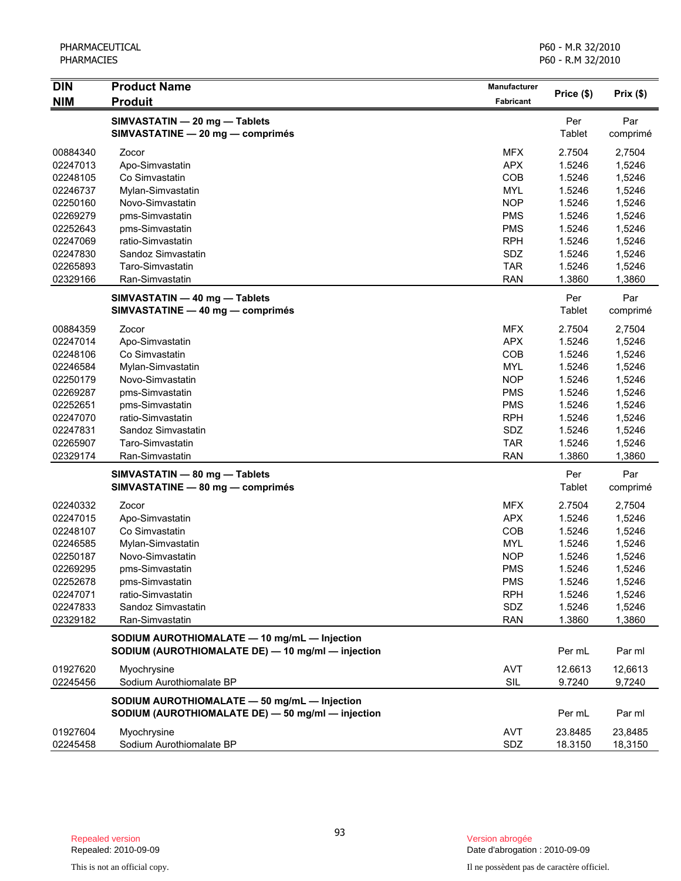| <b>DIN</b> | <b>Product Name</b>                                               | Manufacturer     |               |                 |
|------------|-------------------------------------------------------------------|------------------|---------------|-----------------|
| <b>NIM</b> | <b>Produit</b>                                                    | <b>Fabricant</b> | Price (\$)    | Prix(\$)        |
|            |                                                                   |                  |               |                 |
|            | SIMVASTATIN - 20 mg - Tablets<br>SIMVASTATINE - 20 mg - comprimés |                  | Per<br>Tablet | Par<br>comprimé |
|            |                                                                   |                  |               |                 |
| 00884340   | Zocor                                                             | <b>MFX</b>       | 2.7504        | 2,7504          |
| 02247013   | Apo-Simvastatin                                                   | <b>APX</b>       | 1.5246        | 1,5246          |
| 02248105   | Co Simvastatin                                                    | COB              | 1.5246        | 1,5246          |
| 02246737   | Mylan-Simvastatin                                                 | <b>MYL</b>       | 1.5246        | 1,5246          |
| 02250160   | Novo-Simvastatin                                                  | <b>NOP</b>       | 1.5246        | 1,5246          |
| 02269279   | pms-Simvastatin                                                   | <b>PMS</b>       | 1.5246        | 1,5246          |
| 02252643   | pms-Simvastatin                                                   | <b>PMS</b>       | 1.5246        | 1,5246          |
| 02247069   | ratio-Simvastatin                                                 | <b>RPH</b>       | 1.5246        | 1,5246          |
| 02247830   | Sandoz Simvastatin                                                | SDZ              | 1.5246        | 1,5246          |
| 02265893   | Taro-Simvastatin                                                  | <b>TAR</b>       | 1.5246        | 1,5246          |
| 02329166   | Ran-Simvastatin                                                   | <b>RAN</b>       | 1.3860        | 1,3860          |
|            | SIMVASTATIN - 40 mg - Tablets                                     |                  | Per           | Par             |
|            | SIMVASTATINE - 40 mg - comprimés                                  |                  | Tablet        | comprimé        |
| 00884359   | Zocor                                                             | <b>MFX</b>       | 2.7504        | 2,7504          |
| 02247014   | Apo-Simvastatin                                                   | <b>APX</b>       | 1.5246        | 1,5246          |
| 02248106   | Co Simvastatin                                                    | COB              | 1.5246        | 1,5246          |
| 02246584   | Mylan-Simvastatin                                                 | <b>MYL</b>       | 1.5246        | 1,5246          |
| 02250179   | Novo-Simvastatin                                                  | <b>NOP</b>       | 1.5246        | 1,5246          |
| 02269287   | pms-Simvastatin                                                   | <b>PMS</b>       | 1.5246        | 1,5246          |
| 02252651   | pms-Simvastatin                                                   | <b>PMS</b>       | 1.5246        | 1,5246          |
| 02247070   | ratio-Simvastatin                                                 | <b>RPH</b>       | 1.5246        | 1,5246          |
| 02247831   | Sandoz Simvastatin                                                | SDZ              | 1.5246        | 1,5246          |
| 02265907   | Taro-Simvastatin                                                  | <b>TAR</b>       | 1.5246        | 1,5246          |
| 02329174   | Ran-Simvastatin                                                   | <b>RAN</b>       | 1.3860        | 1,3860          |
|            | SIMVASTATIN - 80 mg - Tablets                                     |                  | Per           | Par             |
|            | SIMVASTATINE - 80 mg - comprimés                                  |                  | Tablet        | comprimé        |
| 02240332   | Zocor                                                             | <b>MFX</b>       | 2.7504        | 2,7504          |
| 02247015   | Apo-Simvastatin                                                   | <b>APX</b>       | 1.5246        | 1,5246          |
| 02248107   | Co Simvastatin                                                    | COB              | 1.5246        | 1,5246          |
| 02246585   | Mylan-Simvastatin                                                 | <b>MYL</b>       | 1.5246        | 1,5246          |
| 02250187   | Novo-Simvastatin                                                  | <b>NOP</b>       | 1.5246        | 1,5246          |
| 02269295   | pms-Simvastatin                                                   | <b>PMS</b>       | 1.5246        | 1,5246          |
| 02252678   | pms-Simvastatin                                                   | <b>PMS</b>       | 1.5246        | 1,5246          |
| 02247071   | ratio-Simvastatin                                                 | <b>RPH</b>       | 1.5246        | 1,5246          |
| 02247833   | Sandoz Simvastatin                                                | SDZ              | 1.5246        | 1,5246          |
| 02329182   | Ran-Simvastatin                                                   | <b>RAN</b>       | 1.3860        | 1,3860          |
|            | SODIUM AUROTHIOMALATE - 10 mg/mL - Injection                      |                  |               |                 |
|            | SODIUM (AUROTHIOMALATE DE) - 10 mg/ml - injection                 |                  | Per mL        | Par ml          |
| 01927620   | Myochrysine                                                       | <b>AVT</b>       | 12.6613       | 12,6613         |
| 02245456   | Sodium Aurothiomalate BP                                          | SIL              | 9.7240        | 9,7240          |
|            | SODIUM AUROTHIOMALATE - 50 mg/mL - Injection                      |                  |               |                 |
|            | SODIUM (AUROTHIOMALATE DE) - 50 mg/ml - injection                 |                  | Per mL        | Par ml          |
| 01927604   | Myochrysine                                                       | <b>AVT</b>       | 23.8485       | 23,8485         |
| 02245458   | Sodium Aurothiomalate BP                                          | SDZ              | 18.3150       | 18,3150         |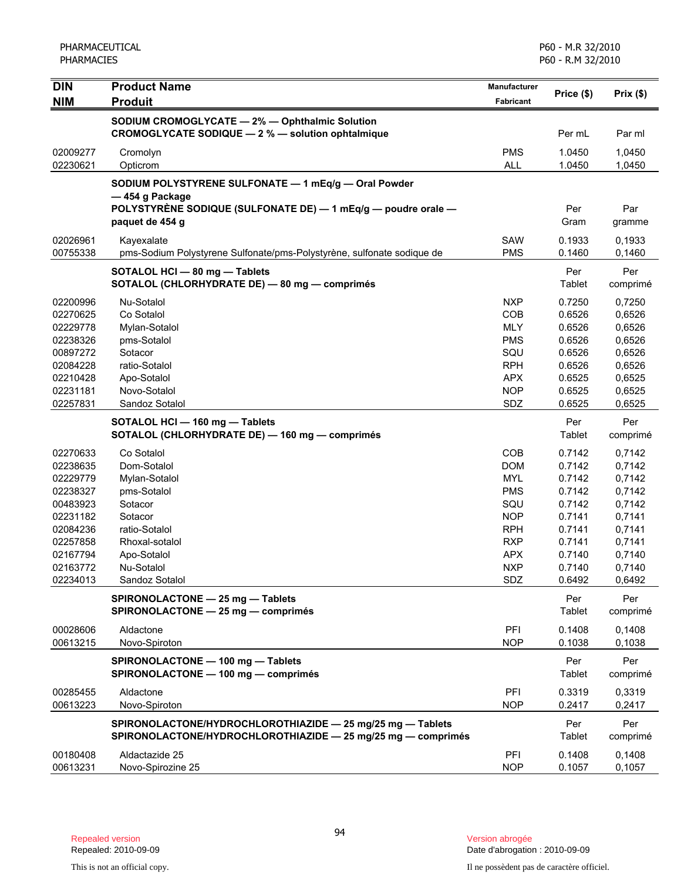| <b>DIN</b> | <b>Product Name</b>                                                    | Manufacturer             |                  |          |
|------------|------------------------------------------------------------------------|--------------------------|------------------|----------|
| <b>NIM</b> | <b>Produit</b>                                                         | Fabricant                | Price (\$)       | Prix(\$) |
|            | SODIUM CROMOGLYCATE - 2% - Ophthalmic Solution                         |                          |                  |          |
|            | CROMOGLYCATE SODIQUE - 2 % - solution ophtalmique                      |                          | Per mL           | Par ml   |
| 02009277   | Cromolyn                                                               | <b>PMS</b>               | 1.0450           | 1,0450   |
| 02230621   | Opticrom                                                               | <b>ALL</b>               | 1.0450           | 1,0450   |
|            | SODIUM POLYSTYRENE SULFONATE - 1 mEq/g - Oral Powder                   |                          |                  |          |
|            | -454 g Package                                                         |                          |                  |          |
|            | POLYSTYRÈNE SODIQUE (SULFONATE DE) — 1 mEq/g — poudre orale —          |                          | Per              | Par      |
|            | paquet de 454 g                                                        |                          | Gram             | gramme   |
| 02026961   | Kayexalate                                                             | SAW                      | 0.1933           | 0,1933   |
| 00755338   | pms-Sodium Polystyrene Sulfonate/pms-Polystyrène, sulfonate sodique de | <b>PMS</b>               | 0.1460           | 0,1460   |
|            | SOTALOL HCI - 80 mg - Tablets                                          |                          | Per              | Per      |
|            | SOTALOL (CHLORHYDRATE DE) - 80 mg - comprimés                          |                          | Tablet           | comprimé |
| 02200996   | Nu-Sotalol                                                             | <b>NXP</b>               | 0.7250           | 0,7250   |
| 02270625   | Co Sotalol                                                             | COB                      | 0.6526           | 0,6526   |
| 02229778   | Mylan-Sotalol                                                          | <b>MLY</b>               | 0.6526           | 0,6526   |
| 02238326   | pms-Sotalol                                                            | <b>PMS</b>               | 0.6526           | 0,6526   |
| 00897272   | Sotacor                                                                | SQU                      | 0.6526           | 0,6526   |
| 02084228   | ratio-Sotalol                                                          | <b>RPH</b>               | 0.6526           | 0,6526   |
| 02210428   | Apo-Sotalol                                                            | <b>APX</b>               | 0.6525           | 0,6525   |
| 02231181   | Novo-Sotalol                                                           | <b>NOP</b>               | 0.6525           | 0,6525   |
| 02257831   | Sandoz Sotalol                                                         | SDZ                      | 0.6525           | 0,6525   |
|            | SOTALOL HCI - 160 mg - Tablets                                         |                          | Per              | Per      |
|            | SOTALOL (CHLORHYDRATE DE) - 160 mg - comprimés                         |                          | Tablet           | comprimé |
| 02270633   | Co Sotalol                                                             | COB                      | 0.7142           | 0,7142   |
| 02238635   | Dom-Sotalol                                                            | <b>DOM</b>               | 0.7142           | 0,7142   |
| 02229779   | Mylan-Sotalol                                                          | <b>MYL</b>               | 0.7142           | 0,7142   |
| 02238327   | pms-Sotalol                                                            | <b>PMS</b>               | 0.7142           | 0,7142   |
| 00483923   | Sotacor                                                                | SQU                      | 0.7142           | 0,7142   |
| 02231182   | Sotacor                                                                | <b>NOP</b>               | 0.7141           | 0,7141   |
| 02084236   | ratio-Sotalol                                                          | <b>RPH</b>               | 0.7141           | 0,7141   |
| 02257858   | Rhoxal-sotalol                                                         | <b>RXP</b>               | 0.7141           | 0,7141   |
| 02167794   | Apo-Sotalol                                                            | <b>APX</b>               | 0.7140           | 0,7140   |
| 02163772   | Nu-Sotalol                                                             | <b>NXP</b><br><b>SDZ</b> | 0.7140<br>0.6492 | 0,7140   |
| 02234013   | Sandoz Sotalol                                                         |                          |                  | 0,6492   |
|            | SPIRONOLACTONE - 25 mg - Tablets                                       |                          | Per              | Per      |
|            | SPIRONOLACTONE - 25 mg - comprimés                                     |                          | <b>Tablet</b>    | comprimé |
| 00028606   | Aldactone                                                              | PFI                      | 0.1408           | 0.1408   |
| 00613215   | Novo-Spiroton                                                          | <b>NOP</b>               | 0.1038           | 0,1038   |
|            | SPIRONOLACTONE - 100 mg - Tablets                                      |                          | Per              | Per      |
|            | SPIRONOLACTONE - 100 mg - comprimés                                    |                          | Tablet           | comprimé |
| 00285455   | Aldactone                                                              | PFI                      | 0.3319           | 0,3319   |
| 00613223   | Novo-Spiroton                                                          | <b>NOP</b>               | 0.2417           | 0,2417   |
|            | SPIRONOLACTONE/HYDROCHLOROTHIAZIDE - 25 mg/25 mg - Tablets             |                          | Per              | Per      |
|            | SPIRONOLACTONE/HYDROCHLOROTHIAZIDE - 25 mg/25 mg - comprimés           |                          | <b>Tablet</b>    | comprimé |
| 00180408   | Aldactazide 25                                                         | PFI                      | 0.1408           | 0,1408   |
| 00613231   | Novo-Spirozine 25                                                      | <b>NOP</b>               | 0.1057           | 0,1057   |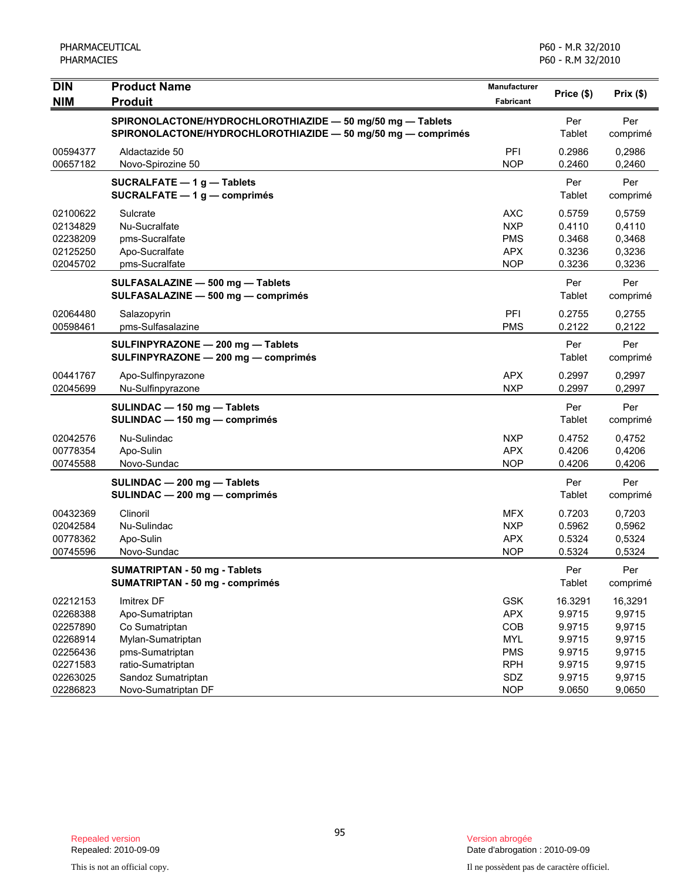| <b>DIN</b>                                                           | <b>Product Name</b>                                                                                                        | Manufacturer                                                              | Price (\$)                                                | Prix(\$)                                                  |
|----------------------------------------------------------------------|----------------------------------------------------------------------------------------------------------------------------|---------------------------------------------------------------------------|-----------------------------------------------------------|-----------------------------------------------------------|
| <b>NIM</b>                                                           | <b>Produit</b>                                                                                                             | Fabricant                                                                 |                                                           |                                                           |
|                                                                      | SPIRONOLACTONE/HYDROCHLOROTHIAZIDE - 50 mg/50 mg - Tablets<br>SPIRONOLACTONE/HYDROCHLOROTHIAZIDE - 50 mg/50 mg - comprimés |                                                                           | Per<br>Tablet                                             | Per<br>comprimé                                           |
| 00594377<br>00657182                                                 | Aldactazide 50<br>Novo-Spirozine 50                                                                                        | PFI<br><b>NOP</b>                                                         | 0.2986<br>0.2460                                          | 0,2986<br>0,2460                                          |
|                                                                      | SUCRALFATE - 1g-Tablets<br>SUCRALFATE $-1$ g $-$ comprimés                                                                 |                                                                           | Per<br>Tablet                                             | Per<br>comprimé                                           |
| 02100622<br>02134829<br>02238209<br>02125250<br>02045702             | Sulcrate<br>Nu-Sucralfate<br>pms-Sucralfate<br>Apo-Sucralfate<br>pms-Sucralfate                                            | AXC<br><b>NXP</b><br><b>PMS</b><br><b>APX</b><br><b>NOP</b>               | 0.5759<br>0.4110<br>0.3468<br>0.3236<br>0.3236            | 0,5759<br>0,4110<br>0,3468<br>0,3236<br>0,3236            |
|                                                                      | SULFASALAZINE - 500 mg - Tablets<br>SULFASALAZINE - 500 mg - comprimés                                                     |                                                                           | Per<br>Tablet                                             | Per<br>comprimé                                           |
| 02064480<br>00598461                                                 | Salazopyrin<br>pms-Sulfasalazine                                                                                           | PFI<br><b>PMS</b>                                                         | 0.2755<br>0.2122                                          | 0,2755<br>0,2122                                          |
|                                                                      | SULFINPYRAZONE - 200 mg - Tablets<br>SULFINPYRAZONE - 200 mg - comprimés                                                   |                                                                           | Per<br>Tablet                                             | Per<br>comprimé                                           |
| 00441767<br>02045699                                                 | Apo-Sulfinpyrazone<br>Nu-Sulfinpyrazone                                                                                    | <b>APX</b><br><b>NXP</b>                                                  | 0.2997<br>0.2997                                          | 0,2997<br>0,2997                                          |
|                                                                      | SULINDAC - 150 mg - Tablets<br>SULINDAC - 150 mg - comprimés                                                               |                                                                           | Per<br>Tablet                                             | Per<br>comprimé                                           |
| 02042576<br>00778354<br>00745588                                     | Nu-Sulindac<br>Apo-Sulin<br>Novo-Sundac                                                                                    | <b>NXP</b><br><b>APX</b><br><b>NOP</b>                                    | 0.4752<br>0.4206<br>0.4206                                | 0,4752<br>0,4206<br>0,4206                                |
|                                                                      | SULINDAC - 200 mg - Tablets<br>SULINDAC - 200 mg - comprimés                                                               |                                                                           | Per<br>Tablet                                             | Per<br>comprimé                                           |
| 00432369<br>02042584<br>00778362<br>00745596                         | Clinoril<br>Nu-Sulindac<br>Apo-Sulin<br>Novo-Sundac                                                                        | <b>MFX</b><br><b>NXP</b><br><b>APX</b><br><b>NOP</b>                      | 0.7203<br>0.5962<br>0.5324<br>0.5324                      | 0,7203<br>0,5962<br>0,5324<br>0,5324                      |
|                                                                      | <b>SUMATRIPTAN - 50 mg - Tablets</b><br><b>SUMATRIPTAN - 50 mg - comprimés</b>                                             |                                                                           | Per<br>Tablet                                             | Per<br>comprimé                                           |
| 02212153<br>02268388<br>02257890<br>02268914<br>02256436<br>02271583 | Imitrex DF<br>Apo-Sumatriptan<br>Co Sumatriptan<br>Mylan-Sumatriptan<br>pms-Sumatriptan<br>ratio-Sumatriptan               | <b>GSK</b><br><b>APX</b><br>COB<br><b>MYL</b><br><b>PMS</b><br><b>RPH</b> | 16.3291<br>9.9715<br>9.9715<br>9.9715<br>9.9715<br>9.9715 | 16,3291<br>9,9715<br>9,9715<br>9,9715<br>9,9715<br>9,9715 |
| 02263025<br>02286823                                                 | Sandoz Sumatriptan<br>Novo-Sumatriptan DF                                                                                  | SDZ<br><b>NOP</b>                                                         | 9.9715<br>9.0650                                          | 9,9715<br>9,0650                                          |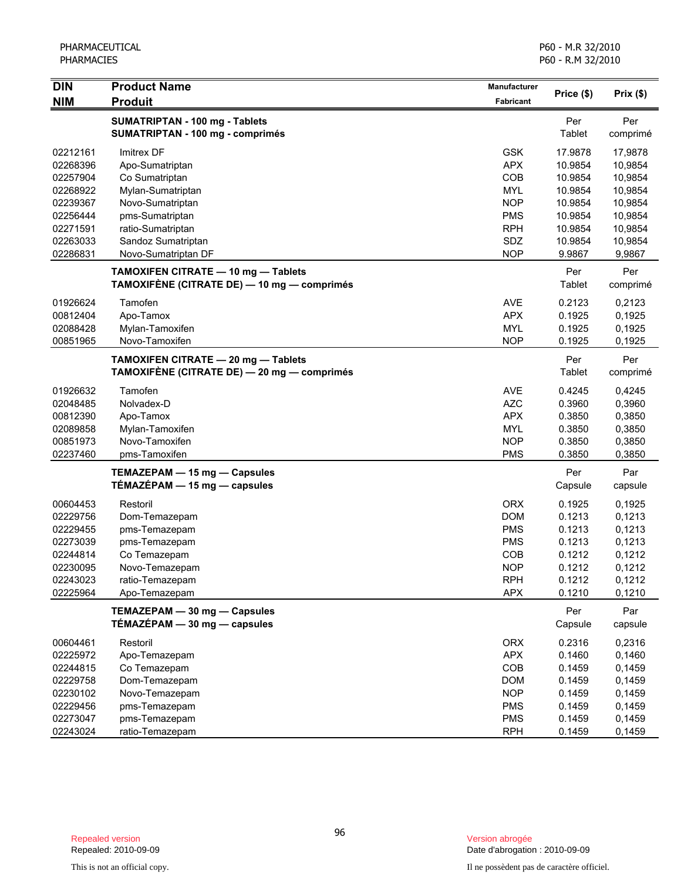| <b>DIN</b> | <b>Product Name</b>                                                                | Manufacturer |                |                    |
|------------|------------------------------------------------------------------------------------|--------------|----------------|--------------------|
| <b>NIM</b> | <b>Produit</b>                                                                     | Fabricant    | Price (\$)     | Prix(\$)           |
|            | SUMATRIPTAN - 100 mg - Tablets<br>SUMATRIPTAN - 100 mg - comprimés                 |              | Per<br>Tablet  | Per<br>comprimé    |
| 02212161   | <b>Imitrex DF</b>                                                                  | <b>GSK</b>   | 17.9878        |                    |
| 02268396   | Apo-Sumatriptan                                                                    | <b>APX</b>   | 10.9854        | 17,9878<br>10,9854 |
| 02257904   | Co Sumatriptan                                                                     | COB          | 10.9854        | 10,9854            |
| 02268922   | Mylan-Sumatriptan                                                                  | <b>MYL</b>   | 10.9854        | 10,9854            |
| 02239367   | Novo-Sumatriptan                                                                   | <b>NOP</b>   | 10.9854        | 10,9854            |
| 02256444   | pms-Sumatriptan                                                                    | <b>PMS</b>   | 10.9854        | 10,9854            |
| 02271591   | ratio-Sumatriptan                                                                  | <b>RPH</b>   | 10.9854        | 10,9854            |
| 02263033   | Sandoz Sumatriptan                                                                 | SDZ          | 10.9854        | 10,9854            |
| 02286831   | Novo-Sumatriptan DF                                                                | <b>NOP</b>   | 9.9867         | 9,9867             |
|            | TAMOXIFEN CITRATE - 10 mg - Tablets<br>TAMOXIFÈNE (CITRATE DE) — 10 mg — comprimés |              | Per<br>Tablet  | Per                |
|            |                                                                                    |              |                | comprimé           |
| 01926624   | Tamofen                                                                            | <b>AVE</b>   | 0.2123         | 0,2123             |
| 00812404   | Apo-Tamox                                                                          | <b>APX</b>   | 0.1925         | 0,1925             |
| 02088428   | Mylan-Tamoxifen                                                                    | <b>MYL</b>   | 0.1925         | 0,1925             |
| 00851965   | Novo-Tamoxifen                                                                     | <b>NOP</b>   | 0.1925         | 0,1925             |
|            | TAMOXIFEN CITRATE - 20 mg - Tablets<br>TAMOXIFÈNE (CITRATE DE) — 20 mg — comprimés |              | Per<br>Tablet  | Per<br>comprimé    |
| 01926632   | Tamofen                                                                            | <b>AVE</b>   | 0.4245         | 0,4245             |
| 02048485   | Nolvadex-D                                                                         | <b>AZC</b>   | 0.3960         | 0,3960             |
| 00812390   | Apo-Tamox                                                                          | <b>APX</b>   | 0.3850         | 0,3850             |
| 02089858   | Mylan-Tamoxifen                                                                    | <b>MYL</b>   | 0.3850         | 0,3850             |
| 00851973   | Novo-Tamoxifen                                                                     | <b>NOP</b>   | 0.3850         | 0,3850             |
| 02237460   | pms-Tamoxifen                                                                      | <b>PMS</b>   | 0.3850         | 0,3850             |
|            | TEMAZEPAM - 15 mg - Capsules<br>$TÉMAZÉPAM - 15 mg - capsules$                     |              | Per<br>Capsule | Par<br>capsule     |
| 00604453   | Restoril                                                                           | <b>ORX</b>   | 0.1925         | 0,1925             |
| 02229756   | Dom-Temazepam                                                                      | <b>DOM</b>   | 0.1213         | 0,1213             |
| 02229455   | pms-Temazepam                                                                      | <b>PMS</b>   | 0.1213         | 0,1213             |
| 02273039   | pms-Temazepam                                                                      | <b>PMS</b>   | 0.1213         | 0,1213             |
| 02244814   | Co Temazepam                                                                       | COB          | 0.1212         | 0,1212             |
| 02230095   | Novo-Temazepam                                                                     | <b>NOP</b>   | 0.1212         | 0,1212             |
| 02243023   | ratio-Temazepam                                                                    | <b>RPH</b>   | 0.1212         | 0,1212             |
| 02225964   | Apo-Temazepam                                                                      | <b>APX</b>   | 0.1210         | 0,1210             |
|            | TEMAZEPAM - 30 mg - Capsules<br>$TÉMAZÉPAM - 30 mg - capsules$                     |              | Per<br>Capsule | Par<br>capsule     |
| 00604461   | Restoril                                                                           | <b>ORX</b>   | 0.2316         | 0,2316             |
| 02225972   | Apo-Temazepam                                                                      | <b>APX</b>   | 0.1460         | 0,1460             |
| 02244815   | Co Temazepam                                                                       | COB          | 0.1459         | 0,1459             |
| 02229758   | Dom-Temazepam                                                                      | <b>DOM</b>   | 0.1459         | 0,1459             |
| 02230102   | Novo-Temazepam                                                                     | <b>NOP</b>   | 0.1459         | 0,1459             |
| 02229456   | pms-Temazepam                                                                      | <b>PMS</b>   | 0.1459         | 0,1459             |
| 02273047   | pms-Temazepam                                                                      | <b>PMS</b>   | 0.1459         | 0,1459             |
| 02243024   | ratio-Temazepam                                                                    | <b>RPH</b>   | 0.1459         | 0,1459             |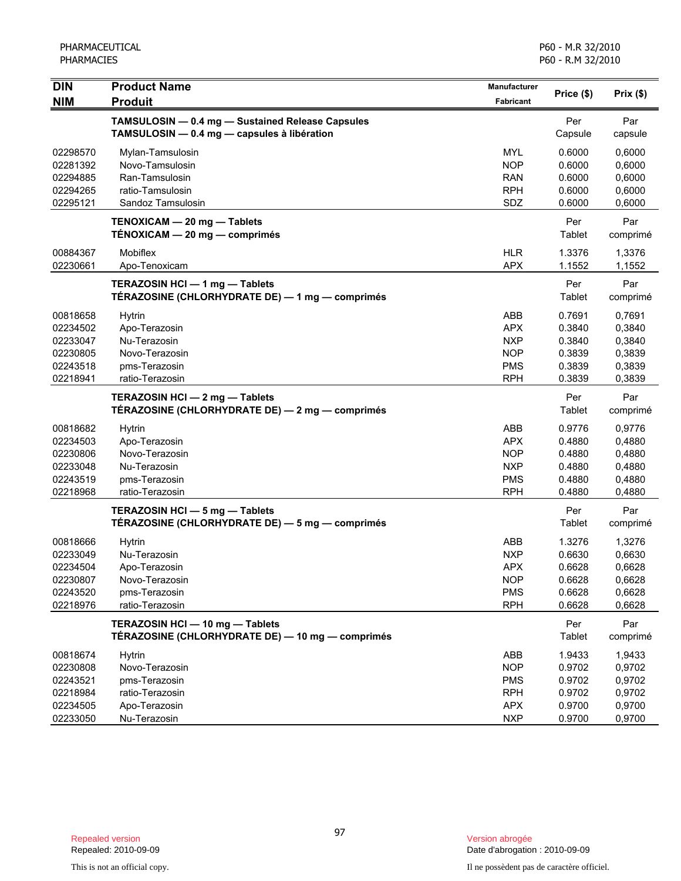| <b>DIN</b><br><b>NIM</b>                                             | <b>Product Name</b><br><b>Produit</b>                                                                | <b>Manufacturer</b><br>Fabricant                                          | Price (\$)                                               | Prix(\$)                                                 |
|----------------------------------------------------------------------|------------------------------------------------------------------------------------------------------|---------------------------------------------------------------------------|----------------------------------------------------------|----------------------------------------------------------|
|                                                                      | TAMSULOSIN - 0.4 mg - Sustained Release Capsules<br>TAMSULOSIN - 0.4 mg - capsules à libération      |                                                                           | Per<br>Capsule                                           | Par<br>capsule                                           |
| 02298570<br>02281392<br>02294885<br>02294265<br>02295121             | Mylan-Tamsulosin<br>Novo-Tamsulosin<br>Ran-Tamsulosin<br>ratio-Tamsulosin<br>Sandoz Tamsulosin       | <b>MYL</b><br><b>NOP</b><br><b>RAN</b><br><b>RPH</b><br>SDZ               | 0.6000<br>0.6000<br>0.6000<br>0.6000<br>0.6000           | 0,6000<br>0,6000<br>0,6000<br>0,6000<br>0,6000           |
|                                                                      | TENOXICAM - 20 mg - Tablets<br>TÉNOXICAM - 20 mg - comprimés                                         |                                                                           | Per<br>Tablet                                            | Par<br>comprimé                                          |
| 00884367<br>02230661                                                 | Mobiflex<br>Apo-Tenoxicam                                                                            | <b>HLR</b><br><b>APX</b>                                                  | 1.3376<br>1.1552                                         | 1,3376<br>1,1552                                         |
|                                                                      | TERAZOSIN HCI - 1 mg - Tablets<br>TÉRAZOSINE (CHLORHYDRATE DE) — 1 mg — comprimés                    |                                                                           | Per<br>Tablet                                            | Par<br>comprimé                                          |
| 00818658<br>02234502<br>02233047<br>02230805<br>02243518<br>02218941 | <b>Hytrin</b><br>Apo-Terazosin<br>Nu-Terazosin<br>Novo-Terazosin<br>pms-Terazosin<br>ratio-Terazosin | ABB<br><b>APX</b><br><b>NXP</b><br><b>NOP</b><br><b>PMS</b><br><b>RPH</b> | 0.7691<br>0.3840<br>0.3840<br>0.3839<br>0.3839<br>0.3839 | 0,7691<br>0,3840<br>0,3840<br>0,3839<br>0,3839<br>0,3839 |
|                                                                      | TERAZOSIN HCI - 2 mg - Tablets<br>TÉRAZOSINE (CHLORHYDRATE DE) — 2 mg — comprimés                    |                                                                           | Per<br>Tablet                                            | Par<br>comprimé                                          |
| 00818682<br>02234503<br>02230806<br>02233048<br>02243519<br>02218968 | <b>Hytrin</b><br>Apo-Terazosin<br>Novo-Terazosin<br>Nu-Terazosin<br>pms-Terazosin<br>ratio-Terazosin | ABB<br><b>APX</b><br><b>NOP</b><br><b>NXP</b><br><b>PMS</b><br><b>RPH</b> | 0.9776<br>0.4880<br>0.4880<br>0.4880<br>0.4880<br>0.4880 | 0,9776<br>0,4880<br>0,4880<br>0,4880<br>0,4880<br>0,4880 |
|                                                                      | TERAZOSIN HCI - 5 mg - Tablets<br>TÉRAZOSINE (CHLORHYDRATE DE) — 5 mg — comprimés                    |                                                                           | Per<br>Tablet                                            | Par<br>comprimé                                          |
| 00818666<br>02233049<br>02234504<br>02230807<br>02243520<br>02218976 | Hytrin<br>Nu-Terazosin<br>Apo-Terazosin<br>Novo-Terazosin<br>pms-Terazosin<br>ratio-Terazosin        | ABB<br><b>NXP</b><br><b>APX</b><br><b>NOP</b><br><b>PMS</b><br><b>RPH</b> | 1.3276<br>0.6630<br>0.6628<br>0.6628<br>0.6628<br>0.6628 | 1,3276<br>0,6630<br>0,6628<br>0,6628<br>0,6628<br>0,6628 |
|                                                                      | TERAZOSIN HCI - 10 mg - Tablets<br>TÉRAZOSINE (CHLORHYDRATE DE) — 10 mg — comprimés                  |                                                                           | Per<br>Tablet                                            | Par<br>comprimé                                          |
| 00818674<br>02230808<br>02243521<br>02218984<br>02234505<br>02233050 | <b>Hytrin</b><br>Novo-Terazosin<br>pms-Terazosin<br>ratio-Terazosin<br>Apo-Terazosin<br>Nu-Terazosin | ABB<br><b>NOP</b><br><b>PMS</b><br><b>RPH</b><br><b>APX</b><br><b>NXP</b> | 1.9433<br>0.9702<br>0.9702<br>0.9702<br>0.9700<br>0.9700 | 1,9433<br>0,9702<br>0,9702<br>0,9702<br>0,9700<br>0,9700 |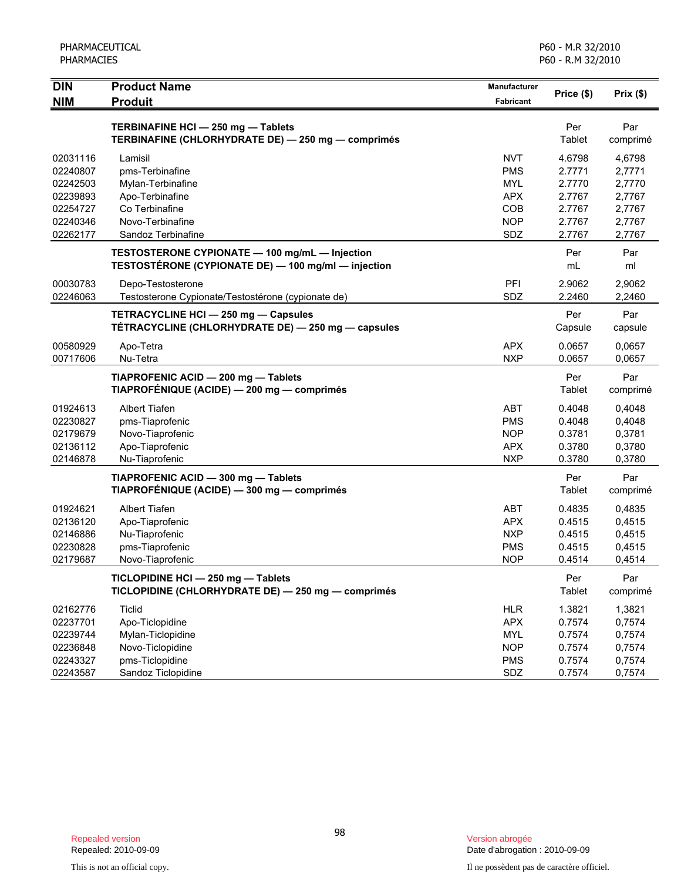| <b>PHARMACIES</b>                                                                |                                                                                                                                |                                                                                  | P60 - R.M 32/2010                                                  |                                                                    |
|----------------------------------------------------------------------------------|--------------------------------------------------------------------------------------------------------------------------------|----------------------------------------------------------------------------------|--------------------------------------------------------------------|--------------------------------------------------------------------|
| <b>DIN</b><br><b>NIM</b>                                                         | <b>Product Name</b><br><b>Produit</b>                                                                                          | Manufacturer<br><b>Fabricant</b>                                                 | Price (\$)                                                         | Prix(\$)                                                           |
|                                                                                  | TERBINAFINE HCI-250 mg-Tablets<br>TERBINAFINE (CHLORHYDRATE DE) - 250 mg - comprimés                                           |                                                                                  | Per<br>Tablet                                                      | Par<br>comprimé                                                    |
| 02031116<br>02240807<br>02242503<br>02239893<br>02254727<br>02240346<br>02262177 | Lamisil<br>pms-Terbinafine<br>Mylan-Terbinafine<br>Apo-Terbinafine<br>Co Terbinafine<br>Novo-Terbinafine<br>Sandoz Terbinafine | <b>NVT</b><br><b>PMS</b><br><b>MYL</b><br><b>APX</b><br>COB<br><b>NOP</b><br>SDZ | 4.6798<br>2.7771<br>2.7770<br>2.7767<br>2.7767<br>2.7767<br>2.7767 | 4,6798<br>2,7771<br>2,7770<br>2,7767<br>2,7767<br>2,7767<br>2,7767 |
|                                                                                  | TESTOSTERONE CYPIONATE - 100 mg/mL - Injection<br>TESTOSTÉRONE (CYPIONATE DE) - 100 mg/ml - injection                          |                                                                                  | Per<br>mL                                                          | Par<br>ml                                                          |
| 00030783<br>02246063                                                             | Depo-Testosterone<br>Testosterone Cypionate/Testostérone (cypionate de)                                                        | PFI<br>SDZ                                                                       | 2.9062<br>2.2460                                                   | 2,9062<br>2,2460                                                   |
|                                                                                  | TETRACYCLINE HCI - 250 mg - Capsules<br>TÉTRACYCLINE (CHLORHYDRATE DE) - 250 mg - capsules                                     |                                                                                  | Per<br>Capsule                                                     | Par<br>capsule                                                     |
| 00580929<br>00717606                                                             | Apo-Tetra<br>Nu-Tetra                                                                                                          | <b>APX</b><br><b>NXP</b>                                                         | 0.0657<br>0.0657                                                   | 0,0657<br>0,0657                                                   |
|                                                                                  | TIAPROFENIC ACID - 200 mg - Tablets<br>TIAPROFÉNIQUE (ACIDE) — 200 mg — comprimés                                              |                                                                                  | Per<br>Tablet                                                      | Par<br>comprimé                                                    |
| 01924613<br>02230827<br>02179679<br>02136112<br>02146878                         | Albert Tiafen<br>pms-Tiaprofenic<br>Novo-Tiaprofenic<br>Apo-Tiaprofenic<br>Nu-Tiaprofenic                                      | <b>ABT</b><br><b>PMS</b><br><b>NOP</b><br><b>APX</b><br><b>NXP</b>               | 0.4048<br>0.4048<br>0.3781<br>0.3780<br>0.3780                     | 0,4048<br>0,4048<br>0,3781<br>0,3780<br>0,3780                     |
|                                                                                  | TIAPROFENIC ACID - 300 mg - Tablets<br>TIAPROFÉNIQUE (ACIDE) - 300 mg - comprimés                                              |                                                                                  | Per<br>Tablet                                                      | Par<br>comprimé                                                    |
| 01924621<br>02136120<br>02146886<br>02230828<br>02179687                         | <b>Albert Tiafen</b><br>Apo-Tiaprofenic<br>Nu-Tiaprofenic<br>pms-Tiaprofenic<br>Novo-Tiaprofenic                               | <b>ABT</b><br><b>APX</b><br><b>NXP</b><br><b>PMS</b><br><b>NOP</b>               | 0.4835<br>0.4515<br>0.4515<br>0.4515<br>0.4514                     | 0,4835<br>0,4515<br>0,4515<br>0,4515<br>0,4514                     |
|                                                                                  | TICLOPIDINE HCI - 250 mg - Tablets<br>TICLOPIDINE (CHLORHYDRATE DE) - 250 mg - comprimés                                       |                                                                                  | Per<br>Tablet                                                      | Par<br>comprimé                                                    |
| 02162776<br>02237701<br>02239744<br>02236848<br>02243327<br>02243587             | <b>Ticlid</b><br>Apo-Ticlopidine<br>Mylan-Ticlopidine<br>Novo-Ticlopidine<br>pms-Ticlopidine<br>Sandoz Ticlopidine             | <b>HLR</b><br><b>APX</b><br><b>MYL</b><br><b>NOP</b><br><b>PMS</b><br>SDZ        | 1.3821<br>0.7574<br>0.7574<br>0.7574<br>0.7574<br>0.7574           | 1,3821<br>0,7574<br>0,7574<br>0,7574<br>0,7574<br>0,7574           |

PHARMACEUTICAL

P60 - M.R 32/2010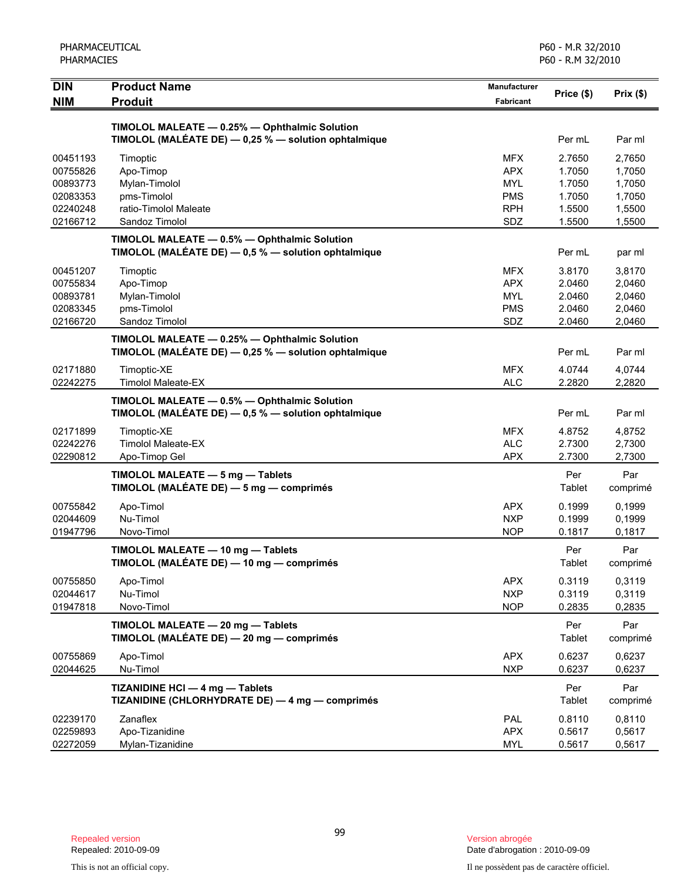| PHARMACEUTICAL<br><b>PHARMACIES</b> |                                                                                                         |                                  | P60 - M.R 32/2010<br>P60 - R.M 32/2010 |                  |
|-------------------------------------|---------------------------------------------------------------------------------------------------------|----------------------------------|----------------------------------------|------------------|
| <b>DIN</b><br><b>NIM</b>            | <b>Product Name</b><br><b>Produit</b>                                                                   | <b>Manufacturer</b><br>Fabricant | Price (\$)                             | Prix(\$)         |
|                                     | TIMOLOL MALEATE - 0.25% - Ophthalmic Solution                                                           |                                  |                                        |                  |
|                                     | TIMOLOL (MALÉATE DE) - 0,25 % - solution ophtalmique                                                    |                                  | Per mL                                 | Par ml           |
| 00451193                            | Timoptic                                                                                                | <b>MFX</b>                       | 2.7650                                 | 2,7650           |
| 00755826                            | Apo-Timop                                                                                               | <b>APX</b>                       | 1.7050                                 | 1,7050           |
| 00893773<br>02083353                | Mylan-Timolol                                                                                           | MYL<br><b>PMS</b>                | 1.7050<br>1.7050                       | 1,7050           |
| 02240248                            | pms-Timolol<br>ratio-Timolol Maleate                                                                    | <b>RPH</b>                       | 1.5500                                 | 1,7050<br>1,5500 |
| 02166712                            | Sandoz Timolol                                                                                          | SDZ                              | 1.5500                                 | 1,5500           |
|                                     | TIMOLOL MALEATE - 0.5% - Ophthalmic Solution                                                            |                                  |                                        |                  |
|                                     | TIMOLOL (MALÉATE DE) - 0,5 % - solution ophtalmique                                                     |                                  | Per mL                                 | par ml           |
| 00451207                            | Timoptic                                                                                                | <b>MFX</b>                       | 3.8170                                 | 3,8170           |
| 00755834                            | Apo-Timop                                                                                               | <b>APX</b>                       | 2.0460                                 | 2,0460           |
| 00893781<br>02083345                | Mylan-Timolol                                                                                           | <b>MYL</b>                       | 2.0460                                 | 2,0460           |
| 02166720                            | pms-Timolol<br>Sandoz Timolol                                                                           | <b>PMS</b><br>SDZ                | 2.0460<br>2.0460                       | 2,0460<br>2,0460 |
|                                     | TIMOLOL MALEATE - 0.25% - Ophthalmic Solution                                                           |                                  |                                        |                  |
|                                     | TIMOLOL (MALÉATE DE) - 0,25 % - solution ophtalmique                                                    |                                  | Per mL                                 | Par ml           |
| 02171880                            | Timoptic-XE                                                                                             | <b>MFX</b>                       | 4.0744                                 | 4,0744           |
| 02242275                            | <b>Timolol Maleate-EX</b>                                                                               | <b>ALC</b>                       | 2.2820                                 | 2,2820           |
|                                     | TIMOLOL MALEATE - 0.5% - Ophthalmic Solution<br>TIMOLOL (MALÉATE DE) $-$ 0,5 % $-$ solution ophtalmique |                                  | Per mL                                 | Par ml           |
| 02171899                            | Timoptic-XE                                                                                             | <b>MFX</b>                       | 4.8752                                 | 4,8752           |
| 02242276                            | <b>Timolol Maleate-EX</b>                                                                               | <b>ALC</b>                       | 2.7300                                 | 2,7300           |
| 02290812                            | Apo-Timop Gel                                                                                           | <b>APX</b>                       | 2.7300                                 | 2,7300           |
|                                     | TIMOLOL MALEATE - 5 mg - Tablets<br>TIMOLOL (MALÉATE DE) - 5 mg - comprimés                             |                                  | Per<br>Tablet                          | Par<br>comprimé  |
| 00755842                            | Apo-Timol                                                                                               | <b>APX</b>                       | 0.1999                                 | 0,1999           |
| 02044609                            | Nu-Timol                                                                                                | <b>NXP</b>                       | 0.1999                                 | 0,1999           |
| 01947796                            | Novo-Timol                                                                                              | <b>NOP</b>                       | 0.1817                                 | 0,1817           |
|                                     | TIMOLOL MALEATE - 10 mg - Tablets<br>TIMOLOL (MALÉATE DE) - 10 mg - comprimés                           |                                  | Per<br>Tablet                          | Par<br>comprimé  |
| 00755850                            | Apo-Timol                                                                                               | <b>APX</b>                       | 0.3119                                 | 0,3119           |
| 02044617                            | Nu-Timol                                                                                                | <b>NXP</b>                       | 0.3119                                 | 0,3119           |
| 01947818                            | Novo-Timol                                                                                              | <b>NOP</b>                       | 0.2835                                 | 0,2835           |
|                                     | TIMOLOL MALEATE - 20 mg - Tablets<br>TIMOLOL (MALÉATE DE) - 20 mg - comprimés                           |                                  | Per<br>Tablet                          | Par<br>comprimé  |
| 00755869                            | Apo-Timol                                                                                               | <b>APX</b>                       | 0.6237                                 | 0,6237           |
| 02044625                            | Nu-Timol                                                                                                | <b>NXP</b>                       | 0.6237                                 | 0,6237           |
|                                     | TIZANIDINE HCI - 4 mg - Tablets<br>TIZANIDINE (CHLORHYDRATE DE) - 4 mg - comprimés                      |                                  | Per<br>Tablet                          | Par<br>comprimé  |
| 02239170                            | Zanaflex                                                                                                | PAL                              | 0.8110                                 | 0,8110           |
| 02259893                            | Apo-Tizanidine                                                                                          | <b>APX</b>                       | 0.5617                                 | 0,5617           |
| 02272059                            | Mylan-Tizanidine                                                                                        | <b>MYL</b>                       | 0.5617                                 | 0,5617           |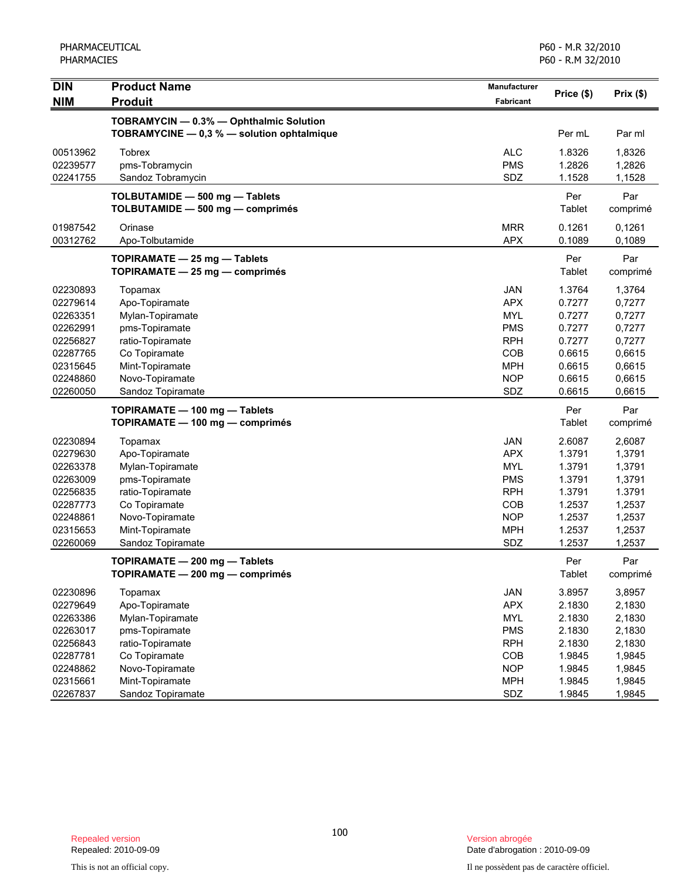PHARMACEUTICAL PHARMACIES

| <b>DIN</b>                       | <b>Product Name</b>                                                                   | Manufacturer                    | Price (\$)                 | Prix(\$)                   |
|----------------------------------|---------------------------------------------------------------------------------------|---------------------------------|----------------------------|----------------------------|
| <b>NIM</b>                       | <b>Produit</b>                                                                        | <b>Fabricant</b>                |                            |                            |
|                                  | TOBRAMYCIN - 0.3% - Ophthalmic Solution<br>TOBRAMYCINE - 0,3 % - solution ophtalmique |                                 | Per mL                     | Par ml                     |
| 00513962<br>02239577<br>02241755 | <b>Tobrex</b><br>pms-Tobramycin<br>Sandoz Tobramycin                                  | <b>ALC</b><br><b>PMS</b><br>SDZ | 1.8326<br>1.2826<br>1.1528 | 1,8326<br>1,2826<br>1,1528 |
|                                  | TOLBUTAMIDE - 500 mg - Tablets<br>TOLBUTAMIDE - 500 mg - comprimés                    |                                 | Per<br>Tablet              | Par<br>comprimé            |
| 01987542<br>00312762             | Orinase<br>Apo-Tolbutamide                                                            | <b>MRR</b><br><b>APX</b>        | 0.1261<br>0.1089           | 0,1261<br>0,1089           |
|                                  | TOPIRAMATE - 25 mg - Tablets<br>TOPIRAMATE - 25 mg - comprimés                        |                                 | Per<br>Tablet              | Par<br>comprimé            |
| 02230893                         | Topamax                                                                               | JAN                             | 1.3764                     | 1,3764                     |
| 02279614                         | Apo-Topiramate                                                                        | <b>APX</b>                      | 0.7277                     | 0,7277                     |
| 02263351                         | Mylan-Topiramate                                                                      | <b>MYL</b>                      | 0.7277                     | 0,7277                     |
| 02262991                         | pms-Topiramate                                                                        | <b>PMS</b>                      | 0.7277                     | 0,7277                     |
| 02256827                         | ratio-Topiramate                                                                      | <b>RPH</b>                      | 0.7277                     | 0,7277                     |
| 02287765                         | Co Topiramate                                                                         | COB                             | 0.6615                     | 0,6615                     |
| 02315645                         | Mint-Topiramate                                                                       | <b>MPH</b>                      | 0.6615                     | 0,6615                     |
| 02248860                         | Novo-Topiramate                                                                       | <b>NOP</b>                      | 0.6615                     | 0,6615                     |
| 02260050                         | Sandoz Topiramate                                                                     | SDZ                             | 0.6615                     | 0,6615                     |
|                                  | TOPIRAMATE - 100 mg - Tablets                                                         |                                 | Per                        | Par                        |
|                                  | TOPIRAMATE - 100 mg - comprimés                                                       |                                 | Tablet                     | comprimé                   |
| 02230894                         | Topamax                                                                               | <b>JAN</b>                      | 2.6087                     | 2,6087                     |
| 02279630                         | Apo-Topiramate                                                                        | <b>APX</b>                      | 1.3791                     | 1,3791                     |
| 02263378                         | Mylan-Topiramate                                                                      | <b>MYL</b>                      | 1.3791                     | 1,3791                     |
| 02263009                         | pms-Topiramate                                                                        | <b>PMS</b>                      | 1.3791                     | 1,3791                     |
| 02256835                         | ratio-Topiramate                                                                      | <b>RPH</b>                      | 1.3791                     | 1.3791                     |
| 02287773                         | Co Topiramate                                                                         | COB                             | 1.2537                     | 1,2537                     |
| 02248861                         | Novo-Topiramate                                                                       | <b>NOP</b>                      | 1.2537                     | 1,2537                     |
| 02315653                         | Mint-Topiramate                                                                       | <b>MPH</b>                      | 1.2537                     | 1,2537                     |
| 02260069                         | Sandoz Topiramate                                                                     | SDZ                             | 1.2537                     | 1,2537                     |
|                                  | TOPIRAMATE - 200 mg - Tablets<br>TOPIRAMATE - 200 mg - comprimés                      |                                 | Per<br>Tablet              | Par<br>comprimé            |
| 02230896                         | Topamax                                                                               | JAN                             | 3.8957                     | 3,8957                     |
| 02279649                         | Apo-Topiramate                                                                        | <b>APX</b>                      | 2.1830                     | 2,1830                     |
| 02263386                         | Mylan-Topiramate                                                                      | <b>MYL</b>                      | 2.1830                     | 2,1830                     |
| 02263017                         | pms-Topiramate                                                                        | <b>PMS</b>                      | 2.1830                     | 2,1830                     |
| 02256843                         | ratio-Topiramate                                                                      | <b>RPH</b>                      | 2.1830                     | 2,1830                     |
| 02287781                         | Co Topiramate                                                                         | COB                             | 1.9845                     | 1,9845                     |
| 02248862                         | Novo-Topiramate                                                                       | <b>NOP</b>                      | 1.9845                     | 1,9845                     |
| 02315661                         | Mint-Topiramate                                                                       | <b>MPH</b>                      | 1.9845                     | 1,9845                     |
| 02267837                         | Sandoz Topiramate                                                                     | SDZ                             | 1.9845                     | 1,9845                     |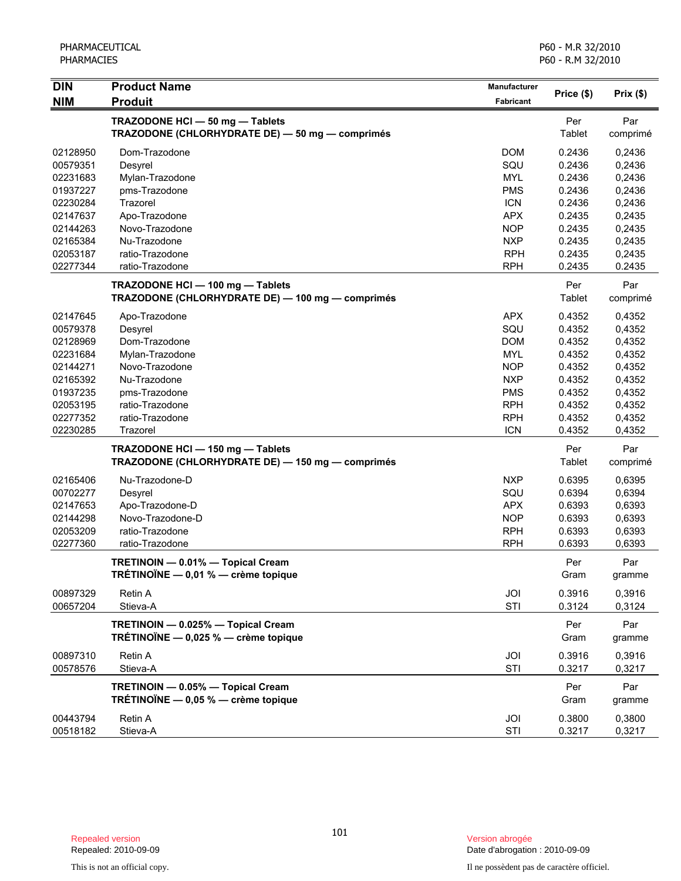| <b>DIN</b>           | <b>Product Name</b>                                                                  | Manufacturer | Price (\$)       | Prix(\$)         |
|----------------------|--------------------------------------------------------------------------------------|--------------|------------------|------------------|
| <b>NIM</b>           | <b>Produit</b>                                                                       | Fabricant    |                  |                  |
|                      | TRAZODONE HCI - 50 mg - Tablets<br>TRAZODONE (CHLORHYDRATE DE) - 50 mg - comprimés   |              | Per<br>Tablet    | Par<br>comprimé  |
| 02128950             | Dom-Trazodone                                                                        | <b>DOM</b>   | 0.2436           | 0,2436           |
| 00579351             | Desyrel                                                                              | SQU          | 0.2436           | 0,2436           |
| 02231683             | Mylan-Trazodone                                                                      | <b>MYL</b>   | 0.2436           | 0,2436           |
| 01937227             | pms-Trazodone                                                                        | <b>PMS</b>   | 0.2436           | 0,2436           |
| 02230284             | Trazorel                                                                             | <b>ICN</b>   | 0.2436           | 0,2436           |
| 02147637             | Apo-Trazodone                                                                        | <b>APX</b>   | 0.2435           | 0,2435           |
| 02144263             | Novo-Trazodone                                                                       | <b>NOP</b>   | 0.2435           | 0,2435           |
| 02165384             | Nu-Trazodone                                                                         | <b>NXP</b>   | 0.2435           | 0,2435           |
| 02053187             | ratio-Trazodone                                                                      | <b>RPH</b>   | 0.2435           | 0,2435           |
| 02277344             | ratio-Trazodone                                                                      | <b>RPH</b>   | 0.2435           | 0.2435           |
|                      | TRAZODONE HCI - 100 mg - Tablets<br>TRAZODONE (CHLORHYDRATE DE) - 100 mg - comprimés |              | Per<br>Tablet    | Par<br>comprimé  |
| 02147645             | Apo-Trazodone                                                                        | <b>APX</b>   | 0.4352           | 0,4352           |
| 00579378             | Desyrel                                                                              | SQU          | 0.4352           | 0,4352           |
| 02128969             | Dom-Trazodone                                                                        | <b>DOM</b>   | 0.4352           | 0,4352           |
| 02231684             | Mylan-Trazodone                                                                      | <b>MYL</b>   | 0.4352           | 0,4352           |
| 02144271             | Novo-Trazodone                                                                       | <b>NOP</b>   | 0.4352           | 0,4352           |
| 02165392             | Nu-Trazodone                                                                         | <b>NXP</b>   | 0.4352           | 0,4352           |
| 01937235             | pms-Trazodone                                                                        | <b>PMS</b>   | 0.4352           | 0,4352           |
| 02053195             | ratio-Trazodone                                                                      | <b>RPH</b>   | 0.4352           | 0,4352           |
| 02277352             | ratio-Trazodone                                                                      | <b>RPH</b>   | 0.4352           | 0,4352           |
| 02230285             | Trazorel                                                                             | <b>ICN</b>   | 0.4352           | 0,4352           |
|                      | TRAZODONE HCI - 150 mg - Tablets<br>TRAZODONE (CHLORHYDRATE DE) - 150 mg - comprimés |              | Per<br>Tablet    | Par<br>comprimé  |
| 02165406             | Nu-Trazodone-D                                                                       | <b>NXP</b>   | 0.6395           | 0,6395           |
| 00702277             | Desyrel                                                                              | SQU          | 0.6394           | 0,6394           |
| 02147653             | Apo-Trazodone-D                                                                      | <b>APX</b>   | 0.6393           | 0,6393           |
| 02144298             | Novo-Trazodone-D                                                                     | <b>NOP</b>   | 0.6393           | 0,6393           |
| 02053209             | ratio-Trazodone                                                                      | <b>RPH</b>   | 0.6393           | 0,6393           |
| 02277360             | ratio-Trazodone                                                                      | <b>RPH</b>   | 0.6393           | 0,6393           |
|                      | TRETINOIN - 0.01% - Topical Cream<br>TRÉTINOÏNE - 0,01 % - crème topique             |              | Per<br>Gram      | Par<br>gramme    |
| 00897329             | Retin A                                                                              | JOI          | 0.3916           | 0,3916           |
| 00657204             | Stieva-A                                                                             | STI          | 0.3124           | 0,3124           |
|                      | TRETINOIN - 0.025% - Topical Cream<br>TRÉTINOÏNE - 0,025 % - crème topique           |              | Per<br>Gram      | Par<br>gramme    |
| 00897310<br>00578576 | <b>Retin A</b><br>Stieva-A                                                           | JOI<br>STI   | 0.3916<br>0.3217 | 0,3916<br>0,3217 |
|                      | TRETINOIN - 0.05% - Topical Cream<br>TRÉTINOÏNE $-$ 0,05 % $-$ crème topique         |              | Per<br>Gram      | Par<br>gramme    |
| 00443794<br>00518182 | Retin A<br>Stieva-A                                                                  | JOI<br>STI   | 0.3800<br>0.3217 | 0,3800<br>0,3217 |

Date d'abrogation : 2010-09-09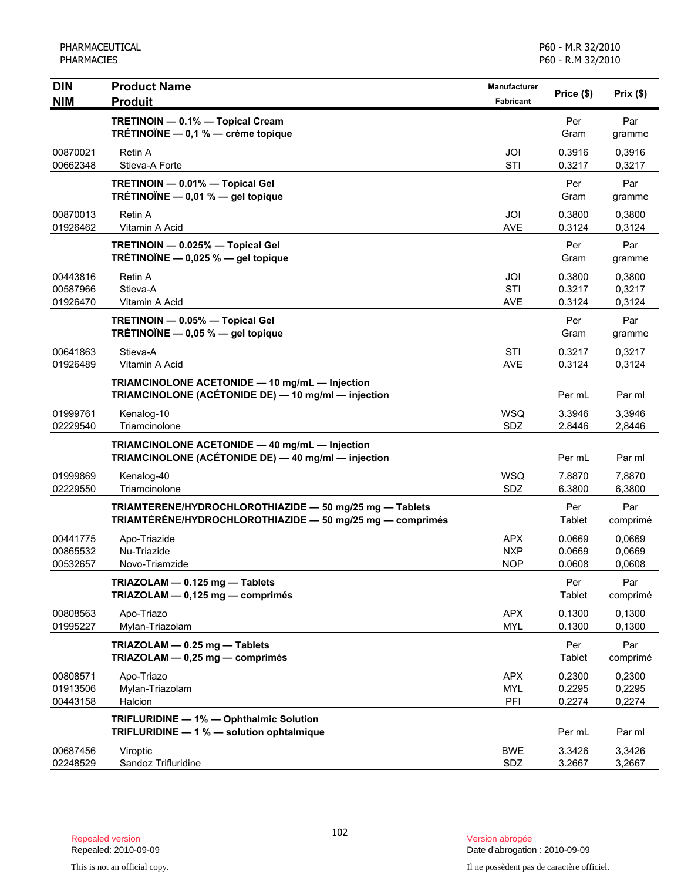| <b>DIN</b>                       | <b>Product Name</b>                                                                                                  | Manufacturer                           | Price (\$)                 | Prix(\$)                   |
|----------------------------------|----------------------------------------------------------------------------------------------------------------------|----------------------------------------|----------------------------|----------------------------|
| <b>NIM</b>                       | <b>Produit</b>                                                                                                       | <b>Fabricant</b>                       |                            |                            |
|                                  | TRETINOIN - 0.1% - Topical Cream<br>TRÉTINOÏNE $-$ 0,1 % $-$ crème topique                                           |                                        | Per<br>Gram                | Par<br>gramme              |
| 00870021<br>00662348             | Retin A<br>Stieva-A Forte                                                                                            | JOI<br><b>STI</b>                      | 0.3916<br>0.3217           | 0,3916<br>0,3217           |
|                                  | TRETINOIN - 0.01% - Topical Gel<br>TRÉTINOÏNE $-$ 0,01 % $-$ gel topique                                             |                                        | Per<br>Gram                | Par<br>gramme              |
| 00870013<br>01926462             | <b>Retin A</b><br>Vitamin A Acid                                                                                     | JOI<br>AVE                             | 0.3800<br>0.3124           | 0,3800<br>0,3124           |
|                                  | TRETINOIN - 0.025% - Topical Gel<br>TRÉTINOÏNE - 0,025 % - gel topique                                               |                                        | Per<br>Gram                | Par<br>gramme              |
| 00443816<br>00587966<br>01926470 | Retin A<br>Stieva-A<br>Vitamin A Acid                                                                                | JOI<br>STI<br><b>AVE</b>               | 0.3800<br>0.3217<br>0.3124 | 0,3800<br>0,3217<br>0,3124 |
|                                  | TRETINOIN - 0.05% - Topical Gel<br>TRÉTINOÏNE - 0,05 % - gel topique                                                 |                                        | Per<br>Gram                | Par<br>gramme              |
| 00641863<br>01926489             | Stieva-A<br>Vitamin A Acid                                                                                           | STI<br><b>AVE</b>                      | 0.3217<br>0.3124           | 0,3217<br>0,3124           |
|                                  | TRIAMCINOLONE ACETONIDE - 10 mg/mL - Injection<br>TRIAMCINOLONE (ACÉTONIDE DE) — 10 mg/ml — injection                |                                        | Per mL                     | Par ml                     |
| 01999761<br>02229540             | Kenalog-10<br>Triamcinolone                                                                                          | <b>WSQ</b><br>SDZ                      | 3.3946<br>2.8446           | 3,3946<br>2,8446           |
|                                  | TRIAMCINOLONE ACETONIDE - 40 mg/mL - Injection<br>TRIAMCINOLONE (ACÉTONIDE DE) - 40 mg/ml - injection                |                                        | Per mL                     | Par ml                     |
| 01999869<br>02229550             | Kenalog-40<br>Triamcinolone                                                                                          | <b>WSQ</b><br>SDZ                      | 7.8870<br>6.3800           | 7,8870<br>6,3800           |
|                                  | TRIAMTERENE/HYDROCHLOROTHIAZIDE - 50 mg/25 mg - Tablets<br>TRIAMTÉRÈNE/HYDROCHLOROTHIAZIDE - 50 mg/25 mg - comprimés |                                        | Per<br>Tablet              | Par<br>comprimé            |
| 00441775<br>00865532<br>00532657 | Apo-Triazide<br>Nu-Triazide<br>Novo-Triamzide                                                                        | <b>APX</b><br><b>NXP</b><br><b>NOP</b> | 0.0669<br>0.0669<br>0.0608 | 0,0669<br>0,0669<br>0,0608 |
|                                  | TRIAZOLAM - 0.125 mg - Tablets<br>TRIAZOLAM - 0,125 mg - comprimés                                                   |                                        | Per<br>Tablet              | Par<br>comprimé            |
| 00808563<br>01995227             | Apo-Triazo<br>Mylan-Triazolam                                                                                        | <b>APX</b><br><b>MYL</b>               | 0.1300<br>0.1300           | 0,1300<br>0,1300           |
|                                  | TRIAZOLAM - 0.25 mg - Tablets<br>TRIAZOLAM - 0,25 mg - comprimés                                                     |                                        | Per<br>Tablet              | Par<br>comprimé            |
| 00808571<br>01913506<br>00443158 | Apo-Triazo<br>Mylan-Triazolam<br>Halcion                                                                             | <b>APX</b><br><b>MYL</b><br>PFI        | 0.2300<br>0.2295<br>0.2274 | 0,2300<br>0,2295<br>0,2274 |
|                                  | TRIFLURIDINE - 1% - Ophthalmic Solution<br>TRIFLURIDINE - 1 % - solution ophtalmique                                 |                                        | Per mL                     | Par ml                     |
| 00687456<br>02248529             | Viroptic<br>Sandoz Trifluridine                                                                                      | <b>BWE</b><br>SDZ                      | 3.3426<br>3.2667           | 3,3426<br>3,2667           |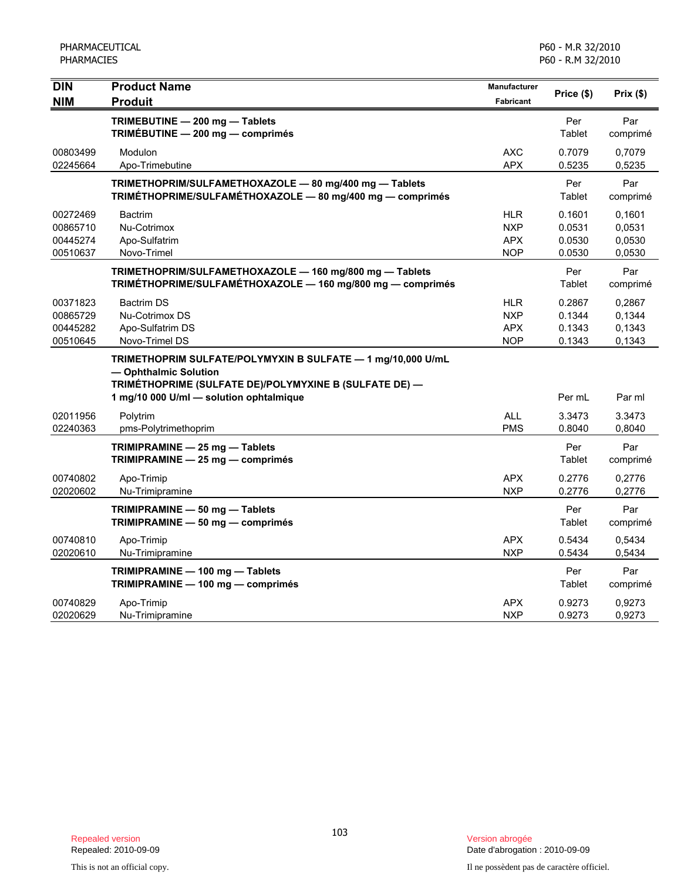| <b>DIN</b><br><b>NIM</b>                     | <b>Product Name</b><br><b>Produit</b>                                                                                                                                                     | <b>Manufacturer</b><br><b>Fabricant</b>              | Price (\$)                           | Prix(\$)                             |
|----------------------------------------------|-------------------------------------------------------------------------------------------------------------------------------------------------------------------------------------------|------------------------------------------------------|--------------------------------------|--------------------------------------|
|                                              | TRIMEBUTINE - 200 mg - Tablets<br>TRIMÉBUTINE - 200 mg - comprimés                                                                                                                        |                                                      | Per<br>Tablet                        | Par<br>comprimé                      |
| 00803499<br>02245664                         | Modulon<br>Apo-Trimebutine                                                                                                                                                                | <b>AXC</b><br><b>APX</b>                             | 0.7079<br>0.5235                     | 0,7079<br>0,5235                     |
|                                              | TRIMETHOPRIM/SULFAMETHOXAZOLE - 80 mg/400 mg - Tablets<br>TRIMÉTHOPRIME/SULFAMÉTHOXAZOLE - 80 mg/400 mg - comprimés                                                                       |                                                      | Per<br>Tablet                        | Par<br>comprimé                      |
| 00272469<br>00865710<br>00445274<br>00510637 | <b>Bactrim</b><br>Nu-Cotrimox<br>Apo-Sulfatrim<br>Novo-Trimel                                                                                                                             | HLR<br><b>NXP</b><br><b>APX</b><br><b>NOP</b>        | 0.1601<br>0.0531<br>0.0530<br>0.0530 | 0,1601<br>0,0531<br>0.0530<br>0,0530 |
|                                              | TRIMETHOPRIM/SULFAMETHOXAZOLE - 160 mg/800 mg - Tablets<br>TRIMÉTHOPRIME/SULFAMÉTHOXAZOLE - 160 mg/800 mg - comprimés                                                                     |                                                      | Per<br>Tablet                        | Par<br>comprimé                      |
| 00371823<br>00865729<br>00445282<br>00510645 | <b>Bactrim DS</b><br>Nu-Cotrimox DS<br>Apo-Sulfatrim DS<br>Novo-Trimel DS                                                                                                                 | <b>HLR</b><br><b>NXP</b><br><b>APX</b><br><b>NOP</b> | 0.2867<br>0.1344<br>0.1343<br>0.1343 | 0,2867<br>0,1344<br>0,1343<br>0,1343 |
|                                              | TRIMETHOPRIM SULFATE/POLYMYXIN B SULFATE - 1 mg/10,000 U/mL<br>- Ophthalmic Solution<br>TRIMÉTHOPRIME (SULFATE DE)/POLYMYXINE B (SULFATE DE) -<br>1 mg/10 000 U/ml - solution ophtalmique |                                                      | Per mL                               | Par ml                               |
| 02011956<br>02240363                         | Polytrim<br>pms-Polytrimethoprim                                                                                                                                                          | <b>ALL</b><br><b>PMS</b>                             | 3.3473<br>0.8040                     | 3.3473<br>0,8040                     |
|                                              | TRIMIPRAMINE - 25 mg - Tablets<br>TRIMIPRAMINE - 25 mg - comprimés                                                                                                                        |                                                      | Per<br>Tablet                        | Par<br>comprimé                      |
| 00740802<br>02020602                         | Apo-Trimip<br>Nu-Trimipramine                                                                                                                                                             | <b>APX</b><br><b>NXP</b>                             | 0.2776<br>0.2776                     | 0,2776<br>0,2776                     |
|                                              | TRIMIPRAMINE - 50 mg - Tablets<br>TRIMIPRAMINE - 50 mg - comprimés                                                                                                                        |                                                      | Per<br>Tablet                        | Par<br>comprimé                      |
| 00740810<br>02020610                         | Apo-Trimip<br>Nu-Trimipramine                                                                                                                                                             | <b>APX</b><br><b>NXP</b>                             | 0.5434<br>0.5434                     | 0,5434<br>0,5434                     |
|                                              | TRIMIPRAMINE - 100 mg - Tablets<br>TRIMIPRAMINE - 100 mg - comprimés                                                                                                                      |                                                      | Per<br>Tablet                        | Par<br>comprimé                      |
| 00740829<br>02020629                         | Apo-Trimip<br>Nu-Trimipramine                                                                                                                                                             | <b>APX</b><br><b>NXP</b>                             | 0.9273<br>0.9273                     | 0,9273<br>0,9273                     |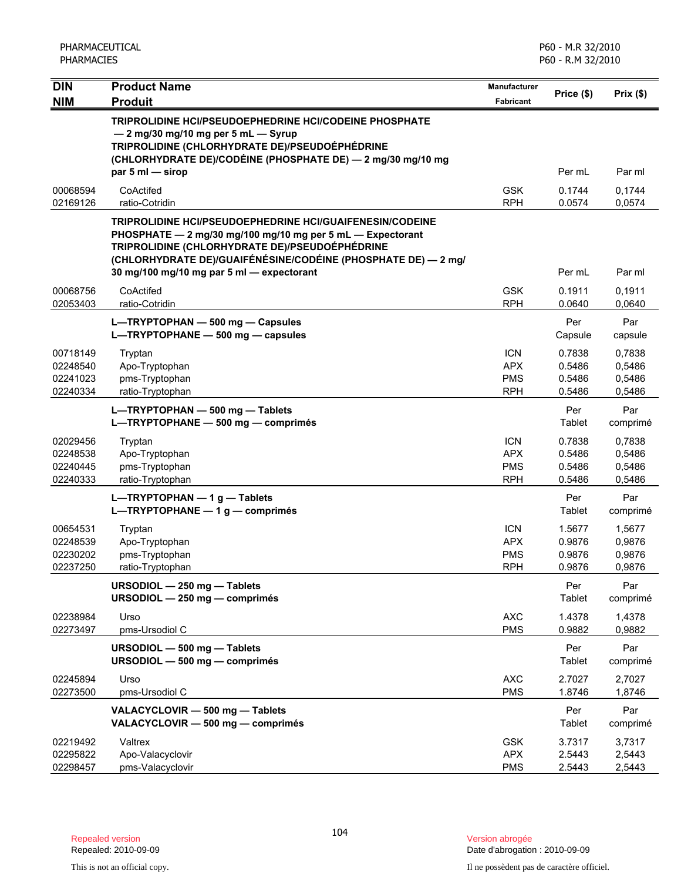| <b>DIN</b>                                   | <b>Product Name</b>                                                                                                                                                                                                                                                                           | Manufacturer                                         |                                      |                                      |
|----------------------------------------------|-----------------------------------------------------------------------------------------------------------------------------------------------------------------------------------------------------------------------------------------------------------------------------------------------|------------------------------------------------------|--------------------------------------|--------------------------------------|
| <b>NIM</b>                                   | <b>Produit</b>                                                                                                                                                                                                                                                                                | <b>Fabricant</b>                                     | Price (\$)                           | Prix(\$)                             |
|                                              | TRIPROLIDINE HCI/PSEUDOEPHEDRINE HCI/CODEINE PHOSPHATE<br>- 2 mg/30 mg/10 mg per 5 mL - Syrup<br>TRIPROLIDINE (CHLORHYDRATE DE)/PSEUDOÉPHÉDRINE<br>(CHLORHYDRATE DE)/CODÉINE (PHOSPHATE DE) - 2 mg/30 mg/10 mg<br>par 5 ml - sirop                                                            |                                                      | Per mL                               | Par ml                               |
| 00068594<br>02169126                         | CoActifed<br>ratio-Cotridin                                                                                                                                                                                                                                                                   | <b>GSK</b><br><b>RPH</b>                             | 0.1744<br>0.0574                     | 0,1744<br>0,0574                     |
|                                              | <b>TRIPROLIDINE HCI/PSEUDOEPHEDRINE HCI/GUAIFENESIN/CODEINE</b><br>PHOSPHATE - 2 mg/30 mg/100 mg/10 mg per 5 mL - Expectorant<br>TRIPROLIDINE (CHLORHYDRATE DE)/PSEUDOÉPHÉDRINE<br>(CHLORHYDRATE DE)/GUAIFÉNÉSINE/CODÉINE (PHOSPHATE DE) — 2 mg/<br>30 mg/100 mg/10 mg par 5 ml - expectorant |                                                      | Per mL                               | Par ml                               |
| 00068756<br>02053403                         | CoActifed<br>ratio-Cotridin                                                                                                                                                                                                                                                                   | <b>GSK</b><br><b>RPH</b>                             | 0.1911<br>0.0640                     | 0,1911<br>0,0640                     |
|                                              | L-TRYPTOPHAN - 500 mg - Capsules<br>L-TRYPTOPHANE - 500 mg - capsules                                                                                                                                                                                                                         |                                                      | Per<br>Capsule                       | Par<br>capsule                       |
| 00718149<br>02248540<br>02241023<br>02240334 | Tryptan<br>Apo-Tryptophan<br>pms-Tryptophan<br>ratio-Tryptophan                                                                                                                                                                                                                               | <b>ICN</b><br><b>APX</b><br><b>PMS</b><br><b>RPH</b> | 0.7838<br>0.5486<br>0.5486<br>0.5486 | 0,7838<br>0,5486<br>0,5486<br>0,5486 |
|                                              | L-TRYPTOPHAN - 500 mg - Tablets<br>L-TRYPTOPHANE - 500 mg - comprimés                                                                                                                                                                                                                         |                                                      | Per<br>Tablet                        | Par<br>comprimé                      |
| 02029456<br>02248538<br>02240445<br>02240333 | Tryptan<br>Apo-Tryptophan<br>pms-Tryptophan<br>ratio-Tryptophan                                                                                                                                                                                                                               | <b>ICN</b><br><b>APX</b><br><b>PMS</b><br><b>RPH</b> | 0.7838<br>0.5486<br>0.5486<br>0.5486 | 0,7838<br>0,5486<br>0,5486<br>0,5486 |
|                                              | $L = TRYPTOPHAN - 1 g - Tables$<br>L-TRYPTOPHANE - 1 g - comprimés                                                                                                                                                                                                                            |                                                      | Per<br>Tablet                        | Par<br>comprimé                      |
| 00654531<br>02248539<br>02230202<br>02237250 | Tryptan<br>Apo-Tryptophan<br>pms-Tryptophan<br>ratio-Tryptophan                                                                                                                                                                                                                               | <b>ICN</b><br><b>APX</b><br><b>PMS</b><br><b>RPH</b> | 1.5677<br>0.9876<br>0.9876<br>0.9876 | 1,5677<br>0,9876<br>0,9876<br>0,9876 |
|                                              | URSODIOL - 250 mg - Tablets<br>URSODIOL - 250 mg - comprimés                                                                                                                                                                                                                                  |                                                      | Per<br>Tablet                        | Par<br>comprimé                      |
| 02238984<br>02273497                         | Urso<br>pms-Ursodiol C                                                                                                                                                                                                                                                                        | <b>AXC</b><br><b>PMS</b>                             | 1.4378<br>0.9882                     | 1,4378<br>0,9882                     |
|                                              | URSODIOL - 500 mg - Tablets<br>URSODIOL - 500 mg - comprimés                                                                                                                                                                                                                                  |                                                      | Per<br>Tablet                        | Par<br>comprimé                      |
| 02245894<br>02273500                         | Urso<br>pms-Ursodiol C                                                                                                                                                                                                                                                                        | <b>AXC</b><br><b>PMS</b>                             | 2.7027<br>1.8746                     | 2,7027<br>1,8746                     |
|                                              | VALACYCLOVIR - 500 mg - Tablets<br>VALACYCLOVIR - 500 mg - comprimés                                                                                                                                                                                                                          |                                                      | Per<br>Tablet                        | Par<br>comprimé                      |
| 02219492<br>02295822<br>02298457             | Valtrex<br>Apo-Valacyclovir<br>pms-Valacyclovir                                                                                                                                                                                                                                               | <b>GSK</b><br><b>APX</b><br><b>PMS</b>               | 3.7317<br>2.5443<br>2.5443           | 3,7317<br>2,5443<br>2,5443           |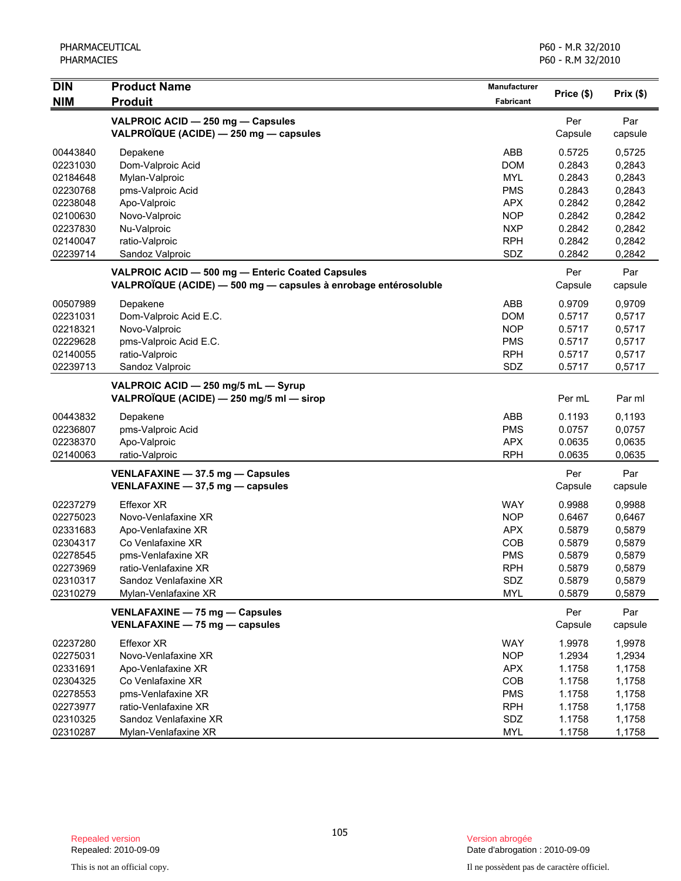| DIN        | <b>Product Name</b>                                             | <b>Manufacturer</b> | Price (\$) | Prix(\$) |
|------------|-----------------------------------------------------------------|---------------------|------------|----------|
| <b>NIM</b> | <b>Produit</b>                                                  | <b>Fabricant</b>    |            |          |
|            | VALPROIC ACID - 250 mg - Capsules                               |                     | Per        | Par      |
|            | VALPROÏQUE (ACIDE) - 250 mg - capsules                          |                     | Capsule    | capsule  |
| 00443840   | Depakene                                                        | ABB                 | 0.5725     | 0,5725   |
| 02231030   | Dom-Valproic Acid                                               | <b>DOM</b>          | 0.2843     | 0,2843   |
| 02184648   | Mylan-Valproic                                                  | <b>MYL</b>          | 0.2843     | 0,2843   |
| 02230768   | pms-Valproic Acid                                               | <b>PMS</b>          | 0.2843     | 0,2843   |
| 02238048   | Apo-Valproic                                                    | <b>APX</b>          | 0.2842     | 0,2842   |
| 02100630   | Novo-Valproic                                                   | <b>NOP</b>          | 0.2842     | 0,2842   |
| 02237830   | Nu-Valproic                                                     | <b>NXP</b>          | 0.2842     | 0,2842   |
| 02140047   | ratio-Valproic                                                  | <b>RPH</b>          | 0.2842     | 0,2842   |
| 02239714   | Sandoz Valproic                                                 | SDZ                 | 0.2842     | 0,2842   |
|            | VALPROIC ACID - 500 mg - Enteric Coated Capsules                |                     | Per        | Par      |
|            | VALPROÏQUE (ACIDE) - 500 mg - capsules à enrobage entérosoluble |                     | Capsule    | capsule  |
| 00507989   | Depakene                                                        | ABB                 | 0.9709     | 0,9709   |
| 02231031   | Dom-Valproic Acid E.C.                                          | <b>DOM</b>          | 0.5717     | 0,5717   |
| 02218321   | Novo-Valproic                                                   | <b>NOP</b>          | 0.5717     | 0,5717   |
| 02229628   | pms-Valproic Acid E.C.                                          | <b>PMS</b>          | 0.5717     | 0,5717   |
| 02140055   | ratio-Valproic                                                  | <b>RPH</b>          | 0.5717     | 0,5717   |
| 02239713   | Sandoz Valproic                                                 | SDZ                 | 0.5717     | 0,5717   |
|            | VALPROIC ACID - 250 mg/5 mL - Syrup                             |                     |            |          |
|            | VALPROÏQUE (ACIDE) — 250 mg/5 ml — sirop                        |                     | Per mL     | Par ml   |
| 00443832   | Depakene                                                        | ABB                 | 0.1193     | 0,1193   |
| 02236807   | pms-Valproic Acid                                               | <b>PMS</b>          | 0.0757     | 0,0757   |
| 02238370   | Apo-Valproic                                                    | <b>APX</b>          | 0.0635     | 0,0635   |
| 02140063   | ratio-Valproic                                                  | <b>RPH</b>          | 0.0635     | 0,0635   |
|            | VENLAFAXINE - 37.5 mg - Capsules                                |                     | Per        | Par      |
|            | VENLAFAXINE - 37,5 mg - capsules                                |                     | Capsule    | capsule  |
| 02237279   | Effexor XR                                                      | <b>WAY</b>          | 0.9988     | 0,9988   |
| 02275023   | Novo-Venlafaxine XR                                             | <b>NOP</b>          | 0.6467     | 0,6467   |
| 02331683   | Apo-Venlafaxine XR                                              | <b>APX</b>          | 0.5879     | 0,5879   |
| 02304317   | Co Venlafaxine XR                                               | COB                 | 0.5879     | 0,5879   |
| 02278545   | pms-Venlafaxine XR                                              | <b>PMS</b>          | 0.5879     | 0,5879   |
| 02273969   | ratio-Venlafaxine XR                                            | <b>RPH</b>          | 0.5879     | 0,5879   |
| 02310317   | Sandoz Venlafaxine XR                                           | SDZ                 | 0.5879     | 0,5879   |
| 02310279   | Mylan-Venlafaxine XR                                            | <b>MYL</b>          | 0.5879     | 0,5879   |
|            | VENLAFAXINE - 75 mg - Capsules                                  |                     | Per        | Par      |
|            | VENLAFAXINE - 75 mg - capsules                                  |                     | Capsule    | capsule  |
| 02237280   | Effexor XR                                                      | <b>WAY</b>          | 1.9978     | 1,9978   |
| 02275031   | Novo-Venlafaxine XR                                             | <b>NOP</b>          | 1.2934     | 1,2934   |
| 02331691   | Apo-Venlafaxine XR                                              | <b>APX</b>          | 1.1758     | 1,1758   |
| 02304325   | Co Venlafaxine XR                                               | COB                 | 1.1758     | 1,1758   |
| 02278553   | pms-Venlafaxine XR                                              | <b>PMS</b>          | 1.1758     | 1,1758   |
| 02273977   | ratio-Venlafaxine XR                                            | <b>RPH</b>          | 1.1758     | 1,1758   |
| 02310325   | Sandoz Venlafaxine XR                                           | SDZ                 | 1.1758     | 1,1758   |
| 02310287   | Mylan-Venlafaxine XR                                            | <b>MYL</b>          | 1.1758     | 1,1758   |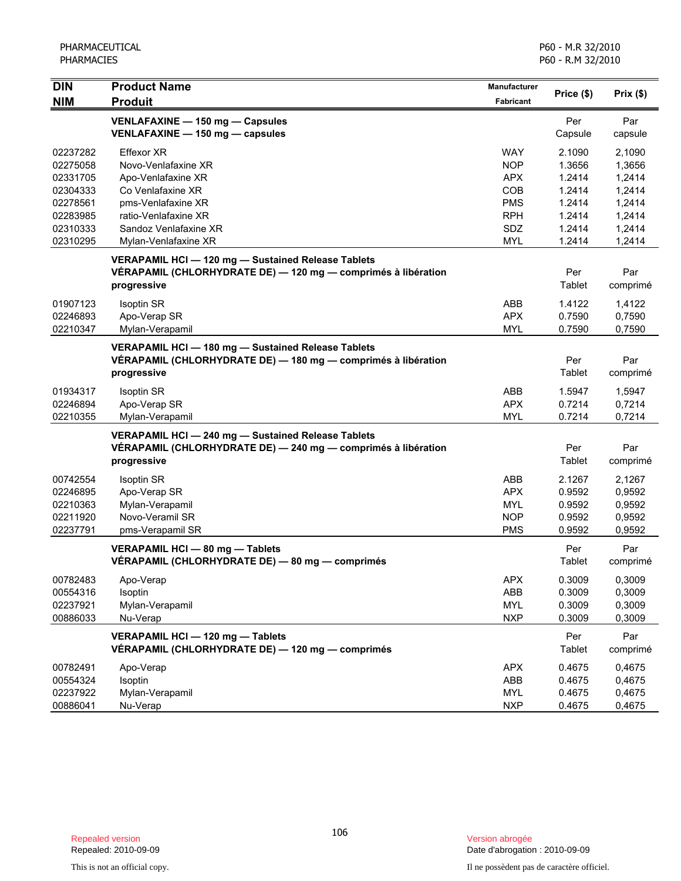| <b>DIN</b>                                                                                   | <b>Product Name</b>                                                                                                                                                                | <b>Manufacturer</b>                                                                            | Price (\$)                                                                   | Prix(\$)                                                                     |
|----------------------------------------------------------------------------------------------|------------------------------------------------------------------------------------------------------------------------------------------------------------------------------------|------------------------------------------------------------------------------------------------|------------------------------------------------------------------------------|------------------------------------------------------------------------------|
| <b>NIM</b>                                                                                   | <b>Produit</b>                                                                                                                                                                     | <b>Fabricant</b>                                                                               |                                                                              |                                                                              |
|                                                                                              | VENLAFAXINE - 150 mg - Capsules<br>VENLAFAXINE - 150 mg - capsules                                                                                                                 |                                                                                                | Per<br>Capsule                                                               | Par<br>capsule                                                               |
| 02237282<br>02275058<br>02331705<br>02304333<br>02278561<br>02283985<br>02310333<br>02310295 | <b>Effexor XR</b><br>Novo-Venlafaxine XR<br>Apo-Venlafaxine XR<br>Co Venlafaxine XR<br>pms-Venlafaxine XR<br>ratio-Venlafaxine XR<br>Sandoz Venlafaxine XR<br>Mylan-Venlafaxine XR | <b>WAY</b><br><b>NOP</b><br><b>APX</b><br>COB<br><b>PMS</b><br><b>RPH</b><br>SDZ<br><b>MYL</b> | 2.1090<br>1.3656<br>1.2414<br>1.2414<br>1.2414<br>1.2414<br>1.2414<br>1.2414 | 2,1090<br>1,3656<br>1,2414<br>1,2414<br>1,2414<br>1,2414<br>1,2414<br>1,2414 |
|                                                                                              | VERAPAMIL HCI - 120 mg - Sustained Release Tablets<br>VÉRAPAMIL (CHLORHYDRATE DE) - 120 mg - comprimés à libération<br>progressive                                                 |                                                                                                | Per<br>Tablet                                                                | Par<br>comprimé                                                              |
| 01907123<br>02246893<br>02210347                                                             | Isoptin SR<br>Apo-Verap SR<br>Mylan-Verapamil                                                                                                                                      | ABB<br><b>APX</b><br><b>MYL</b>                                                                | 1.4122<br>0.7590<br>0.7590                                                   | 1,4122<br>0,7590<br>0,7590                                                   |
|                                                                                              | VERAPAMIL HCI - 180 mg - Sustained Release Tablets<br>VÉRAPAMIL (CHLORHYDRATE DE) — 180 mg — comprimés à libération<br>progressive                                                 |                                                                                                | Per<br>Tablet                                                                | Par<br>comprimé                                                              |
| 01934317<br>02246894<br>02210355                                                             | Isoptin SR<br>Apo-Verap SR<br>Mylan-Verapamil                                                                                                                                      | ABB<br><b>APX</b><br><b>MYL</b>                                                                | 1.5947<br>0.7214<br>0.7214                                                   | 1,5947<br>0,7214<br>0,7214                                                   |
|                                                                                              | VERAPAMIL HCI - 240 mg - Sustained Release Tablets<br>VÉRAPAMIL (CHLORHYDRATE DE) - 240 mg - comprimés à libération<br>progressive                                                 |                                                                                                | Per<br>Tablet                                                                | Par<br>comprimé                                                              |
| 00742554<br>02246895<br>02210363<br>02211920<br>02237791                                     | <b>Isoptin SR</b><br>Apo-Verap SR<br>Mylan-Verapamil<br>Novo-Veramil SR<br>pms-Verapamil SR                                                                                        | ABB<br><b>APX</b><br><b>MYL</b><br><b>NOP</b><br><b>PMS</b>                                    | 2.1267<br>0.9592<br>0.9592<br>0.9592<br>0.9592                               | 2,1267<br>0,9592<br>0,9592<br>0,9592<br>0,9592                               |
|                                                                                              | VERAPAMIL HCI - 80 mg - Tablets<br>VÉRAPAMIL (CHLORHYDRATE DE) - 80 mg - comprimés                                                                                                 |                                                                                                | Per<br>Tablet                                                                | Par<br>comprimé                                                              |
| 00782483<br>00554316<br>02237921<br>00886033                                                 | Apo-Verap<br>Isoptin<br>Mylan-Verapamil<br>Nu-Verap                                                                                                                                | <b>APX</b><br>ABB<br><b>MYL</b><br><b>NXP</b>                                                  | 0.3009<br>0.3009<br>0.3009<br>0.3009                                         | 0,3009<br>0,3009<br>0,3009<br>0,3009                                         |
|                                                                                              | VERAPAMIL HCI - 120 mg - Tablets<br>VÉRAPAMIL (CHLORHYDRATE DE) - 120 mg - comprimés                                                                                               |                                                                                                | Per<br>Tablet                                                                | Par<br>comprimé                                                              |
| 00782491<br>00554324<br>02237922<br>00886041                                                 | Apo-Verap<br>Isoptin<br>Mylan-Verapamil<br>Nu-Verap                                                                                                                                | <b>APX</b><br>ABB<br><b>MYL</b><br><b>NXP</b>                                                  | 0.4675<br>0.4675<br>0.4675<br>0.4675                                         | 0,4675<br>0,4675<br>0,4675<br>0,4675                                         |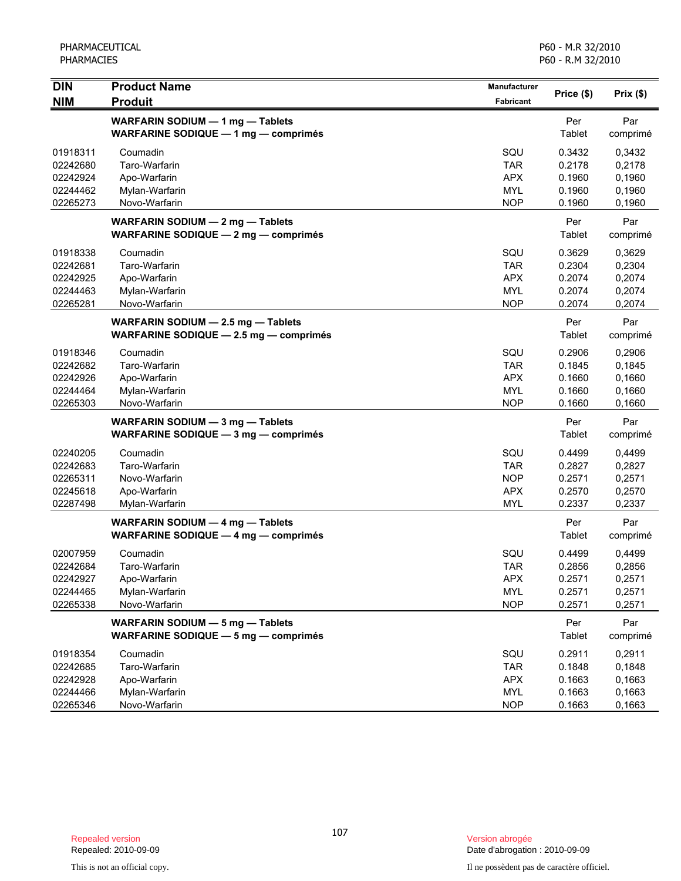| <b>DIN</b><br><b>NIM</b>                                 | <b>Product Name</b><br><b>Produit</b>                                                                         | Manufacturer<br>Fabricant                                   | Price (\$)                                     | Prix(\$)                                       |
|----------------------------------------------------------|---------------------------------------------------------------------------------------------------------------|-------------------------------------------------------------|------------------------------------------------|------------------------------------------------|
|                                                          | WARFARIN SODIUM - 1 mg - Tablets<br><b>WARFARINE SODIQUE - 1 mg - comprimés</b>                               |                                                             | Per<br>Tablet                                  | Par<br>comprimé                                |
| 01918311<br>02242680<br>02242924<br>02244462<br>02265273 | Coumadin<br>Taro-Warfarin<br>Apo-Warfarin<br>Mylan-Warfarin<br>Novo-Warfarin                                  | SQU<br><b>TAR</b><br><b>APX</b><br><b>MYL</b><br><b>NOP</b> | 0.3432<br>0.2178<br>0.1960<br>0.1960<br>0.1960 | 0,3432<br>0,2178<br>0,1960<br>0,1960<br>0,1960 |
|                                                          | WARFARIN SODIUM - 2 mg - Tablets<br><b>WARFARINE SODIQUE - 2 mg - comprimés</b>                               |                                                             | Per<br>Tablet                                  | Par<br>comprimé                                |
| 01918338<br>02242681<br>02242925<br>02244463<br>02265281 | Coumadin<br>Taro-Warfarin<br>Apo-Warfarin<br>Mylan-Warfarin<br>Novo-Warfarin                                  | SQU<br><b>TAR</b><br><b>APX</b><br><b>MYL</b><br><b>NOP</b> | 0.3629<br>0.2304<br>0.2074<br>0.2074<br>0.2074 | 0,3629<br>0,2304<br>0,2074<br>0,2074<br>0,2074 |
|                                                          | WARFARIN SODIUM - 2.5 mg - Tablets<br><b>WARFARINE SODIQUE <math>-</math> 2.5 mg <math>-</math> comprimes</b> |                                                             | Per<br>Tablet                                  | Par<br>comprimé                                |
| 01918346<br>02242682<br>02242926<br>02244464<br>02265303 | Coumadin<br>Taro-Warfarin<br>Apo-Warfarin<br>Mylan-Warfarin<br>Novo-Warfarin                                  | SQU<br><b>TAR</b><br><b>APX</b><br><b>MYL</b><br><b>NOP</b> | 0.2906<br>0.1845<br>0.1660<br>0.1660<br>0.1660 | 0,2906<br>0,1845<br>0,1660<br>0,1660<br>0,1660 |
|                                                          | WARFARIN SODIUM - 3 mg - Tablets<br>WARFARINE SODIQUE - 3 mg - comprimés                                      |                                                             | Per<br>Tablet                                  | Par<br>comprimé                                |
| 02240205<br>02242683<br>02265311<br>02245618<br>02287498 | Coumadin<br>Taro-Warfarin<br>Novo-Warfarin<br>Apo-Warfarin<br>Mylan-Warfarin                                  | SQU<br><b>TAR</b><br><b>NOP</b><br><b>APX</b><br><b>MYL</b> | 0.4499<br>0.2827<br>0.2571<br>0.2570<br>0.2337 | 0,4499<br>0,2827<br>0,2571<br>0,2570<br>0,2337 |
|                                                          | WARFARIN SODIUM - 4 mg - Tablets<br>WARFARINE SODIQUE - 4 mg - comprimés                                      |                                                             | Per<br>Tablet                                  | Par<br>comprimé                                |
| 02007959<br>02242684<br>02242927<br>02244465<br>02265338 | Coumadin<br>Taro-Warfarin<br>Apo-Warfarin<br>Mylan-Warfarin<br>Novo-Warfarin                                  | SQU<br><b>TAR</b><br>APX<br><b>MYL</b><br><b>NOP</b>        | 0.4499<br>0.2856<br>0.2571<br>0.2571<br>0.2571 | 0,4499<br>0,2856<br>0,2571<br>0,2571<br>0,2571 |
|                                                          | WARFARIN SODIUM - 5 mg - Tablets<br>WARFARINE SODIQUE - 5 mg - comprimés                                      |                                                             | Per<br>Tablet                                  | Par<br>comprimé                                |
| 01918354<br>02242685<br>02242928<br>02244466<br>02265346 | Coumadin<br>Taro-Warfarin<br>Apo-Warfarin<br>Mylan-Warfarin<br>Novo-Warfarin                                  | SQU<br><b>TAR</b><br><b>APX</b><br><b>MYL</b><br><b>NOP</b> | 0.2911<br>0.1848<br>0.1663<br>0.1663<br>0.1663 | 0,2911<br>0,1848<br>0,1663<br>0,1663<br>0,1663 |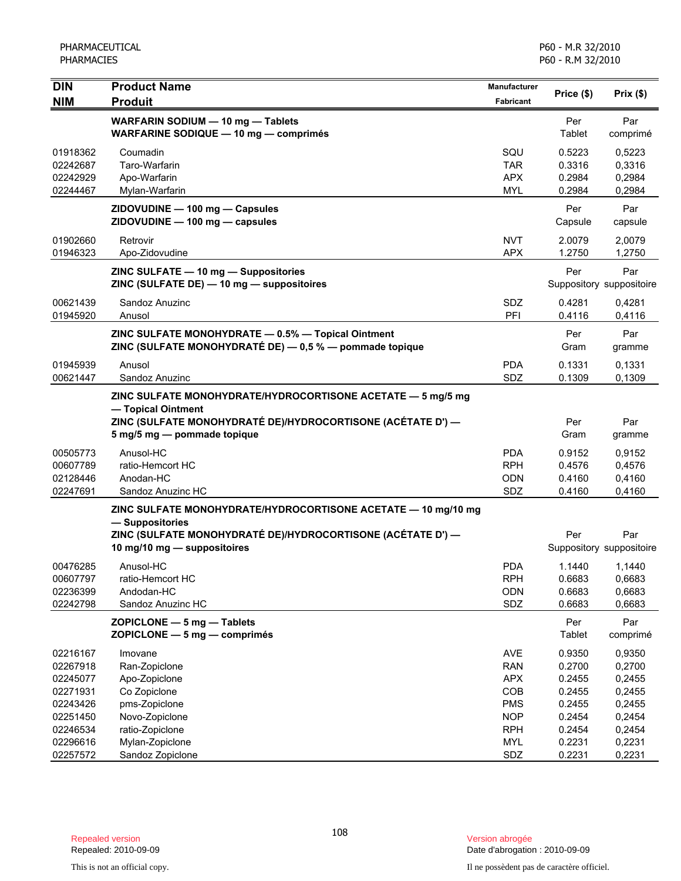| <b>DIN</b> | <b>Product Name</b>                                                               | Manufacturer |            |                          |
|------------|-----------------------------------------------------------------------------------|--------------|------------|--------------------------|
| <b>NIM</b> | <b>Produit</b>                                                                    | Fabricant    | Price (\$) | Prix(\$)                 |
|            | WARFARIN SODIUM - 10 mg - Tablets                                                 |              | Per        | Par                      |
|            | <b>WARFARINE SODIQUE - 10 mg - comprimés</b>                                      |              | Tablet     | comprimé                 |
| 01918362   | Coumadin                                                                          | SQU          | 0.5223     | 0,5223                   |
| 02242687   | Taro-Warfarin                                                                     | <b>TAR</b>   | 0.3316     | 0,3316                   |
| 02242929   | Apo-Warfarin                                                                      | <b>APX</b>   | 0.2984     | 0,2984                   |
| 02244467   | Mylan-Warfarin                                                                    | <b>MYL</b>   | 0.2984     | 0,2984                   |
|            | ZIDOVUDINE - 100 mg - Capsules                                                    |              | Per        | Par                      |
|            | ZIDOVUDINE - 100 mg - capsules                                                    |              | Capsule    | capsule                  |
| 01902660   | Retrovir                                                                          | <b>NVT</b>   | 2.0079     | 2,0079                   |
| 01946323   | Apo-Zidovudine                                                                    | <b>APX</b>   | 1.2750     | 1,2750                   |
|            | ZINC SULFATE - 10 mg - Suppositories                                              |              | Per        | Par                      |
|            | ZINC (SULFATE DE) - 10 mg - suppositoires                                         |              |            | Suppository suppositoire |
| 00621439   | Sandoz Anuzinc                                                                    | <b>SDZ</b>   | 0.4281     | 0,4281                   |
| 01945920   | Anusol                                                                            | PFI          | 0.4116     | 0,4116                   |
|            | ZINC SULFATE MONOHYDRATE - 0.5% - Topical Ointment                                |              | Per        | Par                      |
|            | ZINC (SULFATE MONOHYDRATÉ DE) - 0,5 % - pommade topique                           |              | Gram       | gramme                   |
| 01945939   | Anusol                                                                            | <b>PDA</b>   | 0.1331     | 0,1331                   |
| 00621447   | Sandoz Anuzinc                                                                    | <b>SDZ</b>   | 0.1309     | 0.1309                   |
|            |                                                                                   |              |            |                          |
|            | ZINC SULFATE MONOHYDRATE/HYDROCORTISONE ACETATE - 5 mg/5 mg<br>- Topical Ointment |              |            |                          |
|            | ZINC (SULFATE MONOHYDRATÉ DE)/HYDROCORTISONE (ACÉTATE D') —                       |              | Per        | Par                      |
|            | 5 mg/5 mg - pommade topique                                                       |              | Gram       | gramme                   |
| 00505773   | Anusol-HC                                                                         | <b>PDA</b>   | 0.9152     | 0,9152                   |
| 00607789   | ratio-Hemcort HC                                                                  | <b>RPH</b>   | 0.4576     | 0,4576                   |
| 02128446   | Anodan-HC                                                                         | <b>ODN</b>   | 0.4160     | 0,4160                   |
| 02247691   | Sandoz Anuzinc HC                                                                 | SDZ          | 0.4160     | 0,4160                   |
|            | ZINC SULFATE MONOHYDRATE/HYDROCORTISONE ACETATE - 10 mg/10 mg                     |              |            |                          |
|            | - Suppositories                                                                   |              |            |                          |
|            | ZINC (SULFATE MONOHYDRATÉ DE)/HYDROCORTISONE (ACÉTATE D') —                       |              | Per        | Par                      |
|            | 10 mg/10 mg - suppositoires                                                       |              |            | Suppository suppositoire |
| 00476285   | Anusol-HC                                                                         | <b>PDA</b>   | 1.1440     | 1,1440                   |
| 00607797   | ratio-Hemcort HC                                                                  | <b>RPH</b>   | 0.6683     | 0,6683                   |
| 02236399   | Andodan-HC                                                                        | ODN          | 0.6683     | 0,6683                   |
| 02242798   | Sandoz Anuzinc HC                                                                 | SDZ          | 0.6683     | 0,6683                   |
|            | ZOPICLONE - 5 mg - Tablets                                                        |              | Per        | Par                      |
|            | ZOPICLONE - 5 mg - comprimés                                                      |              | Tablet     | comprimé                 |
| 02216167   | Imovane                                                                           | AVE          | 0.9350     | 0,9350                   |
| 02267918   | Ran-Zopiclone                                                                     | <b>RAN</b>   | 0.2700     | 0,2700                   |
| 02245077   | Apo-Zopiclone                                                                     | <b>APX</b>   | 0.2455     | 0,2455                   |
| 02271931   | Co Zopiclone                                                                      | COB          | 0.2455     | 0,2455                   |
| 02243426   | pms-Zopiclone                                                                     | <b>PMS</b>   | 0.2455     | 0,2455                   |
| 02251450   | Novo-Zopiclone                                                                    | <b>NOP</b>   | 0.2454     | 0,2454                   |
| 02246534   | ratio-Zopiclone                                                                   | <b>RPH</b>   | 0.2454     | 0,2454                   |
| 02296616   | Mylan-Zopiclone                                                                   | <b>MYL</b>   | 0.2231     | 0,2231                   |
| 02257572   | Sandoz Zopiclone                                                                  | SDZ          | 0.2231     | 0,2231                   |